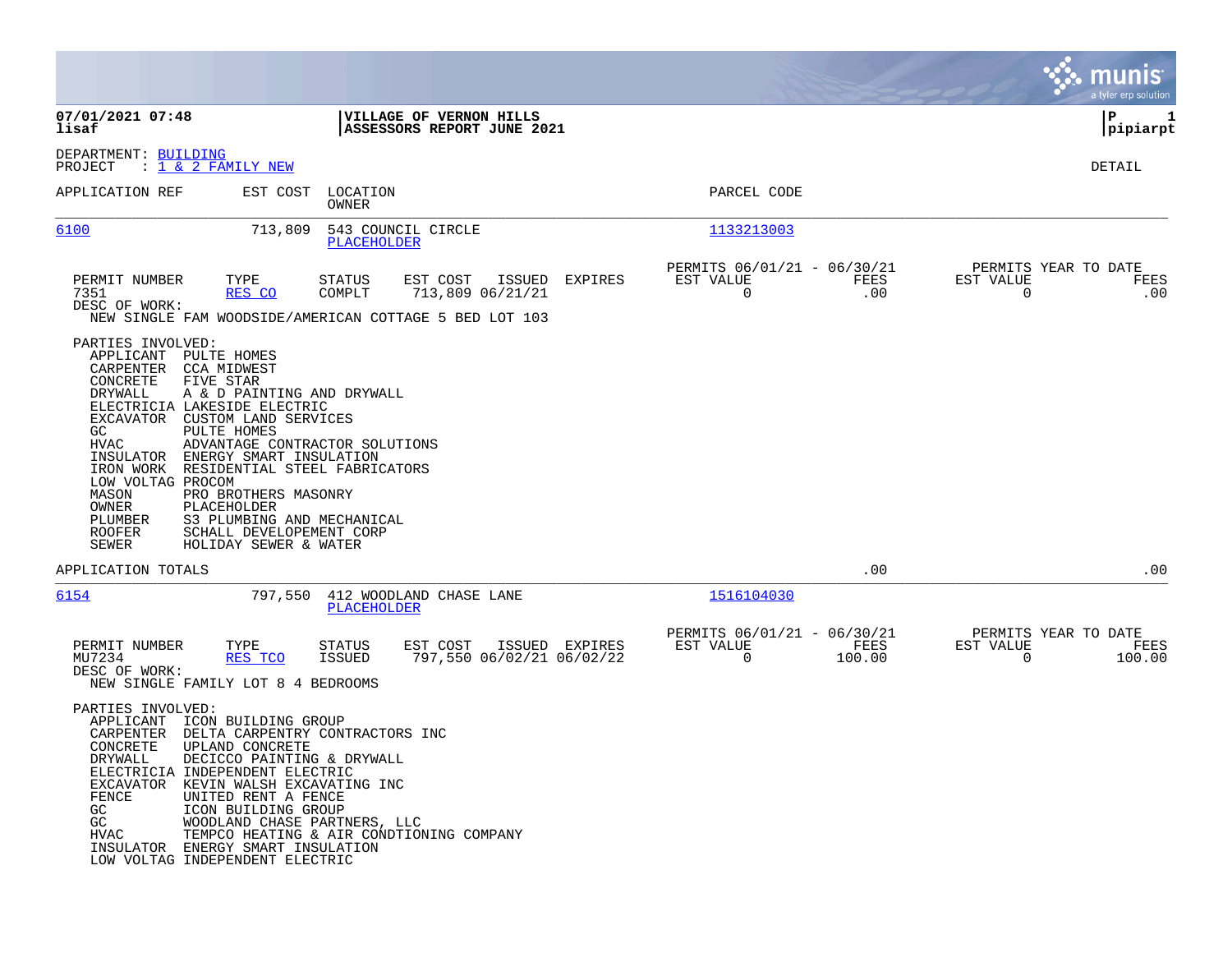|                                                                                                                                                                                                     |                                                                                                                                                                                                                                                                                                                                                                                                         |                         |                                                                                                  |                |                                                         |                |                          | a tyler erp solution                   |
|-----------------------------------------------------------------------------------------------------------------------------------------------------------------------------------------------------|---------------------------------------------------------------------------------------------------------------------------------------------------------------------------------------------------------------------------------------------------------------------------------------------------------------------------------------------------------------------------------------------------------|-------------------------|--------------------------------------------------------------------------------------------------|----------------|---------------------------------------------------------|----------------|--------------------------|----------------------------------------|
| 07/01/2021 07:48<br>lisaf                                                                                                                                                                           |                                                                                                                                                                                                                                                                                                                                                                                                         |                         | <b>VILLAGE OF VERNON HILLS</b><br><b>ASSESSORS REPORT JUNE 2021</b>                              |                |                                                         |                |                          | ΙP<br> pipiarpt                        |
| DEPARTMENT: BUILDING<br>PROJECT                                                                                                                                                                     | : <u>1 &amp; 2 FAMILY NEW</u>                                                                                                                                                                                                                                                                                                                                                                           |                         |                                                                                                  |                |                                                         |                |                          | DETAIL                                 |
| APPLICATION REF                                                                                                                                                                                     | EST COST                                                                                                                                                                                                                                                                                                                                                                                                | LOCATION<br>OWNER       |                                                                                                  |                | PARCEL CODE                                             |                |                          |                                        |
| 6100                                                                                                                                                                                                | 713,809                                                                                                                                                                                                                                                                                                                                                                                                 | <b>PLACEHOLDER</b>      | 543 COUNCIL CIRCLE                                                                               |                | 1133213003                                              |                |                          |                                        |
| PERMIT NUMBER<br>7351<br>DESC OF WORK:                                                                                                                                                              | TYPE<br>RES CO                                                                                                                                                                                                                                                                                                                                                                                          | <b>STATUS</b><br>COMPLT | EST COST<br>ISSUED<br>713,809 06/21/21<br>NEW SINGLE FAM WOODSIDE/AMERICAN COTTAGE 5 BED LOT 103 | EXPIRES        | PERMITS 06/01/21 - 06/30/21<br>EST VALUE<br>0           | FEES<br>.00    | EST VALUE<br>$\mathbf 0$ | PERMITS YEAR TO DATE<br>FEES<br>.00    |
| PARTIES INVOLVED:<br>APPLICANT<br>CARPENTER<br>CONCRETE<br>DRYWALL<br>EXCAVATOR<br>GC<br>HVAC<br>INSULATOR<br>IRON WORK<br>LOW VOLTAG PROCOM<br>MASON<br>OWNER<br>PLUMBER<br><b>ROOFER</b><br>SEWER | PULTE HOMES<br><b>CCA MIDWEST</b><br>FIVE STAR<br>A & D PAINTING AND DRYWALL<br>ELECTRICIA LAKESIDE ELECTRIC<br>CUSTOM LAND SERVICES<br>PULTE HOMES<br>ADVANTAGE CONTRACTOR SOLUTIONS<br>ENERGY SMART INSULATION<br>RESIDENTIAL STEEL FABRICATORS<br>PRO BROTHERS MASONRY<br>PLACEHOLDER<br>S3 PLUMBING AND MECHANICAL<br>SCHALL DEVELOPEMENT CORP<br>HOLIDAY SEWER & WATER                             |                         |                                                                                                  |                |                                                         |                |                          |                                        |
| APPLICATION TOTALS                                                                                                                                                                                  |                                                                                                                                                                                                                                                                                                                                                                                                         |                         |                                                                                                  |                |                                                         | .00            |                          | .00                                    |
| 6154                                                                                                                                                                                                | 797,550                                                                                                                                                                                                                                                                                                                                                                                                 | PLACEHOLDER             | 412 WOODLAND CHASE LANE                                                                          |                | 1516104030                                              |                |                          |                                        |
| PERMIT NUMBER<br>MU7234<br>DESC OF WORK:                                                                                                                                                            | TYPE<br>RES TCO<br>NEW SINGLE FAMILY LOT 8 4 BEDROOMS                                                                                                                                                                                                                                                                                                                                                   | <b>STATUS</b><br>ISSUED | EST COST<br>797,550 06/02/21 06/02/22                                                            | ISSUED EXPIRES | PERMITS 06/01/21 - 06/30/21<br>EST VALUE<br>$\mathbf 0$ | FEES<br>100.00 | EST VALUE<br>$\Omega$    | PERMITS YEAR TO DATE<br>FEES<br>100.00 |
| PARTIES INVOLVED:<br>APPLICANT<br>DRYWALL<br>FENCE<br>GC<br>$\rm GC$<br>HVAC                                                                                                                        | ICON BUILDING GROUP<br>CARPENTER DELTA CARPENTRY CONTRACTORS INC<br>CONCRETE UPLAND CONCRETE<br>DECICCO PAINTING & DRYWALL<br>ELECTRICIA INDEPENDENT ELECTRIC<br>EXCAVATOR KEVIN WALSH EXCAVATING INC<br>UNITED RENT A FENCE<br>ICON BUILDING GROUP<br>WOODLAND CHASE PARTNERS, LLC<br>TEMPCO HEATING & AIR CONDTIONING COMPANY<br>INSULATOR ENERGY SMART INSULATION<br>LOW VOLTAG INDEPENDENT ELECTRIC |                         |                                                                                                  |                |                                                         |                |                          |                                        |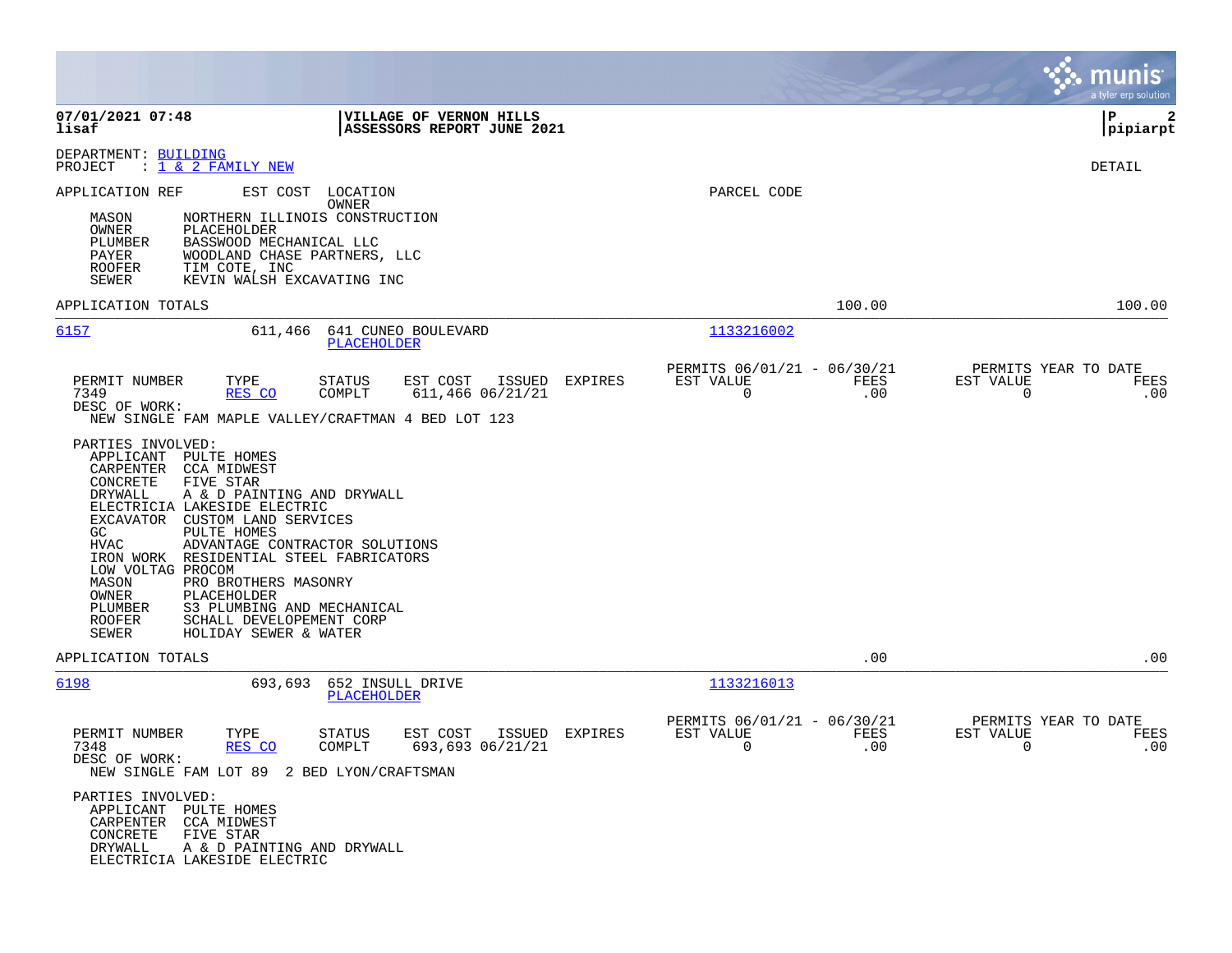|                                                                                                                                                                                                                                                                                                                                                                                                                                                                                                                                                                                                                                                                                                                           |                                                                                      | munis<br>a tyler erp solution                                   |
|---------------------------------------------------------------------------------------------------------------------------------------------------------------------------------------------------------------------------------------------------------------------------------------------------------------------------------------------------------------------------------------------------------------------------------------------------------------------------------------------------------------------------------------------------------------------------------------------------------------------------------------------------------------------------------------------------------------------------|--------------------------------------------------------------------------------------|-----------------------------------------------------------------|
| 07/01/2021 07:48<br><b>VILLAGE OF VERNON HILLS</b><br>lisaf<br>ASSESSORS REPORT JUNE 2021                                                                                                                                                                                                                                                                                                                                                                                                                                                                                                                                                                                                                                 |                                                                                      | l P<br>2<br> pipiarpt                                           |
| DEPARTMENT: BUILDING<br>: 1 & 2 FAMILY NEW<br>PROJECT                                                                                                                                                                                                                                                                                                                                                                                                                                                                                                                                                                                                                                                                     |                                                                                      | <b>DETAIL</b>                                                   |
| APPLICATION REF<br>EST COST<br>LOCATION<br>OWNER<br>MASON<br>NORTHERN ILLINOIS CONSTRUCTION<br>OWNER<br>PLACEHOLDER<br>PLUMBER<br>BASSWOOD MECHANICAL LLC<br>WOODLAND CHASE PARTNERS, LLC<br>PAYER<br>TIM COTE, INC<br><b>ROOFER</b><br>KEVIN WALSH EXCAVATING INC<br>SEWER                                                                                                                                                                                                                                                                                                                                                                                                                                               | PARCEL CODE                                                                          |                                                                 |
| APPLICATION TOTALS                                                                                                                                                                                                                                                                                                                                                                                                                                                                                                                                                                                                                                                                                                        | 100.00                                                                               | 100.00                                                          |
| 6157<br>611,466<br>641 CUNEO BOULEVARD<br>PLACEHOLDER                                                                                                                                                                                                                                                                                                                                                                                                                                                                                                                                                                                                                                                                     | 1133216002                                                                           |                                                                 |
| PERMIT NUMBER<br>TYPE<br>EST COST<br>ISSUED<br>EXPIRES<br>STATUS<br>RES CO<br>COMPLT<br>7349<br>611,466 06/21/21<br>DESC OF WORK:<br>NEW SINGLE FAM MAPLE VALLEY/CRAFTMAN 4 BED LOT 123<br>PARTIES INVOLVED:<br>APPLICANT PULTE HOMES<br>CARPENTER CCA MIDWEST<br>CONCRETE<br>FIVE STAR<br>DRYWALL<br>A & D PAINTING AND DRYWALL<br>ELECTRICIA LAKESIDE ELECTRIC<br>EXCAVATOR CUSTOM LAND SERVICES<br>PULTE HOMES<br>GC<br><b>HVAC</b><br>ADVANTAGE CONTRACTOR SOLUTIONS<br>IRON WORK RESIDENTIAL STEEL FABRICATORS<br>LOW VOLTAG PROCOM<br>MASON<br>PRO BROTHERS MASONRY<br>OWNER<br>PLACEHOLDER<br>PLUMBER<br>S3 PLUMBING AND MECHANICAL<br><b>ROOFER</b><br>SCHALL DEVELOPEMENT CORP<br>SEWER<br>HOLIDAY SEWER & WATER | PERMITS 06/01/21 - 06/30/21<br>EST VALUE<br>FEES<br>$\mathbf 0$<br>.00               | PERMITS YEAR TO DATE<br>EST VALUE<br>FEES<br>$\mathbf 0$<br>.00 |
| APPLICATION TOTALS                                                                                                                                                                                                                                                                                                                                                                                                                                                                                                                                                                                                                                                                                                        | .00                                                                                  | .00                                                             |
| 6198<br>693,693<br>652 INSULL DRIVE<br>PLACEHOLDER<br>PERMIT NUMBER<br>TYPE<br>ISSUED EXPIRES<br><b>STATUS</b><br>EST COST<br>7348<br>RES CO<br>COMPLT<br>693,693 06/21/21<br>DESC OF WORK:<br>NEW SINGLE FAM LOT 89 2 BED LYON/CRAFTSMAN                                                                                                                                                                                                                                                                                                                                                                                                                                                                                 | 1133216013<br>PERMITS 06/01/21 - 06/30/21<br>EST VALUE<br>FEES<br>$\mathbf 0$<br>.00 | PERMITS YEAR TO DATE<br>EST VALUE<br>FEES<br>.00<br>0           |
| PARTIES INVOLVED:<br>APPLICANT PULTE HOMES<br>CARPENTER CCA MIDWEST<br>CONCRETE<br>FIVE STAR<br>DRYWALL<br>A & D PAINTING AND DRYWALL<br>ELECTRICIA LAKESIDE ELECTRIC                                                                                                                                                                                                                                                                                                                                                                                                                                                                                                                                                     |                                                                                      |                                                                 |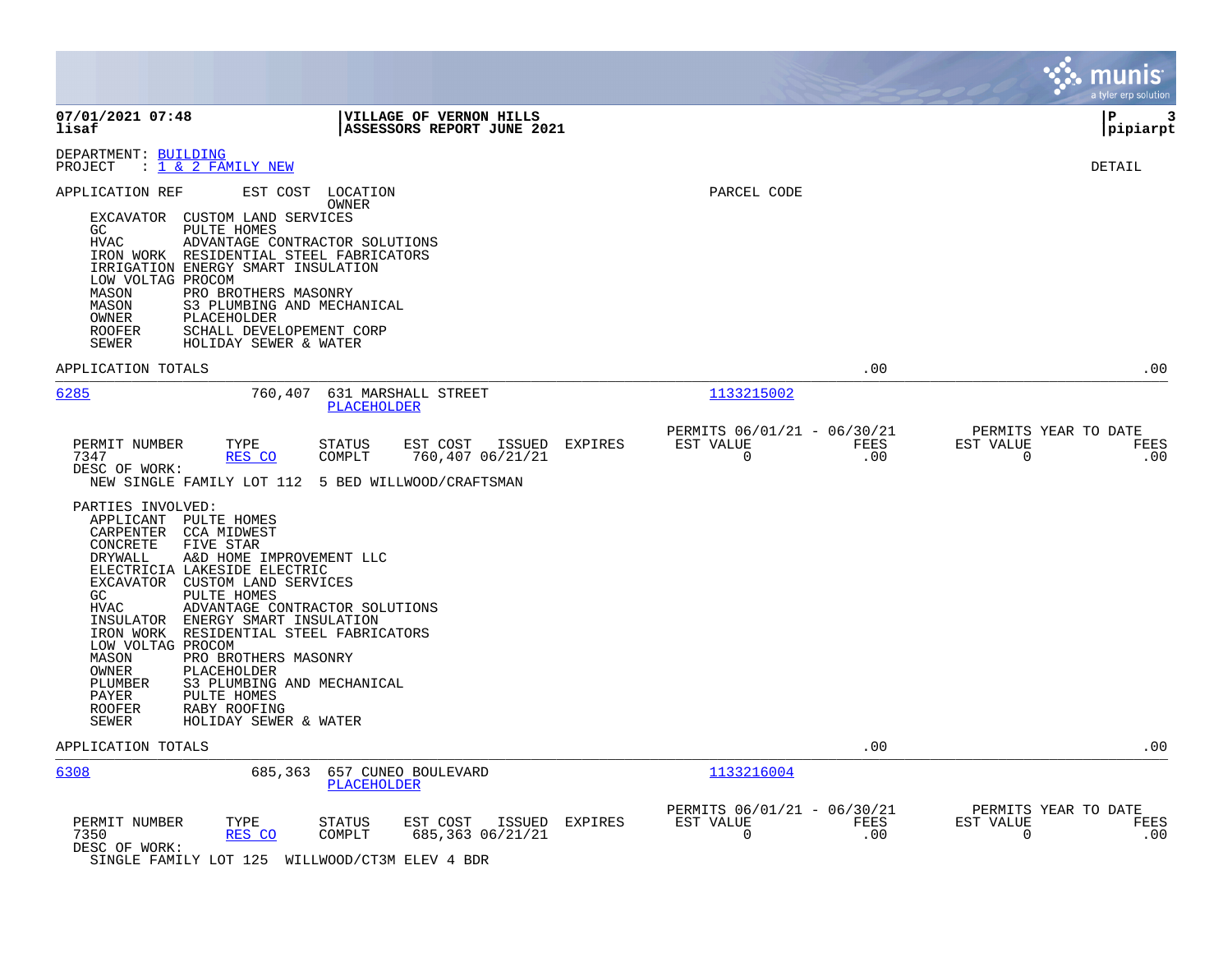|                                                                                                                                                                                                                                                                                                                                                                                                                                                                                                                                                                                                                                            |                                                                                      | munis<br>a tyler erp solution                                   |
|--------------------------------------------------------------------------------------------------------------------------------------------------------------------------------------------------------------------------------------------------------------------------------------------------------------------------------------------------------------------------------------------------------------------------------------------------------------------------------------------------------------------------------------------------------------------------------------------------------------------------------------------|--------------------------------------------------------------------------------------|-----------------------------------------------------------------|
| 07/01/2021 07:48<br>VILLAGE OF VERNON HILLS<br>ASSESSORS REPORT JUNE 2021<br>lisaf                                                                                                                                                                                                                                                                                                                                                                                                                                                                                                                                                         |                                                                                      | lР<br>3<br> pipiarpt                                            |
| DEPARTMENT: BUILDING<br>: <u>1 &amp; 2 FAMILY NEW</u><br>PROJECT                                                                                                                                                                                                                                                                                                                                                                                                                                                                                                                                                                           |                                                                                      | DETAIL                                                          |
| APPLICATION REF<br>EST COST<br>LOCATION<br>OWNER<br>EXCAVATOR CUSTOM LAND SERVICES<br>PULTE HOMES<br>GC<br><b>HVAC</b><br>ADVANTAGE CONTRACTOR SOLUTIONS<br>IRON WORK RESIDENTIAL STEEL FABRICATORS<br>IRRIGATION ENERGY SMART INSULATION<br>LOW VOLTAG PROCOM<br>MASON<br>PRO BROTHERS MASONRY<br>MASON<br>S3 PLUMBING AND MECHANICAL<br>OWNER<br>PLACEHOLDER<br>SCHALL DEVELOPEMENT CORP<br><b>ROOFER</b><br>SEWER<br>HOLIDAY SEWER & WATER                                                                                                                                                                                              | PARCEL CODE                                                                          |                                                                 |
| APPLICATION TOTALS                                                                                                                                                                                                                                                                                                                                                                                                                                                                                                                                                                                                                         | .00                                                                                  | .00                                                             |
| 6285<br>760,407<br>631 MARSHALL STREET<br><b>PLACEHOLDER</b><br>PERMIT NUMBER<br>TYPE<br>STATUS<br>EST COST<br>ISSUED<br>EXPIRES<br>RES CO<br>COMPLT<br>760,407 06/21/21<br>7347<br>DESC OF WORK:                                                                                                                                                                                                                                                                                                                                                                                                                                          | 1133215002<br>PERMITS 06/01/21 - 06/30/21<br>EST VALUE<br>FEES<br>$\mathbf 0$<br>.00 | PERMITS YEAR TO DATE<br>EST VALUE<br>FEES<br>$\Omega$<br>.00    |
| NEW SINGLE FAMILY LOT 112 5 BED WILLWOOD/CRAFTSMAN<br>PARTIES INVOLVED:<br>APPLICANT PULTE HOMES<br>CARPENTER CCA MIDWEST<br>CONCRETE<br>FIVE STAR<br>A&D HOME IMPROVEMENT LLC<br>DRYWALL<br>ELECTRICIA LAKESIDE ELECTRIC<br>EXCAVATOR CUSTOM LAND SERVICES<br>PULTE HOMES<br>GC<br><b>HVAC</b><br>ADVANTAGE CONTRACTOR SOLUTIONS<br>INSULATOR ENERGY SMART INSULATION<br>IRON WORK RESIDENTIAL STEEL FABRICATORS<br>LOW VOLTAG PROCOM<br>MASON<br>PRO BROTHERS MASONRY<br><b>OWNER</b><br>PLACEHOLDER<br>PLUMBER<br>S3 PLUMBING AND MECHANICAL<br>PAYER<br>PULTE HOMES<br>RABY ROOFING<br><b>ROOFER</b><br>HOLIDAY SEWER & WATER<br>SEWER |                                                                                      |                                                                 |
| APPLICATION TOTALS                                                                                                                                                                                                                                                                                                                                                                                                                                                                                                                                                                                                                         | .00                                                                                  | .00                                                             |
| 6308<br>685,363<br>657 CUNEO BOULEVARD<br><b>PLACEHOLDER</b>                                                                                                                                                                                                                                                                                                                                                                                                                                                                                                                                                                               | 1133216004                                                                           |                                                                 |
| PERMIT NUMBER<br>TYPE<br><b>STATUS</b><br>EST COST<br>ISSUED<br>EXPIRES<br>COMPLT<br>685,363 06/21/21<br>7350<br>RES CO<br>DESC OF WORK:<br>SINGLE FAMILY LOT 125 WILLWOOD/CT3M ELEV 4 BDR                                                                                                                                                                                                                                                                                                                                                                                                                                                 | PERMITS 06/01/21 - 06/30/21<br>FEES<br>EST VALUE<br>$\mathbf 0$<br>.00               | PERMITS YEAR TO DATE<br>EST VALUE<br>FEES<br>$\mathbf 0$<br>.00 |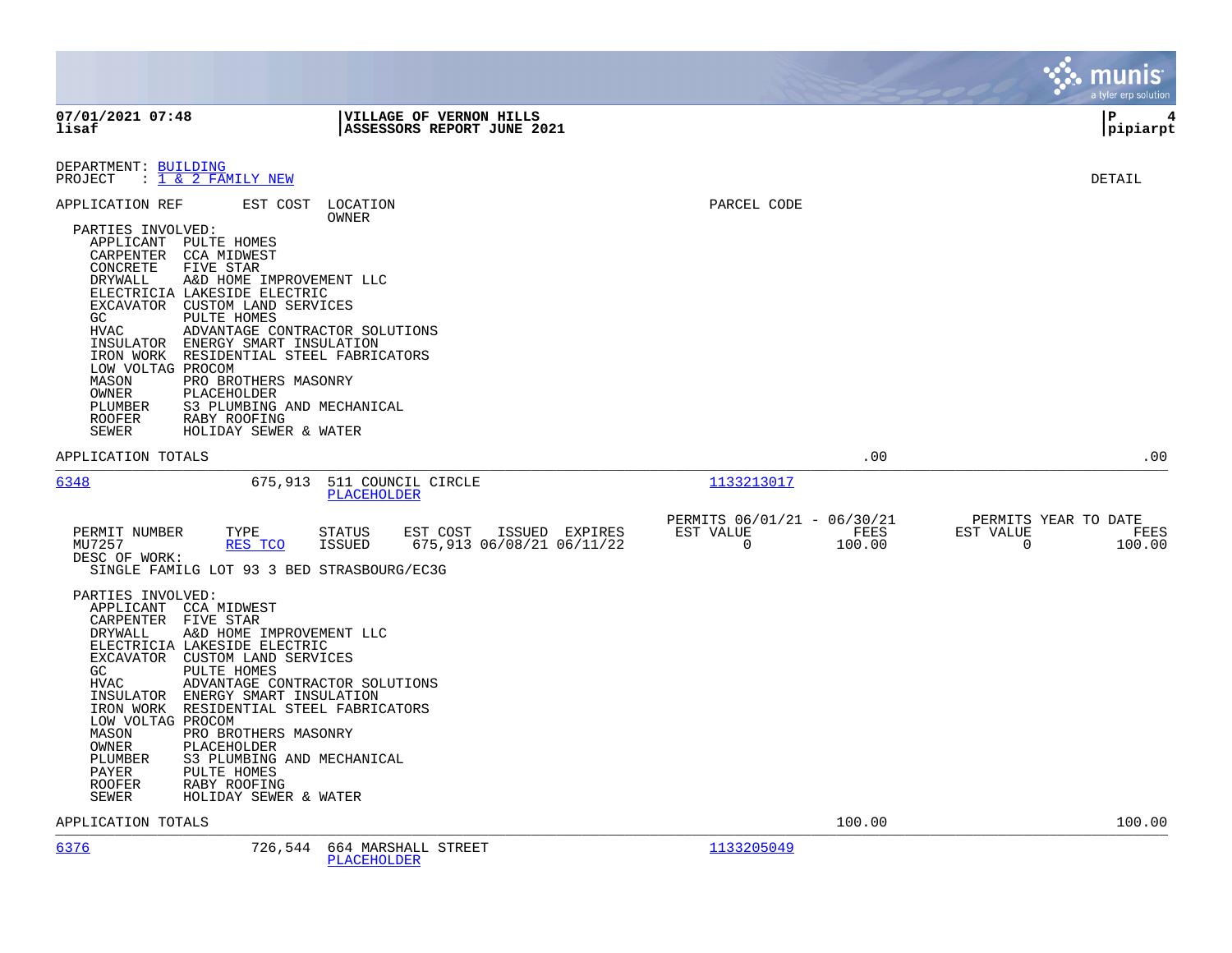|                                                                                                                                                                                                                |                                                                                                                                                                                                                                                                                                                                                                             |                                                              |                           |                |                                                      |                |                                                     | munis<br>a tyler erp solution |
|----------------------------------------------------------------------------------------------------------------------------------------------------------------------------------------------------------------|-----------------------------------------------------------------------------------------------------------------------------------------------------------------------------------------------------------------------------------------------------------------------------------------------------------------------------------------------------------------------------|--------------------------------------------------------------|---------------------------|----------------|------------------------------------------------------|----------------|-----------------------------------------------------|-------------------------------|
| 07/01/2021 07:48<br>lisaf                                                                                                                                                                                      |                                                                                                                                                                                                                                                                                                                                                                             | <b>VILLAGE OF VERNON HILLS</b><br>ASSESSORS REPORT JUNE 2021 |                           |                |                                                      |                |                                                     | lР<br>4<br> pipiarpt          |
| DEPARTMENT: BUILDING<br>PROJECT : 1 & 2 FAMILY NEW                                                                                                                                                             |                                                                                                                                                                                                                                                                                                                                                                             |                                                              |                           |                |                                                      |                |                                                     | DETAIL                        |
| APPLICATION REF<br>PARTIES INVOLVED:<br>APPLICANT PULTE HOMES<br>CARPENTER CCA MIDWEST<br>CONCRETE<br>DRYWALL<br>GC<br><b>HVAC</b><br>LOW VOLTAG PROCOM<br>MASON<br>OWNER<br>PLUMBER<br><b>ROOFER</b><br>SEWER | EST COST LOCATION<br>FIVE STAR<br>A&D HOME IMPROVEMENT LLC<br>ELECTRICIA LAKESIDE ELECTRIC<br>EXCAVATOR CUSTOM LAND SERVICES<br>PULTE HOMES<br>ADVANTAGE CONTRACTOR SOLUTIONS<br>INSULATOR ENERGY SMART INSULATION<br>IRON WORK RESIDENTIAL STEEL FABRICATORS<br>PRO BROTHERS MASONRY<br>PLACEHOLDER<br>S3 PLUMBING AND MECHANICAL<br>RABY ROOFING<br>HOLIDAY SEWER & WATER | OWNER                                                        |                           |                | PARCEL CODE                                          |                |                                                     |                               |
| APPLICATION TOTALS                                                                                                                                                                                             |                                                                                                                                                                                                                                                                                                                                                                             |                                                              |                           |                |                                                      | .00            |                                                     | .00                           |
| 6348                                                                                                                                                                                                           | 675,913                                                                                                                                                                                                                                                                                                                                                                     | 511 COUNCIL CIRCLE<br>PLACEHOLDER                            |                           |                | 1133213017                                           |                |                                                     |                               |
| PERMIT NUMBER<br>MU7257<br>DESC OF WORK:                                                                                                                                                                       | TYPE<br>RES TCO<br>SINGLE FAMILG LOT 93 3 BED STRASBOURG/EC3G                                                                                                                                                                                                                                                                                                               | <b>STATUS</b><br>EST COST<br><b>ISSUED</b>                   | 675,913 06/08/21 06/11/22 | ISSUED EXPIRES | PERMITS 06/01/21 - 06/30/21<br>EST VALUE<br>$\Omega$ | FEES<br>100.00 | PERMITS YEAR TO DATE<br>EST VALUE<br>$\overline{0}$ | FEES<br>100.00                |
| PARTIES INVOLVED:<br>APPLICANT CCA MIDWEST<br>CARPENTER FIVE STAR<br>DRYWALL<br>GC.<br><b>HVAC</b><br>IRON WORK<br>LOW VOLTAG PROCOM<br>MASON<br>OWNER<br>PLUMBER<br>PAYER<br>ROOFER<br>SEWER                  | A&D HOME IMPROVEMENT LLC<br>ELECTRICIA LAKESIDE ELECTRIC<br>EXCAVATOR CUSTOM LAND SERVICES<br>PULTE HOMES<br>ADVANTAGE CONTRACTOR SOLUTIONS<br>INSULATOR ENERGY SMART INSULATION<br>RESIDENTIAL STEEL FABRICATORS<br>PRO BROTHERS MASONRY<br>PLACEHOLDER<br>S3 PLUMBING AND MECHANICAL<br>PULTE HOMES<br>RABY ROOFING<br>HOLIDAY SEWER & WATER                              |                                                              |                           |                |                                                      |                |                                                     |                               |
| APPLICATION TOTALS                                                                                                                                                                                             |                                                                                                                                                                                                                                                                                                                                                                             |                                                              |                           |                |                                                      | 100.00         |                                                     | 100.00                        |
| 6376                                                                                                                                                                                                           | 726,544                                                                                                                                                                                                                                                                                                                                                                     | 664 MARSHALL STREET<br><b>PLACEHOLDER</b>                    |                           |                | 1133205049                                           |                |                                                     |                               |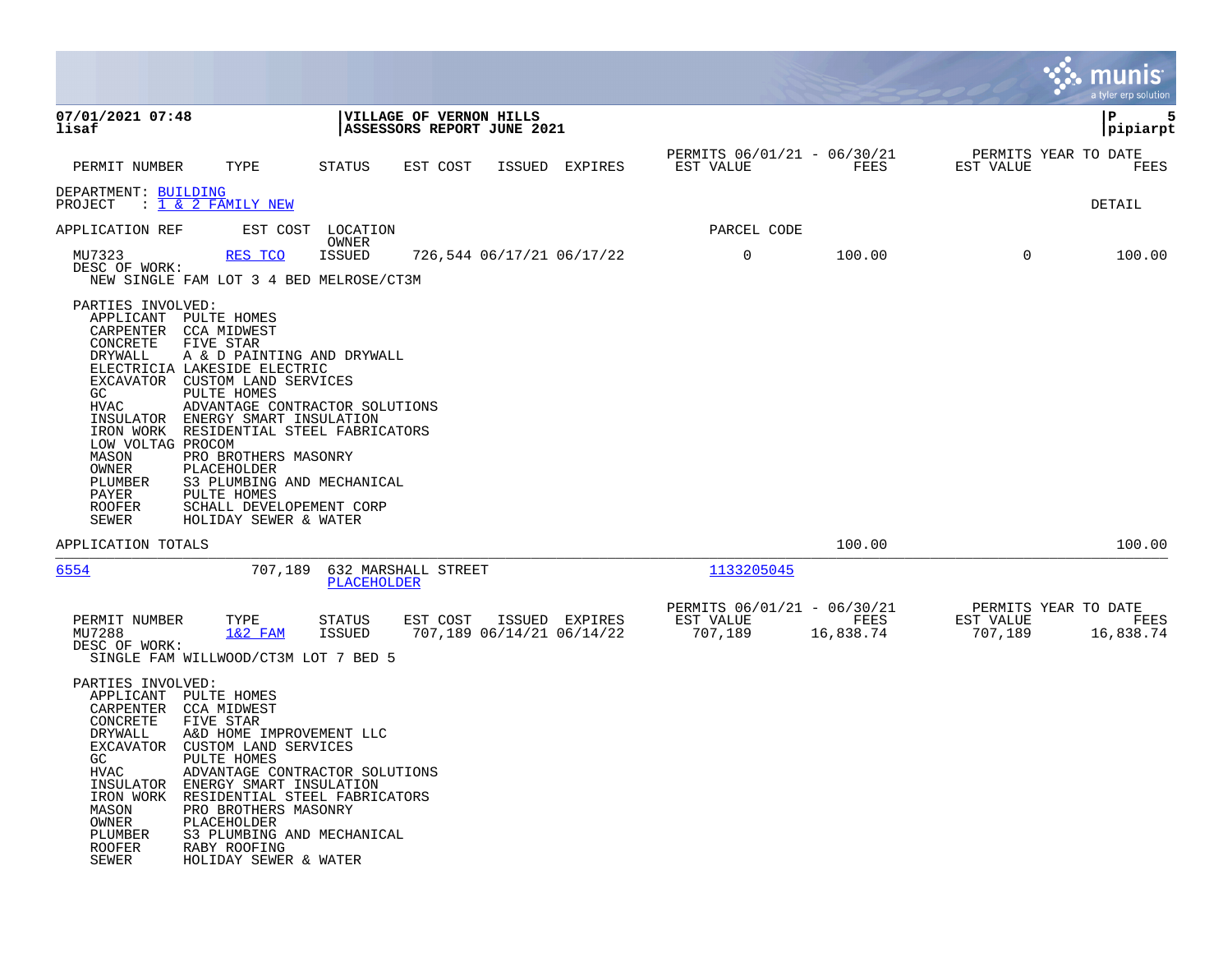|                                                                                                                                                                                     |                                                                                                                                                                                                                                                                                                                                                                                                         |                    |                                                       |        |                |                                                     |                   |                                              | munis $\overline{\phantom{a}}$<br>a tyler erp solution |
|-------------------------------------------------------------------------------------------------------------------------------------------------------------------------------------|---------------------------------------------------------------------------------------------------------------------------------------------------------------------------------------------------------------------------------------------------------------------------------------------------------------------------------------------------------------------------------------------------------|--------------------|-------------------------------------------------------|--------|----------------|-----------------------------------------------------|-------------------|----------------------------------------------|--------------------------------------------------------|
| 07/01/2021 07:48<br>lisaf                                                                                                                                                           |                                                                                                                                                                                                                                                                                                                                                                                                         |                    | VILLAGE OF VERNON HILLS<br>ASSESSORS REPORT JUNE 2021 |        |                |                                                     |                   |                                              | 5<br>l P<br> pipiarpt                                  |
| PERMIT NUMBER                                                                                                                                                                       | TYPE                                                                                                                                                                                                                                                                                                                                                                                                    | STATUS             | EST COST                                              | ISSUED | EXPIRES        | PERMITS 06/01/21 - 06/30/21<br>EST VALUE            | FEES              | PERMITS YEAR TO DATE<br>EST VALUE            | FEES                                                   |
| DEPARTMENT: BUILDING<br>PROJECT                                                                                                                                                     | : 1 <u>&amp; 2 FAMILY NEW</u>                                                                                                                                                                                                                                                                                                                                                                           |                    |                                                       |        |                |                                                     |                   |                                              | DETAIL                                                 |
| APPLICATION REF                                                                                                                                                                     | EST COST                                                                                                                                                                                                                                                                                                                                                                                                | LOCATION           |                                                       |        |                | PARCEL CODE                                         |                   |                                              |                                                        |
| MU7323<br>DESC OF WORK:                                                                                                                                                             | RES TCO<br>NEW SINGLE FAM LOT 3 4 BED MELROSE/CT3M                                                                                                                                                                                                                                                                                                                                                      | OWNER<br>ISSUED    | 726,544 06/17/21 06/17/22                             |        |                | 0                                                   | 100.00            | $\mathbf{0}$                                 | 100.00                                                 |
| PARTIES INVOLVED:<br>CONCRETE<br>DRYWALL<br>EXCAVATOR<br>GC.<br>HVAC<br>INSULATOR<br>IRON WORK<br>LOW VOLTAG PROCOM<br>MASON<br>OWNER<br>PLUMBER<br>PAYER<br><b>ROOFER</b><br>SEWER | APPLICANT PULTE HOMES<br>CARPENTER CCA MIDWEST<br>FIVE STAR<br>A & D PAINTING AND DRYWALL<br>ELECTRICIA LAKESIDE ELECTRIC<br>CUSTOM LAND SERVICES<br>PULTE HOMES<br>ADVANTAGE CONTRACTOR SOLUTIONS<br>ENERGY SMART INSULATION<br>RESIDENTIAL STEEL FABRICATORS<br>PRO BROTHERS MASONRY<br>PLACEHOLDER<br>S3 PLUMBING AND MECHANICAL<br>PULTE HOMES<br>SCHALL DEVELOPEMENT CORP<br>HOLIDAY SEWER & WATER |                    |                                                       |        |                |                                                     |                   |                                              |                                                        |
| APPLICATION TOTALS                                                                                                                                                                  |                                                                                                                                                                                                                                                                                                                                                                                                         |                    |                                                       |        |                |                                                     | 100.00            |                                              | 100.00                                                 |
| 6554                                                                                                                                                                                | 707,189                                                                                                                                                                                                                                                                                                                                                                                                 | <b>PLACEHOLDER</b> | 632 MARSHALL STREET                                   |        |                | 1133205045                                          |                   |                                              |                                                        |
| PERMIT NUMBER<br>MU7288<br>DESC OF WORK:                                                                                                                                            | TYPE<br>$1&2$ FAM<br>SINGLE FAM WILLWOOD/CT3M LOT 7 BED 5                                                                                                                                                                                                                                                                                                                                               | STATUS<br>ISSUED   | EST COST<br>707,189 06/14/21 06/14/22                 |        | ISSUED EXPIRES | PERMITS 06/01/21 - 06/30/21<br>EST VALUE<br>707,189 | FEES<br>16,838.74 | PERMITS YEAR TO DATE<br>EST VALUE<br>707,189 | FEES<br>16,838.74                                      |
| PARTIES INVOLVED:<br>APPLICANT<br>CARPENTER<br>CONCRETE<br>DRYWALL<br>EXCAVATOR<br>GC<br>HVAC<br>INSULATOR<br>IRON WORK<br>MASON<br>OWNER<br>PLUMBER<br><b>ROOFER</b><br>SEWER      | PULTE HOMES<br>CCA MIDWEST<br>FIVE STAR<br>A&D HOME IMPROVEMENT LLC<br>CUSTOM LAND SERVICES<br>PULTE HOMES<br>ADVANTAGE CONTRACTOR SOLUTIONS<br>ENERGY SMART INSULATION<br>RESIDENTIAL STEEL FABRICATORS<br>PRO BROTHERS MASONRY<br>PLACEHOLDER<br>S3 PLUMBING AND MECHANICAL<br>RABY ROOFING<br>HOLIDAY SEWER & WATER                                                                                  |                    |                                                       |        |                |                                                     |                   |                                              |                                                        |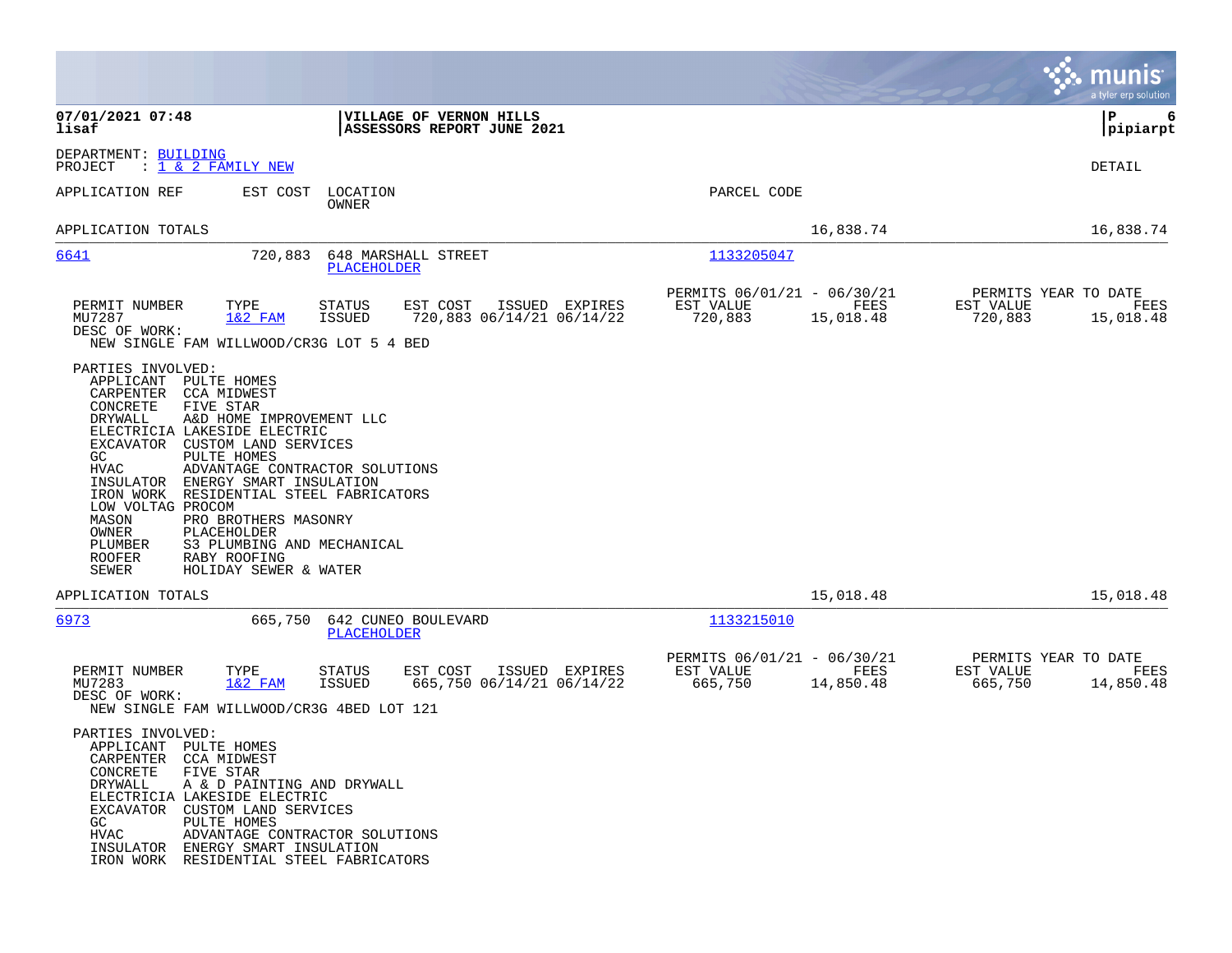|                                                                                                                                                                                                                                                                                                                                     |                                                                                                                                                                                                                               |                                                     |                   | munıs<br>a tyler erp solution                                     |
|-------------------------------------------------------------------------------------------------------------------------------------------------------------------------------------------------------------------------------------------------------------------------------------------------------------------------------------|-------------------------------------------------------------------------------------------------------------------------------------------------------------------------------------------------------------------------------|-----------------------------------------------------|-------------------|-------------------------------------------------------------------|
| 07/01/2021 07:48<br>lisaf                                                                                                                                                                                                                                                                                                           | VILLAGE OF VERNON HILLS<br>ASSESSORS REPORT JUNE 2021                                                                                                                                                                         |                                                     |                   | P<br>6<br> pipiarpt                                               |
| DEPARTMENT: BUILDING<br>PROJECT<br>: <u>1 &amp; 2 FAMILY NEW</u>                                                                                                                                                                                                                                                                    |                                                                                                                                                                                                                               |                                                     |                   | DETAIL                                                            |
| APPLICATION REF                                                                                                                                                                                                                                                                                                                     | EST COST<br>LOCATION<br>OWNER                                                                                                                                                                                                 | PARCEL CODE                                         |                   |                                                                   |
| APPLICATION TOTALS                                                                                                                                                                                                                                                                                                                  |                                                                                                                                                                                                                               |                                                     | 16,838.74         | 16,838.74                                                         |
| <u>6641</u>                                                                                                                                                                                                                                                                                                                         | 648 MARSHALL STREET<br>720,883<br><b>PLACEHOLDER</b>                                                                                                                                                                          | 1133205047                                          |                   |                                                                   |
| PERMIT NUMBER<br>TYPE<br>MU7287<br>DESC OF WORK:                                                                                                                                                                                                                                                                                    | EST COST<br>ISSUED EXPIRES<br>STATUS<br><b>ISSUED</b><br>720,883 06/14/21 06/14/22<br>$1&2$ FAM<br>NEW SINGLE FAM WILLWOOD/CR3G LOT 5 4 BED                                                                                   | PERMITS 06/01/21 - 06/30/21<br>EST VALUE<br>720,883 | FEES<br>15,018.48 | PERMITS YEAR TO DATE<br>EST VALUE<br>FEES<br>720,883<br>15,018.48 |
| PARTIES INVOLVED:<br>APPLICANT<br>PULTE HOMES<br>CARPENTER<br><b>CCA MIDWEST</b><br>CONCRETE<br>FIVE STAR<br>DRYWALL<br>ELECTRICIA LAKESIDE ELECTRIC<br>EXCAVATOR<br>GC<br>PULTE HOMES<br>HVAC<br>INSULATOR<br>IRON WORK<br>LOW VOLTAG PROCOM<br>MASON<br>OWNER<br>PLACEHOLDER<br>PLUMBER<br><b>ROOFER</b><br>RABY ROOFING<br>SEWER | A&D HOME IMPROVEMENT LLC<br>CUSTOM LAND SERVICES<br>ADVANTAGE CONTRACTOR SOLUTIONS<br>ENERGY SMART INSULATION<br>RESIDENTIAL STEEL FABRICATORS<br>PRO BROTHERS MASONRY<br>S3 PLUMBING AND MECHANICAL<br>HOLIDAY SEWER & WATER |                                                     |                   |                                                                   |
| APPLICATION TOTALS                                                                                                                                                                                                                                                                                                                  |                                                                                                                                                                                                                               |                                                     | 15,018.48         | 15,018.48                                                         |
| 6973                                                                                                                                                                                                                                                                                                                                | 665,750<br>642 CUNEO BOULEVARD<br>PLACEHOLDER                                                                                                                                                                                 | 1133215010                                          |                   |                                                                   |
| PERMIT NUMBER<br>TYPE<br>MU7283<br>DESC OF WORK:                                                                                                                                                                                                                                                                                    | STATUS<br>EST COST<br>ISSUED EXPIRES<br>$1&2$ FAM<br><b>ISSUED</b><br>665,750 06/14/21 06/14/22<br>NEW SINGLE FAM WILLWOOD/CR3G 4BED LOT 121                                                                                  | PERMITS 06/01/21 - 06/30/21<br>EST VALUE<br>665,750 | FEES<br>14,850.48 | PERMITS YEAR TO DATE<br>EST VALUE<br>FEES<br>665,750<br>14,850.48 |
| PARTIES INVOLVED:<br>APPLICANT PULTE HOMES<br>CARPENTER CCA MIDWEST<br>CONCRETE<br>FIVE STAR<br>DRYWALL<br>ELECTRICIA LAKESIDE ELECTRIC<br>EXCAVATOR CUSTOM LAND SERVICES<br>PULTE HOMES<br>GC<br>HVAC<br>INSULATOR ENERGY SMART INSULATION                                                                                         | A & D PAINTING AND DRYWALL<br>ADVANTAGE CONTRACTOR SOLUTIONS<br>IRON WORK RESIDENTIAL STEEL FABRICATORS                                                                                                                       |                                                     |                   |                                                                   |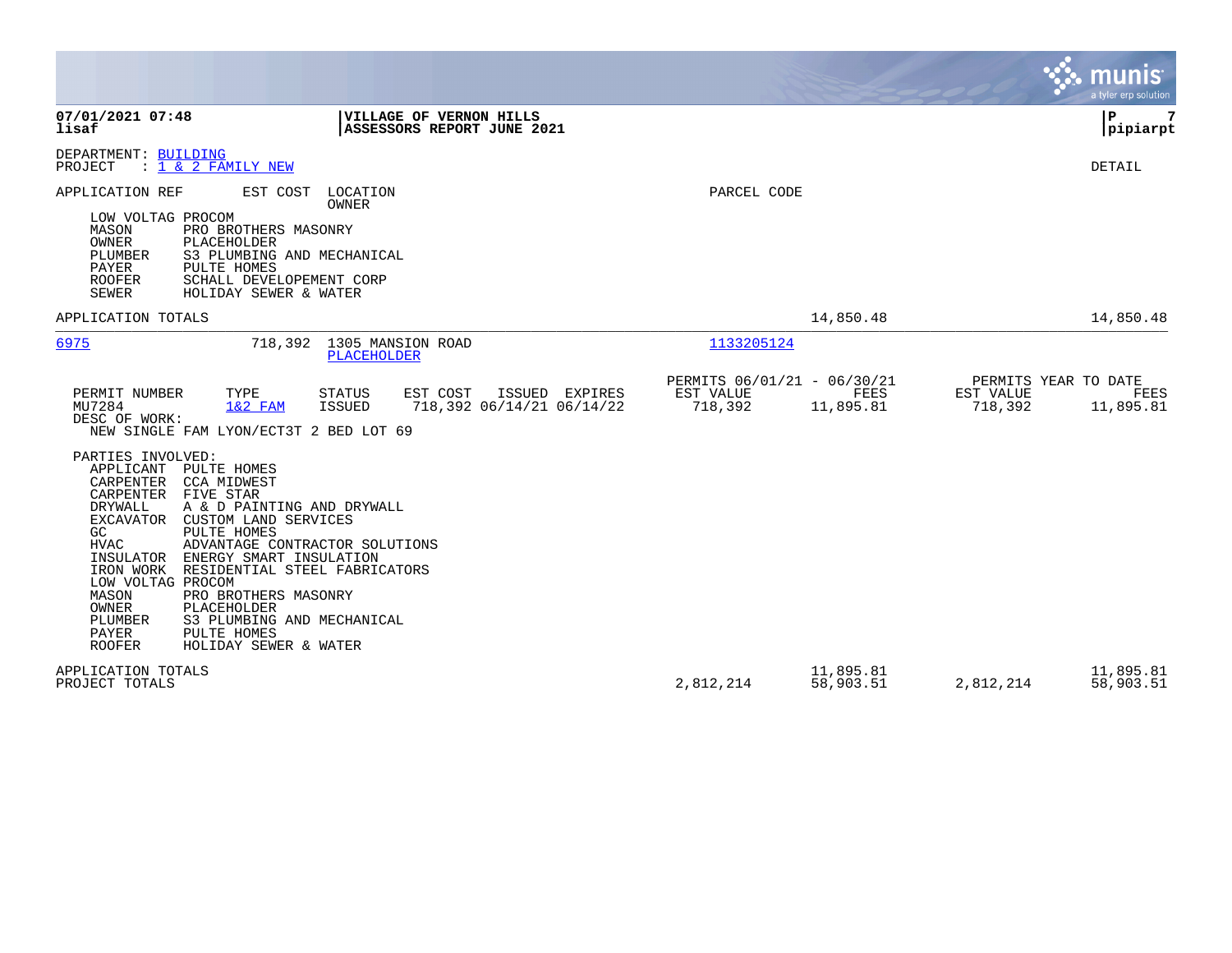|                                                                                                                                                                                                                                                                                                                                                                                                                                                                                                                                                                                                                                                                                                                                                               |                                                     |                        |                                              | munis<br>a tyler erp solution |
|---------------------------------------------------------------------------------------------------------------------------------------------------------------------------------------------------------------------------------------------------------------------------------------------------------------------------------------------------------------------------------------------------------------------------------------------------------------------------------------------------------------------------------------------------------------------------------------------------------------------------------------------------------------------------------------------------------------------------------------------------------------|-----------------------------------------------------|------------------------|----------------------------------------------|-------------------------------|
| 07/01/2021 07:48<br>VILLAGE OF VERNON HILLS<br>lisaf<br>ASSESSORS REPORT JUNE 2021                                                                                                                                                                                                                                                                                                                                                                                                                                                                                                                                                                                                                                                                            |                                                     |                        |                                              | l P<br>7<br> pipiarpt         |
| DEPARTMENT: BUILDING<br>: 1 & 2 FAMILY NEW<br>PROJECT                                                                                                                                                                                                                                                                                                                                                                                                                                                                                                                                                                                                                                                                                                         |                                                     |                        |                                              | DETAIL                        |
| APPLICATION REF<br>EST COST<br>LOCATION<br><b>OWNER</b><br>LOW VOLTAG PROCOM<br>MASON<br>PRO BROTHERS MASONRY<br>OWNER<br>PLACEHOLDER<br>PLUMBER<br>S3 PLUMBING AND MECHANICAL<br>PAYER<br>PULTE HOMES<br>ROOFER<br>SCHALL DEVELOPEMENT CORP<br><b>SEWER</b><br>HOLIDAY SEWER & WATER                                                                                                                                                                                                                                                                                                                                                                                                                                                                         | PARCEL CODE                                         |                        |                                              |                               |
| APPLICATION TOTALS                                                                                                                                                                                                                                                                                                                                                                                                                                                                                                                                                                                                                                                                                                                                            |                                                     | 14,850.48              |                                              | 14,850.48                     |
| 6975<br>718,392<br>1305 MANSION ROAD<br><b>PLACEHOLDER</b>                                                                                                                                                                                                                                                                                                                                                                                                                                                                                                                                                                                                                                                                                                    | 1133205124                                          |                        |                                              |                               |
| TYPE<br>PERMIT NUMBER<br><b>STATUS</b><br>EST COST<br>ISSUED EXPIRES<br>MU7284<br>$1&2$ FAM<br><b>ISSUED</b><br>718,392 06/14/21 06/14/22<br>DESC OF WORK:<br>NEW SINGLE FAM LYON/ECT3T 2 BED LOT 69<br>PARTIES INVOLVED:<br>APPLICANT<br>PULTE HOMES<br>CARPENTER<br>CCA MIDWEST<br>CARPENTER<br>FIVE STAR<br><b>DRYWALL</b><br>A & D PAINTING AND DRYWALL<br><b>EXCAVATOR</b><br>CUSTOM LAND SERVICES<br>PULTE HOMES<br>GC.<br><b>HVAC</b><br>ADVANTAGE CONTRACTOR SOLUTIONS<br>INSULATOR<br>ENERGY SMART INSULATION<br>RESIDENTIAL STEEL FABRICATORS<br>IRON WORK<br>LOW VOLTAG PROCOM<br>MASON<br>PRO BROTHERS MASONRY<br>OWNER<br>PLACEHOLDER<br>S3 PLUMBING AND MECHANICAL<br>PLUMBER<br>PAYER<br>PULTE HOMES<br><b>ROOFER</b><br>HOLIDAY SEWER & WATER | PERMITS 06/01/21 - 06/30/21<br>EST VALUE<br>718,392 | FEES<br>11,895.81      | PERMITS YEAR TO DATE<br>EST VALUE<br>718,392 | FEES<br>11,895.81             |
| APPLICATION TOTALS<br>PROJECT TOTALS                                                                                                                                                                                                                                                                                                                                                                                                                                                                                                                                                                                                                                                                                                                          | 2,812,214                                           | 11,895.81<br>58,903.51 | 2,812,214                                    | 11,895.81<br>58,903.51        |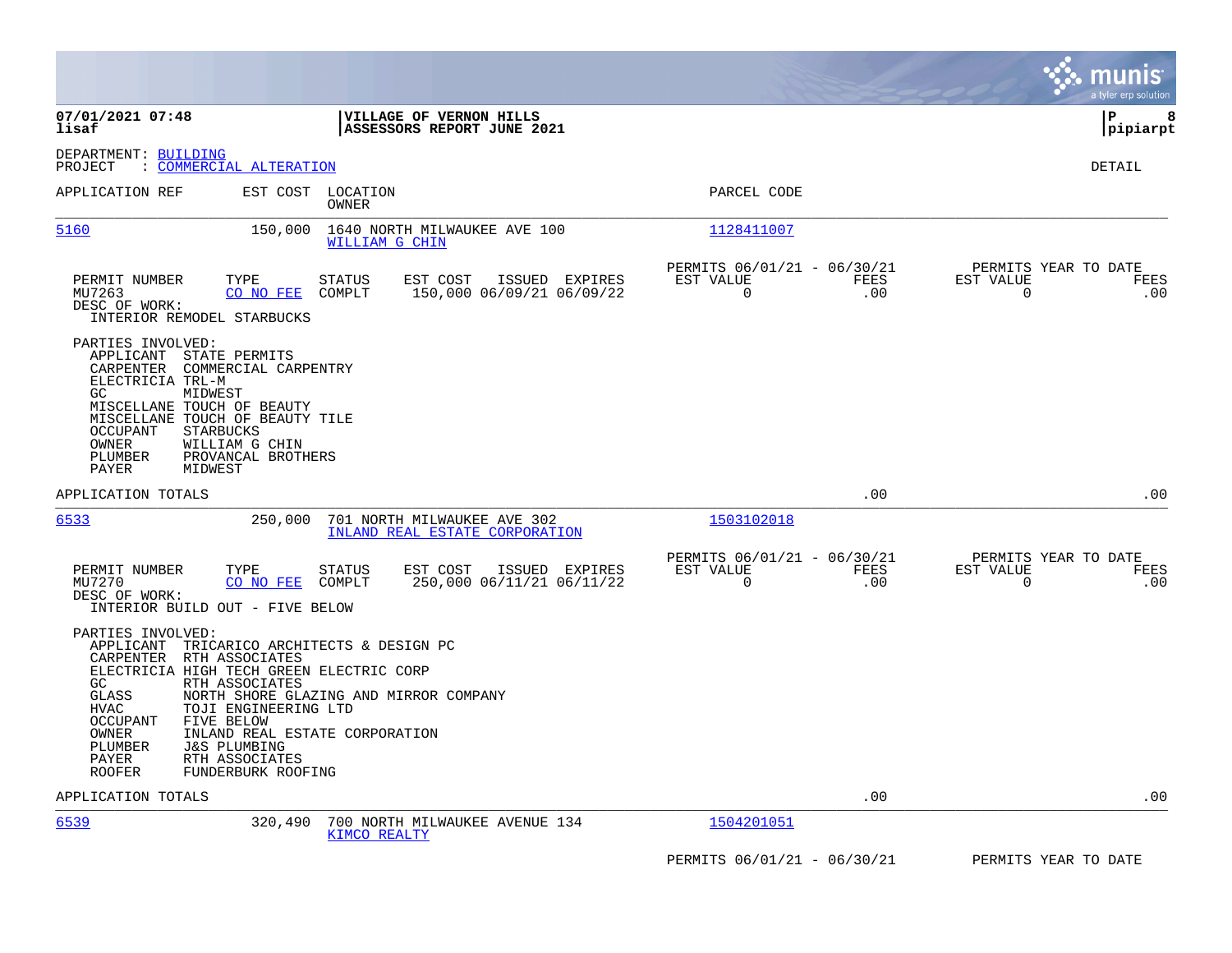|                                                                                                                                                                                                                                                                                                                                     |                                                                                                              |                                                         |             | munis<br>a tyler erp solution                                   |
|-------------------------------------------------------------------------------------------------------------------------------------------------------------------------------------------------------------------------------------------------------------------------------------------------------------------------------------|--------------------------------------------------------------------------------------------------------------|---------------------------------------------------------|-------------|-----------------------------------------------------------------|
| 07/01/2021 07:48<br>lisaf                                                                                                                                                                                                                                                                                                           | VILLAGE OF VERNON HILLS<br>ASSESSORS REPORT JUNE 2021                                                        |                                                         |             | lР<br>8<br> pipiarpt                                            |
| DEPARTMENT: BUILDING<br>: COMMERCIAL ALTERATION<br>PROJECT                                                                                                                                                                                                                                                                          |                                                                                                              |                                                         |             | DETAIL                                                          |
| APPLICATION REF                                                                                                                                                                                                                                                                                                                     | EST COST LOCATION<br><b>OWNER</b>                                                                            | PARCEL CODE                                             |             |                                                                 |
| 5160                                                                                                                                                                                                                                                                                                                                | 150,000<br>1640 NORTH MILWAUKEE AVE 100<br>WILLIAM G CHIN                                                    | 1128411007                                              |             |                                                                 |
| PERMIT NUMBER<br>TYPE<br>MU7263<br>CO NO FEE<br>DESC OF WORK:<br>INTERIOR REMODEL STARBUCKS                                                                                                                                                                                                                                         | ISSUED EXPIRES<br>STATUS<br>EST COST<br>150,000 06/09/21 06/09/22<br>COMPLT                                  | PERMITS 06/01/21 - 06/30/21<br>EST VALUE<br>$\mathbf 0$ | FEES<br>.00 | PERMITS YEAR TO DATE<br>EST VALUE<br>FEES<br>.00<br>0           |
| PARTIES INVOLVED:<br>APPLICANT<br>STATE PERMITS<br>CARPENTER<br>COMMERCIAL CARPENTRY<br>ELECTRICIA TRL-M<br>GC.<br>MIDWEST<br>MISCELLANE TOUCH OF BEAUTY                                                                                                                                                                            |                                                                                                              |                                                         |             |                                                                 |
| MISCELLANE TOUCH OF BEAUTY TILE<br><b>OCCUPANT</b><br><b>STARBUCKS</b><br>OWNER<br>WILLIAM G CHIN<br>PLUMBER<br>PROVANCAL BROTHERS<br>PAYER<br>MIDWEST                                                                                                                                                                              |                                                                                                              |                                                         |             |                                                                 |
| APPLICATION TOTALS                                                                                                                                                                                                                                                                                                                  |                                                                                                              |                                                         | .00         | .00                                                             |
| 6533                                                                                                                                                                                                                                                                                                                                | 250,000<br>701 NORTH MILWAUKEE AVE 302<br>INLAND REAL ESTATE CORPORATION                                     | 1503102018                                              |             |                                                                 |
| PERMIT NUMBER<br>TYPE<br>MU7270<br>CO NO FEE<br>DESC OF WORK:<br>INTERIOR BUILD OUT - FIVE BELOW                                                                                                                                                                                                                                    | STATUS<br>EST COST<br>ISSUED EXPIRES<br>COMPLT<br>250,000 06/11/21 06/11/22                                  | PERMITS 06/01/21 - 06/30/21<br>EST VALUE<br>$\mathbf 0$ | FEES<br>.00 | PERMITS YEAR TO DATE<br>EST VALUE<br>FEES<br>$\mathbf 0$<br>.00 |
| PARTIES INVOLVED:<br>APPLICANT<br>CARPENTER<br>RTH ASSOCIATES<br>ELECTRICIA HIGH TECH GREEN ELECTRIC CORP<br>GC<br>RTH ASSOCIATES<br>GLASS<br><b>HVAC</b><br>TOJI ENGINEERING LTD<br><b>FIVE BELOW</b><br>OCCUPANT<br>OWNER<br>PLUMBER<br><b>J&amp;S PLUMBING</b><br>PAYER<br>RTH ASSOCIATES<br><b>ROOFER</b><br>FUNDERBURK ROOFING | TRICARICO ARCHITECTS & DESIGN PC<br>NORTH SHORE GLAZING AND MIRROR COMPANY<br>INLAND REAL ESTATE CORPORATION |                                                         |             |                                                                 |
| APPLICATION TOTALS                                                                                                                                                                                                                                                                                                                  |                                                                                                              |                                                         | .00         | .00                                                             |
| 6539                                                                                                                                                                                                                                                                                                                                | 320,490<br>700 NORTH MILWAUKEE AVENUE 134<br>KIMCO REALTY                                                    | 1504201051                                              |             |                                                                 |
|                                                                                                                                                                                                                                                                                                                                     |                                                                                                              | PERMITS 06/01/21 - 06/30/21                             |             | PERMITS YEAR TO DATE                                            |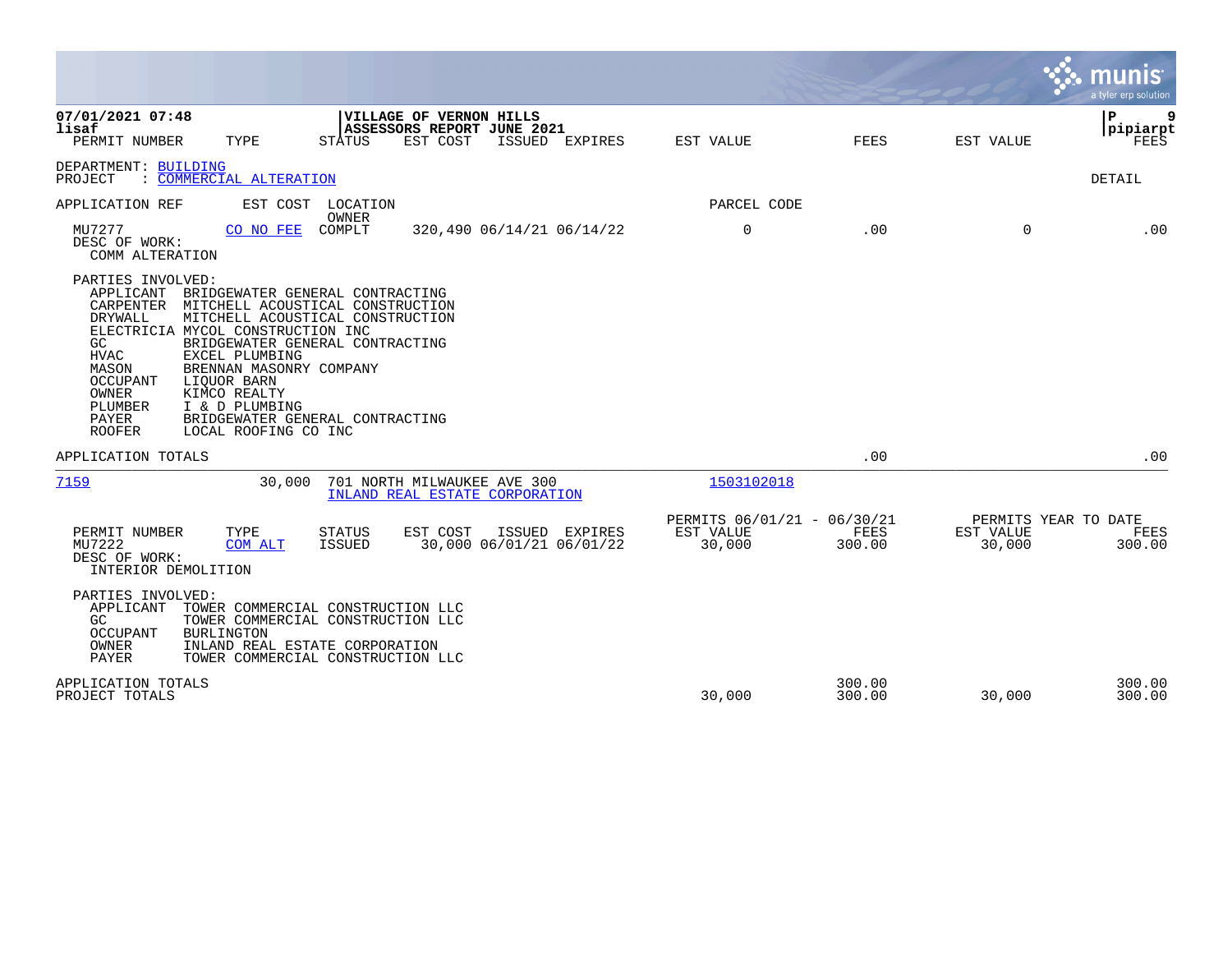|                                                                                                                                                                                                                                                                |                                                                                                                                                                                                                                  |                                                                   |                |                                                    |                       |                                             | a tyler erp solution                |
|----------------------------------------------------------------------------------------------------------------------------------------------------------------------------------------------------------------------------------------------------------------|----------------------------------------------------------------------------------------------------------------------------------------------------------------------------------------------------------------------------------|-------------------------------------------------------------------|----------------|----------------------------------------------------|-----------------------|---------------------------------------------|-------------------------------------|
| 07/01/2021 07:48<br>lisaf<br>PERMIT NUMBER<br>TYPE                                                                                                                                                                                                             | <b>STATUS</b>                                                                                                                                                                                                                    | VILLAGE OF VERNON HILLS<br>ASSESSORS REPORT JUNE 2021<br>EST COST | ISSUED EXPIRES | EST VALUE                                          | <b>FEES</b>           | EST VALUE                                   | ΙP<br>9<br> pipiarpt<br><b>FEES</b> |
| DEPARTMENT: BUILDING<br>: COMMERCIAL ALTERATION<br>PROJECT                                                                                                                                                                                                     |                                                                                                                                                                                                                                  |                                                                   |                |                                                    |                       |                                             | DETAIL                              |
| APPLICATION REF                                                                                                                                                                                                                                                | EST COST LOCATION                                                                                                                                                                                                                |                                                                   |                | PARCEL CODE                                        |                       |                                             |                                     |
| MU7277<br>DESC OF WORK:<br>COMM ALTERATION                                                                                                                                                                                                                     | OWNER<br>COMPLT<br>CO NO FEE                                                                                                                                                                                                     | 320,490 06/14/21 06/14/22                                         |                | $\mathbf 0$                                        | .00                   | $\Omega$                                    | .00                                 |
| PARTIES INVOLVED:<br>APPLICANT<br>CARPENTER<br>DRYWALL<br>ELECTRICIA MYCOL CONSTRUCTION INC<br>GC.<br><b>HVAC</b><br>EXCEL PLUMBING<br>MASON<br><b>OCCUPANT</b><br>LIQUOR BARN<br>OWNER<br>KIMCO REALTY<br>PLUMBER<br>I & D PLUMBING<br>PAYER<br><b>ROOFER</b> | BRIDGEWATER GENERAL CONTRACTING<br>MITCHELL ACOUSTICAL CONSTRUCTION<br>MITCHELL ACOUSTICAL CONSTRUCTION<br>BRIDGEWATER GENERAL CONTRACTING<br>BRENNAN MASONRY COMPANY<br>BRIDGEWATER GENERAL CONTRACTING<br>LOCAL ROOFING CO INC |                                                                   |                |                                                    |                       |                                             |                                     |
| APPLICATION TOTALS                                                                                                                                                                                                                                             |                                                                                                                                                                                                                                  |                                                                   |                |                                                    | .00                   |                                             | .00                                 |
| 7159                                                                                                                                                                                                                                                           | 30,000                                                                                                                                                                                                                           | 701 NORTH MILWAUKEE AVE 300<br>INLAND REAL ESTATE CORPORATION     |                | 1503102018                                         |                       |                                             |                                     |
| PERMIT NUMBER<br>TYPE<br>MU7222<br>DESC OF WORK:<br>INTERIOR DEMOLITION                                                                                                                                                                                        | STATUS<br>COM ALT<br><b>ISSUED</b>                                                                                                                                                                                               | EST COST<br>30,000 06/01/21 06/01/22                              | ISSUED EXPIRES | PERMITS 06/01/21 - 06/30/21<br>EST VALUE<br>30,000 | <b>FEES</b><br>300.00 | PERMITS YEAR TO DATE<br>EST VALUE<br>30,000 | <b>FEES</b><br>300.00               |
| PARTIES INVOLVED:<br>APPLICANT<br>GC.<br>OCCUPANT<br><b>BURLINGTON</b><br>OWNER<br>PAYER                                                                                                                                                                       | TOWER COMMERCIAL CONSTRUCTION LLC<br>TOWER COMMERCIAL CONSTRUCTION LLC<br>INLAND REAL ESTATE CORPORATION<br>TOWER COMMERCIAL CONSTRUCTION LLC                                                                                    |                                                                   |                |                                                    |                       |                                             |                                     |
| APPLICATION TOTALS<br>PROJECT TOTALS                                                                                                                                                                                                                           |                                                                                                                                                                                                                                  |                                                                   |                | 30,000                                             | 300.00<br>300.00      | 30,000                                      | 300.00<br>300.00                    |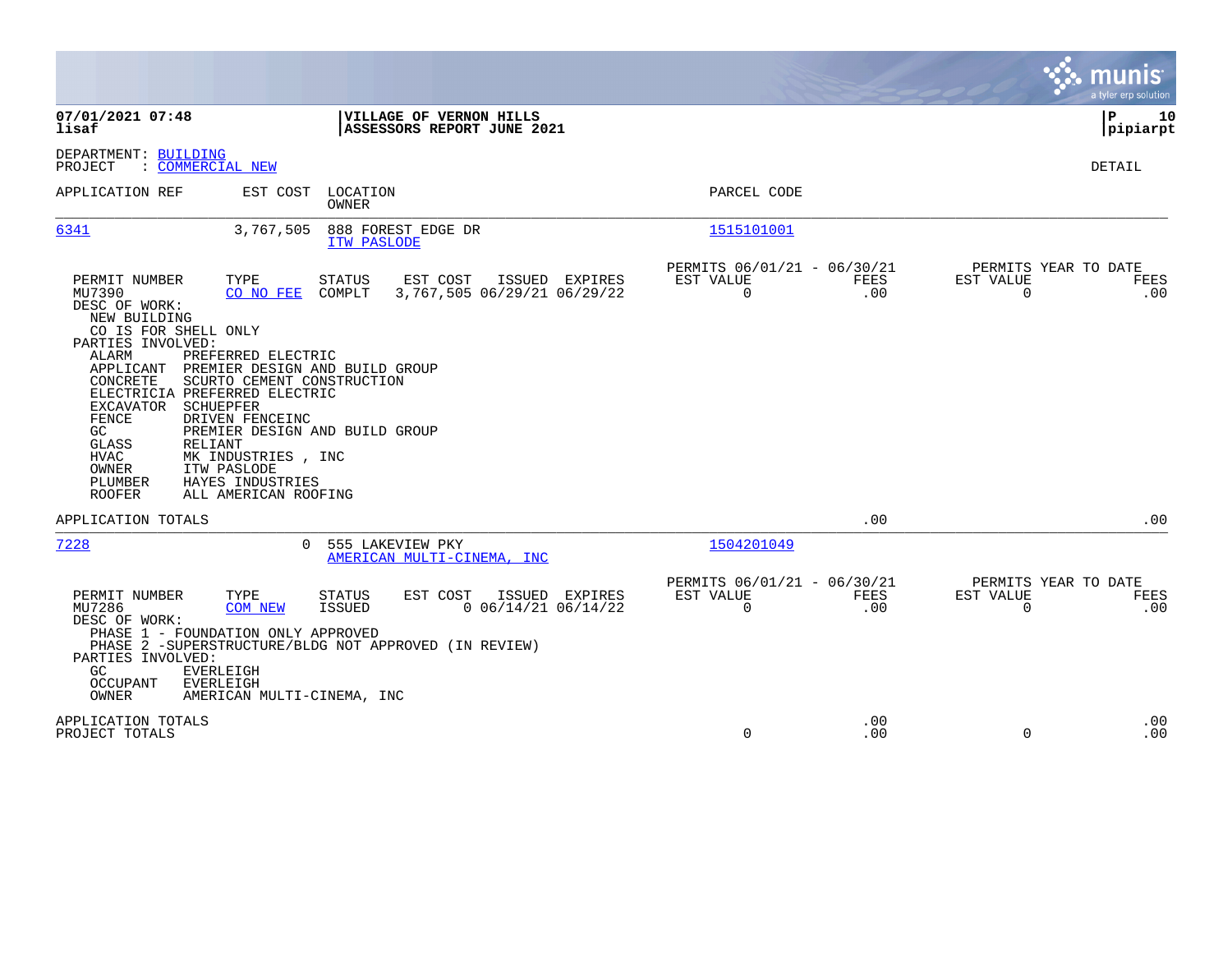|                                                                                                                                                                                                                                                                                                                                                                                                                                                                                                                                                                                                                                     |                                                                               | munis<br>a tyler erp solution                                   |
|-------------------------------------------------------------------------------------------------------------------------------------------------------------------------------------------------------------------------------------------------------------------------------------------------------------------------------------------------------------------------------------------------------------------------------------------------------------------------------------------------------------------------------------------------------------------------------------------------------------------------------------|-------------------------------------------------------------------------------|-----------------------------------------------------------------|
| 07/01/2021 07:48<br><b> VILLAGE OF VERNON HILLS</b><br>lisaf<br>ASSESSORS REPORT JUNE 2021                                                                                                                                                                                                                                                                                                                                                                                                                                                                                                                                          |                                                                               | l P<br>10<br> pipiarpt                                          |
| DEPARTMENT: BUILDING<br>: COMMERCIAL NEW<br>PROJECT                                                                                                                                                                                                                                                                                                                                                                                                                                                                                                                                                                                 |                                                                               | DETAIL                                                          |
| APPLICATION REF<br>EST COST<br>LOCATION<br>OWNER                                                                                                                                                                                                                                                                                                                                                                                                                                                                                                                                                                                    | PARCEL CODE                                                                   |                                                                 |
| 6341<br>3,767,505<br>888 FOREST EDGE DR<br>ITW PASLODE                                                                                                                                                                                                                                                                                                                                                                                                                                                                                                                                                                              | 1515101001                                                                    |                                                                 |
| TYPE<br>ISSUED EXPIRES<br>PERMIT NUMBER<br>STATUS<br>EST COST<br>3,767,505 06/29/21 06/29/22<br>MU7390<br>CO NO FEE<br>COMPLT<br>DESC OF WORK:<br>NEW BUILDING<br>CO IS FOR SHELL ONLY<br>PARTIES INVOLVED:<br>ALARM<br>PREFERRED ELECTRIC<br>APPLICANT<br>PREMIER DESIGN AND BUILD GROUP<br>SCURTO CEMENT CONSTRUCTION<br>CONCRETE<br>ELECTRICIA PREFERRED ELECTRIC<br>EXCAVATOR<br><b>SCHUEPFER</b><br>FENCE<br>DRIVEN FENCEINC<br>GC<br>PREMIER DESIGN AND BUILD GROUP<br>GLASS<br>RELIANT<br><b>HVAC</b><br>MK INDUSTRIES , INC<br>OWNER<br>ITW PASLODE<br>PLUMBER<br>HAYES INDUSTRIES<br><b>ROOFER</b><br>ALL AMERICAN ROOFING | PERMITS 06/01/21 - 06/30/21<br>EST VALUE<br>FEES<br>$\mathbf 0$<br>.00        | PERMITS YEAR TO DATE<br>EST VALUE<br>FEES<br>$\mathbf 0$<br>.00 |
| APPLICATION TOTALS                                                                                                                                                                                                                                                                                                                                                                                                                                                                                                                                                                                                                  | .00                                                                           | .00                                                             |
| 7228<br>555 LAKEVIEW PKY<br>0<br>AMERICAN MULTI-CINEMA, INC                                                                                                                                                                                                                                                                                                                                                                                                                                                                                                                                                                         | 1504201049                                                                    |                                                                 |
| PERMIT NUMBER<br>TYPE<br><b>STATUS</b><br>EST COST<br>ISSUED EXPIRES<br>0 06/14/21 06/14/22<br>MU7286<br>ISSUED<br><b>COM NEW</b><br>DESC OF WORK:<br>PHASE 1 - FOUNDATION ONLY APPROVED<br>PHASE 2 -SUPERSTRUCTURE/BLDG NOT APPROVED (IN REVIEW)<br>PARTIES INVOLVED:<br>GC<br><b>EVERLEIGH</b><br>OCCUPANT<br><b>EVERLEIGH</b><br><b>OWNER</b><br>AMERICAN MULTI-CINEMA, INC                                                                                                                                                                                                                                                      | PERMITS 06/01/21 - 06/30/21<br>EST VALUE<br><b>FEES</b><br>$\mathbf 0$<br>.00 | PERMITS YEAR TO DATE<br>EST VALUE<br>FEES<br>.00<br>$\Omega$    |
| APPLICATION TOTALS<br>PROJECT TOTALS                                                                                                                                                                                                                                                                                                                                                                                                                                                                                                                                                                                                | .00<br>$\mathbf 0$<br>.00                                                     | .00<br>0<br>.00                                                 |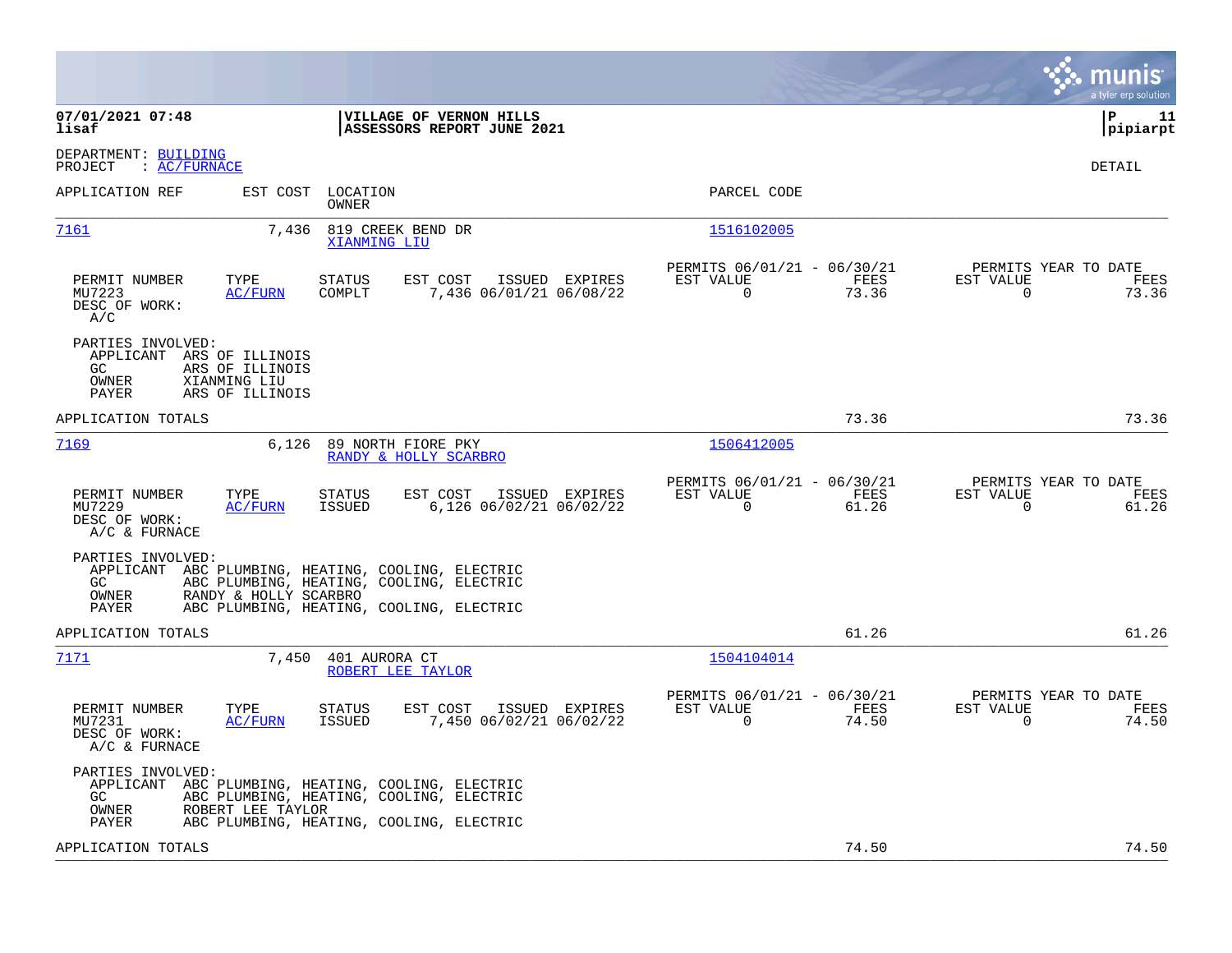|                                                                                                                                                                                                                   |                                                                          | munis<br>a tyler erp solution                                     |
|-------------------------------------------------------------------------------------------------------------------------------------------------------------------------------------------------------------------|--------------------------------------------------------------------------|-------------------------------------------------------------------|
| 07/01/2021 07:48<br>VILLAGE OF VERNON HILLS<br>lisaf<br>ASSESSORS REPORT JUNE 2021                                                                                                                                |                                                                          | l P<br>11<br> pipiarpt                                            |
| DEPARTMENT: BUILDING<br>: AC/FWANCE<br>PROJECT                                                                                                                                                                    |                                                                          | DETAIL                                                            |
| APPLICATION REF<br>EST COST LOCATION<br>OWNER                                                                                                                                                                     | PARCEL CODE                                                              |                                                                   |
| 7161<br>7,436<br>819 CREEK BEND DR<br>XIANMING LIU                                                                                                                                                                | 1516102005                                                               |                                                                   |
| EST COST<br>PERMIT NUMBER<br>TYPE<br>STATUS<br>ISSUED EXPIRES<br>7,436 06/01/21 06/08/22<br>MU7223<br><b>AC/FURN</b><br>COMPLT<br>DESC OF WORK:<br>A/C                                                            | PERMITS 06/01/21 - 06/30/21<br>FEES<br>EST VALUE<br>$\mathbf 0$<br>73.36 | PERMITS YEAR TO DATE<br>EST VALUE<br>FEES<br>$\mathbf 0$<br>73.36 |
| PARTIES INVOLVED:<br>APPLICANT ARS OF ILLINOIS<br>GC.<br>ARS OF ILLINOIS<br>OWNER<br>XIANMING LIU<br>ARS OF ILLINOIS<br>PAYER                                                                                     |                                                                          |                                                                   |
| APPLICATION TOTALS                                                                                                                                                                                                | 73.36                                                                    | 73.36                                                             |
| 7169<br>6,126<br>89 NORTH FIORE PKY<br>RANDY & HOLLY SCARBRO                                                                                                                                                      | 1506412005                                                               |                                                                   |
| PERMIT NUMBER<br>TYPE<br>EST COST<br>ISSUED EXPIRES<br>STATUS<br>MU7229<br>6,126 06/02/21 06/02/22<br>AC/FURN<br>ISSUED<br>DESC OF WORK:<br>A/C & FURNACE                                                         | PERMITS 06/01/21 - 06/30/21<br>EST VALUE<br>FEES<br>$\Omega$<br>61.26    | PERMITS YEAR TO DATE<br>EST VALUE<br>FEES<br>$\Omega$<br>61.26    |
| PARTIES INVOLVED:<br>APPLICANT ABC PLUMBING, HEATING, COOLING, ELECTRIC<br>ABC PLUMBING, HEATING, COOLING, ELECTRIC<br>GC.<br>OWNER<br>RANDY & HOLLY SCARBRO<br>PAYER<br>ABC PLUMBING, HEATING, COOLING, ELECTRIC |                                                                          |                                                                   |
| APPLICATION TOTALS                                                                                                                                                                                                | 61.26                                                                    | 61.26                                                             |
| 7171<br>7,450<br>401 AURORA CT<br>ROBERT LEE TAYLOR                                                                                                                                                               | 1504104014                                                               |                                                                   |
| PERMIT NUMBER<br>TYPE<br>EST COST<br>ISSUED EXPIRES<br>STATUS<br>MU7231<br><b>AC/FURN</b><br>ISSUED<br>7,450 06/02/21 06/02/22<br>DESC OF WORK:<br>$A/C$ & FURNACE                                                | PERMITS 06/01/21 - 06/30/21<br>EST VALUE<br>FEES<br>$\mathbf 0$<br>74.50 | PERMITS YEAR TO DATE<br>EST VALUE<br>FEES<br>74.50<br>$\mathbf 0$ |
| PARTIES INVOLVED:<br>APPLICANT ABC PLUMBING, HEATING, COOLING, ELECTRIC<br>ABC PLUMBING, HEATING, COOLING, ELECTRIC<br>GC.<br>OWNER<br>ROBERT LEE TAYLOR<br>PAYER<br>ABC PLUMBING, HEATING, COOLING, ELECTRIC     |                                                                          |                                                                   |
| APPLICATION TOTALS                                                                                                                                                                                                | 74.50                                                                    | 74.50                                                             |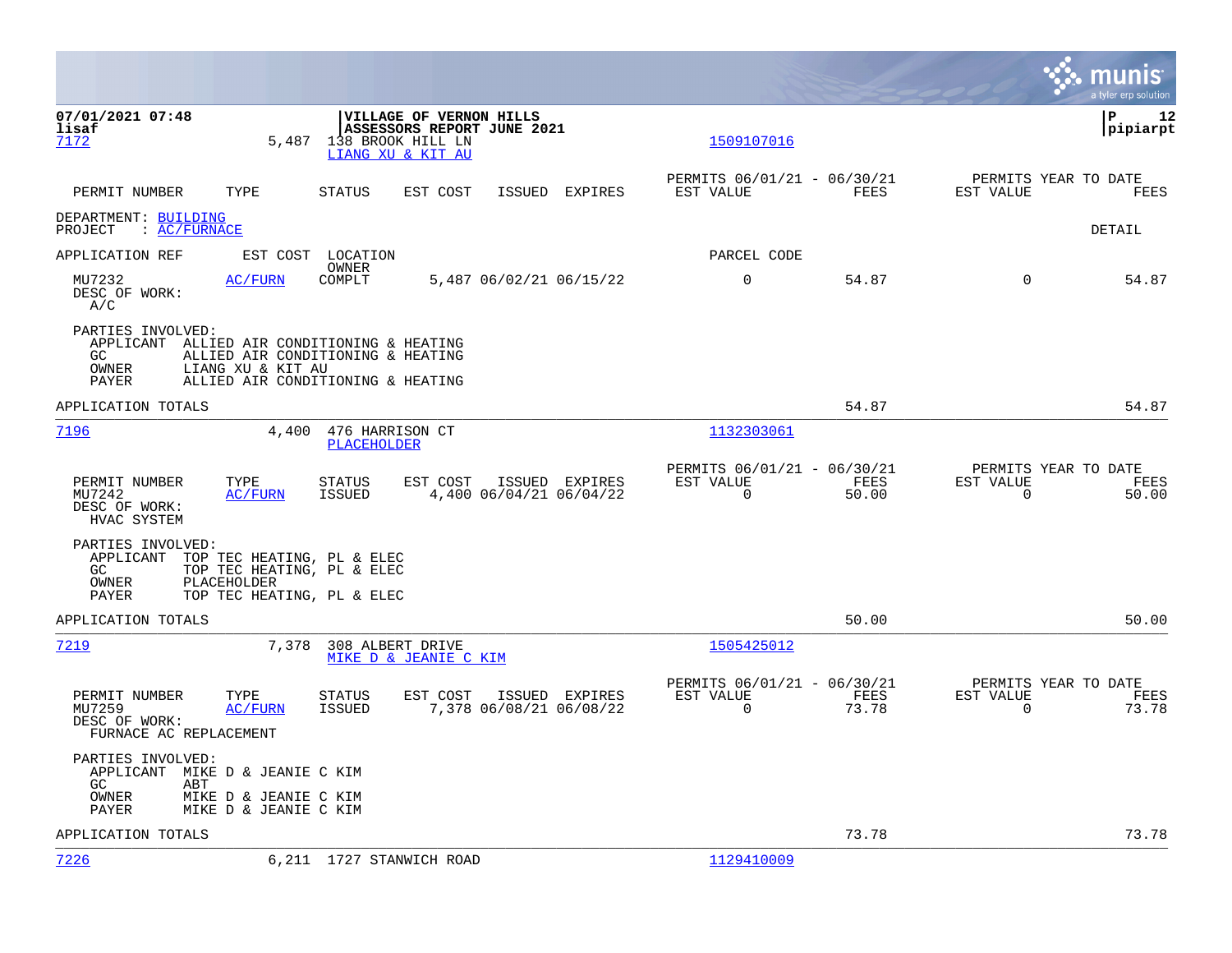|                                                                                           |                                                                         |                                                                        |                                                              |                |                                                         |               |                                                  | a tyler erp solution   |
|-------------------------------------------------------------------------------------------|-------------------------------------------------------------------------|------------------------------------------------------------------------|--------------------------------------------------------------|----------------|---------------------------------------------------------|---------------|--------------------------------------------------|------------------------|
| 07/01/2021 07:48<br>lisaf<br>7172                                                         | 5,487                                                                   | 138 BROOK HILL LN<br>LIANG XU & KIT AU                                 | VILLAGE OF VERNON HILLS<br><b>ASSESSORS REPORT JUNE 2021</b> |                | 1509107016                                              |               |                                                  | l P<br>12<br> pipiarpt |
| PERMIT NUMBER                                                                             | TYPE                                                                    | STATUS                                                                 | EST COST                                                     | ISSUED EXPIRES | PERMITS 06/01/21 - 06/30/21<br>EST VALUE                | FEES          | PERMITS YEAR TO DATE<br>EST VALUE                | FEES                   |
| DEPARTMENT: BUILDING<br>PROJECT : AC/FURNACE                                              |                                                                         |                                                                        |                                                              |                |                                                         |               |                                                  | DETAIL                 |
| APPLICATION REF                                                                           |                                                                         | EST COST LOCATION                                                      |                                                              |                | PARCEL CODE                                             |               |                                                  |                        |
| MU7232<br>DESC OF WORK:<br>A/C                                                            | <b>AC/FURN</b>                                                          | OWNER<br>COMPLT                                                        | 5,487 06/02/21 06/15/22                                      |                | 0                                                       | 54.87         | $\Omega$                                         | 54.87                  |
| PARTIES INVOLVED:<br>APPLICANT ALLIED AIR CONDITIONING & HEATING<br>GC.<br>OWNER<br>PAYER | LIANG XU & KIT AU                                                       | ALLIED AIR CONDITIONING & HEATING<br>ALLIED AIR CONDITIONING & HEATING |                                                              |                |                                                         |               |                                                  |                        |
| APPLICATION TOTALS                                                                        |                                                                         |                                                                        |                                                              |                |                                                         | 54.87         |                                                  | 54.87                  |
| 7196                                                                                      | 4,400                                                                   | 476 HARRISON CT<br>PLACEHOLDER                                         |                                                              |                | 1132303061                                              |               |                                                  |                        |
| PERMIT NUMBER<br>MU7242<br>DESC OF WORK:<br>HVAC SYSTEM                                   | TYPE<br>AC/FURN                                                         | STATUS<br>ISSUED                                                       | EST COST<br>4,400 06/04/21 06/04/22                          | ISSUED EXPIRES | PERMITS 06/01/21 - 06/30/21<br>EST VALUE<br>$\mathbf 0$ | FEES<br>50.00 | PERMITS YEAR TO DATE<br>EST VALUE<br>0           | FEES<br>50.00          |
| PARTIES INVOLVED:<br>APPLICANT TOP TEC HEATING, PL & ELEC<br>GC.<br>OWNER<br>PAYER        | TOP TEC HEATING, PL & ELEC<br>PLACEHOLDER<br>TOP TEC HEATING, PL & ELEC |                                                                        |                                                              |                |                                                         |               |                                                  |                        |
| APPLICATION TOTALS                                                                        |                                                                         |                                                                        |                                                              |                |                                                         | 50.00         |                                                  | 50.00                  |
| 7219                                                                                      | 7,378                                                                   | 308 ALBERT DRIVE<br>MIKE D & JEANIE C KIM                              |                                                              |                | 1505425012                                              |               |                                                  |                        |
| PERMIT NUMBER<br>MU7259<br>DESC OF WORK:<br>FURNACE AC REPLACEMENT                        | TYPE<br><b>AC/FURN</b>                                                  | STATUS<br><b>ISSUED</b>                                                | EST COST<br>7,378 06/08/21 06/08/22                          | ISSUED EXPIRES | PERMITS 06/01/21 - 06/30/21<br>EST VALUE<br>$\mathbf 0$ | FEES<br>73.78 | PERMITS YEAR TO DATE<br>EST VALUE<br>$\mathbf 0$ | FEES<br>73.78          |
| PARTIES INVOLVED:<br>APPLICANT MIKE D & JEANIE C KIM<br>GC.<br>ABT<br>OWNER               | MIKE D & JEANIE C KIM                                                   |                                                                        |                                                              |                |                                                         |               |                                                  |                        |
| PAYER                                                                                     | MIKE D & JEANIE C KIM                                                   |                                                                        |                                                              |                |                                                         |               |                                                  |                        |
| APPLICATION TOTALS                                                                        |                                                                         |                                                                        |                                                              |                |                                                         | 73.78         |                                                  | 73.78                  |
| 7226                                                                                      |                                                                         | 6,211 1727 STANWICH ROAD                                               |                                                              |                | 1129410009                                              |               |                                                  |                        |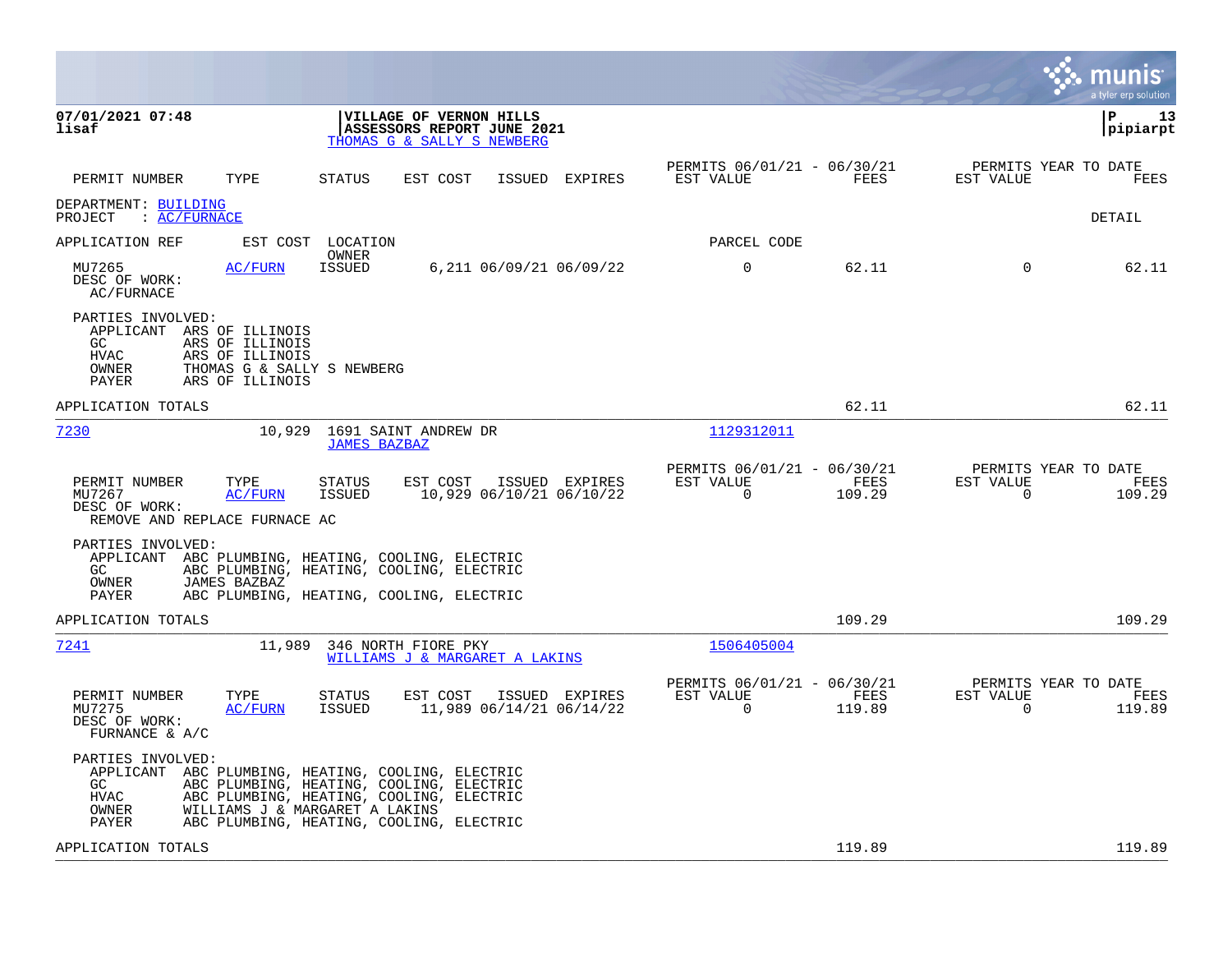|                                                                                                                                                                                                                                                                                      |                                                                                                                                                         | munis<br>a tyler erp solution                                   |
|--------------------------------------------------------------------------------------------------------------------------------------------------------------------------------------------------------------------------------------------------------------------------------------|---------------------------------------------------------------------------------------------------------------------------------------------------------|-----------------------------------------------------------------|
| 07/01/2021 07:48<br>VILLAGE OF VERNON HILLS<br>lisaf<br><b>ASSESSORS REPORT JUNE 2021</b><br>THOMAS G & SALLY S NEWBERG                                                                                                                                                              |                                                                                                                                                         | lР<br>13<br> pipiarpt                                           |
| TYPE<br>PERMIT NUMBER<br><b>STATUS</b><br>EST COST<br>ISSUED EXPIRES                                                                                                                                                                                                                 | PERMITS 06/01/21 - 06/30/21<br><b>EXECUTE: EXECUTE: EXECUTE: EXECUTE: EXECUTE: EXECUTE: EXECUTE: EXECUTE: EXECUTE: EXECUTE: EXECUTE: E</b><br>EST VALUE | PERMITS YEAR TO DATE<br>EST VALUE<br>FEES                       |
| DEPARTMENT: BUILDING<br>PROJECT : AC/FURNACE                                                                                                                                                                                                                                         |                                                                                                                                                         | DETAIL                                                          |
| APPLICATION REF<br>EST COST LOCATION<br>OWNER                                                                                                                                                                                                                                        | PARCEL CODE                                                                                                                                             |                                                                 |
| AC/FURN<br><b>ISSUED</b><br>6,211 06/09/21 06/09/22<br>MU7265<br>DESC OF WORK:<br>AC/FURNACE                                                                                                                                                                                         | $\mathbf 0$<br>62.11                                                                                                                                    | $\Omega$<br>62.11                                               |
| PARTIES INVOLVED:<br>APPLICANT ARS OF ILLINOIS<br>GC<br>ARS OF ILLINOIS<br><b>HVAC</b><br>ARS OF ILLINOIS<br>THOMAS G & SALLY S NEWBERG<br>OWNER<br>ARS OF ILLINOIS<br>PAYER                                                                                                         |                                                                                                                                                         |                                                                 |
| APPLICATION TOTALS                                                                                                                                                                                                                                                                   | 62.11                                                                                                                                                   | 62.11                                                           |
| 7230<br>10,929 1691 SAINT ANDREW DR<br><b>JAMES BAZBAZ</b>                                                                                                                                                                                                                           | 1129312011                                                                                                                                              |                                                                 |
| PERMIT NUMBER<br>TYPE<br><b>STATUS</b><br>EST COST ISSUED EXPIRES<br><b>ISSUED</b><br>10,929 06/10/21 06/10/22<br>MU7267<br>AC/FURN<br>DESC OF WORK:<br>REMOVE AND REPLACE FURNACE AC                                                                                                | PERMITS 06/01/21 - 06/30/21<br>EST VALUE<br>FEES<br>$\Omega$<br>109.29                                                                                  | PERMITS YEAR TO DATE<br>EST VALUE<br>FEES<br>$\Omega$<br>109.29 |
| PARTIES INVOLVED:<br>APPLICANT ABC PLUMBING, HEATING, COOLING, ELECTRIC<br>GC<br>ABC PLUMBING, HEATING, COOLING, ELECTRIC<br>OWNER<br><b>JAMES BAZBAZ</b><br>PAYER<br>ABC PLUMBING, HEATING, COOLING, ELECTRIC                                                                       |                                                                                                                                                         |                                                                 |
| APPLICATION TOTALS                                                                                                                                                                                                                                                                   | 109.29                                                                                                                                                  | 109.29                                                          |
| 7241<br>11,989<br>346 NORTH FIORE PKY<br>WILLIAMS J & MARGARET A LAKINS                                                                                                                                                                                                              | 1506405004                                                                                                                                              |                                                                 |
| PERMIT NUMBER<br>TYPE<br><b>STATUS</b><br>EST COST<br>ISSUED EXPIRES<br>11,989 06/14/21 06/14/22<br>MU7275<br>AC/FURN<br>ISSUED<br>DESC OF WORK:<br>FURNANCE & A/C                                                                                                                   | PERMITS 06/01/21 - 06/30/21<br>EST VALUE<br>FEES<br>$\Omega$<br>119.89                                                                                  | PERMITS YEAR TO DATE<br>EST VALUE<br>FEES<br>$\Omega$<br>119.89 |
| PARTIES INVOLVED:<br>APPLICANT ABC PLUMBING, HEATING, COOLING, ELECTRIC<br>ABC PLUMBING, HEATING, COOLING, ELECTRIC<br>GC<br>ABC PLUMBING, HEATING, COOLING, ELECTRIC<br><b>HVAC</b><br>WILLIAMS J & MARGARET A LAKINS<br>OWNER<br>ABC PLUMBING, HEATING, COOLING, ELECTRIC<br>PAYER |                                                                                                                                                         |                                                                 |
| APPLICATION TOTALS                                                                                                                                                                                                                                                                   | 119.89                                                                                                                                                  | 119.89                                                          |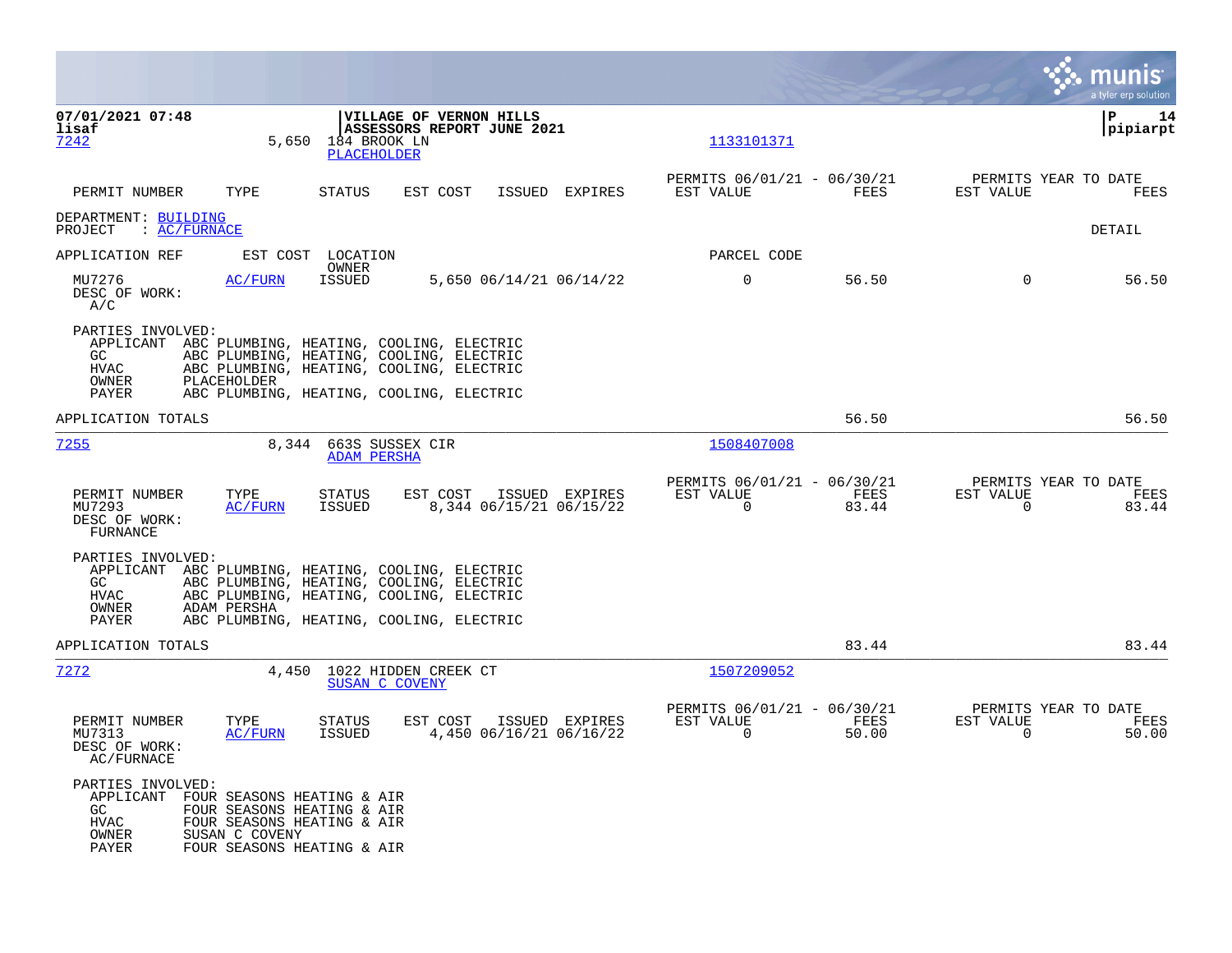|                                                                 |                                                                                                                                                                                                       |                                           |                                                         |               |                                                  | munis<br>a tyler erp solution |
|-----------------------------------------------------------------|-------------------------------------------------------------------------------------------------------------------------------------------------------------------------------------------------------|-------------------------------------------|---------------------------------------------------------|---------------|--------------------------------------------------|-------------------------------|
| 07/01/2021 07:48<br>lisaf<br>7242                               | VILLAGE OF VERNON HILLS<br>ASSESSORS REPORT JUNE 2021<br>5,650<br>184 BROOK LN<br><b>PLACEHOLDER</b>                                                                                                  |                                           | 1133101371                                              |               |                                                  | ΙP<br>14<br> pipiarpt         |
| PERMIT NUMBER                                                   | TYPE<br>STATUS<br>EST COST                                                                                                                                                                            | ISSUED EXPIRES                            | PERMITS 06/01/21 - 06/30/21<br>EST VALUE                | FEES          | PERMITS YEAR TO DATE<br>EST VALUE                | FEES                          |
| DEPARTMENT: BUILDING<br>: AC/FURNACE<br>PROJECT                 |                                                                                                                                                                                                       |                                           |                                                         |               |                                                  | <b>DETAIL</b>                 |
| APPLICATION REF                                                 | LOCATION<br>EST COST                                                                                                                                                                                  |                                           | PARCEL CODE                                             |               |                                                  |                               |
| MU7276<br>DESC OF WORK:<br>A/C                                  | OWNER<br><b>AC/FURN</b><br>ISSUED                                                                                                                                                                     | 5,650 06/14/21 06/14/22                   | $\mathbf 0$                                             | 56.50         | $\mathbf 0$                                      | 56.50                         |
| PARTIES INVOLVED:<br>GC.<br>HVAC<br>OWNER<br>PAYER              | APPLICANT ABC PLUMBING, HEATING, COOLING, ELECTRIC<br>ABC PLUMBING, HEATING, COOLING, ELECTRIC<br>ABC PLUMBING, HEATING, COOLING, ELECTRIC<br>PLACEHOLDER<br>ABC PLUMBING, HEATING, COOLING, ELECTRIC |                                           |                                                         |               |                                                  |                               |
| APPLICATION TOTALS                                              |                                                                                                                                                                                                       |                                           |                                                         | 56.50         |                                                  | 56.50                         |
| <u>7255</u>                                                     | 8,344<br>663S SUSSEX CIR<br><b>ADAM PERSHA</b>                                                                                                                                                        |                                           | 1508407008                                              |               |                                                  |                               |
| PERMIT NUMBER<br>MU7293<br>DESC OF WORK:<br>FURNANCE            | TYPE<br><b>STATUS</b><br>EST COST<br>ISSUED<br><u>AC/FURN</u>                                                                                                                                         | ISSUED EXPIRES<br>8,344 06/15/21 06/15/22 | PERMITS 06/01/21 - 06/30/21<br>EST VALUE<br>$\mathbf 0$ | FEES<br>83.44 | PERMITS YEAR TO DATE<br>EST VALUE<br>$\mathbf 0$ | FEES<br>83.44                 |
| PARTIES INVOLVED:<br>GC<br>HVAC<br>OWNER<br>PAYER               | APPLICANT ABC PLUMBING, HEATING, COOLING, ELECTRIC<br>ABC PLUMBING, HEATING, COOLING, ELECTRIC<br>ABC PLUMBING, HEATING, COOLING, ELECTRIC<br>ADAM PERSHA<br>ABC PLUMBING, HEATING, COOLING, ELECTRIC |                                           |                                                         |               |                                                  |                               |
| APPLICATION TOTALS                                              |                                                                                                                                                                                                       |                                           |                                                         | 83.44         |                                                  | 83.44                         |
| 7272                                                            | 4,450<br>1022 HIDDEN CREEK CT<br>SUSAN C COVENY                                                                                                                                                       |                                           | 1507209052                                              |               |                                                  |                               |
| PERMIT NUMBER<br>MU7313<br>DESC OF WORK:<br>AC/FURNACE          | TYPE<br><b>STATUS</b><br>EST COST<br>ISSUED<br>AC/FURN                                                                                                                                                | ISSUED EXPIRES<br>4,450 06/16/21 06/16/22 | PERMITS 06/01/21 - 06/30/21<br>EST VALUE<br>0           | FEES<br>50.00 | PERMITS YEAR TO DATE<br>EST VALUE<br>$\mathbf 0$ | FEES<br>50.00                 |
| PARTIES INVOLVED:<br>APPLICANT<br>GC.<br>HVAC<br>OWNER<br>PAYER | FOUR SEASONS HEATING & AIR<br>FOUR SEASONS HEATING & AIR<br>FOUR SEASONS HEATING & AIR<br>SUSAN C COVENY<br>FOUR SEASONS HEATING & AIR                                                                |                                           |                                                         |               |                                                  |                               |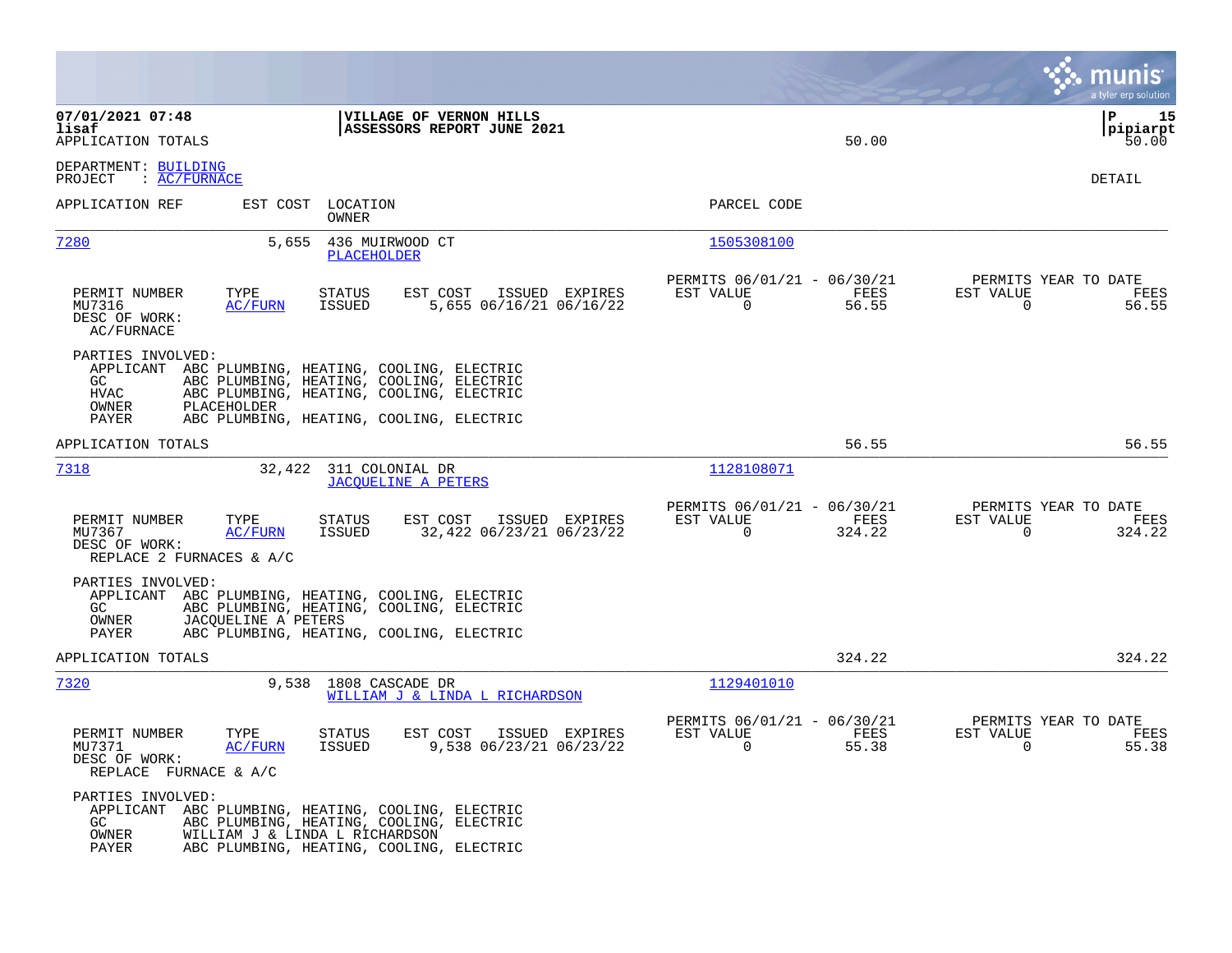|                                                                                                                                                                                                                                                             |                                                                        | munis<br>a tyler erp solution                                     |
|-------------------------------------------------------------------------------------------------------------------------------------------------------------------------------------------------------------------------------------------------------------|------------------------------------------------------------------------|-------------------------------------------------------------------|
| 07/01/2021 07:48<br>VILLAGE OF VERNON HILLS<br>lisaf<br>ASSESSORS REPORT JUNE 2021<br>APPLICATION TOTALS                                                                                                                                                    | 50.00                                                                  | ΙP<br>15<br> pipiarpt<br>50.00                                    |
| DEPARTMENT: BUILDING<br>PROJECT : AC/FURNACE                                                                                                                                                                                                                |                                                                        | <b>DETAIL</b>                                                     |
| EST COST LOCATION<br>APPLICATION REF<br>OWNER                                                                                                                                                                                                               | PARCEL CODE                                                            |                                                                   |
| 7280<br>5,655<br>436 MUIRWOOD CT<br><b>PLACEHOLDER</b>                                                                                                                                                                                                      | 1505308100                                                             |                                                                   |
| STATUS<br>EST COST<br>ISSUED EXPIRES<br>PERMIT NUMBER<br>TYPE<br>MU7316<br><b>AC/FURN</b><br>ISSUED<br>5,655 06/16/21 06/16/22<br>DESC OF WORK:<br>AC/FURNACE                                                                                               | PERMITS 06/01/21 - 06/30/21<br>EST VALUE<br>FEES<br>$\Omega$<br>56.55  | PERMITS YEAR TO DATE<br>EST VALUE<br>FEES<br>$\mathbf 0$<br>56.55 |
| PARTIES INVOLVED:<br>APPLICANT ABC PLUMBING, HEATING, COOLING, ELECTRIC<br>GC.<br>ABC PLUMBING, HEATING, COOLING, ELECTRIC<br>ABC PLUMBING, HEATING, COOLING, ELECTRIC<br>HVAC<br>OWNER<br>PLACEHOLDER<br>PAYER<br>ABC PLUMBING, HEATING, COOLING, ELECTRIC |                                                                        |                                                                   |
| APPLICATION TOTALS                                                                                                                                                                                                                                          | 56.55                                                                  | 56.55                                                             |
| 7318<br>32,422<br>311 COLONIAL DR<br><b>JACOUELINE A PETERS</b>                                                                                                                                                                                             | 1128108071                                                             |                                                                   |
| STATUS<br>EST COST<br>PERMIT NUMBER<br>TYPE<br>ISSUED EXPIRES<br>MU7367<br><b>AC/FURN</b><br>ISSUED<br>32,422 06/23/21 06/23/22<br>DESC OF WORK:<br>REPLACE 2 FURNACES & A/C                                                                                | PERMITS 06/01/21 - 06/30/21<br>EST VALUE<br>FEES<br>$\Omega$<br>324.22 | PERMITS YEAR TO DATE<br>EST VALUE<br>FEES<br>$\Omega$<br>324.22   |
| PARTIES INVOLVED:<br>APPLICANT ABC PLUMBING, HEATING, COOLING, ELECTRIC<br>GC.<br>ABC PLUMBING, HEATING, COOLING, ELECTRIC<br>OWNER<br>JACQUELINE A PETERS<br>PAYER<br>ABC PLUMBING, HEATING, COOLING, ELECTRIC                                             |                                                                        |                                                                   |
| APPLICATION TOTALS                                                                                                                                                                                                                                          | 324.22                                                                 | 324.22                                                            |
| 7320<br>9,538<br>1808 CASCADE DR<br>WILLIAM J & LINDA L RICHARDSON                                                                                                                                                                                          | 1129401010                                                             |                                                                   |
| PERMIT NUMBER<br>TYPE<br>STATUS<br>EST COST<br>ISSUED EXPIRES<br>9,538 06/23/21 06/23/22<br>MU7371<br>AC/FURN<br>ISSUED<br>DESC OF WORK:<br>REPLACE FURNACE & A/C                                                                                           | PERMITS 06/01/21 - 06/30/21<br>EST VALUE<br>FEES<br>$\Omega$<br>55.38  | PERMITS YEAR TO DATE<br>EST VALUE<br>FEES<br>$\Omega$<br>55.38    |
| PARTIES INVOLVED:<br>APPLICANT ABC PLUMBING, HEATING, COOLING, ELECTRIC<br>GC.<br>ABC PLUMBING, HEATING, COOLING, ELECTRIC<br>OWNER<br>WILLIAM J & LINDA L RICHARDSON<br>ABC PLUMBING, HEATING, COOLING, ELECTRIC<br>PAYER                                  |                                                                        |                                                                   |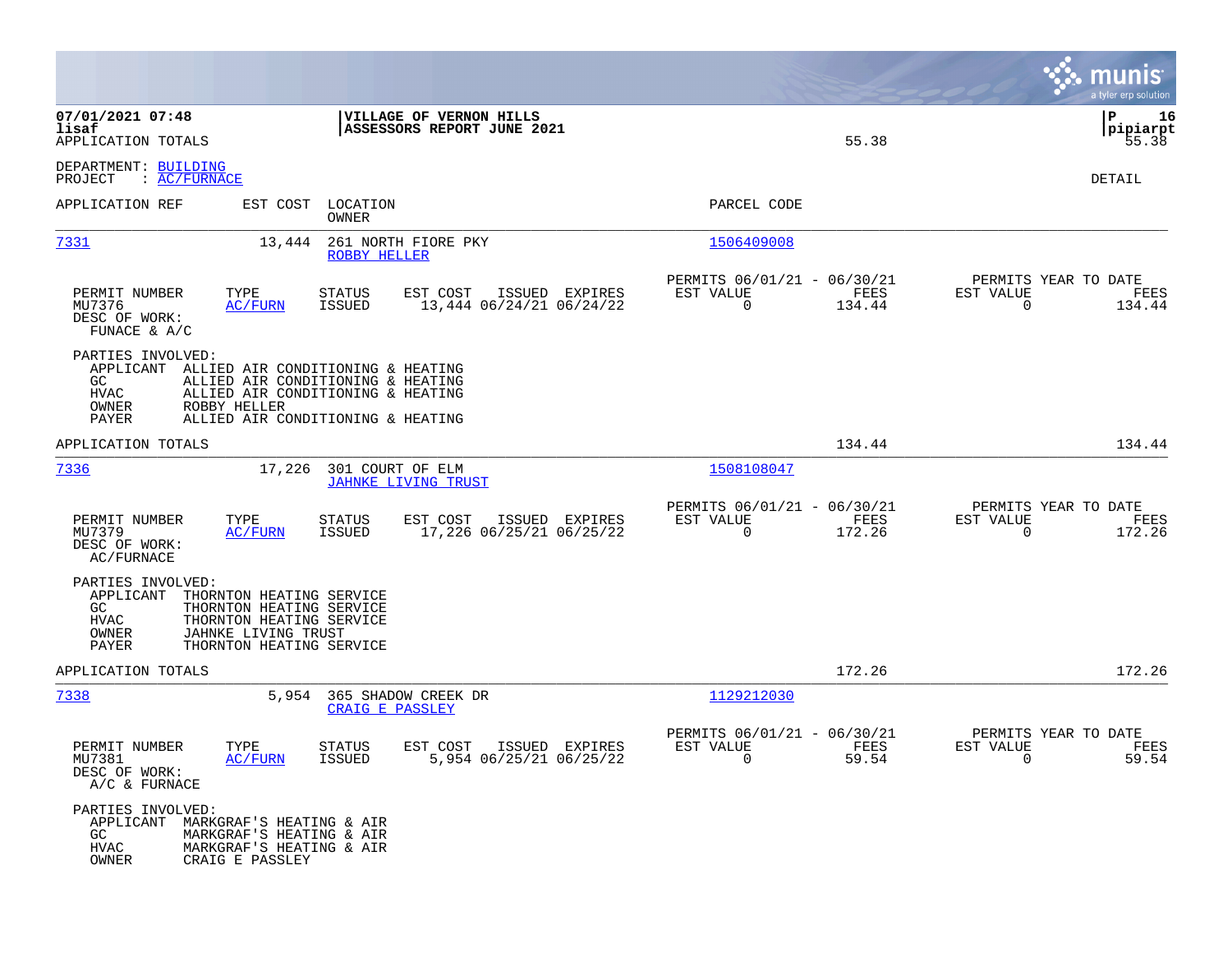|                                                                 |                                                                                                                                                                            |                                                        |                                                            |                |                                                     | munis<br>a tyler erp solution |
|-----------------------------------------------------------------|----------------------------------------------------------------------------------------------------------------------------------------------------------------------------|--------------------------------------------------------|------------------------------------------------------------|----------------|-----------------------------------------------------|-------------------------------|
| 07/01/2021 07:48<br>lisaf<br>APPLICATION TOTALS                 |                                                                                                                                                                            | VILLAGE OF VERNON HILLS<br>ASSESSORS REPORT JUNE 2021  |                                                            | 55.38          |                                                     | ΙP<br>16<br>pipiarpt<br>55.38 |
| DEPARTMENT: BUILDING<br>PROJECT<br>: AC/FURNACE                 |                                                                                                                                                                            |                                                        |                                                            |                |                                                     | DETAIL                        |
| APPLICATION REF                                                 | EST COST LOCATION<br>OWNER                                                                                                                                                 |                                                        | PARCEL CODE                                                |                |                                                     |                               |
| 7331                                                            | 13,444<br>ROBBY HELLER                                                                                                                                                     | 261 NORTH FIORE PKY                                    | 1506409008                                                 |                |                                                     |                               |
| PERMIT NUMBER<br>MU7376<br>DESC OF WORK:<br>FUNACE & $A/C$      | TYPE<br>STATUS<br>ISSUED<br>AC/FURN                                                                                                                                        | EST COST<br>ISSUED EXPIRES<br>13,444 06/24/21 06/24/22 | PERMITS 06/01/21 - 06/30/21<br>EST VALUE<br>$\mathbf 0$    | FEES<br>134.44 | PERMITS YEAR TO DATE<br>EST VALUE<br>$\overline{0}$ | FEES<br>134.44                |
| PARTIES INVOLVED:<br>GC .<br>HVAC<br>OWNER<br>PAYER             | APPLICANT ALLIED AIR CONDITIONING & HEATING<br>ALLIED AIR CONDITIONING & HEATING<br>ALLIED AIR CONDITIONING & HEATING<br>ROBBY HELLER<br>ALLIED AIR CONDITIONING & HEATING |                                                        |                                                            |                |                                                     |                               |
| APPLICATION TOTALS                                              |                                                                                                                                                                            |                                                        |                                                            | 134.44         |                                                     | 134.44                        |
| 7336                                                            | 17,226 301 COURT OF ELM                                                                                                                                                    | <b>JAHNKE LIVING TRUST</b>                             | 1508108047                                                 |                |                                                     |                               |
| PERMIT NUMBER<br>MU7379<br>DESC OF WORK:<br>AC/FURNACE          | TYPE<br><b>STATUS</b><br>ISSUED<br>AC/FURN                                                                                                                                 | EST COST<br>ISSUED EXPIRES<br>17,226 06/25/21 06/25/22 | PERMITS 06/01/21 - 06/30/21<br>EST VALUE<br>$\Omega$       | FEES<br>172.26 | PERMITS YEAR TO DATE<br>EST VALUE<br>$\Omega$       | FEES<br>172.26                |
| PARTIES INVOLVED:<br>APPLICANT<br>GC.<br>HVAC<br>OWNER<br>PAYER | THORNTON HEATING SERVICE<br>THORNTON HEATING SERVICE<br>THORNTON HEATING SERVICE<br>JAHNKE LIVING TRUST<br>THORNTON HEATING SERVICE                                        |                                                        |                                                            |                |                                                     |                               |
| APPLICATION TOTALS                                              |                                                                                                                                                                            |                                                        |                                                            | 172.26         |                                                     | 172.26                        |
| <u>7338</u>                                                     | 5,954 365 SHADOW CREEK DR<br><b>CRAIG E PASSLEY</b>                                                                                                                        |                                                        | 1129212030                                                 |                |                                                     |                               |
| PERMIT NUMBER<br>MU7381<br>DESC OF WORK:<br>$A/C$ & FURNACE     | TYPE<br><b>STATUS</b><br><b>AC/FURN</b><br>ISSUED                                                                                                                          | EST COST<br>ISSUED EXPIRES<br>5,954 06/25/21 06/25/22  | PERMITS 06/01/21 - 06/30/21<br>EST VALUE<br>$\overline{0}$ | FEES<br>59.54  | PERMITS YEAR TO DATE<br>EST VALUE<br>$\overline{0}$ | FEES<br>59.54                 |
| PARTIES INVOLVED:<br>GC<br><b>HVAC</b><br>OWNER                 | APPLICANT MARKGRAF'S HEATING & AIR<br>MARKGRAF'S HEATING & AIR<br>MARKGRAF'S HEATING & AIR<br>CRAIG E PASSLEY                                                              |                                                        |                                                            |                |                                                     |                               |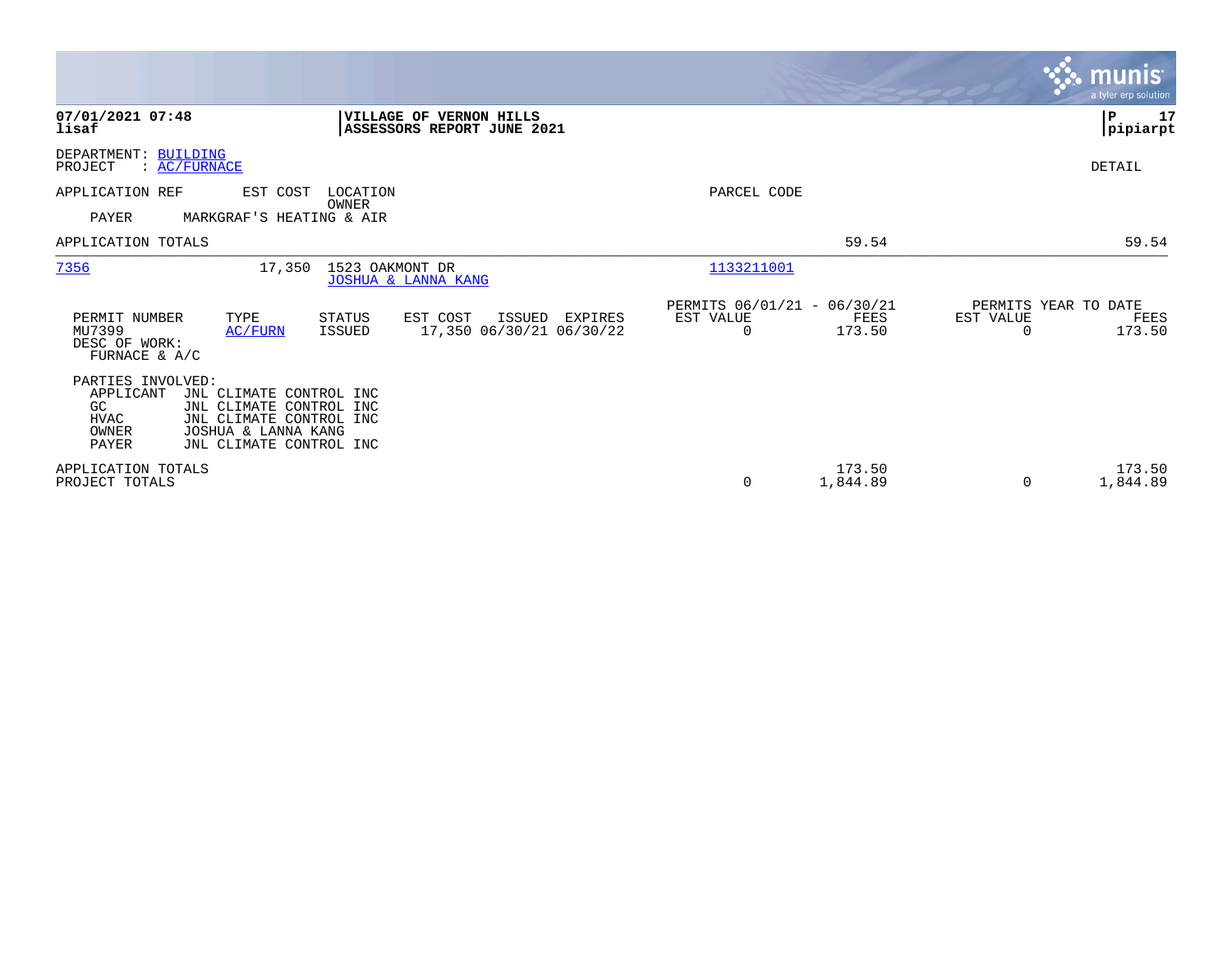|                                                                                                                                                                                                          |                                                                                             |                                               |                    |                                   | <b>munis</b><br>a tyler erp solution |
|----------------------------------------------------------------------------------------------------------------------------------------------------------------------------------------------------------|---------------------------------------------------------------------------------------------|-----------------------------------------------|--------------------|-----------------------------------|--------------------------------------|
| 07/01/2021 07:48<br>lisaf                                                                                                                                                                                | <b>VILLAGE OF VERNON HILLS</b><br>ASSESSORS REPORT JUNE 2021                                |                                               |                    |                                   | P<br>17<br> pipiarpt                 |
| DEPARTMENT:<br><b>BUILDING</b><br>: AC/FURNACE<br>PROJECT                                                                                                                                                |                                                                                             |                                               |                    |                                   | DETAIL                               |
| APPLICATION REF<br>EST COST                                                                                                                                                                              | LOCATION                                                                                    | PARCEL CODE                                   |                    |                                   |                                      |
| PAYER<br>MARKGRAF'S HEATING & AIR                                                                                                                                                                        | OWNER                                                                                       |                                               |                    |                                   |                                      |
| APPLICATION TOTALS                                                                                                                                                                                       |                                                                                             |                                               | 59.54              |                                   | 59.54                                |
| 7356<br>17,350                                                                                                                                                                                           | 1523 OAKMONT DR<br><b>JOSHUA &amp; LANNA KANG</b>                                           | 1133211001                                    |                    |                                   |                                      |
| PERMIT NUMBER<br>TYPE<br>MU7399<br>AC/FURN<br>DESC OF WORK:<br>FURNACE & $A/C$                                                                                                                           | EST COST<br>ISSUED<br>EXPIRES<br><b>STATUS</b><br>17,350 06/30/21 06/30/22<br><b>ISSUED</b> | PERMITS 06/01/21 - 06/30/21<br>EST VALUE<br>0 | FEES<br>173.50     | PERMITS YEAR TO DATE<br>EST VALUE | FEES<br>173.50                       |
| PARTIES INVOLVED:<br>APPLICANT<br>JNL CLIMATE CONTROL INC<br>GC<br>JNL CLIMATE CONTROL INC<br>HVAC<br>JNL CLIMATE CONTROL INC<br>OWNER<br>JOSHUA & LANNA KANG<br><b>PAYER</b><br>JNL CLIMATE CONTROL INC |                                                                                             |                                               |                    |                                   |                                      |
| APPLICATION TOTALS<br>PROJECT TOTALS                                                                                                                                                                     |                                                                                             | $\mathbf 0$                                   | 173.50<br>1,844.89 | $\Omega$                          | 173.50<br>1,844.89                   |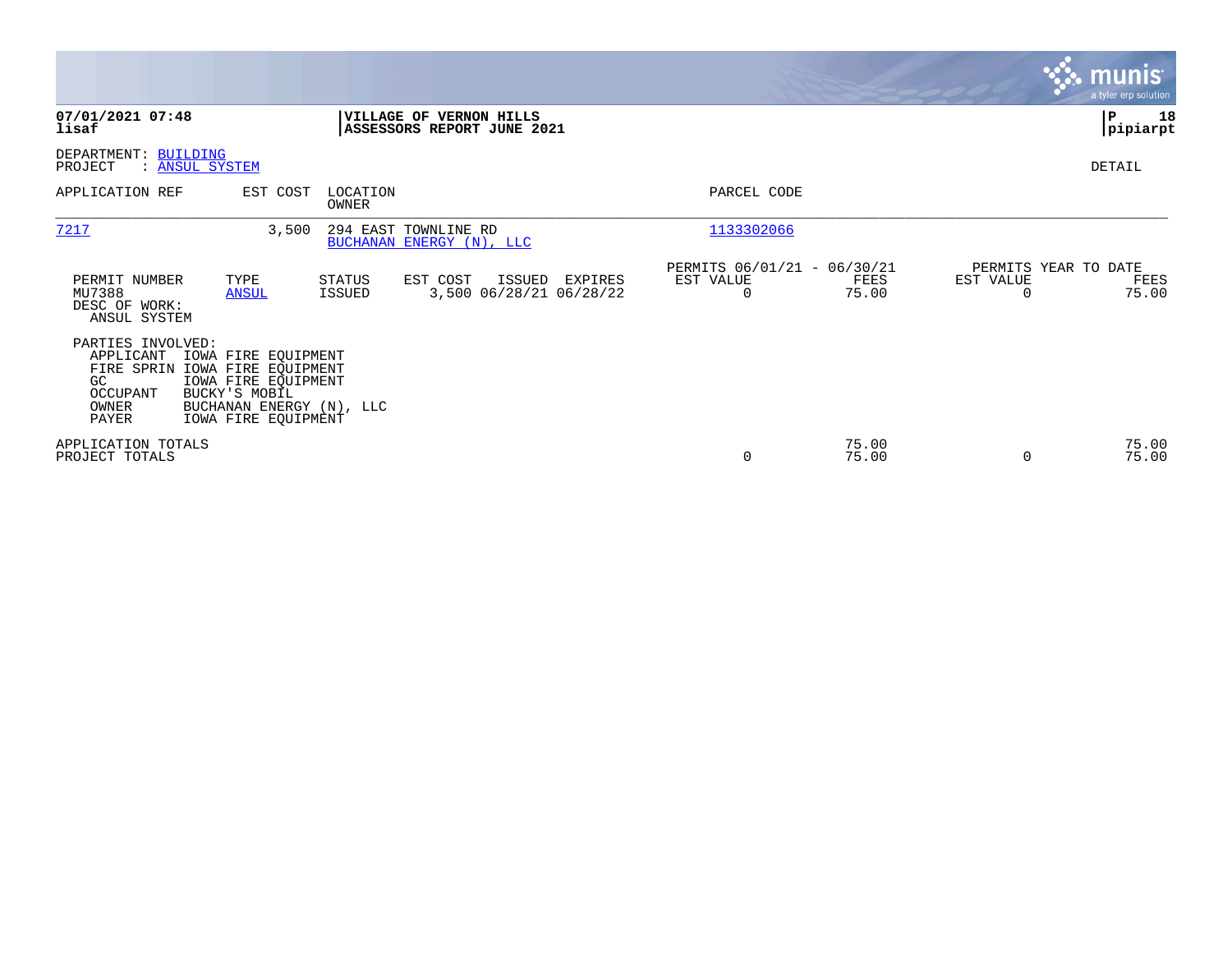|                                                                                                      |                                                                                                                |                   |                                                       |         |                                               |                |                       | <b>munis</b><br>a tyler erp solution  |
|------------------------------------------------------------------------------------------------------|----------------------------------------------------------------------------------------------------------------|-------------------|-------------------------------------------------------|---------|-----------------------------------------------|----------------|-----------------------|---------------------------------------|
| 07/01/2021 07:48<br>lisaf                                                                            |                                                                                                                |                   | VILLAGE OF VERNON HILLS<br>ASSESSORS REPORT JUNE 2021 |         |                                               |                |                       | 18<br>P<br> pipiarpt                  |
| DEPARTMENT: BUILDING<br>PROJECT<br>: ANSUL SYSTEM                                                    |                                                                                                                |                   |                                                       |         |                                               |                |                       | DETAIL                                |
| APPLICATION REF                                                                                      | EST COST                                                                                                       | LOCATION<br>OWNER |                                                       |         | PARCEL CODE                                   |                |                       |                                       |
| 7217                                                                                                 | 3,500                                                                                                          |                   | 294 EAST TOWNLINE RD<br>BUCHANAN ENERGY (N), LLC      |         | 1133302066                                    |                |                       |                                       |
| PERMIT NUMBER<br>MU7388<br>DESC OF WORK:<br>ANSUL SYSTEM                                             | TYPE<br><b>ANSUL</b>                                                                                           | STATUS<br>ISSUED  | EST COST<br>ISSUED<br>3,500 06/28/21 06/28/22         | EXPIRES | PERMITS 06/01/21 - 06/30/21<br>EST VALUE<br>0 | FEES<br>75.00  | EST VALUE<br>$\Omega$ | PERMITS YEAR TO DATE<br>FEES<br>75.00 |
| PARTIES INVOLVED:<br>APPLICANT<br>FIRE SPRIN IOWA FIRE EQUIPMENT<br>GC<br>OCCUPANT<br>OWNER<br>PAYER | IOWA FIRE EQUIPMENT<br>IOWA FIRE EQUIPMENT<br>BUCKY'S MOBIL<br>BUCHANAN ENERGY (N), LLC<br>IOWA FIRE EQUIPMENT |                   |                                                       |         |                                               |                |                       |                                       |
| APPLICATION TOTALS<br>PROJECT TOTALS                                                                 |                                                                                                                |                   |                                                       |         | 0                                             | 75.00<br>75.00 | 0                     | 75.00<br>75.00                        |

 $\mathcal{L}^{\text{max}}$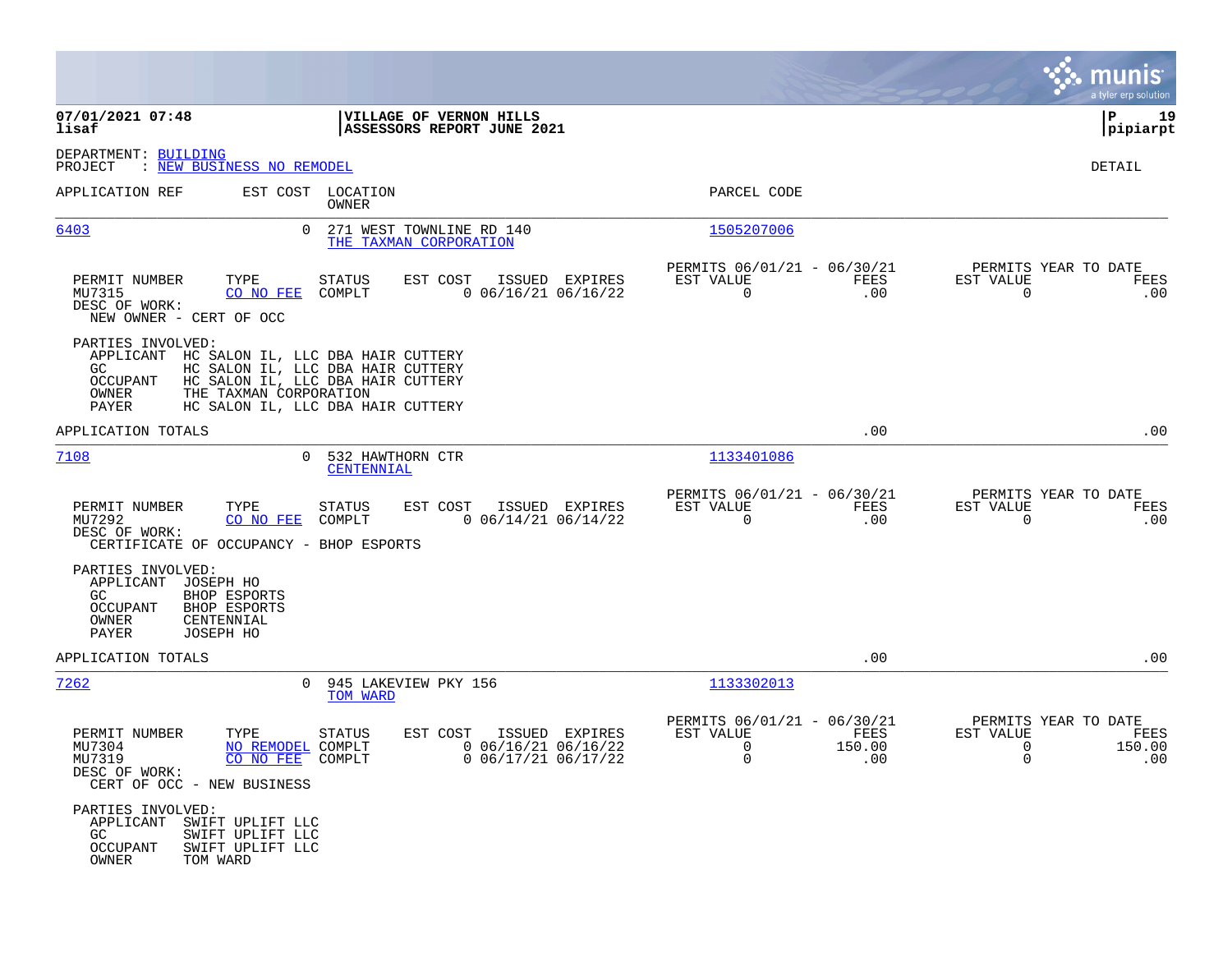|                                                                                                                                                                  |                                                                                                                                                  |                                                            | munis<br>a tyler erp solution                                                                           |     |
|------------------------------------------------------------------------------------------------------------------------------------------------------------------|--------------------------------------------------------------------------------------------------------------------------------------------------|------------------------------------------------------------|---------------------------------------------------------------------------------------------------------|-----|
| 07/01/2021 07:48<br>lisaf                                                                                                                                        | VILLAGE OF VERNON HILLS<br>ASSESSORS REPORT JUNE 2021                                                                                            |                                                            | l P<br> pipiarpt                                                                                        | 19  |
| DEPARTMENT: BUILDING<br>: NEW BUSINESS NO REMODEL<br>PROJECT                                                                                                     |                                                                                                                                                  |                                                            | DETAIL                                                                                                  |     |
| APPLICATION REF                                                                                                                                                  | EST COST LOCATION<br>OWNER                                                                                                                       | PARCEL CODE                                                |                                                                                                         |     |
| 6403                                                                                                                                                             | $\Omega$<br>271 WEST TOWNLINE RD 140<br>THE TAXMAN CORPORATION                                                                                   | 1505207006                                                 |                                                                                                         |     |
| TYPE<br>PERMIT NUMBER<br>MU7315<br>CO NO FEE<br>DESC OF WORK:<br>NEW OWNER - CERT OF OCC                                                                         | STATUS<br>EST COST<br>ISSUED EXPIRES<br>COMPLT<br>$0$ 06/16/21 06/16/22                                                                          | PERMITS 06/01/21 - 06/30/21<br>EST VALUE<br>$\overline{0}$ | PERMITS YEAR TO DATE<br>FEES<br>EST VALUE<br>FEES<br>.00<br>$\Omega$                                    | .00 |
| PARTIES INVOLVED:<br>APPLICANT<br>GC.<br><b>OCCUPANT</b><br>OWNER<br>THE TAXMAN CORPORATION<br>PAYER                                                             | HC SALON IL, LLC DBA HAIR CUTTERY<br>HC SALON IL, LLC DBA HAIR CUTTERY<br>HC SALON IL, LLC DBA HAIR CUTTERY<br>HC SALON IL, LLC DBA HAIR CUTTERY |                                                            |                                                                                                         |     |
| APPLICATION TOTALS                                                                                                                                               |                                                                                                                                                  |                                                            | .00                                                                                                     | .00 |
| 7108                                                                                                                                                             | $\Omega$<br>532 HAWTHORN CTR<br>CENTENNIAL                                                                                                       | 1133401086                                                 |                                                                                                         |     |
| TYPE<br>PERMIT NUMBER<br>MU7292<br>CO NO FEE<br>DESC OF WORK:<br>CERTIFICATE OF OCCUPANCY - BHOP ESPORTS                                                         | STATUS<br>EST COST<br>ISSUED EXPIRES<br>COMPLT<br>$0$ 06/14/21 06/14/22                                                                          | PERMITS 06/01/21 - 06/30/21<br>EST VALUE<br>$\mathbf 0$    | PERMITS YEAR TO DATE<br>FEES<br>EST VALUE<br>FEES<br>.00<br>$\mathbf 0$                                 | .00 |
| PARTIES INVOLVED:<br>APPLICANT<br>JOSEPH HO<br>GC.<br><b>BHOP ESPORTS</b><br><b>OCCUPANT</b><br><b>BHOP ESPORTS</b><br>OWNER<br>CENTENNIAL<br>PAYER<br>JOSEPH HO |                                                                                                                                                  |                                                            |                                                                                                         |     |
| APPLICATION TOTALS                                                                                                                                               |                                                                                                                                                  |                                                            | .00                                                                                                     | .00 |
| 7262                                                                                                                                                             | 0 945 LAKEVIEW PKY 156<br>TOM WARD                                                                                                               | 1133302013                                                 |                                                                                                         |     |
| PERMIT NUMBER<br>TYPE<br>NO REMODEL COMPLT<br>MU7304<br>MU7319<br>CO NO FEE COMPLT<br>DESC OF WORK:<br>CERT OF OCC - NEW BUSINESS                                | EST COST<br>ISSUED EXPIRES<br>STATUS<br>$0$ 06/16/21 06/16/22<br>0 06/17/21 06/17/22                                                             | PERMITS 06/01/21 - 06/30/21<br>EST VALUE<br>$\Omega$<br>0  | PERMITS YEAR TO DATE<br>EST VALUE<br>FEES<br>FEES<br>$\mathbf 0$<br>150.00<br>150.00<br>.00<br>0<br>.00 |     |
| PARTIES INVOLVED:<br>APPLICANT<br>SWIFT UPLIFT LLC<br>GC<br>SWIFT UPLIFT LLC<br><b>OCCUPANT</b><br>SWIFT UPLIFT LLC<br>OWNER<br>TOM WARD                         |                                                                                                                                                  |                                                            |                                                                                                         |     |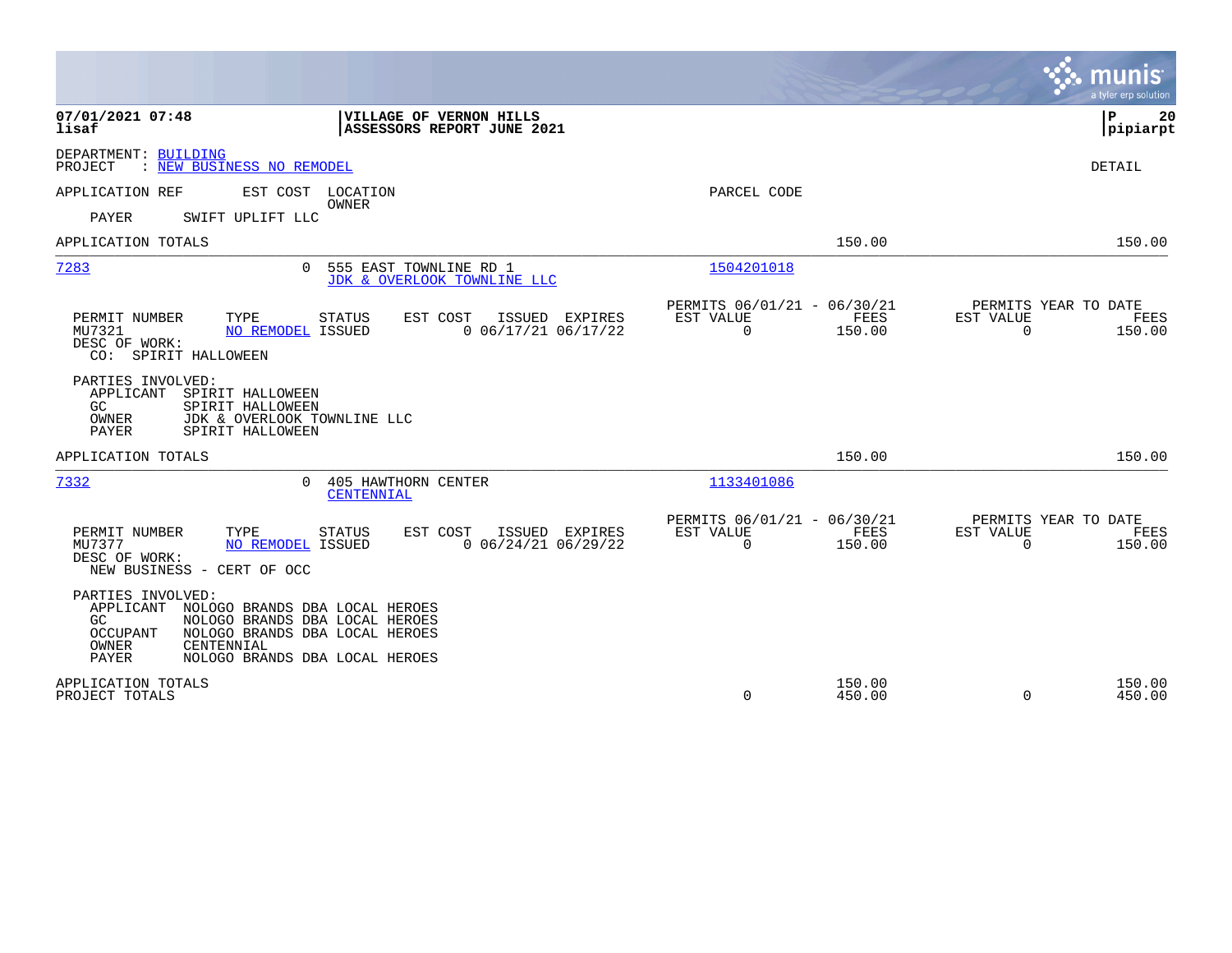|                                                                                                                                                                                                                               |                                                                                         | munis<br>a tyler erp solution                                   |
|-------------------------------------------------------------------------------------------------------------------------------------------------------------------------------------------------------------------------------|-----------------------------------------------------------------------------------------|-----------------------------------------------------------------|
| 07/01/2021 07:48<br>VILLAGE OF VERNON HILLS<br>ASSESSORS REPORT JUNE 2021<br>lisaf                                                                                                                                            |                                                                                         | ΙP<br>20<br> pipiarpt                                           |
| DEPARTMENT: BUILDING<br>: NEW BUSINESS NO REMODEL<br>PROJECT                                                                                                                                                                  |                                                                                         | <b>DETAIL</b>                                                   |
| APPLICATION REF<br>EST COST LOCATION<br>OWNER                                                                                                                                                                                 | PARCEL CODE                                                                             |                                                                 |
| SWIFT UPLIFT LLC<br>PAYER                                                                                                                                                                                                     |                                                                                         |                                                                 |
| APPLICATION TOTALS                                                                                                                                                                                                            | 150.00                                                                                  | 150.00                                                          |
| 7283<br>0 555 EAST TOWNLINE RD 1<br>JDK & OVERLOOK TOWNLINE LLC                                                                                                                                                               | 1504201018                                                                              |                                                                 |
| PERMIT NUMBER<br>TYPE<br>EST COST<br>ISSUED EXPIRES<br><b>STATUS</b><br>$0$ 06/17/21 06/17/22<br>MU7321<br>NO REMODEL ISSUED<br>DESC OF WORK:<br>CO: SPIRIT HALLOWEEN                                                         | PERMITS 06/01/21 - 06/30/21<br>EST VALUE<br>FEES<br>$\Omega$<br>150.00                  | PERMITS YEAR TO DATE<br>EST VALUE<br>FEES<br>$\Omega$<br>150.00 |
| PARTIES INVOLVED:<br>APPLICANT<br>SPIRIT HALLOWEEN<br>GC.<br>SPIRIT HALLOWEEN<br>OWNER<br>JDK & OVERLOOK TOWNLINE LLC<br>PAYER<br>SPIRIT HALLOWEEN                                                                            |                                                                                         |                                                                 |
| APPLICATION TOTALS                                                                                                                                                                                                            | 150.00                                                                                  | 150.00                                                          |
| 7332<br>0 405 HAWTHORN CENTER<br>CENTENNIAL                                                                                                                                                                                   | 1133401086                                                                              |                                                                 |
| EST COST<br>PERMIT NUMBER<br>TYPE<br><b>STATUS</b><br>ISSUED EXPIRES<br>MU7377<br><b>NO REMODEL ISSUED</b><br>$0$ 06/24/21 06/29/22<br>DESC OF WORK:<br>NEW BUSINESS - CERT OF OCC                                            | PERMITS 06/01/21 - 06/30/21<br><b>EST VALUE</b><br><b>FEES</b><br>$\mathbf 0$<br>150.00 | PERMITS YEAR TO DATE<br>EST VALUE<br>FEES<br>$\Omega$<br>150.00 |
| PARTIES INVOLVED:<br>APPLICANT NOLOGO BRANDS DBA LOCAL HEROES<br>GC.<br>NOLOGO BRANDS DBA LOCAL HEROES<br>NOLOGO BRANDS DBA LOCAL HEROES<br>OCCUPANT<br><b>OWNER</b><br>CENTENNIAL<br>PAYER<br>NOLOGO BRANDS DBA LOCAL HEROES |                                                                                         |                                                                 |
| APPLICATION TOTALS<br>PROJECT TOTALS                                                                                                                                                                                          | 150.00<br>0<br>450.00                                                                   | 150.00<br>$\Omega$<br>450.00                                    |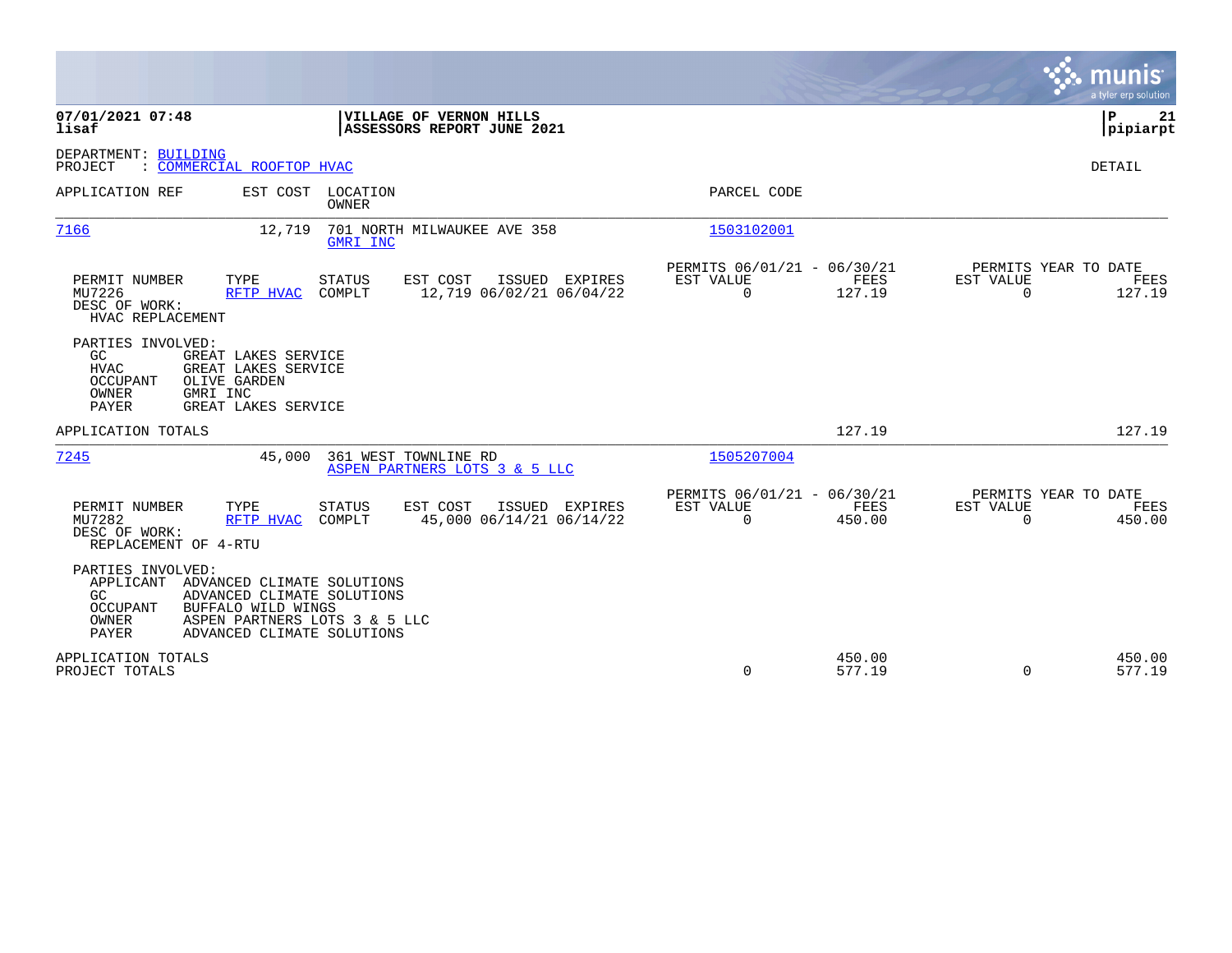|                                                                                                                                                                                                                            |                                                                               | munis<br>a tyler erp solution                                          |
|----------------------------------------------------------------------------------------------------------------------------------------------------------------------------------------------------------------------------|-------------------------------------------------------------------------------|------------------------------------------------------------------------|
| 07/01/2021 07:48<br>VILLAGE OF VERNON HILLS<br>ASSESSORS REPORT JUNE 2021<br>lisaf                                                                                                                                         |                                                                               | ΙP<br>21<br> pipiarpt                                                  |
| DEPARTMENT: BUILDING<br>PROJECT<br>: COMMERCIAL ROOFTOP HVAC                                                                                                                                                               |                                                                               | DETAIL                                                                 |
| EST COST LOCATION<br>APPLICATION REF<br>OWNER                                                                                                                                                                              | PARCEL CODE                                                                   |                                                                        |
| 7166<br>12,719<br>701 NORTH MILWAUKEE AVE 358<br>GMRI INC                                                                                                                                                                  | 1503102001                                                                    |                                                                        |
| TYPE<br>EST COST<br>ISSUED EXPIRES<br>PERMIT NUMBER<br><b>STATUS</b><br>12,719 06/02/21 06/04/22<br>MU7226<br>COMPLT<br>RFTP HVAC<br>DESC OF WORK:<br>HVAC REPLACEMENT                                                     | PERMITS 06/01/21 - 06/30/21<br>EST VALUE<br>FEES<br>$\Omega$<br>127.19        | PERMITS YEAR TO DATE<br><b>EST VALUE</b><br>FEES<br>$\Omega$<br>127.19 |
| PARTIES INVOLVED:<br>GC<br>GREAT LAKES SERVICE<br>HVAC<br>GREAT LAKES SERVICE<br>OLIVE GARDEN<br>OCCUPANT<br>OWNER<br>GMRI INC<br>PAYER<br>GREAT LAKES SERVICE                                                             |                                                                               |                                                                        |
| APPLICATION TOTALS                                                                                                                                                                                                         | 127.19                                                                        | 127.19                                                                 |
| 7245<br>45,000<br>361 WEST TOWNLINE RD<br>ASPEN PARTNERS LOTS 3 & 5 LLC                                                                                                                                                    | 1505207004                                                                    |                                                                        |
| TYPE<br>EST COST<br>PERMIT NUMBER<br><b>STATUS</b><br>ISSUED EXPIRES<br>45,000 06/14/21 06/14/22<br>MU7282<br>RFTP HVAC<br>COMPLT<br>DESC OF WORK:<br>REPLACEMENT OF 4-RTU                                                 | PERMITS 06/01/21 - 06/30/21<br><b>EST VALUE</b><br>FEES<br>$\Omega$<br>450.00 | PERMITS YEAR TO DATE<br><b>EST VALUE</b><br>FEES<br>$\Omega$<br>450.00 |
| PARTIES INVOLVED:<br>APPLICANT<br>ADVANCED CLIMATE SOLUTIONS<br>GC<br>ADVANCED CLIMATE SOLUTIONS<br>OCCUPANT<br>BUFFALO WILD WINGS<br>OWNER<br>ASPEN PARTNERS LOTS 3 & 5 LLC<br><b>PAYER</b><br>ADVANCED CLIMATE SOLUTIONS |                                                                               |                                                                        |
| APPLICATION TOTALS<br>PROJECT TOTALS                                                                                                                                                                                       | 450.00<br>$\Omega$<br>577.19                                                  | 450.00<br>$\Omega$<br>577.19                                           |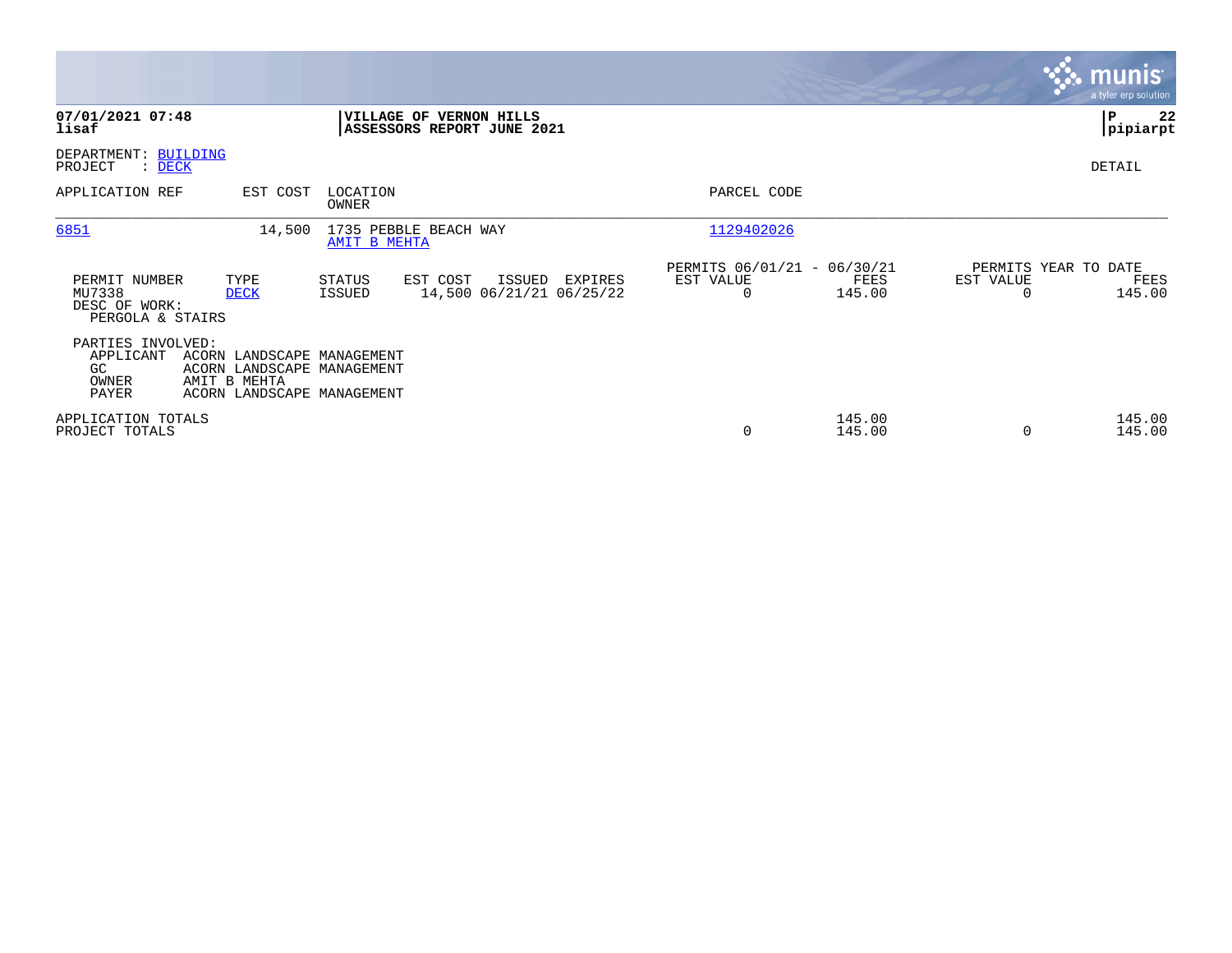|                                                              |                                                                                                        |                                                       |                                               |                                                      |                  |           | <b>munis</b><br>a tyler erp solution   |
|--------------------------------------------------------------|--------------------------------------------------------------------------------------------------------|-------------------------------------------------------|-----------------------------------------------|------------------------------------------------------|------------------|-----------|----------------------------------------|
| 07/01/2021 07:48<br>lisaf                                    |                                                                                                        | VILLAGE OF VERNON HILLS<br>ASSESSORS REPORT JUNE 2021 |                                               |                                                      |                  |           | ∣P<br>22<br> pipiarpt                  |
| DEPARTMENT: BUILDING<br>PROJECT<br>: <u>DECK</u>             |                                                                                                        |                                                       |                                               |                                                      |                  |           | DETAIL                                 |
| APPLICATION REF                                              | EST COST                                                                                               | LOCATION<br>OWNER                                     |                                               | PARCEL CODE                                          |                  |           |                                        |
| 6851                                                         | 14,500                                                                                                 | 1735 PEBBLE BEACH WAY<br>AMIT B MEHTA                 |                                               | 1129402026                                           |                  |           |                                        |
| PERMIT NUMBER<br>MU7338<br>DESC OF WORK:<br>PERGOLA & STAIRS | TYPE<br><b>DECK</b>                                                                                    | EST COST<br>STATUS<br>ISSUED                          | ISSUED<br>EXPIRES<br>14,500 06/21/21 06/25/22 | PERMITS 06/01/21 - 06/30/21<br>EST VALUE<br>$\Omega$ | FEES<br>145.00   | EST VALUE | PERMITS YEAR TO DATE<br>FEES<br>145.00 |
| PARTIES INVOLVED:<br>APPLICANT<br>GC<br>OWNER<br>PAYER       | ACORN LANDSCAPE MANAGEMENT<br>ACORN LANDSCAPE MANAGEMENT<br>AMIT B MEHTA<br>ACORN LANDSCAPE MANAGEMENT |                                                       |                                               |                                                      |                  |           |                                        |
| APPLICATION TOTALS<br>PROJECT TOTALS                         |                                                                                                        |                                                       |                                               | 0                                                    | 145.00<br>145.00 | $\Omega$  | 145.00<br>145.00                       |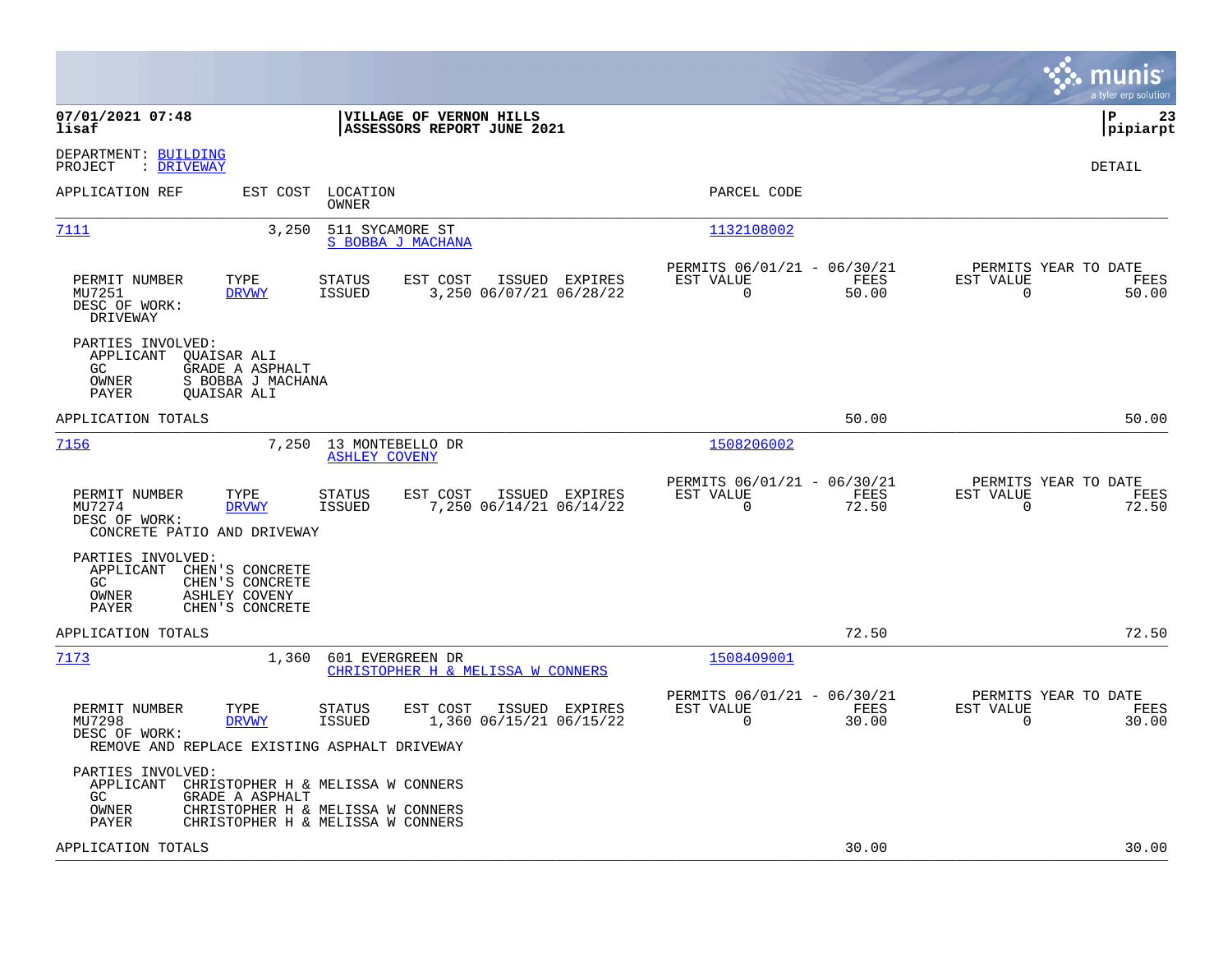|                                                                                                                                                                                           |                                           |                                                         |               |                                                  | munis<br>a tyler erp solution |
|-------------------------------------------------------------------------------------------------------------------------------------------------------------------------------------------|-------------------------------------------|---------------------------------------------------------|---------------|--------------------------------------------------|-------------------------------|
| 07/01/2021 07:48<br>VILLAGE OF VERNON HILLS<br>lisaf<br>ASSESSORS REPORT JUNE 2021                                                                                                        |                                           |                                                         |               |                                                  | l P<br>23<br> pipiarpt        |
| DEPARTMENT: BUILDING<br>PROJECT<br>: DRIVEWAY                                                                                                                                             |                                           |                                                         |               |                                                  | DETAIL                        |
| LOCATION<br>APPLICATION REF<br>EST COST<br>OWNER                                                                                                                                          |                                           | PARCEL CODE                                             |               |                                                  |                               |
| 3,250<br>511 SYCAMORE ST<br>7111<br>S BOBBA J MACHANA                                                                                                                                     |                                           | 1132108002                                              |               |                                                  |                               |
| PERMIT NUMBER<br>TYPE<br><b>STATUS</b><br>EST COST<br><b>ISSUED</b><br>MU7251<br><b>DRVWY</b><br>DESC OF WORK:<br>DRIVEWAY                                                                | ISSUED EXPIRES<br>3,250 06/07/21 06/28/22 | PERMITS 06/01/21 - 06/30/21<br>EST VALUE<br>$\Omega$    | FEES<br>50.00 | PERMITS YEAR TO DATE<br>EST VALUE<br>$\Omega$    | FEES<br>50.00                 |
| PARTIES INVOLVED:<br>APPLICANT<br>OUAISAR ALI<br>GRADE A ASPHALT<br>GC.<br>OWNER<br>S BOBBA J MACHANA<br><b>PAYER</b><br><b>OUAISAR ALI</b>                                               |                                           |                                                         |               |                                                  |                               |
| APPLICATION TOTALS                                                                                                                                                                        |                                           |                                                         | 50.00         |                                                  | 50.00                         |
| <u>7156</u><br>7,250<br>13 MONTEBELLO DR<br><b>ASHLEY COVENY</b>                                                                                                                          |                                           | 1508206002                                              |               |                                                  |                               |
| PERMIT NUMBER<br>TYPE<br><b>STATUS</b><br>EST COST<br>MU7274<br><b>DRVWY</b><br><b>ISSUED</b><br>DESC OF WORK:<br>CONCRETE PATIO AND DRIVEWAY                                             | ISSUED EXPIRES<br>7,250 06/14/21 06/14/22 | PERMITS 06/01/21 - 06/30/21<br>EST VALUE<br>$\mathbf 0$ | FEES<br>72.50 | PERMITS YEAR TO DATE<br>EST VALUE<br>$\mathbf 0$ | FEES<br>72.50                 |
| PARTIES INVOLVED:<br>APPLICANT<br>CHEN'S CONCRETE<br>CHEN'S CONCRETE<br>GC.<br>OWNER<br>ASHLEY COVENY<br>PAYER<br>CHEN'S CONCRETE                                                         |                                           |                                                         |               |                                                  |                               |
| APPLICATION TOTALS                                                                                                                                                                        |                                           |                                                         | 72.50         |                                                  | 72.50                         |
| <u>7173</u><br>1,360<br>601 EVERGREEN DR<br>CHRISTOPHER H & MELISSA W CONNERS                                                                                                             |                                           | 1508409001                                              |               |                                                  |                               |
| PERMIT NUMBER<br>TYPE<br>EST COST<br>STATUS<br>MU7298<br><b>DRVWY</b><br><b>ISSUED</b><br>DESC OF WORK:<br>REMOVE AND REPLACE EXISTING ASPHALT DRIVEWAY                                   | ISSUED EXPIRES<br>1,360 06/15/21 06/15/22 | PERMITS 06/01/21 - 06/30/21<br>EST VALUE<br>0           | FEES<br>30.00 | PERMITS YEAR TO DATE<br>EST VALUE<br>0           | FEES<br>30.00                 |
| PARTIES INVOLVED:<br>APPLICANT<br>CHRISTOPHER H & MELISSA W CONNERS<br>GC.<br>GRADE A ASPHALT<br>CHRISTOPHER H & MELISSA W CONNERS<br>OWNER<br>PAYER<br>CHRISTOPHER H & MELISSA W CONNERS |                                           |                                                         |               |                                                  |                               |
| APPLICATION TOTALS                                                                                                                                                                        |                                           |                                                         | 30.00         |                                                  | 30.00                         |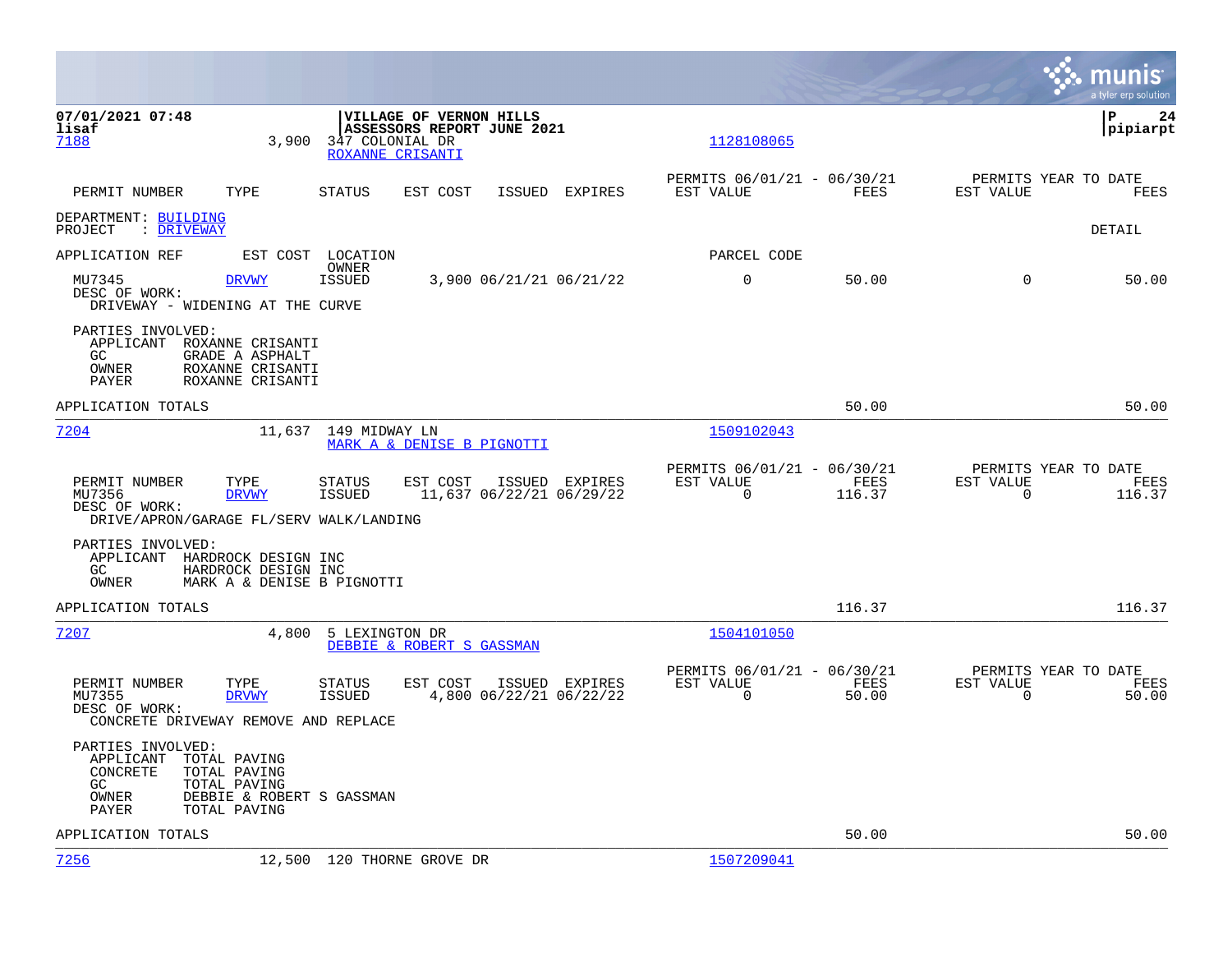|                                                                                                                                     |                                                                                                              |                                                                           | munis<br>a tyler erp solution                                      |
|-------------------------------------------------------------------------------------------------------------------------------------|--------------------------------------------------------------------------------------------------------------|---------------------------------------------------------------------------|--------------------------------------------------------------------|
| 07/01/2021 07:48<br>lisaf<br>7188                                                                                                   | VILLAGE OF VERNON HILLS<br><b>ASSESSORS REPORT JUNE 2021</b><br>3,900<br>347 COLONIAL DR<br>ROXANNE CRISANTI | 1128108065                                                                | lР<br>24<br> pipiarpt                                              |
| PERMIT NUMBER<br>TYPE                                                                                                               | <b>STATUS</b><br>ISSUED EXPIRES<br>EST COST                                                                  | PERMITS 06/01/21 - 06/30/21<br>EST VALUE<br>FEES                          | PERMITS YEAR TO DATE<br>EST VALUE<br>FEES                          |
| DEPARTMENT: BUILDING<br>: DRIVEWAY<br>PROJECT                                                                                       |                                                                                                              |                                                                           | DETAIL                                                             |
| APPLICATION REF                                                                                                                     | EST COST LOCATION                                                                                            | PARCEL CODE                                                               |                                                                    |
| MU7345<br><b>DRVWY</b><br>DESC OF WORK:<br>DRIVEWAY - WIDENING AT THE CURVE                                                         | OWNER<br>3,900 06/21/21 06/21/22<br><b>ISSUED</b>                                                            | 0<br>50.00                                                                | $\Omega$<br>50.00                                                  |
| PARTIES INVOLVED:<br>APPLICANT ROXANNE CRISANTI<br>GC<br>GRADE A ASPHALT<br>OWNER<br>ROXANNE CRISANTI<br>ROXANNE CRISANTI<br>PAYER  |                                                                                                              |                                                                           |                                                                    |
| APPLICATION TOTALS                                                                                                                  |                                                                                                              | 50.00                                                                     | 50.00                                                              |
| 7204                                                                                                                                | 11,637 149 MIDWAY LN<br>MARK A & DENISE B PIGNOTTI                                                           | 1509102043                                                                |                                                                    |
| PERMIT NUMBER<br>TYPE<br>MU7356<br><b>DRVWY</b><br>DESC OF WORK:<br>DRIVE/APRON/GARAGE FL/SERV WALK/LANDING                         | <b>STATUS</b><br>EST COST<br>ISSUED EXPIRES<br>11,637 06/22/21 06/29/22<br><b>ISSUED</b>                     | PERMITS 06/01/21 - 06/30/21<br>EST VALUE<br>FEES<br>$\mathbf 0$<br>116.37 | PERMITS YEAR TO DATE<br>EST VALUE<br>FEES<br>$\mathbf 0$<br>116.37 |
| PARTIES INVOLVED:<br>APPLICANT HARDROCK DESIGN INC<br>GC<br>HARDROCK DESIGN INC<br>OWNER                                            | MARK A & DENISE B PIGNOTTI                                                                                   |                                                                           |                                                                    |
| APPLICATION TOTALS                                                                                                                  |                                                                                                              | 116.37                                                                    | 116.37                                                             |
| 7207                                                                                                                                | 4,800<br>5 LEXINGTON DR<br>DEBBIE & ROBERT S GASSMAN                                                         | 1504101050                                                                |                                                                    |
| PERMIT NUMBER<br>TYPE<br>MU7355<br><b>DRVWY</b><br>DESC OF WORK:<br>CONCRETE DRIVEWAY REMOVE AND REPLACE                            | ISSUED EXPIRES<br>STATUS<br>EST COST<br><b>ISSUED</b><br>4,800 06/22/21 06/22/22                             | PERMITS 06/01/21 - 06/30/21<br>EST VALUE<br>FEES<br>$\Omega$<br>50.00     | PERMITS YEAR TO DATE<br>EST VALUE<br>FEES<br>$\Omega$<br>50.00     |
| PARTIES INVOLVED:<br>APPLICANT<br>TOTAL PAVING<br>CONCRETE<br>TOTAL PAVING<br>GC.<br>TOTAL PAVING<br>OWNER<br>PAYER<br>TOTAL PAVING | DEBBIE & ROBERT S GASSMAN                                                                                    |                                                                           |                                                                    |
| APPLICATION TOTALS                                                                                                                  |                                                                                                              | 50.00                                                                     | 50.00                                                              |
| <u>7256</u>                                                                                                                         | 120 THORNE GROVE DR<br>12,500                                                                                | 1507209041                                                                |                                                                    |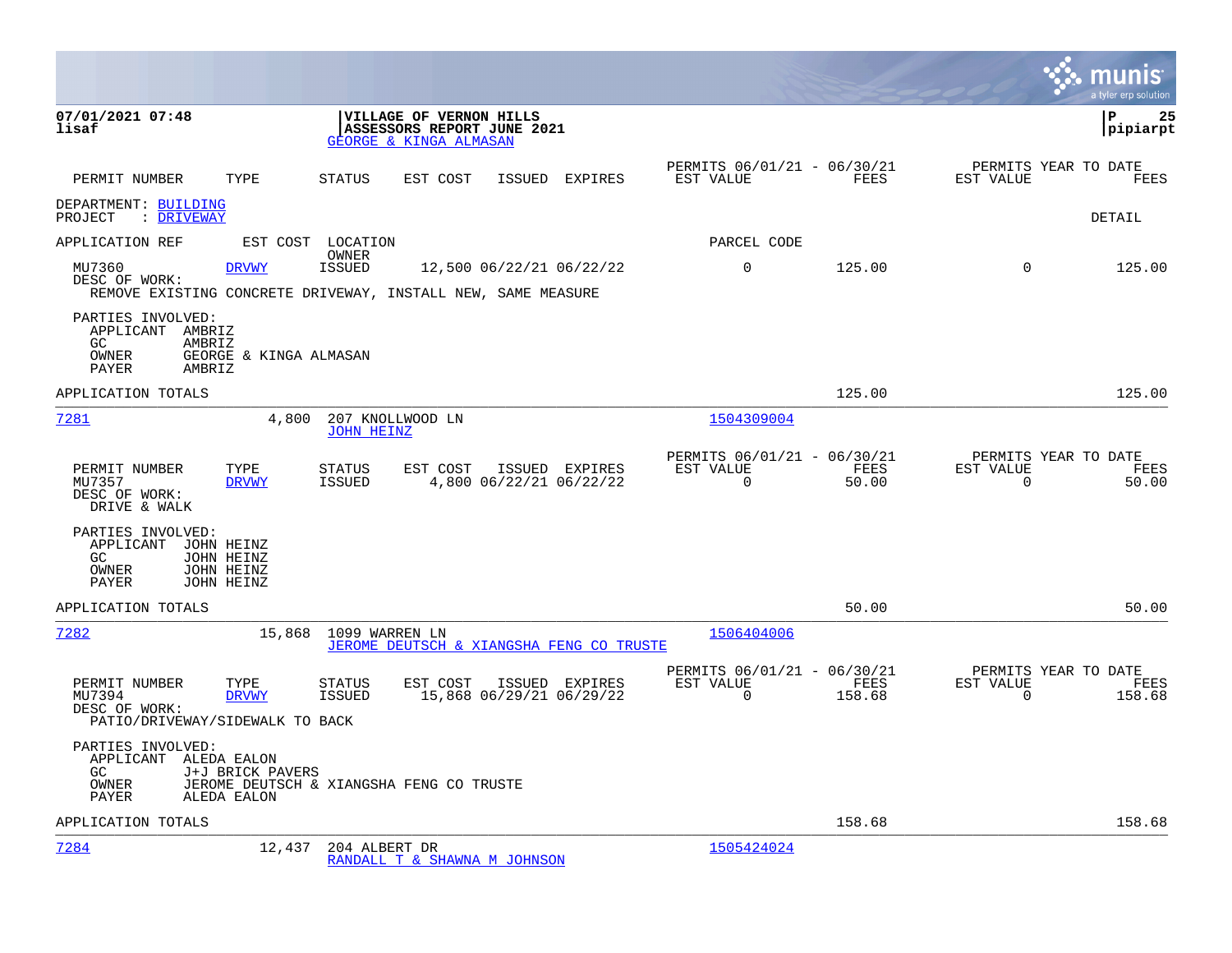|                                                                                                                               |                            |                                                                                            |                |                                                         |                |                                                  | munis<br>a tyler erp solution |
|-------------------------------------------------------------------------------------------------------------------------------|----------------------------|--------------------------------------------------------------------------------------------|----------------|---------------------------------------------------------|----------------|--------------------------------------------------|-------------------------------|
| 07/01/2021 07:48<br>lisaf                                                                                                     |                            | VILLAGE OF VERNON HILLS<br>ASSESSORS REPORT JUNE 2021<br><b>GEORGE &amp; KINGA ALMASAN</b> |                |                                                         |                |                                                  | lР<br>25<br> pipiarpt         |
| TYPE<br>PERMIT NUMBER                                                                                                         | <b>STATUS</b>              | EST COST                                                                                   | ISSUED EXPIRES | PERMITS 06/01/21 - 06/30/21<br>EST VALUE                | FEES           | PERMITS YEAR TO DATE<br>EST VALUE                | FEES                          |
| DEPARTMENT: BUILDING<br>PROJECT : DRIVEWAY                                                                                    |                            |                                                                                            |                |                                                         |                |                                                  | DETAIL                        |
| APPLICATION REF                                                                                                               | EST COST LOCATION          |                                                                                            |                | PARCEL CODE                                             |                |                                                  |                               |
| MU7360<br><b>DRVWY</b><br>DESC OF WORK:<br>REMOVE EXISTING CONCRETE DRIVEWAY, INSTALL NEW, SAME MEASURE                       | OWNER<br><b>ISSUED</b>     | 12,500 06/22/21 06/22/22                                                                   |                | $\mathbf 0$                                             | 125.00         | $\Omega$                                         | 125.00                        |
| PARTIES INVOLVED:<br>APPLICANT AMBRIZ<br>GC<br>AMBRIZ<br>GEORGE & KINGA ALMASAN<br>OWNER<br>PAYER<br>AMBRIZ                   |                            |                                                                                            |                |                                                         |                |                                                  |                               |
| APPLICATION TOTALS                                                                                                            |                            |                                                                                            |                |                                                         | 125.00         |                                                  | 125.00                        |
| 7281                                                                                                                          | 4,800<br><b>JOHN HEINZ</b> | 207 KNOLLWOOD LN                                                                           |                | 1504309004                                              |                |                                                  |                               |
| TYPE<br>PERMIT NUMBER<br>MU7357<br><b>DRVWY</b><br>DESC OF WORK:<br>DRIVE & WALK                                              | STATUS<br>ISSUED           | EST COST<br>4,800 06/22/21 06/22/22                                                        | ISSUED EXPIRES | PERMITS 06/01/21 - 06/30/21<br>EST VALUE<br>$\mathbf 0$ | FEES<br>50.00  | PERMITS YEAR TO DATE<br>EST VALUE<br>$\mathbf 0$ | FEES<br>50.00                 |
| PARTIES INVOLVED:<br>APPLICANT<br>JOHN HEINZ<br>JOHN HEINZ<br>GC.<br>OWNER<br><b>JOHN HEINZ</b><br>PAYER<br><b>JOHN HEINZ</b> |                            |                                                                                            |                |                                                         |                |                                                  |                               |
| APPLICATION TOTALS                                                                                                            |                            |                                                                                            |                |                                                         | 50.00          |                                                  | 50.00                         |
| 7282                                                                                                                          | 15,868 1099 WARREN LN      | JEROME DEUTSCH & XIANGSHA FENG CO TRUSTE                                                   |                | 1506404006                                              |                |                                                  |                               |
| PERMIT NUMBER<br>TYPE<br>MU7394<br><b>DRVWY</b><br>DESC OF WORK:<br>PATIO/DRIVEWAY/SIDEWALK TO BACK                           | STATUS<br><b>ISSUED</b>    | EST COST<br>15,868 06/29/21 06/29/22                                                       | ISSUED EXPIRES | PERMITS 06/01/21 - 06/30/21<br>EST VALUE<br>$\Omega$    | FEES<br>158.68 | PERMITS YEAR TO DATE<br>EST VALUE<br>$\Omega$    | FEES<br>158.68                |
| PARTIES INVOLVED:<br>APPLICANT ALEDA EALON<br>GC.<br>J+J BRICK PAVERS<br>OWNER<br>PAYER<br>ALEDA EALON                        |                            | JEROME DEUTSCH & XIANGSHA FENG CO TRUSTE                                                   |                |                                                         |                |                                                  |                               |
| APPLICATION TOTALS                                                                                                            |                            |                                                                                            |                |                                                         | 158.68         |                                                  | 158.68                        |
| 7284                                                                                                                          | 12,437<br>204 ALBERT DR    | RANDALL T & SHAWNA M JOHNSON                                                               |                | 1505424024                                              |                |                                                  |                               |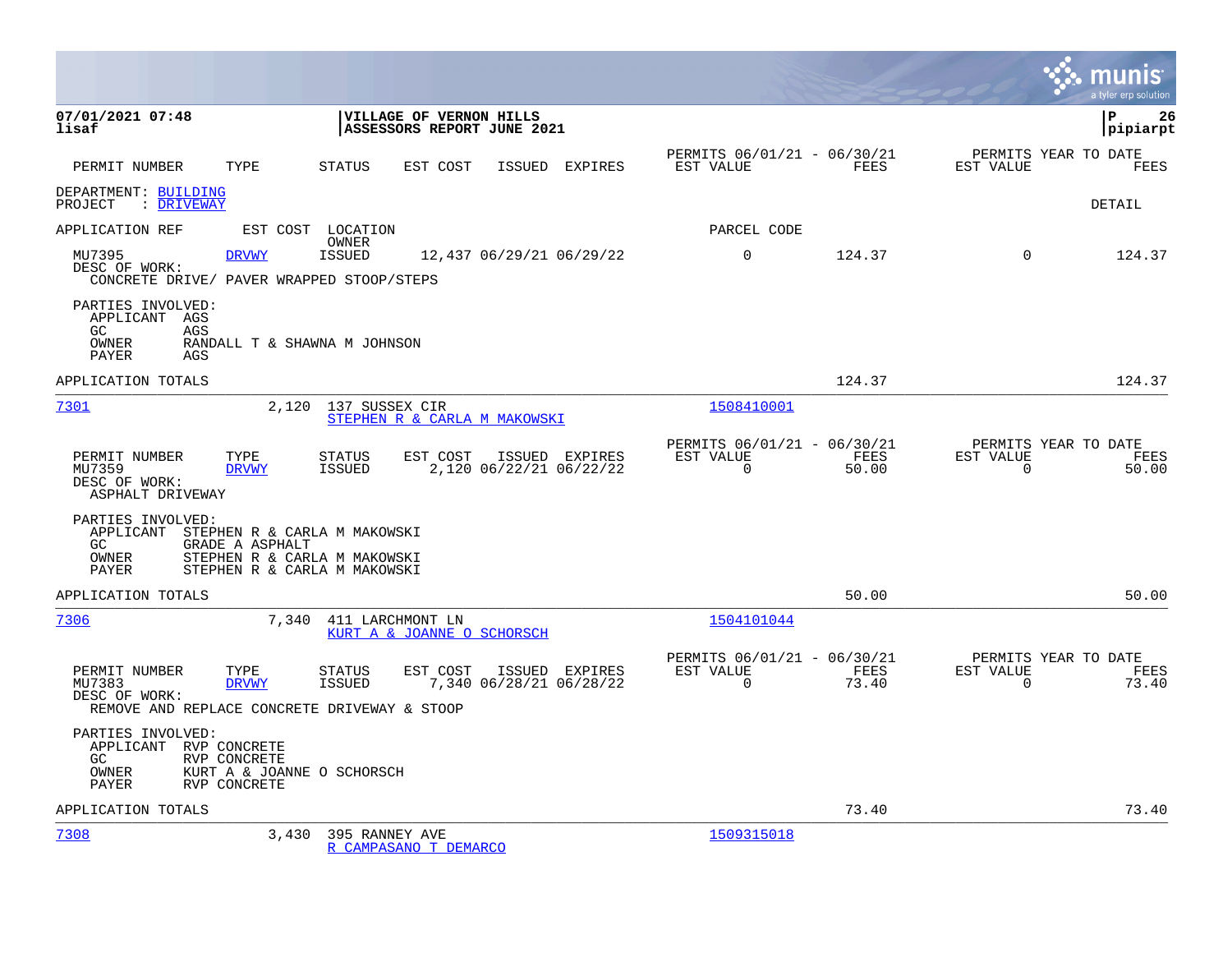|                                                                                                                                                                                  |                                                                                         |                                                                          | munis<br>a tyler erp solution                                  |
|----------------------------------------------------------------------------------------------------------------------------------------------------------------------------------|-----------------------------------------------------------------------------------------|--------------------------------------------------------------------------|----------------------------------------------------------------|
| 07/01/2021 07:48<br>lisaf                                                                                                                                                        | VILLAGE OF VERNON HILLS<br>ASSESSORS REPORT JUNE 2021                                   |                                                                          | l P<br>26<br> pipiarpt                                         |
| TYPE<br>PERMIT NUMBER                                                                                                                                                            | STATUS<br>EST COST<br>ISSUED EXPIRES                                                    | PERMITS 06/01/21 - 06/30/21<br>EST VALUE<br>FEES                         | PERMITS YEAR TO DATE<br>EST VALUE<br>FEES                      |
| DEPARTMENT: BUILDING<br>PROJECT : DRIVEWAY                                                                                                                                       |                                                                                         |                                                                          | DETAIL                                                         |
| APPLICATION REF                                                                                                                                                                  | EST COST LOCATION                                                                       | PARCEL CODE                                                              |                                                                |
| MU7395<br><b>DRVWY</b><br>DESC OF WORK:<br>CONCRETE DRIVE/ PAVER WRAPPED STOOP/STEPS                                                                                             | OWNER<br><b>ISSUED</b><br>12,437 06/29/21 06/29/22                                      | $\mathbf 0$<br>124.37                                                    | $\Omega$<br>124.37                                             |
| PARTIES INVOLVED:<br>APPLICANT AGS<br>GC.<br>AGS<br>OWNER<br>RANDALL T & SHAWNA M JOHNSON<br>PAYER<br>AGS                                                                        |                                                                                         |                                                                          |                                                                |
| APPLICATION TOTALS                                                                                                                                                               |                                                                                         | 124.37                                                                   | 124.37                                                         |
| 7301                                                                                                                                                                             | 2,120 137 SUSSEX CIR<br>STEPHEN R & CARLA M MAKOWSKI                                    | 1508410001                                                               |                                                                |
| PERMIT NUMBER<br>TYPE<br>MU7359<br><b>DRVWY</b><br>DESC OF WORK:<br>ASPHALT DRIVEWAY                                                                                             | STATUS<br>EST COST<br>ISSUED EXPIRES<br>2,120 06/22/21 06/22/22<br><b>ISSUED</b>        | PERMITS 06/01/21 - 06/30/21<br>EST VALUE<br>FEES<br>$\Omega$<br>50.00    | PERMITS YEAR TO DATE<br>EST VALUE<br>FEES<br>$\Omega$<br>50.00 |
| PARTIES INVOLVED:<br>APPLICANT<br>STEPHEN R & CARLA M MAKOWSKI<br>GC<br>GRADE A ASPHALT<br><b>OWNER</b><br>STEPHEN R & CARLA M MAKOWSKI<br>STEPHEN R & CARLA M MAKOWSKI<br>PAYER |                                                                                         |                                                                          |                                                                |
| APPLICATION TOTALS                                                                                                                                                               |                                                                                         | 50.00                                                                    | 50.00                                                          |
| 7306<br>7,340                                                                                                                                                                    | 411 LARCHMONT LN<br>KURT A & JOANNE O SCHORSCH                                          | 1504101044                                                               |                                                                |
| PERMIT NUMBER<br>TYPE<br>MU7383<br><b>DRVWY</b><br>DESC OF WORK:<br>REMOVE AND REPLACE CONCRETE DRIVEWAY & STOOP                                                                 | EST COST<br><b>STATUS</b><br>ISSUED EXPIRES<br><b>ISSUED</b><br>7,340 06/28/21 06/28/22 | PERMITS 06/01/21 - 06/30/21<br>EST VALUE<br>FEES<br>$\mathbf 0$<br>73.40 | PERMITS YEAR TO DATE<br>EST VALUE<br>FEES<br>73.40<br>0        |
| PARTIES INVOLVED:<br>APPLICANT RVP CONCRETE<br>GC.<br>RVP CONCRETE<br>OWNER<br>KURT A & JOANNE O SCHORSCH<br>RVP CONCRETE<br>PAYER                                               |                                                                                         |                                                                          |                                                                |
| APPLICATION TOTALS                                                                                                                                                               |                                                                                         | 73.40                                                                    | 73.40                                                          |
| 7308<br>3,430                                                                                                                                                                    | 395 RANNEY AVE<br>R CAMPASANO T DEMARCO                                                 | 1509315018                                                               |                                                                |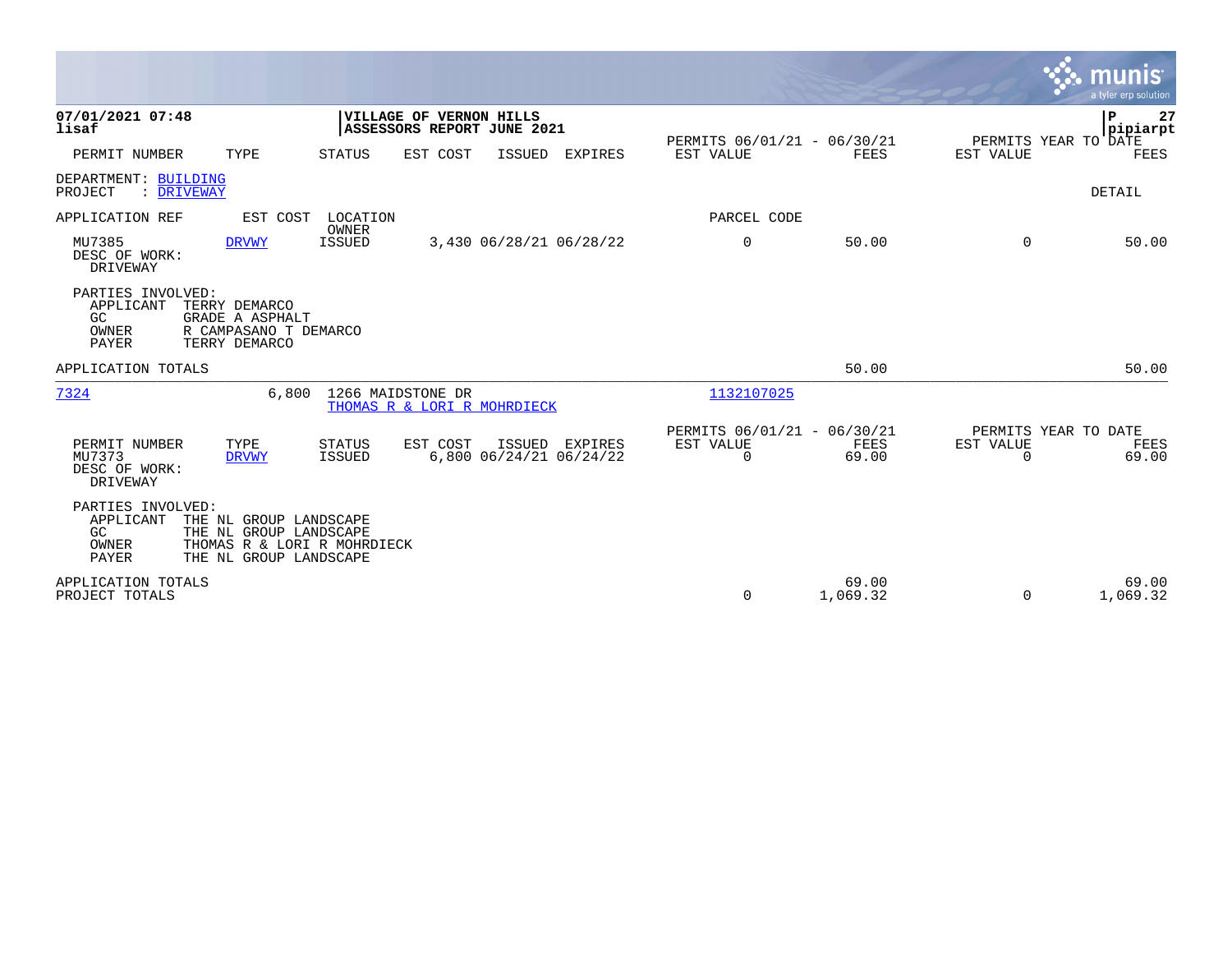|                                                               |                                                                                                           |                                |                                                               |                                   |                |                                                      |                   |                       | munis<br>a tyler erp solution         |
|---------------------------------------------------------------|-----------------------------------------------------------------------------------------------------------|--------------------------------|---------------------------------------------------------------|-----------------------------------|----------------|------------------------------------------------------|-------------------|-----------------------|---------------------------------------|
| 07/01/2021 07:48<br>lisaf                                     |                                                                                                           |                                | <b> VILLAGE OF VERNON HILLS</b><br>ASSESSORS REPORT JUNE 2021 |                                   |                |                                                      |                   |                       | ΙP<br>27<br> pipiarpt                 |
| PERMIT NUMBER                                                 | TYPE                                                                                                      | <b>STATUS</b>                  | EST COST                                                      | ISSUED                            | <b>EXPIRES</b> | PERMITS 06/01/21 - 06/30/21<br>EST VALUE             | FEES              | EST VALUE             | PERMITS YEAR TO DATE<br><b>FEES</b>   |
| DEPARTMENT: BUILDING<br>: DRIVEWAY<br>PROJECT                 |                                                                                                           |                                |                                                               |                                   |                |                                                      |                   |                       | DETAIL                                |
| APPLICATION REF                                               | EST COST                                                                                                  | LOCATION                       |                                                               |                                   |                | PARCEL CODE                                          |                   |                       |                                       |
| MU7385<br>DESC OF WORK:<br>DRIVEWAY                           | <b>DRVWY</b>                                                                                              | OWNER<br><b>ISSUED</b>         |                                                               | 3,430 06/28/21 06/28/22           |                | $\mathbf 0$                                          | 50.00             | $\Omega$              | 50.00                                 |
| PARTIES INVOLVED:<br>APPLICANT<br>GC<br>OWNER<br><b>PAYER</b> | TERRY DEMARCO<br>GRADE A ASPHALT<br>R CAMPASANO T DEMARCO<br>TERRY DEMARCO                                |                                |                                                               |                                   |                |                                                      |                   |                       |                                       |
| APPLICATION TOTALS                                            |                                                                                                           |                                |                                                               |                                   |                |                                                      | 50.00             |                       | 50.00                                 |
| 7324                                                          | 6,800                                                                                                     |                                | 1266 MAIDSTONE DR<br>THOMAS R & LORI R MOHRDIECK              |                                   |                | 1132107025                                           |                   |                       |                                       |
| PERMIT NUMBER<br>MU7373<br>DESC OF WORK:<br>DRIVEWAY          | TYPE<br><b>DRVWY</b>                                                                                      | <b>STATUS</b><br><b>ISSUED</b> | EST COST                                                      | ISSUED<br>6,800 06/24/21 06/24/22 | EXPIRES        | PERMITS 06/01/21 - 06/30/21<br>EST VALUE<br>$\Omega$ | FEES<br>69.00     | EST VALUE<br>$\Omega$ | PERMITS YEAR TO DATE<br>FEES<br>69.00 |
| PARTIES INVOLVED:<br>APPLICANT<br>GC<br>OWNER<br>PAYER        | THE NL GROUP LANDSCAPE<br>THE NL GROUP LANDSCAPE<br>THOMAS R & LORI R MOHRDIECK<br>THE NL GROUP LANDSCAPE |                                |                                                               |                                   |                |                                                      |                   |                       |                                       |
| APPLICATION TOTALS<br>PROJECT TOTALS                          |                                                                                                           |                                |                                                               |                                   |                | 0                                                    | 69.00<br>1,069.32 | $\Omega$              | 69.00<br>1,069.32                     |

the property of the control of

a sa mga magaalang na mga magaalang ng mga magaalang ng mga magaalang ng mga magaalang ng mga magaalang ng mga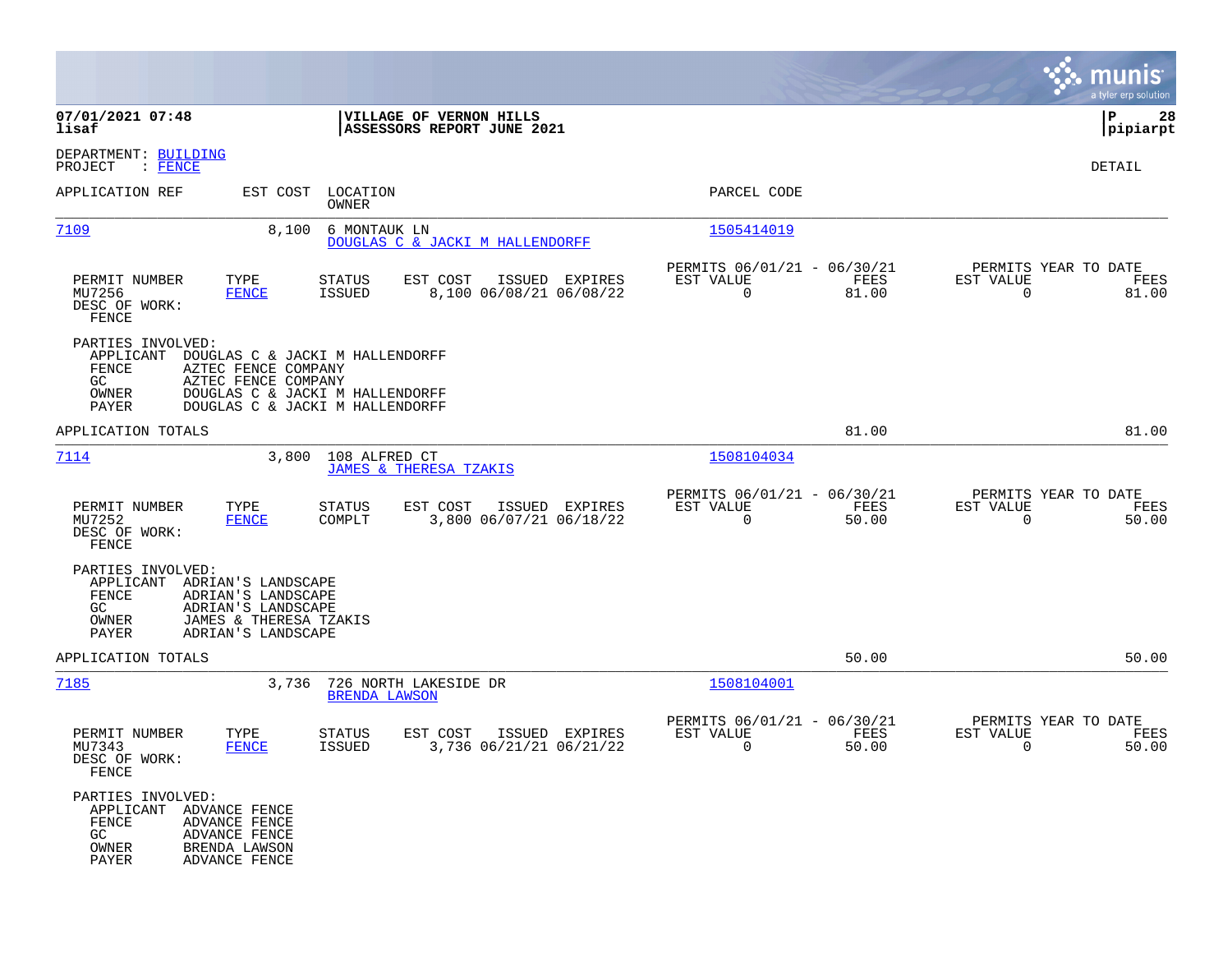|                                                                                                                                                                                   |                                                                                                       |                                                                          | munis<br>a tyler erp solution                                     |
|-----------------------------------------------------------------------------------------------------------------------------------------------------------------------------------|-------------------------------------------------------------------------------------------------------|--------------------------------------------------------------------------|-------------------------------------------------------------------|
| 07/01/2021 07:48<br>lisaf                                                                                                                                                         | VILLAGE OF VERNON HILLS<br>ASSESSORS REPORT JUNE 2021                                                 |                                                                          | 28<br>IΡ<br> pipiarpt                                             |
| DEPARTMENT: BUILDING<br>$:$ FENCE<br>PROJECT                                                                                                                                      |                                                                                                       |                                                                          | DETAIL                                                            |
| APPLICATION REF<br>EST COST                                                                                                                                                       | LOCATION<br>OWNER                                                                                     | PARCEL CODE                                                              |                                                                   |
| 7109                                                                                                                                                                              | 8,100<br>6 MONTAUK LN<br>DOUGLAS C & JACKI M HALLENDORFF                                              | 1505414019                                                               |                                                                   |
| PERMIT NUMBER<br>TYPE<br>MU7256<br><b>FENCE</b><br>DESC OF WORK:<br>FENCE                                                                                                         | STATUS<br>EST COST<br>ISSUED EXPIRES<br><b>ISSUED</b><br>8,100 06/08/21 06/08/22                      | PERMITS 06/01/21 - 06/30/21<br>FEES<br>EST VALUE<br>$\mathbf 0$<br>81.00 | PERMITS YEAR TO DATE<br>EST VALUE<br>FEES<br>$\mathbf 0$<br>81.00 |
| PARTIES INVOLVED:<br>APPLICANT<br>FENCE<br>AZTEC FENCE COMPANY<br>AZTEC FENCE COMPANY<br>GC<br>OWNER<br>PAYER                                                                     | DOUGLAS C & JACKI M HALLENDORFF<br>DOUGLAS C & JACKI M HALLENDORFF<br>DOUGLAS C & JACKI M HALLENDORFF |                                                                          |                                                                   |
| APPLICATION TOTALS                                                                                                                                                                |                                                                                                       | 81.00                                                                    | 81.00                                                             |
| 7114                                                                                                                                                                              | 108 ALFRED CT<br>3,800<br><b>JAMES &amp; THERESA TZAKIS</b>                                           | 1508104034                                                               |                                                                   |
| PERMIT NUMBER<br>TYPE<br>MU7252<br><b>FENCE</b><br>DESC OF WORK:<br>FENCE                                                                                                         | STATUS<br>EST COST<br>ISSUED EXPIRES<br>COMPLT<br>3,800 06/07/21 06/18/22                             | PERMITS 06/01/21 - 06/30/21<br>EST VALUE<br>FEES<br>$\Omega$<br>50.00    | PERMITS YEAR TO DATE<br>EST VALUE<br>FEES<br>$\mathbf 0$<br>50.00 |
| PARTIES INVOLVED:<br>APPLICANT<br>ADRIAN'S LANDSCAPE<br>ADRIAN'S LANDSCAPE<br>FENCE<br>GC<br>ADRIAN'S LANDSCAPE<br>OWNER<br>JAMES & THERESA TZAKIS<br>PAYER<br>ADRIAN'S LANDSCAPE |                                                                                                       |                                                                          |                                                                   |
| APPLICATION TOTALS                                                                                                                                                                |                                                                                                       | 50.00                                                                    | 50.00                                                             |
| 7185                                                                                                                                                                              | 726 NORTH LAKESIDE DR<br>3,736<br><b>BRENDA LAWSON</b>                                                | 1508104001                                                               |                                                                   |
| PERMIT NUMBER<br>TYPE<br>MU7343<br><b>FENCE</b><br>DESC OF WORK:<br>FENCE                                                                                                         | STATUS<br>EST COST<br>ISSUED EXPIRES<br>3,736 06/21/21 06/21/22<br><b>ISSUED</b>                      | PERMITS 06/01/21 - 06/30/21<br>EST VALUE<br>FEES<br>0<br>50.00           | PERMITS YEAR TO DATE<br>EST VALUE<br>FEES<br>0<br>50.00           |
| PARTIES INVOLVED:<br>APPLICANT ADVANCE FENCE<br>FENCE<br>ADVANCE FENCE<br>GC<br>ADVANCE FENCE<br>OWNER<br>BRENDA LAWSON<br>PAYER<br>ADVANCE FENCE                                 |                                                                                                       |                                                                          |                                                                   |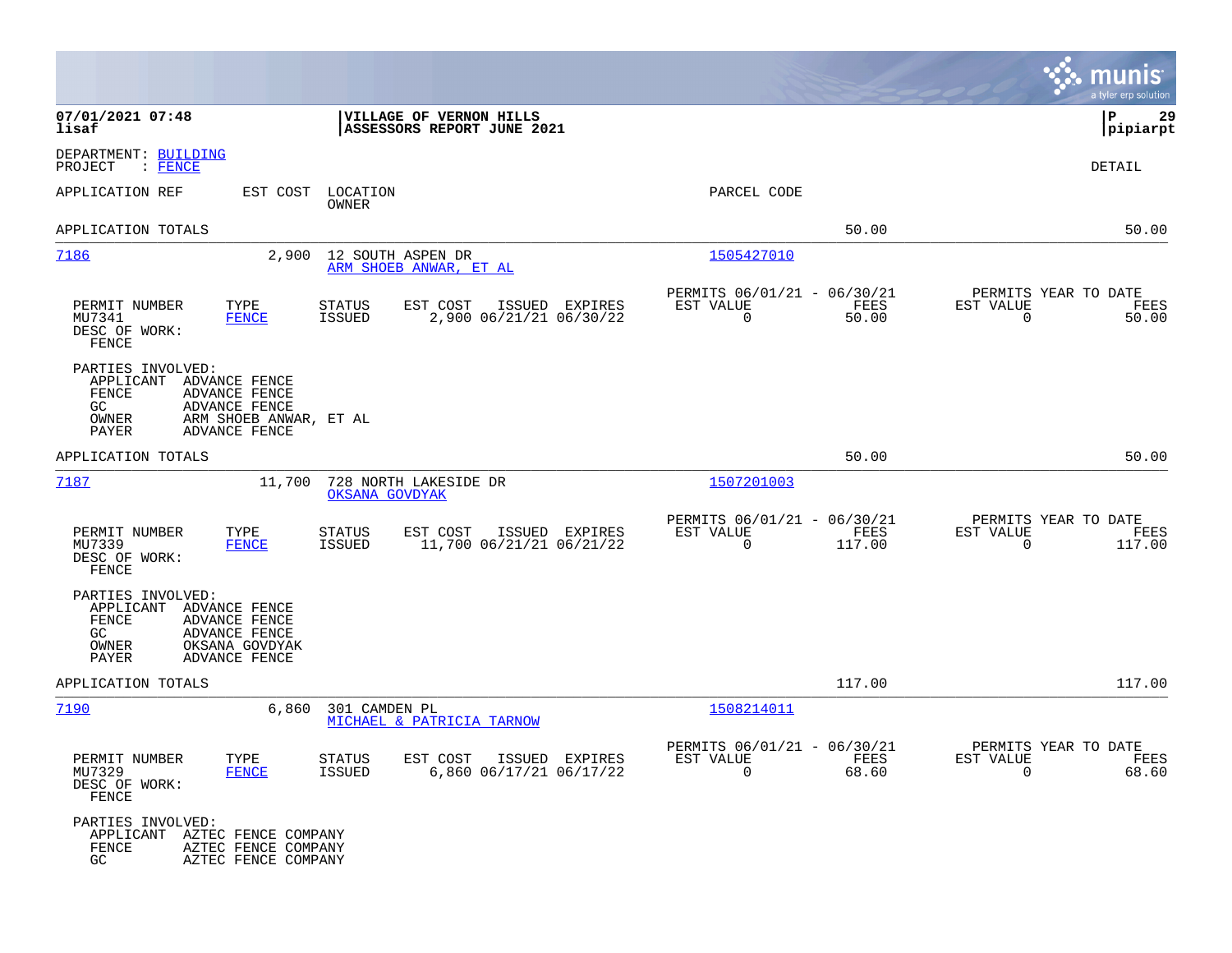|                                                                                                                                                                      |                                                                                  |                                                                           | munis<br>a tyler erp solution                                     |
|----------------------------------------------------------------------------------------------------------------------------------------------------------------------|----------------------------------------------------------------------------------|---------------------------------------------------------------------------|-------------------------------------------------------------------|
| 07/01/2021 07:48<br>lisaf                                                                                                                                            | VILLAGE OF VERNON HILLS<br>ASSESSORS REPORT JUNE 2021                            |                                                                           | P<br>29<br> pipiarpt                                              |
| DEPARTMENT: BUILDING<br>PROJECT<br>: FENCE                                                                                                                           |                                                                                  |                                                                           | DETAIL                                                            |
| APPLICATION REF<br>EST COST                                                                                                                                          | LOCATION<br>OWNER                                                                | PARCEL CODE                                                               |                                                                   |
| APPLICATION TOTALS                                                                                                                                                   |                                                                                  | 50.00                                                                     | 50.00                                                             |
| 7186                                                                                                                                                                 | 2,900<br>12 SOUTH ASPEN DR<br>ARM SHOEB ANWAR, ET AL                             | 1505427010                                                                |                                                                   |
| PERMIT NUMBER<br>TYPE<br>MU7341<br><b>FENCE</b><br>DESC OF WORK:<br>FENCE                                                                                            | STATUS<br>EST COST<br>ISSUED EXPIRES<br>2,900 06/21/21 06/30/22<br><b>ISSUED</b> | PERMITS 06/01/21 - 06/30/21<br>EST VALUE<br>FEES<br>$\mathbf 0$<br>50.00  | PERMITS YEAR TO DATE<br>EST VALUE<br>FEES<br>$\mathbf 0$<br>50.00 |
| PARTIES INVOLVED:<br>APPLICANT<br>ADVANCE FENCE<br>FENCE<br><b>ADVANCE FENCE</b><br>GC<br>ADVANCE FENCE<br>OWNER<br>ARM SHOEB ANWAR, ET AL<br>PAYER<br>ADVANCE FENCE |                                                                                  |                                                                           |                                                                   |
| APPLICATION TOTALS                                                                                                                                                   |                                                                                  | 50.00                                                                     | 50.00                                                             |
| 7187<br>11,700                                                                                                                                                       | 728 NORTH LAKESIDE DR<br><b>OKSANA GOVDYAK</b>                                   | 1507201003                                                                |                                                                   |
| TYPE<br>PERMIT NUMBER<br>MU7339<br><b>FENCE</b><br>DESC OF WORK:<br>FENCE                                                                                            | STATUS<br>EST COST<br>ISSUED EXPIRES<br>11,700 06/21/21 06/21/22<br>ISSUED       | PERMITS 06/01/21 - 06/30/21<br>EST VALUE<br>FEES<br>$\mathbf 0$<br>117.00 | PERMITS YEAR TO DATE<br>EST VALUE<br>FEES<br>$\Omega$<br>117.00   |
| PARTIES INVOLVED:<br>APPLICANT<br>ADVANCE FENCE<br>FENCE<br>ADVANCE FENCE<br>GC<br>ADVANCE FENCE<br>OWNER<br>OKSANA GOVDYAK<br>ADVANCE FENCE<br>PAYER                |                                                                                  |                                                                           |                                                                   |
| APPLICATION TOTALS                                                                                                                                                   |                                                                                  | 117.00                                                                    | 117.00                                                            |
| 7190                                                                                                                                                                 | 6,860<br>301 CAMDEN PL<br>MICHAEL & PATRICIA TARNOW                              | 1508214011                                                                |                                                                   |
| PERMIT NUMBER<br>TYPE<br>MU7329<br><b>FENCE</b><br>DESC OF WORK:<br>FENCE                                                                                            | STATUS<br>EST COST<br>ISSUED EXPIRES<br>ISSUED<br>6,860 06/17/21 06/17/22        | PERMITS 06/01/21 - 06/30/21<br>EST VALUE<br>FEES<br>$\mathbf 0$<br>68.60  | PERMITS YEAR TO DATE<br>EST VALUE<br>FEES<br>$\mathbf 0$<br>68.60 |
| PARTIES INVOLVED:<br>APPLICANT<br>AZTEC FENCE COMPANY<br>FENCE<br>AZTEC FENCE COMPANY<br>GC<br>AZTEC FENCE COMPANY                                                   |                                                                                  |                                                                           |                                                                   |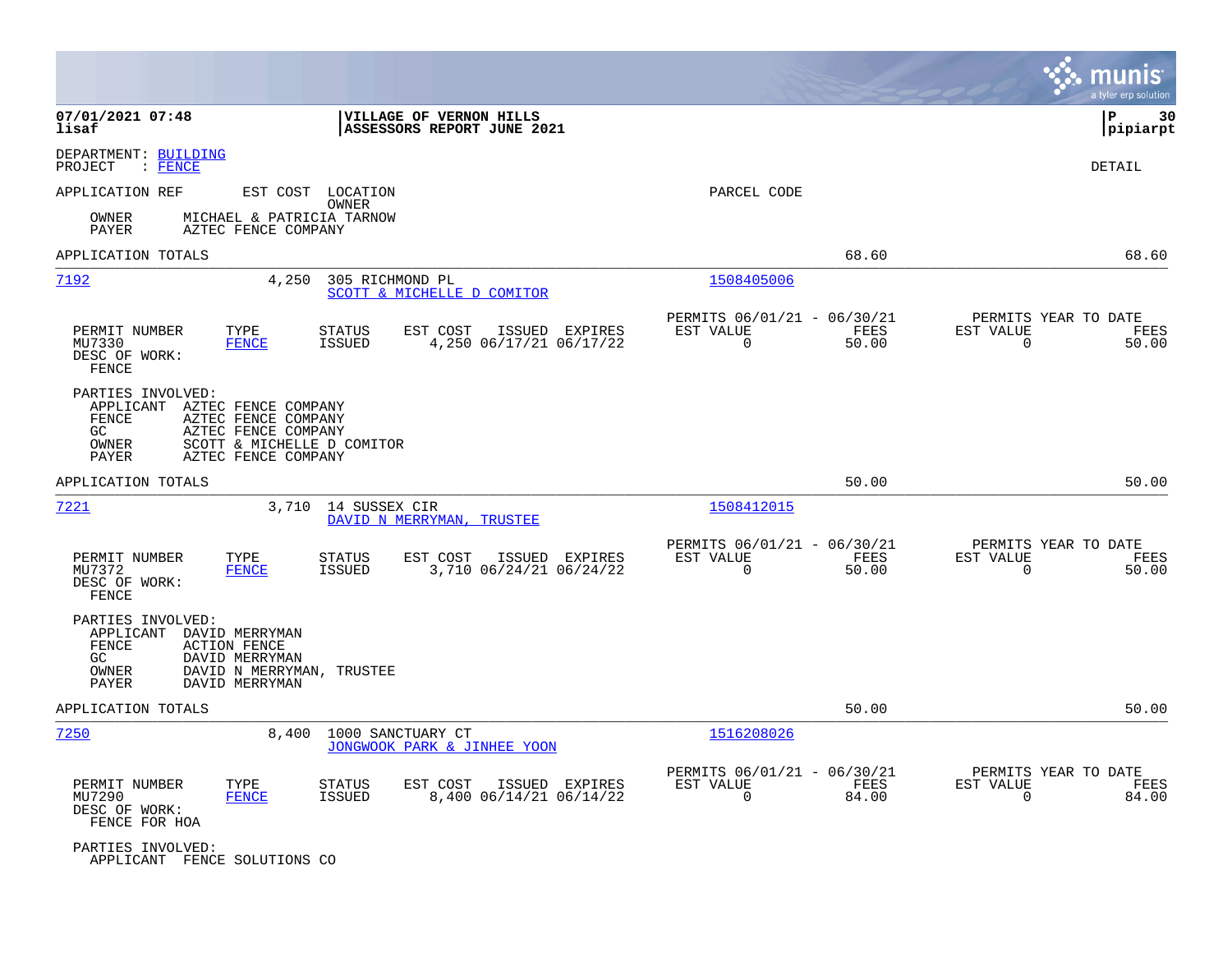|                                                                                                                                                                                           |                                           |                                                         |               |                                                     | munis<br>a tyler erp solution |
|-------------------------------------------------------------------------------------------------------------------------------------------------------------------------------------------|-------------------------------------------|---------------------------------------------------------|---------------|-----------------------------------------------------|-------------------------------|
| 07/01/2021 07:48<br>VILLAGE OF VERNON HILLS<br>lisaf<br>ASSESSORS REPORT JUNE 2021                                                                                                        |                                           |                                                         |               |                                                     | ΙP<br>30<br> pipiarpt         |
| DEPARTMENT: BUILDING<br>PROJECT<br>$:$ FENCE                                                                                                                                              |                                           |                                                         |               |                                                     | DETAIL                        |
| APPLICATION REF<br>EST COST LOCATION<br>OWNER                                                                                                                                             |                                           | PARCEL CODE                                             |               |                                                     |                               |
| MICHAEL & PATRICIA TARNOW<br>OWNER<br>PAYER<br>AZTEC FENCE COMPANY                                                                                                                        |                                           |                                                         |               |                                                     |                               |
| APPLICATION TOTALS                                                                                                                                                                        |                                           |                                                         | 68.60         |                                                     | 68.60                         |
| 7192<br>4,250<br>305 RICHMOND PL<br>SCOTT & MICHELLE D COMITOR                                                                                                                            |                                           | 1508405006                                              |               |                                                     |                               |
| PERMIT NUMBER<br>TYPE<br><b>STATUS</b><br>EST COST<br>ISSUED<br>MU7330<br><b>FENCE</b><br>DESC OF WORK:<br>FENCE                                                                          | ISSUED EXPIRES<br>4,250 06/17/21 06/17/22 | PERMITS 06/01/21 - 06/30/21<br>EST VALUE<br>$\Omega$    | FEES<br>50.00 | PERMITS YEAR TO DATE<br>EST VALUE<br>$\Omega$       | FEES<br>50.00                 |
| PARTIES INVOLVED:<br>APPLICANT<br>AZTEC FENCE COMPANY<br>FENCE<br>AZTEC FENCE COMPANY<br>GC<br>AZTEC FENCE COMPANY<br>OWNER<br>SCOTT & MICHELLE D COMITOR<br>AZTEC FENCE COMPANY<br>PAYER |                                           |                                                         |               |                                                     |                               |
| APPLICATION TOTALS                                                                                                                                                                        |                                           |                                                         | 50.00         |                                                     | 50.00                         |
| 7221<br>3,710 14 SUSSEX CIR<br>DAVID N MERRYMAN, TRUSTEE                                                                                                                                  |                                           | 1508412015                                              |               |                                                     |                               |
| PERMIT NUMBER<br>TYPE<br><b>STATUS</b><br>EST COST<br>MU7372<br><b>FENCE</b><br>ISSUED<br>DESC OF WORK:<br>FENCE                                                                          | ISSUED EXPIRES<br>3,710 06/24/21 06/24/22 | PERMITS 06/01/21 - 06/30/21<br>EST VALUE<br>$\Omega$    | FEES<br>50.00 | PERMITS YEAR TO DATE<br>EST VALUE<br>$\Omega$       | FEES<br>50.00                 |
| PARTIES INVOLVED:<br>APPLICANT<br>DAVID MERRYMAN<br>FENCE<br><b>ACTION FENCE</b><br>GC<br>DAVID MERRYMAN<br>OWNER<br>DAVID N MERRYMAN, TRUSTEE<br>DAVID MERRYMAN<br>PAYER                 |                                           |                                                         |               |                                                     |                               |
| APPLICATION TOTALS                                                                                                                                                                        |                                           |                                                         | 50.00         |                                                     | 50.00                         |
| 7250<br>1000 SANCTUARY CT<br>8,400<br>JONGWOOK PARK & JINHEE YOON                                                                                                                         |                                           | 1516208026                                              |               |                                                     |                               |
| PERMIT NUMBER<br>EST COST<br>TYPE<br>STATUS<br>MU7290<br><b>FENCE</b><br>ISSUED<br>DESC OF WORK:<br>FENCE FOR HOA                                                                         | ISSUED EXPIRES<br>8,400 06/14/21 06/14/22 | PERMITS 06/01/21 - 06/30/21<br>EST VALUE<br>$\mathbf 0$ | FEES<br>84.00 | PERMITS YEAR TO DATE<br>EST VALUE<br>$\overline{0}$ | FEES<br>84.00                 |
| PARTIES INVOLVED:<br>APPLICANT FENCE SOLUTIONS CO                                                                                                                                         |                                           |                                                         |               |                                                     |                               |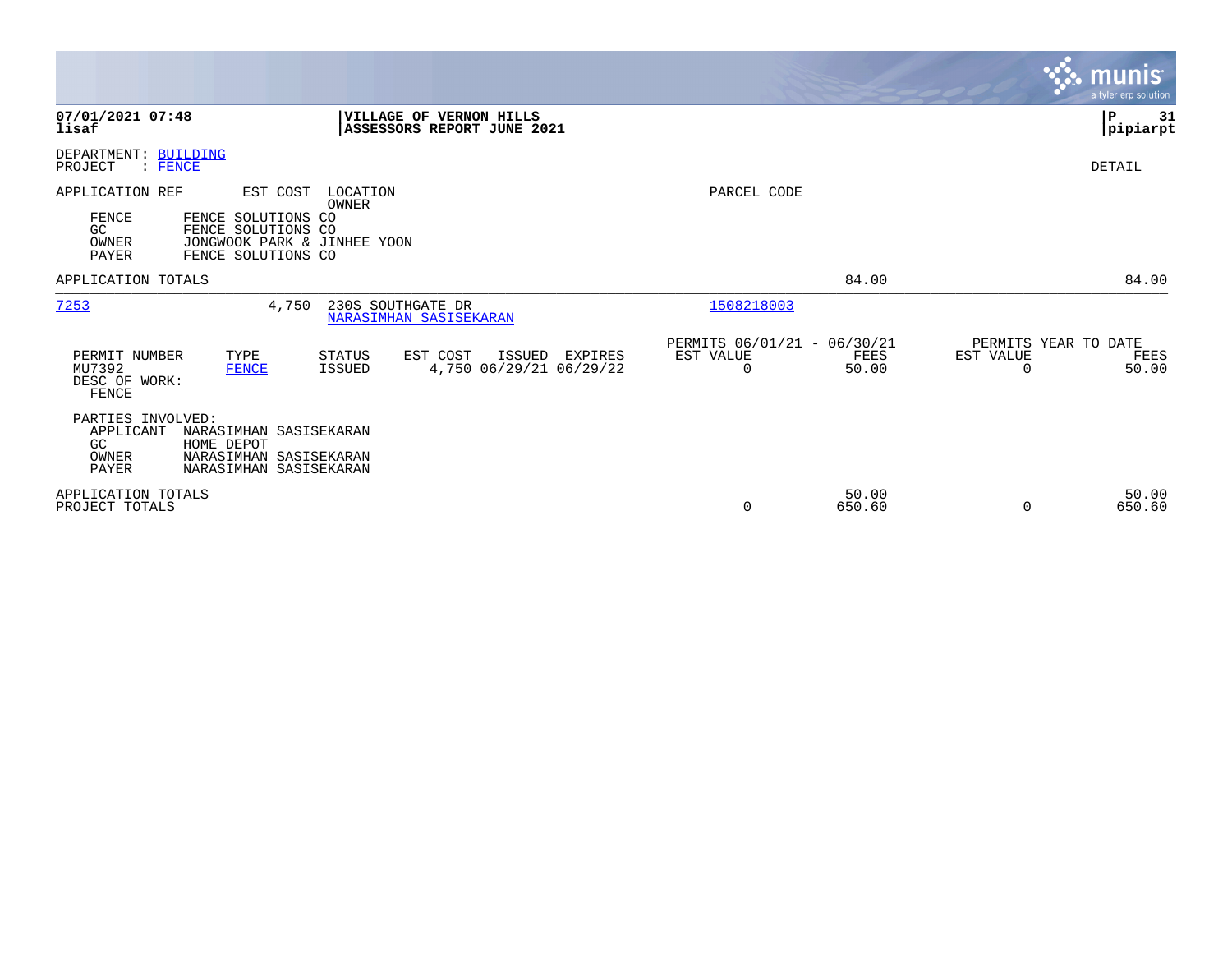|                                                                                                                                                                                           |                                                                             | <b>munis</b><br>a tyler erp solution  |
|-------------------------------------------------------------------------------------------------------------------------------------------------------------------------------------------|-----------------------------------------------------------------------------|---------------------------------------|
| 07/01/2021 07:48<br><b>VILLAGE OF VERNON HILLS</b><br>lisaf<br>ASSESSORS REPORT JUNE 2021                                                                                                 |                                                                             | ∣P<br>31<br> pipiarpt                 |
| DEPARTMENT: BUILDING<br>: FENCE<br>PROJECT                                                                                                                                                |                                                                             | DETAIL                                |
| EST COST<br>APPLICATION REF<br>LOCATION<br>OWNER<br>FENCE<br>FENCE SOLUTIONS CO<br>GC<br>FENCE SOLUTIONS CO<br>OWNER<br>JONGWOOK PARK & JINHEE YOON<br><b>PAYER</b><br>FENCE SOLUTIONS CO | PARCEL CODE                                                                 |                                       |
| APPLICATION TOTALS                                                                                                                                                                        | 84.00                                                                       | 84.00                                 |
| 7253<br>230S SOUTHGATE DR<br>4,750<br>NARASIMHAN SASISEKARAN                                                                                                                              | 1508218003                                                                  |                                       |
| TYPE<br>EST COST<br>PERMIT NUMBER<br>STATUS<br>ISSUED<br>EXPIRES<br>MU7392<br>4,750 06/29/21 06/29/22<br><b>FENCE</b><br><b>ISSUED</b><br>DESC OF WORK:<br>FENCE                          | PERMITS 06/01/21 - 06/30/21<br>EST VALUE<br>EST VALUE<br>FEES<br>0<br>50.00 | PERMITS YEAR TO DATE<br>FEES<br>50.00 |
| PARTIES INVOLVED:<br>APPLICANT<br>NARASIMHAN SASISEKARAN<br>HOME DEPOT<br>GC<br>OWNER<br>NARASIMHAN SASISEKARAN<br><b>PAYER</b><br>NARASIMHAN SASISEKARAN                                 |                                                                             |                                       |
| APPLICATION TOTALS<br>PROJECT TOTALS                                                                                                                                                      | 50.00<br>0<br>650.60                                                        | 50.00<br>650.60<br>$\Omega$           |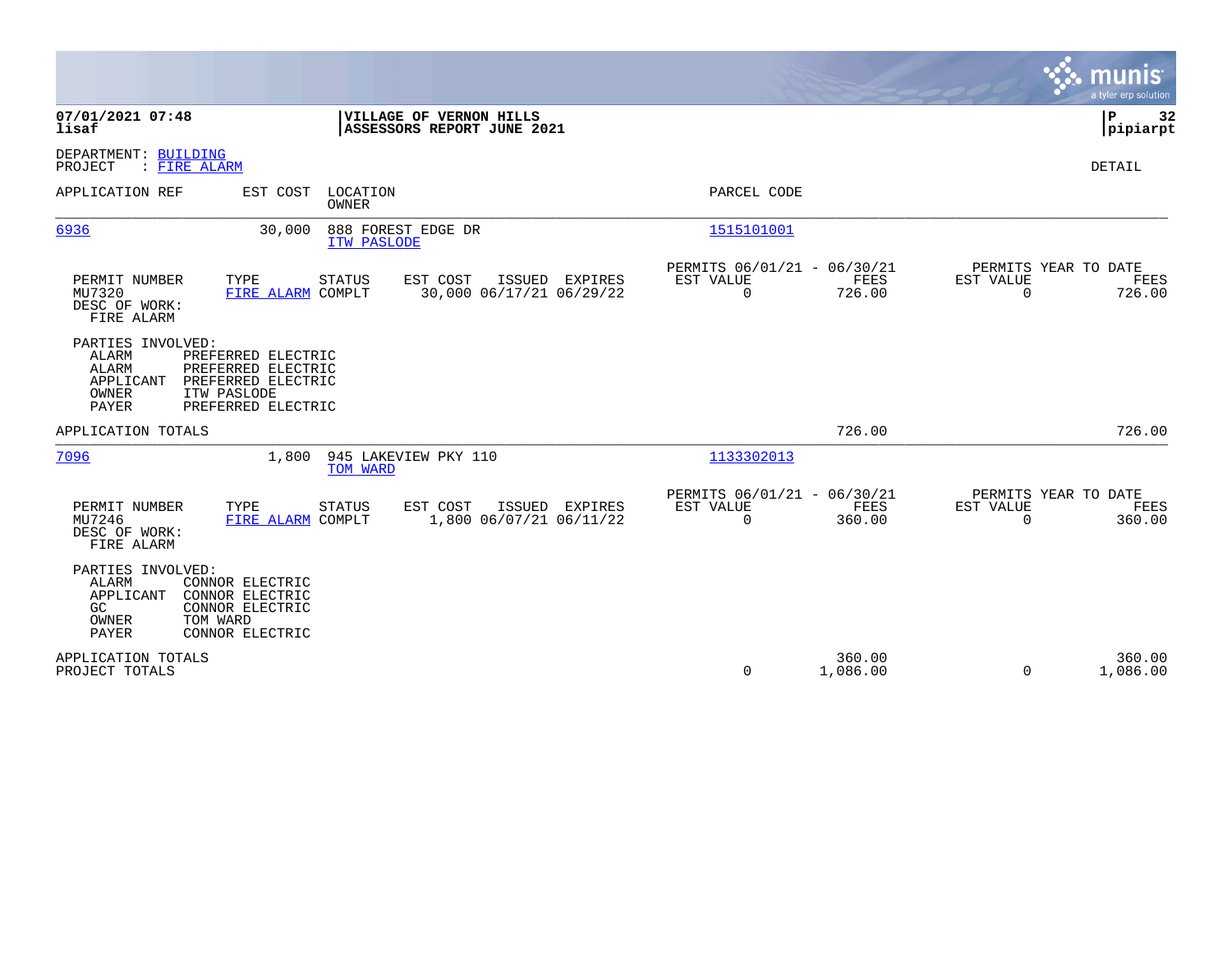|                                                                                                                                                                           |                                                                           | munis<br>a tyler erp solution                                          |
|---------------------------------------------------------------------------------------------------------------------------------------------------------------------------|---------------------------------------------------------------------------|------------------------------------------------------------------------|
| 07/01/2021 07:48<br>VILLAGE OF VERNON HILLS<br>ASSESSORS REPORT JUNE 2021<br>lisaf                                                                                        |                                                                           | P<br>32<br> pipiarpt                                                   |
| DEPARTMENT: BUILDING<br>: FIRE ALARM<br>PROJECT                                                                                                                           |                                                                           | DETAIL                                                                 |
| APPLICATION REF<br>EST COST<br>LOCATION<br>OWNER                                                                                                                          | PARCEL CODE                                                               |                                                                        |
| 6936<br>30,000<br>888 FOREST EDGE DR<br><b>ITW PASLODE</b>                                                                                                                | 1515101001                                                                |                                                                        |
| EST COST<br>PERMIT NUMBER<br>TYPE<br><b>STATUS</b><br>ISSUED EXPIRES<br>FIRE ALARM COMPLT<br>30,000 06/17/21 06/29/22<br>MU7320<br>DESC OF WORK:<br>FIRE ALARM            | PERMITS 06/01/21 - 06/30/21<br>FEES<br>EST VALUE<br>$\Omega$<br>726.00    | PERMITS YEAR TO DATE<br>EST VALUE<br>FEES<br>$\Omega$<br>726.00        |
| PARTIES INVOLVED:<br>ALARM<br>PREFERRED ELECTRIC<br>ALARM<br>PREFERRED ELECTRIC<br>PREFERRED ELECTRIC<br>APPLICANT<br>OWNER<br>ITW PASLODE<br>PAYER<br>PREFERRED ELECTRIC |                                                                           |                                                                        |
| APPLICATION TOTALS                                                                                                                                                        | 726.00                                                                    | 726.00                                                                 |
| 7096<br>1,800 945 LAKEVIEW PKY 110<br>TOM WARD                                                                                                                            | 1133302013                                                                |                                                                        |
| PERMIT NUMBER<br>TYPE<br><b>STATUS</b><br>EST COST<br>ISSUED EXPIRES<br>MU7246<br>1,800 06/07/21 06/11/22<br>FIRE ALARM COMPLT<br>DESC OF WORK:<br>FIRE ALARM             | PERMITS 06/01/21 - 06/30/21<br>EST VALUE<br>FEES<br>$\mathbf 0$<br>360.00 | PERMITS YEAR TO DATE<br><b>EST VALUE</b><br>FEES<br>$\Omega$<br>360.00 |
| PARTIES INVOLVED:<br><b>ALARM</b><br>CONNOR ELECTRIC<br>APPLICANT<br>CONNOR ELECTRIC<br>CONNOR ELECTRIC<br>GC.<br>OWNER<br>TOM WARD<br>PAYER<br>CONNOR ELECTRIC           |                                                                           |                                                                        |
| APPLICATION TOTALS<br>PROJECT TOTALS                                                                                                                                      | 360.00<br>1,086.00<br>0                                                   | 360.00<br>$\Omega$<br>1,086.00                                         |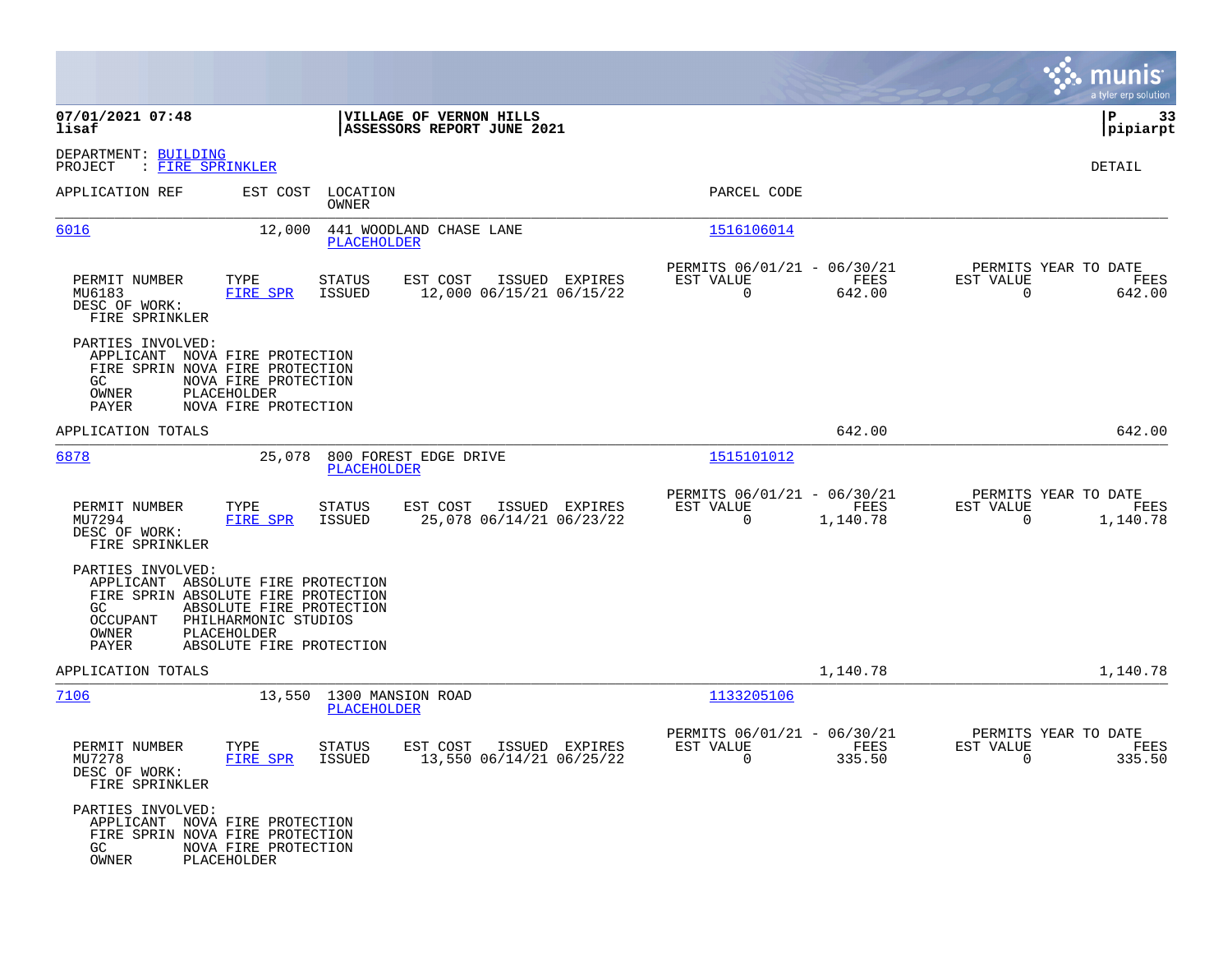|                                                            |                                                                                                                                                                          |                                                        |                                                                                                                                                                                    | munis<br>a tyler erp solution                                        |
|------------------------------------------------------------|--------------------------------------------------------------------------------------------------------------------------------------------------------------------------|--------------------------------------------------------|------------------------------------------------------------------------------------------------------------------------------------------------------------------------------------|----------------------------------------------------------------------|
| 07/01/2021 07:48<br>lisaf                                  |                                                                                                                                                                          | VILLAGE OF VERNON HILLS<br>ASSESSORS REPORT JUNE 2021  |                                                                                                                                                                                    | 33<br>ΙP<br> pipiarpt                                                |
| DEPARTMENT: BUILDING<br>: FIRE SPRINKLER<br>PROJECT        |                                                                                                                                                                          |                                                        |                                                                                                                                                                                    | DETAIL                                                               |
| APPLICATION REF                                            | EST COST<br>LOCATION<br>OWNER                                                                                                                                            |                                                        | PARCEL CODE                                                                                                                                                                        |                                                                      |
| 6016                                                       | 12,000<br>PLACEHOLDER                                                                                                                                                    | 441 WOODLAND CHASE LANE                                | 1516106014                                                                                                                                                                         |                                                                      |
| PERMIT NUMBER<br>MU6183<br>DESC OF WORK:<br>FIRE SPRINKLER | TYPE<br>STATUS<br>ISSUED<br>FIRE SPR                                                                                                                                     | EST COST<br>ISSUED EXPIRES<br>12,000 06/15/21 06/15/22 | PERMITS 06/01/21 - 06/30/21<br>EST VALUE<br>FEES<br>$\overline{0}$<br>642.00                                                                                                       | PERMITS YEAR TO DATE<br>EST VALUE<br>FEES<br>$\Omega$<br>642.00      |
| PARTIES INVOLVED:<br>GC.<br>OWNER<br>PAYER                 | APPLICANT NOVA FIRE PROTECTION<br>FIRE SPRIN NOVA FIRE PROTECTION<br>NOVA FIRE PROTECTION<br>PLACEHOLDER<br>NOVA FIRE PROTECTION                                         |                                                        |                                                                                                                                                                                    |                                                                      |
| APPLICATION TOTALS                                         |                                                                                                                                                                          |                                                        | 642.00                                                                                                                                                                             | 642.00                                                               |
| 6878                                                       | 25,078<br>PLACEHOLDER                                                                                                                                                    | 800 FOREST EDGE DRIVE                                  | 1515101012                                                                                                                                                                         |                                                                      |
| PERMIT NUMBER<br>MU7294<br>DESC OF WORK:<br>FIRE SPRINKLER | TYPE<br>STATUS<br>FIRE SPR<br>ISSUED                                                                                                                                     | EST COST<br>ISSUED EXPIRES<br>25,078 06/14/21 06/23/22 | PERMITS 06/01/21 - 06/30/21<br>EST VALUE<br><b>EXECUTE: EXECUTE: EXECUTE: EXECUTE: EXECUTE: EXECUTE: EXECUTE: EXECUTE: EXECUTE: EXECUTE: EXECUTE: E</b><br>$\mathbf 0$<br>1,140.78 | PERMITS YEAR TO DATE<br>EST VALUE<br>FEES<br>$\mathbf 0$<br>1,140.78 |
| PARTIES INVOLVED:<br>GC.<br>OCCUPANT<br>OWNER<br>PAYER     | APPLICANT ABSOLUTE FIRE PROTECTION<br>FIRE SPRIN ABSOLUTE FIRE PROTECTION<br>ABSOLUTE FIRE PROTECTION<br>PHILHARMONIC STUDIOS<br>PLACEHOLDER<br>ABSOLUTE FIRE PROTECTION |                                                        |                                                                                                                                                                                    |                                                                      |
| APPLICATION TOTALS                                         |                                                                                                                                                                          |                                                        | 1,140.78                                                                                                                                                                           | 1,140.78                                                             |
| 7106                                                       | 13,550 1300 MANSION ROAD<br>PLACEHOLDER                                                                                                                                  |                                                        | 1133205106                                                                                                                                                                         |                                                                      |
| PERMIT NUMBER<br>MU7278<br>DESC OF WORK:<br>FIRE SPRINKLER | TYPE<br><b>STATUS</b><br>FIRE SPR ISSUED                                                                                                                                 | ISSUED EXPIRES<br>EST COST<br>13,550 06/14/21 06/25/22 | PERMITS 06/01/21 - 06/30/21<br>EST VALUE<br>FEES<br>335.50<br>$\sim$ 0                                                                                                             | PERMITS YEAR TO DATE<br>EST VALUE<br>FEES<br>335.50<br>$\sim$ 0      |
| PARTIES INVOLVED:<br>GC<br>OWNER                           | APPLICANT NOVA FIRE PROTECTION<br>FIRE SPRIN NOVA FIRE PROTECTION<br>NOVA FIRE PROTECTION<br>PLACEHOLDER                                                                 |                                                        |                                                                                                                                                                                    |                                                                      |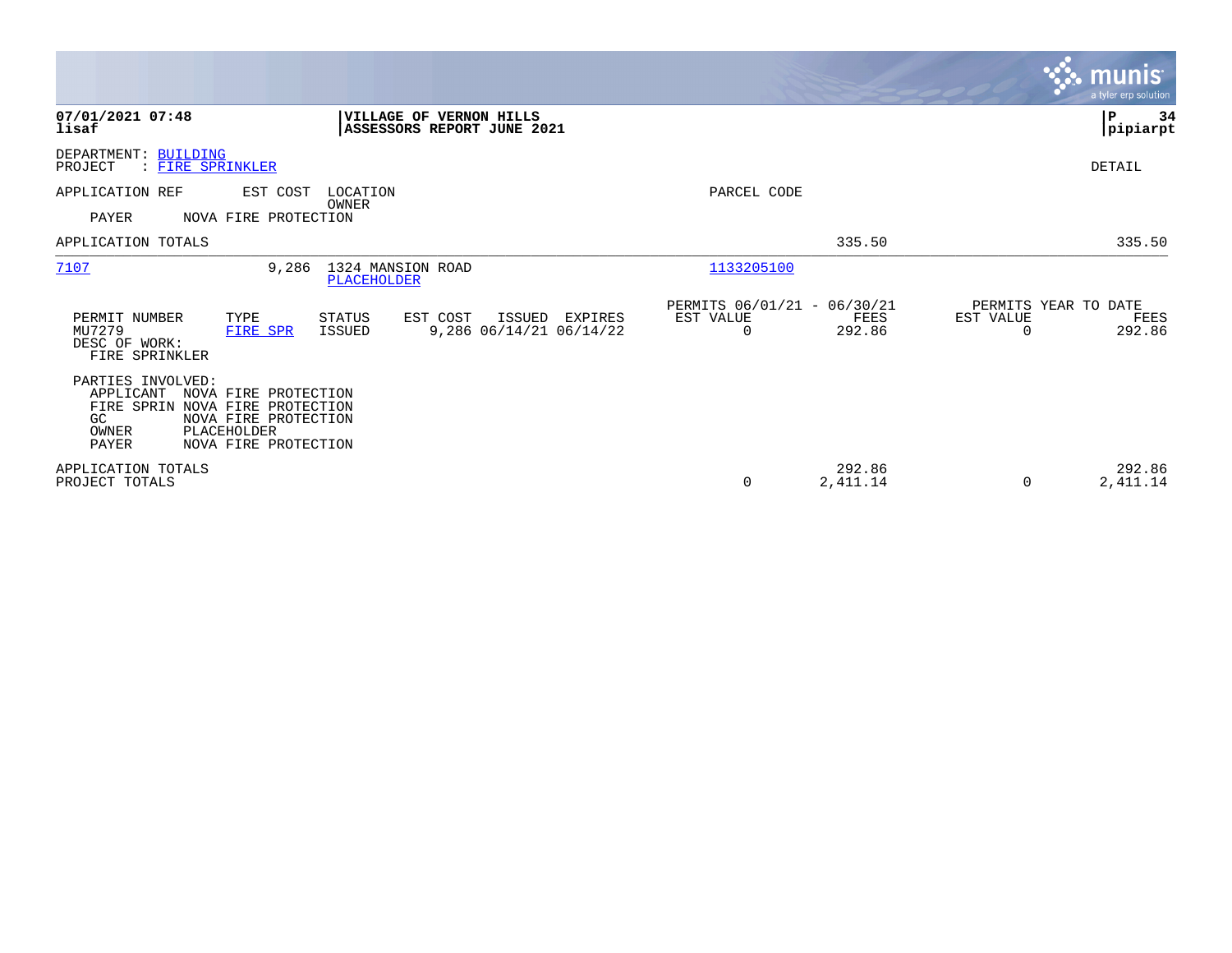|                                                                                                                                                                                         |                                                                              | <b>munis</b><br>a tyler erp solution               |
|-----------------------------------------------------------------------------------------------------------------------------------------------------------------------------------------|------------------------------------------------------------------------------|----------------------------------------------------|
| 07/01/2021 07:48<br>VILLAGE OF VERNON HILLS<br>lisaf<br>ASSESSORS REPORT JUNE 2021                                                                                                      |                                                                              | ∣P<br>34<br> pipiarpt                              |
| DEPARTMENT: BUILDING<br>: FIRE SPRINKLER<br>PROJECT                                                                                                                                     |                                                                              | DETAIL                                             |
| LOCATION<br>APPLICATION REF<br>EST COST<br>OWNER                                                                                                                                        | PARCEL CODE                                                                  |                                                    |
| <b>PAYER</b><br>NOVA FIRE PROTECTION                                                                                                                                                    |                                                                              |                                                    |
| APPLICATION TOTALS                                                                                                                                                                      | 335.50                                                                       | 335.50                                             |
| 7107<br>9,286<br>1324 MANSION ROAD<br><b>PLACEHOLDER</b>                                                                                                                                | 1133205100                                                                   |                                                    |
| PERMIT NUMBER<br>TYPE<br>EST COST<br>STATUS<br>ISSUED<br>EXPIRES<br>MU7279<br>9,286 06/14/21 06/14/22<br><b>FIRE SPR</b><br>ISSUED<br>DESC OF WORK:<br>FIRE SPRINKLER                   | PERMITS 06/01/21 - 06/30/21<br>EST VALUE<br>EST VALUE<br>FEES<br>292.86<br>0 | PERMITS YEAR TO DATE<br>FEES<br>292.86<br>$\Omega$ |
| PARTIES INVOLVED:<br>APPLICANT<br>NOVA FIRE PROTECTION<br>FIRE SPRIN NOVA FIRE PROTECTION<br>NOVA FIRE PROTECTION<br>GC<br>OWNER<br>PLACEHOLDER<br><b>PAYER</b><br>NOVA FIRE PROTECTION |                                                                              |                                                    |
| APPLICATION TOTALS<br>PROJECT TOTALS                                                                                                                                                    | 292.86<br>2,411.14<br>0                                                      | 292.86<br>2,411.14<br>$\Omega$                     |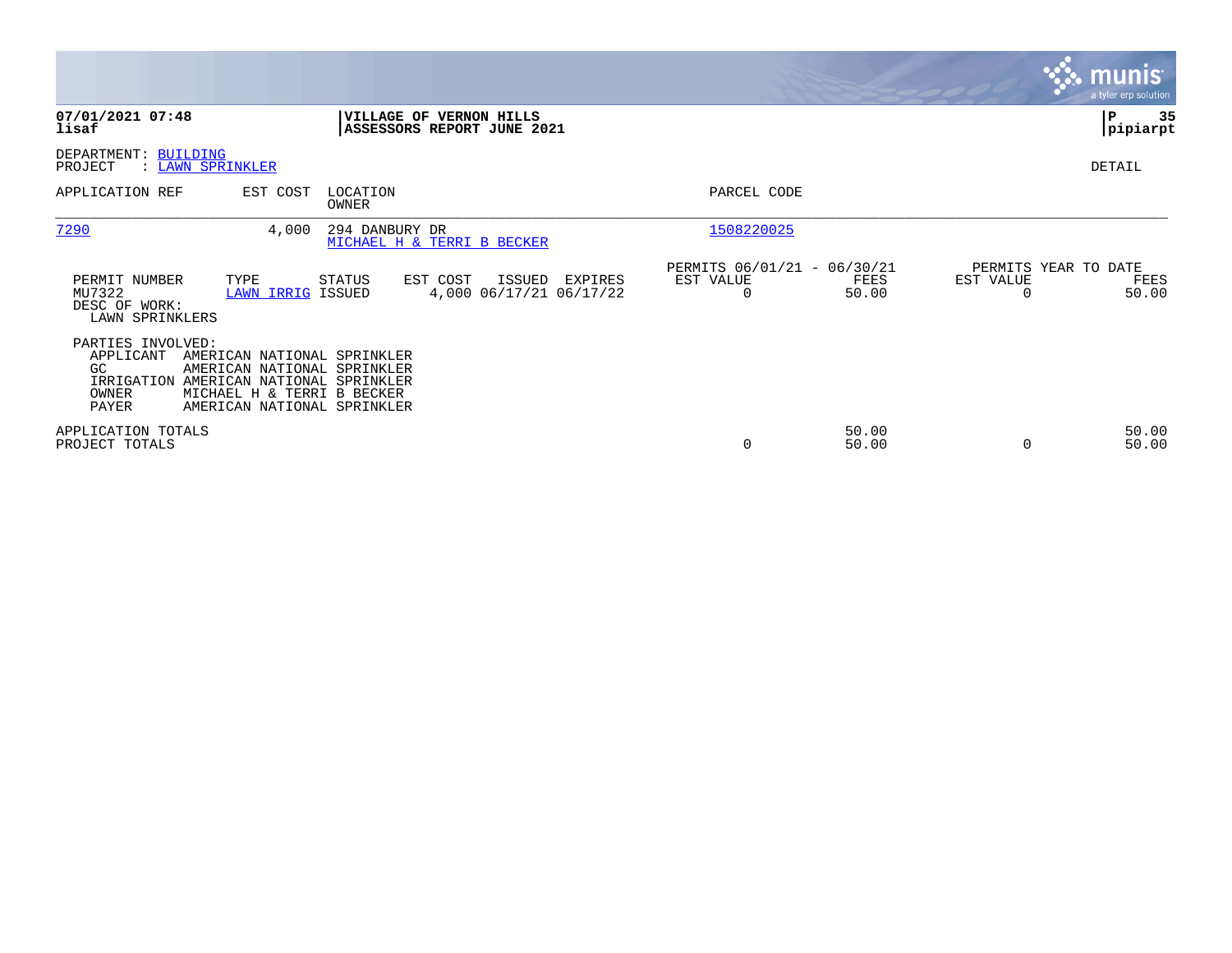|                                                                                                                                                                                                                             |                                                                    |                                                                | munis<br>a tyler erp solution                                  |
|-----------------------------------------------------------------------------------------------------------------------------------------------------------------------------------------------------------------------------|--------------------------------------------------------------------|----------------------------------------------------------------|----------------------------------------------------------------|
| 07/01/2021 07:48<br>lisaf                                                                                                                                                                                                   | VILLAGE OF VERNON HILLS<br>ASSESSORS REPORT JUNE 2021              |                                                                | 35<br>P<br> pipiarpt                                           |
| DEPARTMENT: BUILDING<br>PROJECT<br>: LAWN SPRINKLER                                                                                                                                                                         |                                                                    |                                                                | DETAIL                                                         |
| APPLICATION REF<br>EST COST                                                                                                                                                                                                 | LOCATION<br>OWNER                                                  | PARCEL CODE                                                    |                                                                |
| 7290<br>4,000                                                                                                                                                                                                               | 294 DANBURY DR<br>MICHAEL H & TERRI B BECKER                       | 1508220025                                                     |                                                                |
| PERMIT NUMBER<br>TYPE<br>MU7322<br>LAWN IRRIG ISSUED<br>DESC OF WORK:<br>LAWN SPRINKLERS                                                                                                                                    | STATUS<br>EST COST<br>ISSUED<br>EXPIRES<br>4,000 06/17/21 06/17/22 | PERMITS 06/01/21 - 06/30/21<br>EST VALUE<br>FEES<br>0<br>50.00 | PERMITS YEAR TO DATE<br>EST VALUE<br>FEES<br>50.00<br>$\Omega$ |
| PARTIES INVOLVED:<br>APPLICANT<br>AMERICAN NATIONAL SPRINKLER<br>GC<br>AMERICAN NATIONAL SPRINKLER<br>IRRIGATION AMERICAN NATIONAL SPRINKLER<br>OWNER<br>MICHAEL H & TERRI B BECKER<br>PAYER<br>AMERICAN NATIONAL SPRINKLER |                                                                    |                                                                |                                                                |
| APPLICATION TOTALS<br>PROJECT TOTALS                                                                                                                                                                                        |                                                                    | 50.00<br>0<br>50.00                                            | 50.00<br>50.00<br>$\Omega$                                     |

 $\mathcal{L}^{\text{max}}$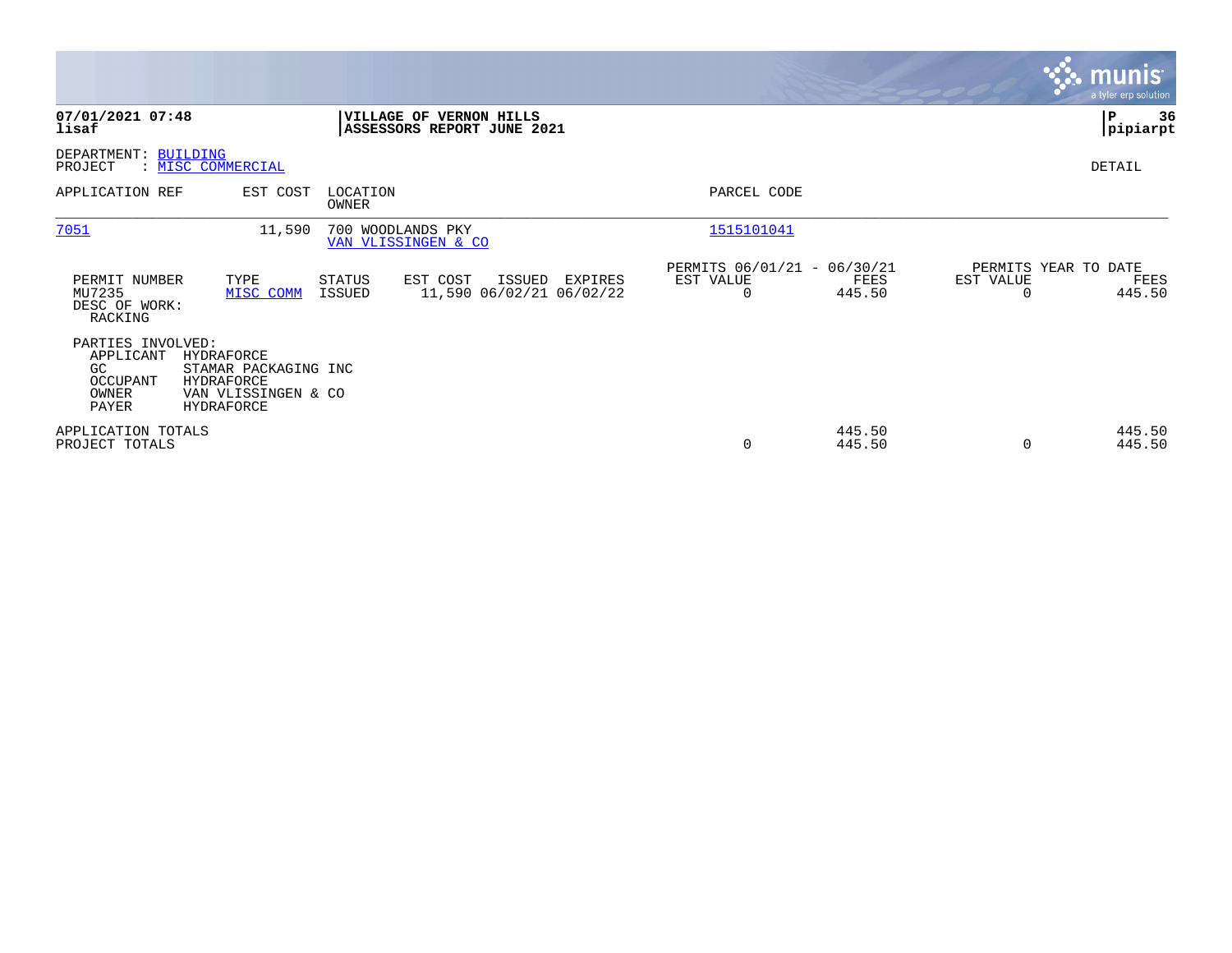|                                                                    |                                                                                       |                                |                                                              |         |                                               |                  |                                   | <b>munis</b><br>a tyler erp solution |
|--------------------------------------------------------------------|---------------------------------------------------------------------------------------|--------------------------------|--------------------------------------------------------------|---------|-----------------------------------------------|------------------|-----------------------------------|--------------------------------------|
| 07/01/2021 07:48<br>lisaf                                          |                                                                                       |                                | <b>VILLAGE OF VERNON HILLS</b><br>ASSESSORS REPORT JUNE 2021 |         |                                               |                  |                                   | ∣P<br>36<br> pipiarpt                |
| DEPARTMENT: BUILDING<br>PROJECT                                    | : MISC COMMERCIAL                                                                     |                                |                                                              |         |                                               |                  |                                   | DETAIL                               |
| APPLICATION REF                                                    | EST COST                                                                              | LOCATION<br>OWNER              |                                                              |         | PARCEL CODE                                   |                  |                                   |                                      |
| 7051                                                               | 11,590                                                                                | 700 WOODLANDS PKY              | VAN VLISSINGEN & CO                                          |         | 1515101041                                    |                  |                                   |                                      |
| PERMIT NUMBER<br>MU7235<br>DESC OF WORK:<br>RACKING                | TYPE<br>MISC COMM                                                                     | <b>STATUS</b><br><b>ISSUED</b> | EST COST<br>ISSUED<br>11,590 06/02/21 06/02/22               | EXPIRES | PERMITS 06/01/21 - 06/30/21<br>EST VALUE<br>0 | FEES<br>445.50   | PERMITS YEAR TO DATE<br>EST VALUE | FEES<br>445.50                       |
| PARTIES INVOLVED:<br>APPLICANT<br>GC<br>OCCUPANT<br>OWNER<br>PAYER | HYDRAFORCE<br>STAMAR PACKAGING INC<br>HYDRAFORCE<br>VAN VLISSINGEN & CO<br>HYDRAFORCE |                                |                                                              |         |                                               |                  |                                   |                                      |
| APPLICATION TOTALS<br>PROJECT TOTALS                               |                                                                                       |                                |                                                              |         | 0                                             | 445.50<br>445.50 |                                   | 445.50<br>445.50                     |

 $\mathcal{L}^{\text{max}}$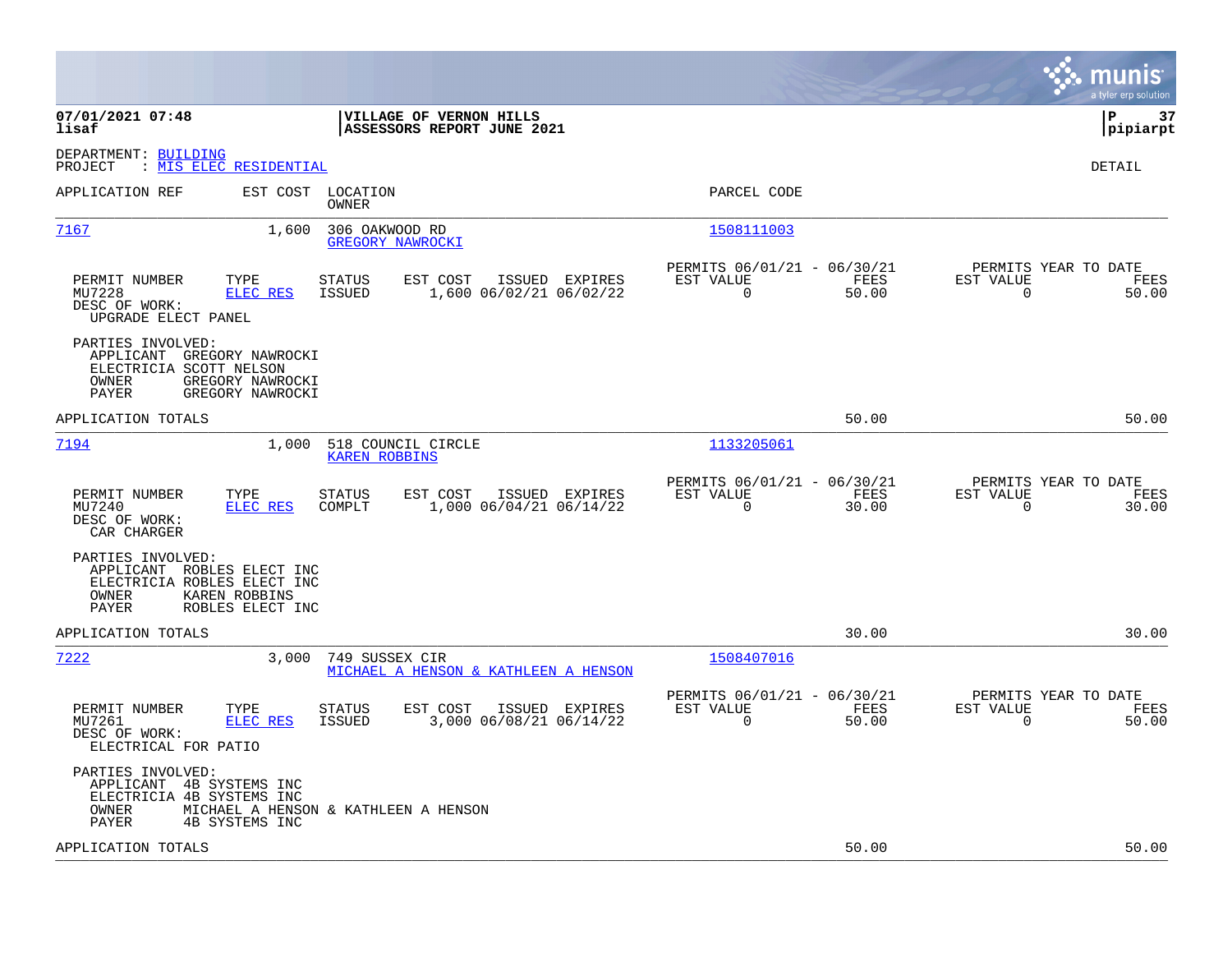|                                                                                                                                                                         |                                                                          | munis<br>a tyler erp solution                                     |
|-------------------------------------------------------------------------------------------------------------------------------------------------------------------------|--------------------------------------------------------------------------|-------------------------------------------------------------------|
| 07/01/2021 07:48<br>VILLAGE OF VERNON HILLS<br>lisaf<br>ASSESSORS REPORT JUNE 2021                                                                                      |                                                                          | ΙP<br>37<br> pipiarpt                                             |
| DEPARTMENT: BUILDING<br>MIS ELEC RESIDENTIAL<br>PROJECT                                                                                                                 |                                                                          | DETAIL                                                            |
| APPLICATION REF<br>EST COST LOCATION<br>OWNER                                                                                                                           | PARCEL CODE                                                              |                                                                   |
| 7167<br>1,600<br>306 OAKWOOD RD<br>GREGORY NAWROCKI                                                                                                                     | 1508111003                                                               |                                                                   |
| PERMIT NUMBER<br>TYPE<br><b>STATUS</b><br>EST COST<br>ISSUED EXPIRES<br>MU7228<br>ELEC RES<br>ISSUED<br>1,600 06/02/21 06/02/22<br>DESC OF WORK:<br>UPGRADE ELECT PANEL | PERMITS 06/01/21 - 06/30/21<br>EST VALUE<br>FEES<br>$\mathbf 0$<br>50.00 | PERMITS YEAR TO DATE<br>EST VALUE<br>FEES<br>$\mathbf 0$<br>50.00 |
| PARTIES INVOLVED:<br>APPLICANT GREGORY NAWROCKI<br>ELECTRICIA SCOTT NELSON<br>OWNER<br>GREGORY NAWROCKI<br>PAYER<br>GREGORY NAWROCKI                                    |                                                                          |                                                                   |
| APPLICATION TOTALS                                                                                                                                                      | 50.00                                                                    | 50.00                                                             |
| 7194<br>1,000<br>518 COUNCIL CIRCLE<br><b>KAREN ROBBINS</b>                                                                                                             | 1133205061                                                               |                                                                   |
| PERMIT NUMBER<br>TYPE<br>STATUS<br>EST COST<br>ISSUED EXPIRES<br>MU7240<br><b>ELEC RES</b><br>COMPLT<br>1,000 06/04/21 06/14/22<br>DESC OF WORK:<br>CAR CHARGER         | PERMITS 06/01/21 - 06/30/21<br>EST VALUE<br>FEES<br>$\Omega$<br>30.00    | PERMITS YEAR TO DATE<br>EST VALUE<br>FEES<br>$\mathbf 0$<br>30.00 |
| PARTIES INVOLVED:<br>APPLICANT ROBLES ELECT INC<br>ELECTRICIA ROBLES ELECT INC<br>KAREN ROBBINS<br>OWNER<br><b>PAYER</b><br>ROBLES ELECT INC                            |                                                                          |                                                                   |
| APPLICATION TOTALS                                                                                                                                                      | 30.00                                                                    | 30.00                                                             |
| 7222<br>3,000<br>749 SUSSEX CIR<br>MICHAEL A HENSON & KATHLEEN A HENSON                                                                                                 | 1508407016                                                               |                                                                   |
| PERMIT NUMBER<br>TYPE<br>STATUS<br>EST COST<br>ISSUED EXPIRES<br>3,000 06/08/21 06/14/22<br>MU7261<br>ELEC RES<br>ISSUED<br>DESC OF WORK:<br>ELECTRICAL FOR PATIO       | PERMITS 06/01/21 - 06/30/21<br>EST VALUE<br>FEES<br>$\Omega$<br>50.00    | PERMITS YEAR TO DATE<br>EST VALUE<br>FEES<br>$\Omega$<br>50.00    |
| PARTIES INVOLVED:<br>APPLICANT 4B SYSTEMS INC<br>ELECTRICIA 4B SYSTEMS INC<br>MICHAEL A HENSON & KATHLEEN A HENSON<br>OWNER<br><b>PAYER</b><br>4B SYSTEMS INC           |                                                                          |                                                                   |
| APPLICATION TOTALS                                                                                                                                                      | 50.00                                                                    | 50.00                                                             |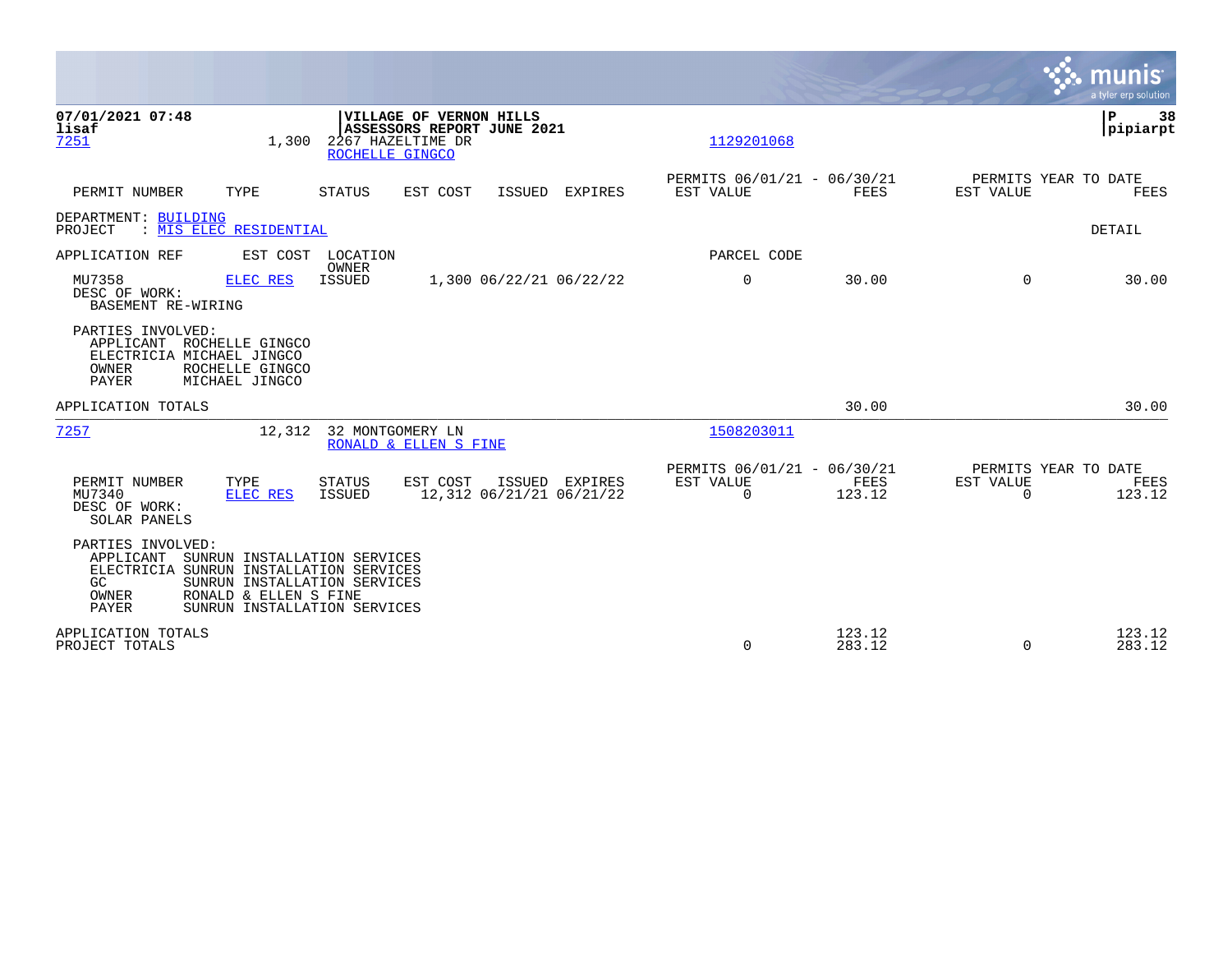|                                                                                                                                                                                                                                   |                                                                        | munis<br>a tyler erp solution                                   |
|-----------------------------------------------------------------------------------------------------------------------------------------------------------------------------------------------------------------------------------|------------------------------------------------------------------------|-----------------------------------------------------------------|
| 07/01/2021 07:48<br><b>VILLAGE OF VERNON HILLS</b><br>lisaf<br>ASSESSORS REPORT JUNE 2021<br>7251<br>2267 HAZELTIME DR<br>1,300<br>ROCHELLE GINGCO                                                                                | 1129201068                                                             | P<br>38<br> pipiarpt                                            |
| PERMIT NUMBER<br><b>STATUS</b><br>EST COST<br>TYPE<br>ISSUED<br>EXPIRES                                                                                                                                                           | PERMITS 06/01/21 - 06/30/21<br><b>EST VALUE</b><br><b>FEES</b>         | PERMITS YEAR TO DATE<br>EST VALUE<br>FEES                       |
| DEPARTMENT: BUILDING<br>PROJECT<br>: MIS ELEC RESIDENTIAL                                                                                                                                                                         |                                                                        | <b>DETAIL</b>                                                   |
| EST COST<br>APPLICATION REF<br>LOCATION                                                                                                                                                                                           | PARCEL CODE                                                            |                                                                 |
| OWNER<br>MU7358<br><b>ELEC RES</b><br>ISSUED<br>1,300 06/22/21 06/22/22<br>DESC OF WORK:<br>BASEMENT RE-WIRING                                                                                                                    | $\mathbf 0$<br>30.00                                                   | $\Omega$<br>30.00                                               |
| PARTIES INVOLVED:<br>ROCHELLE GINGCO<br>APPLICANT<br>ELECTRICIA MICHAEL JINGCO<br>OWNER<br>ROCHELLE GINGCO<br>PAYER<br>MICHAEL JINGCO                                                                                             |                                                                        |                                                                 |
| APPLICATION TOTALS                                                                                                                                                                                                                | 30.00                                                                  | 30.00                                                           |
| 7257<br>12,312<br>32 MONTGOMERY LN<br>RONALD & ELLEN S FINE                                                                                                                                                                       | 1508203011                                                             |                                                                 |
| EST COST<br>PERMIT NUMBER<br>TYPE<br><b>STATUS</b><br>ISSUED EXPIRES<br>12,312 06/21/21 06/21/22<br>MU7340<br>ELEC RES<br>ISSUED<br>DESC OF WORK:<br>SOLAR PANELS                                                                 | PERMITS 06/01/21 - 06/30/21<br>EST VALUE<br>FEES<br>$\Omega$<br>123.12 | PERMITS YEAR TO DATE<br>EST VALUE<br>FEES<br>$\Omega$<br>123.12 |
| PARTIES INVOLVED:<br>APPLICANT<br>SUNRUN INSTALLATION SERVICES<br>ELECTRICIA SUNRUN INSTALLATION SERVICES<br>GC<br>SUNRUN INSTALLATION SERVICES<br>OWNER<br>RONALD & ELLEN S FINE<br><b>PAYER</b><br>SUNRUN INSTALLATION SERVICES |                                                                        |                                                                 |
| APPLICATION TOTALS<br>PROJECT TOTALS                                                                                                                                                                                              | 123.12<br>$\mathbf 0$<br>283.12                                        | 123.12<br>283.12<br>$\Omega$                                    |

 $\mathcal{L}^{\text{max}}$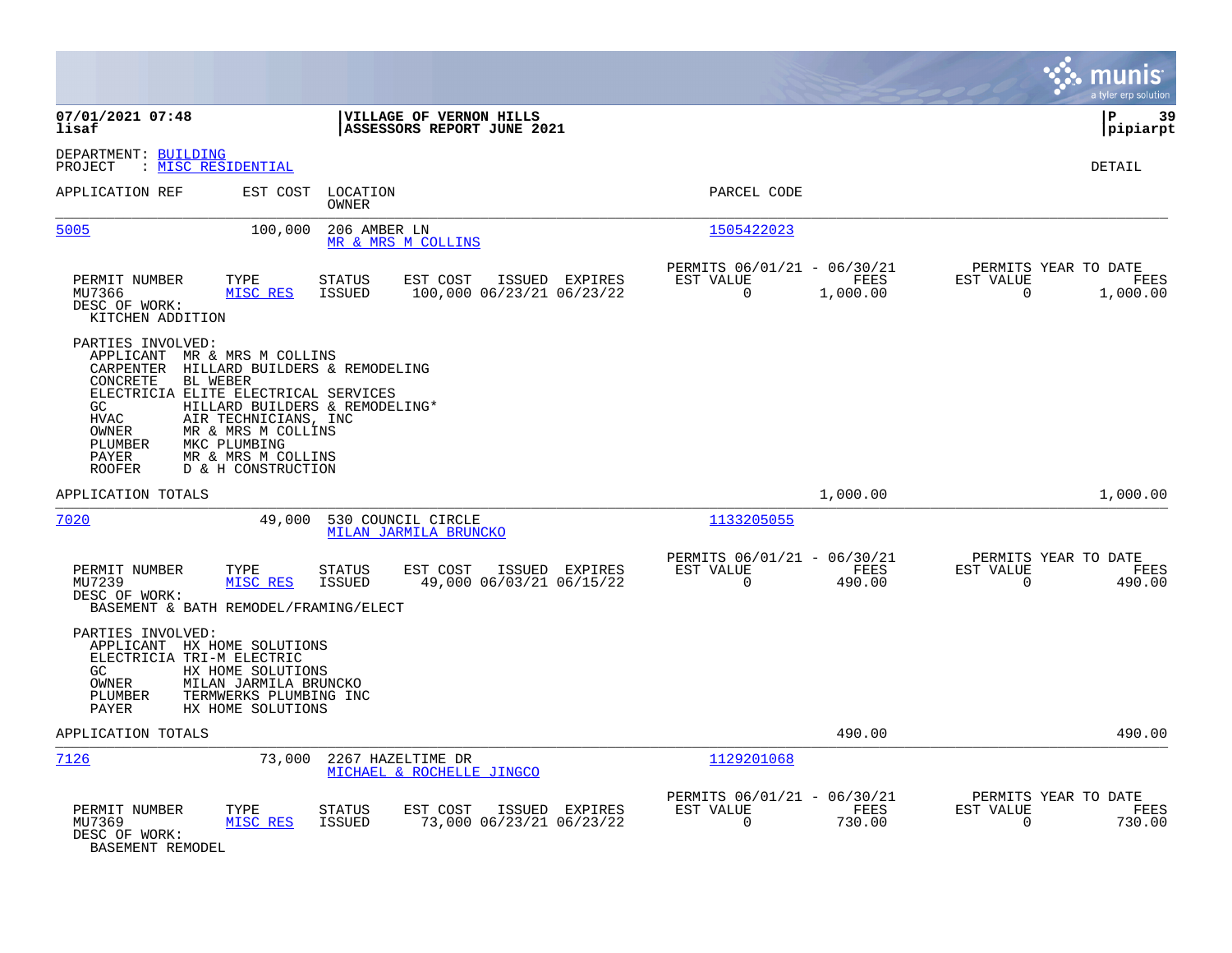|                                                                                                                                                                                                                                                                                                              |                                                                                    |                                                                          | munis<br>a tyler erp solution                                        |
|--------------------------------------------------------------------------------------------------------------------------------------------------------------------------------------------------------------------------------------------------------------------------------------------------------------|------------------------------------------------------------------------------------|--------------------------------------------------------------------------|----------------------------------------------------------------------|
| 07/01/2021 07:48<br>lisaf                                                                                                                                                                                                                                                                                    | VILLAGE OF VERNON HILLS<br>ASSESSORS REPORT JUNE 2021                              |                                                                          | ΙP<br>39<br> pipiarpt                                                |
| DEPARTMENT: BUILDING<br>: MISC RESIDENTIAL<br>PROJECT                                                                                                                                                                                                                                                        |                                                                                    |                                                                          | DETAIL                                                               |
| APPLICATION REF<br>EST COST                                                                                                                                                                                                                                                                                  | LOCATION<br><b>OWNER</b>                                                           | PARCEL CODE                                                              |                                                                      |
| 5005<br>100,000                                                                                                                                                                                                                                                                                              | 206 AMBER LN<br>MR & MRS M COLLINS                                                 | 1505422023                                                               |                                                                      |
| PERMIT NUMBER<br>TYPE<br>MU7366<br>MISC RES<br>DESC OF WORK:<br>KITCHEN ADDITION                                                                                                                                                                                                                             | EST COST<br>ISSUED EXPIRES<br><b>STATUS</b><br>100,000 06/23/21 06/23/22<br>ISSUED | PERMITS 06/01/21 - 06/30/21<br>EST VALUE<br>FEES<br>$\Omega$<br>1,000.00 | PERMITS YEAR TO DATE<br>EST VALUE<br>FEES<br>$\mathbf 0$<br>1,000.00 |
| PARTIES INVOLVED:<br>APPLICANT MR & MRS M COLLINS<br>CARPENTER<br>CONCRETE<br><b>BL WEBER</b><br>ELECTRICIA ELITE ELECTRICAL SERVICES<br>GC.<br>AIR TECHNICIANS, INC<br>HVAC<br>MR & MRS M COLLINS<br>OWNER<br>PLUMBER<br>MKC PLUMBING<br>MR & MRS M COLLINS<br>PAYER<br><b>ROOFER</b><br>D & H CONSTRUCTION | HILLARD BUILDERS & REMODELING<br>HILLARD BUILDERS & REMODELING*                    |                                                                          |                                                                      |
| APPLICATION TOTALS                                                                                                                                                                                                                                                                                           |                                                                                    | 1,000.00                                                                 | 1,000.00                                                             |
| 7020<br>49,000                                                                                                                                                                                                                                                                                               | 530 COUNCIL CIRCLE<br>MILAN JARMILA BRUNCKO                                        | 1133205055                                                               |                                                                      |
| PERMIT NUMBER<br>TYPE<br>MISC RES<br>MU7239<br>DESC OF WORK:<br>BASEMENT & BATH REMODEL/FRAMING/ELECT                                                                                                                                                                                                        | <b>STATUS</b><br>EST COST<br>ISSUED EXPIRES<br>49,000 06/03/21 06/15/22<br>ISSUED  | PERMITS 06/01/21 - 06/30/21<br>EST VALUE<br><b>FEES</b><br>0<br>490.00   | PERMITS YEAR TO DATE<br>EST VALUE<br>FEES<br>0<br>490.00             |
| PARTIES INVOLVED:<br>APPLICANT HX HOME SOLUTIONS<br>ELECTRICIA TRI-M ELECTRIC<br>GC<br>HX HOME SOLUTIONS<br>OWNER<br>MILAN JARMILA BRUNCKO<br>TERMWERKS PLUMBING INC<br>PLUMBER<br><b>PAYER</b><br>HX HOME SOLUTIONS                                                                                         |                                                                                    |                                                                          |                                                                      |
| APPLICATION TOTALS                                                                                                                                                                                                                                                                                           |                                                                                    | 490.00                                                                   | 490.00                                                               |
| 7126<br>73,000                                                                                                                                                                                                                                                                                               | 2267 HAZELTIME DR<br>MICHAEL & ROCHELLE JINGCO                                     | 1129201068                                                               |                                                                      |
| PERMIT NUMBER<br>TYPE<br>MU7369<br>MISC RES<br>DESC OF WORK:<br>BASEMENT REMODEL                                                                                                                                                                                                                             | EST COST<br>ISSUED EXPIRES<br><b>STATUS</b><br>73,000 06/23/21 06/23/22<br>ISSUED  | PERMITS 06/01/21 - 06/30/21<br>EST VALUE<br><b>FEES</b><br>0<br>730.00   | PERMITS YEAR TO DATE<br>EST VALUE<br>FEES<br>730.00<br>0             |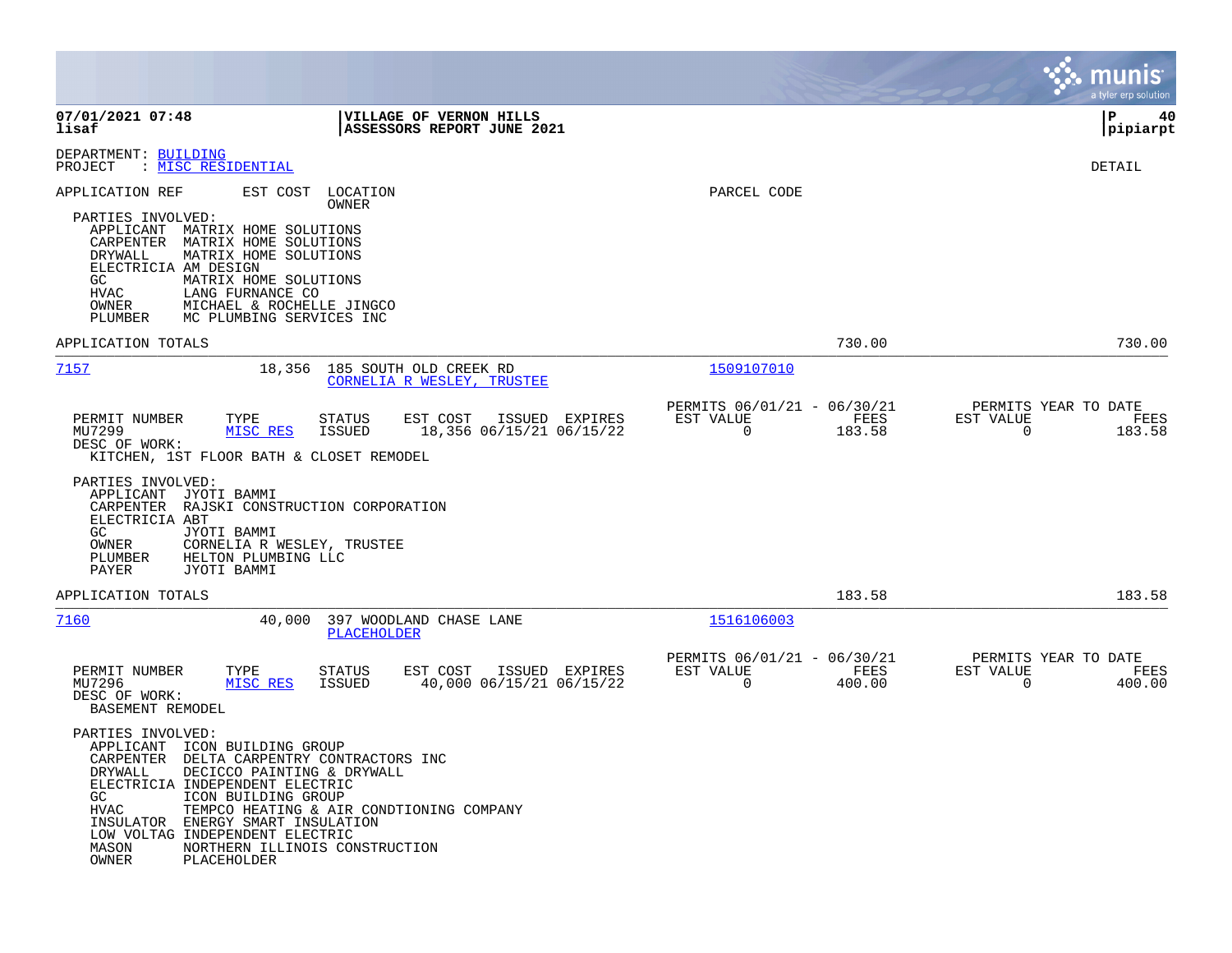|                                                                                                                                                                                                                                                                                                                                                                                                                            |                                                                        | a tyler erp solution                                     |
|----------------------------------------------------------------------------------------------------------------------------------------------------------------------------------------------------------------------------------------------------------------------------------------------------------------------------------------------------------------------------------------------------------------------------|------------------------------------------------------------------------|----------------------------------------------------------|
| 07/01/2021 07:48<br><b>VILLAGE OF VERNON HILLS</b><br>lisaf<br>ASSESSORS REPORT JUNE 2021                                                                                                                                                                                                                                                                                                                                  |                                                                        | l P<br>40<br> pipiarpt                                   |
| DEPARTMENT: BUILDING<br>: MISC RESIDENTIAL<br>PROJECT                                                                                                                                                                                                                                                                                                                                                                      |                                                                        | DETAIL                                                   |
| APPLICATION REF<br>EST COST<br>LOCATION<br>OWNER<br>PARTIES INVOLVED:<br>APPLICANT<br>MATRIX HOME SOLUTIONS<br>CARPENTER<br>MATRIX HOME SOLUTIONS<br>DRYWALL<br>MATRIX HOME SOLUTIONS<br>ELECTRICIA AM DESIGN<br>MATRIX HOME SOLUTIONS<br>GC<br>HVAC<br>LANG FURNANCE CO<br>OWNER<br>MICHAEL & ROCHELLE JINGCO<br>PLUMBER<br>MC PLUMBING SERVICES INC                                                                      | PARCEL CODE                                                            |                                                          |
| APPLICATION TOTALS                                                                                                                                                                                                                                                                                                                                                                                                         | 730.00                                                                 | 730.00                                                   |
| 7157<br>18,356<br>185 SOUTH OLD CREEK RD<br>CORNELIA R WESLEY, TRUSTEE                                                                                                                                                                                                                                                                                                                                                     | 1509107010                                                             |                                                          |
| PERMIT NUMBER<br>TYPE<br>STATUS<br>EST COST<br>ISSUED EXPIRES<br>18,356 06/15/21 06/15/22<br>MU7299<br>MISC RES<br>ISSUED<br>DESC OF WORK:<br>KITCHEN, 1ST FLOOR BATH & CLOSET REMODEL<br>PARTIES INVOLVED:<br>APPLICANT JYOTI BAMMI<br>CARPENTER RAJSKI CONSTRUCTION CORPORATION<br>ELECTRICIA ABT<br>GC.<br>JYOTI BAMMI<br>OWNER<br>CORNELIA R WESLEY, TRUSTEE<br>PLUMBER<br>HELTON PLUMBING LLC<br>PAYER<br>JYOTI BAMMI | PERMITS 06/01/21 - 06/30/21<br>EST VALUE<br>FEES<br>$\Omega$<br>183.58 | PERMITS YEAR TO DATE<br>EST VALUE<br>FEES<br>0<br>183.58 |
| APPLICATION TOTALS                                                                                                                                                                                                                                                                                                                                                                                                         | 183.58                                                                 | 183.58                                                   |
| 7160<br>40,000<br>397 WOODLAND CHASE LANE<br><b>PLACEHOLDER</b>                                                                                                                                                                                                                                                                                                                                                            | 1516106003                                                             |                                                          |
| PERMIT NUMBER<br>EST COST<br>ISSUED EXPIRES<br>TYPE<br>STATUS<br>MU7296<br>MISC RES<br><b>ISSUED</b><br>40,000 06/15/21 06/15/22<br>DESC OF WORK:<br>BASEMENT REMODEL                                                                                                                                                                                                                                                      | PERMITS 06/01/21 - 06/30/21<br>EST VALUE<br>FEES<br>0<br>400.00        | PERMITS YEAR TO DATE<br>EST VALUE<br>FEES<br>0<br>400.00 |
| PARTIES INVOLVED:<br>APPLICANT ICON BUILDING GROUP<br>CARPENTER DELTA CARPENTRY CONTRACTORS INC<br>DRYWALL<br>DECICCO PAINTING & DRYWALL<br>ELECTRICIA INDEPENDENT ELECTRIC<br>GC<br>ICON BUILDING GROUP<br>TEMPCO HEATING & AIR CONDTIONING COMPANY<br>HVAC<br>INSULATOR ENERGY SMART INSULATION<br>LOW VOLTAG INDEPENDENT ELECTRIC<br>NORTHERN ILLINOIS CONSTRUCTION<br>MASON<br>OWNER<br>PLACEHOLDER                    |                                                                        |                                                          |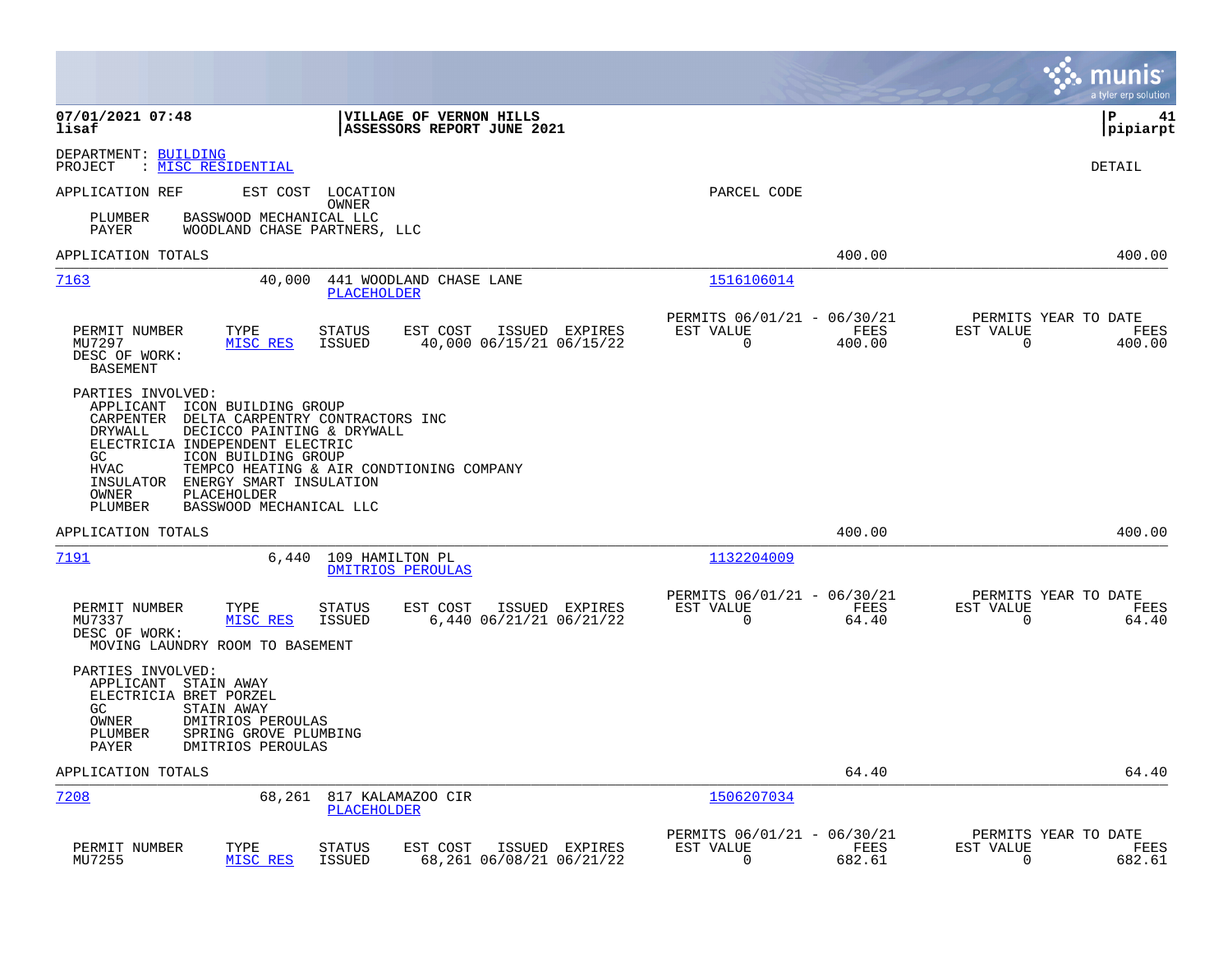|                                                                                                                                                                                                                                                                                                                                                                              |                                                                           | munis<br>a tyler erp solution                                     |
|------------------------------------------------------------------------------------------------------------------------------------------------------------------------------------------------------------------------------------------------------------------------------------------------------------------------------------------------------------------------------|---------------------------------------------------------------------------|-------------------------------------------------------------------|
| 07/01/2021 07:48<br><b>VILLAGE OF VERNON HILLS</b><br>lisaf<br>ASSESSORS REPORT JUNE 2021                                                                                                                                                                                                                                                                                    |                                                                           | l P<br>41<br> pipiarpt                                            |
| DEPARTMENT: BUILDING<br>: MISC RESIDENTIAL<br>PROJECT                                                                                                                                                                                                                                                                                                                        |                                                                           | DETAIL                                                            |
| APPLICATION REF<br>EST COST<br>LOCATION                                                                                                                                                                                                                                                                                                                                      | PARCEL CODE                                                               |                                                                   |
| OWNER<br>BASSWOOD MECHANICAL LLC<br>PLUMBER<br>WOODLAND CHASE PARTNERS, LLC<br>PAYER                                                                                                                                                                                                                                                                                         |                                                                           |                                                                   |
| APPLICATION TOTALS                                                                                                                                                                                                                                                                                                                                                           | 400.00                                                                    | 400.00                                                            |
| 7163<br>40,000<br>441 WOODLAND CHASE LANE<br><b>PLACEHOLDER</b>                                                                                                                                                                                                                                                                                                              | 1516106014                                                                |                                                                   |
| PERMIT NUMBER<br>TYPE<br><b>STATUS</b><br>EST COST<br>ISSUED EXPIRES<br>40,000 06/15/21 06/15/22<br>MU7297<br>MISC RES<br>ISSUED<br>DESC OF WORK:<br>BASEMENT                                                                                                                                                                                                                | PERMITS 06/01/21 - 06/30/21<br>EST VALUE<br>FEES<br>$\mathbf 0$<br>400.00 | PERMITS YEAR TO DATE<br>EST VALUE<br>FEES<br>0<br>400.00          |
| PARTIES INVOLVED:<br>APPLICANT ICON BUILDING GROUP<br>CARPENTER<br>DELTA CARPENTRY CONTRACTORS INC<br>DRYWALL<br>DECICCO PAINTING & DRYWALL<br>ELECTRICIA INDEPENDENT ELECTRIC<br>ICON BUILDING GROUP<br>GC<br><b>HVAC</b><br>TEMPCO HEATING & AIR CONDTIONING COMPANY<br>INSULATOR<br>ENERGY SMART INSULATION<br>OWNER<br>PLACEHOLDER<br>PLUMBER<br>BASSWOOD MECHANICAL LLC |                                                                           |                                                                   |
| APPLICATION TOTALS                                                                                                                                                                                                                                                                                                                                                           | 400.00                                                                    | 400.00                                                            |
| 7191<br>6,440<br>109 HAMILTON PL<br><b>DMITRIOS PEROULAS</b>                                                                                                                                                                                                                                                                                                                 | 1132204009                                                                |                                                                   |
| PERMIT NUMBER<br>EST COST<br>ISSUED EXPIRES<br>TYPE<br><b>STATUS</b><br>6,440 06/21/21 06/21/22<br>MU7337<br>MISC RES<br><b>ISSUED</b><br>DESC OF WORK:<br>MOVING LAUNDRY ROOM TO BASEMENT                                                                                                                                                                                   | PERMITS 06/01/21 - 06/30/21<br>EST VALUE<br>FEES<br>0<br>64.40            | PERMITS YEAR TO DATE<br>EST VALUE<br>FEES<br>$\mathbf 0$<br>64.40 |
| PARTIES INVOLVED:<br>APPLICANT STAIN AWAY<br>ELECTRICIA BRET PORZEL<br>GC<br>STAIN AWAY<br>OWNER<br>DMITRIOS PEROULAS<br>PLUMBER<br>SPRING GROVE PLUMBING<br>PAYER<br>DMITRIOS PEROULAS                                                                                                                                                                                      |                                                                           |                                                                   |
| APPLICATION TOTALS                                                                                                                                                                                                                                                                                                                                                           | 64.40                                                                     | 64.40                                                             |
| 7208<br>68,261<br>817 KALAMAZOO CIR<br>PLACEHOLDER                                                                                                                                                                                                                                                                                                                           | 1506207034                                                                |                                                                   |
| PERMIT NUMBER<br>TYPE<br>EST COST<br>ISSUED EXPIRES<br><b>STATUS</b><br>MU7255<br>MISC RES<br><b>ISSUED</b><br>68,261 06/08/21 06/21/22                                                                                                                                                                                                                                      | PERMITS 06/01/21 - 06/30/21<br>EST VALUE<br>FEES<br>0<br>682.61           | PERMITS YEAR TO DATE<br>EST VALUE<br>FEES<br>0<br>682.61          |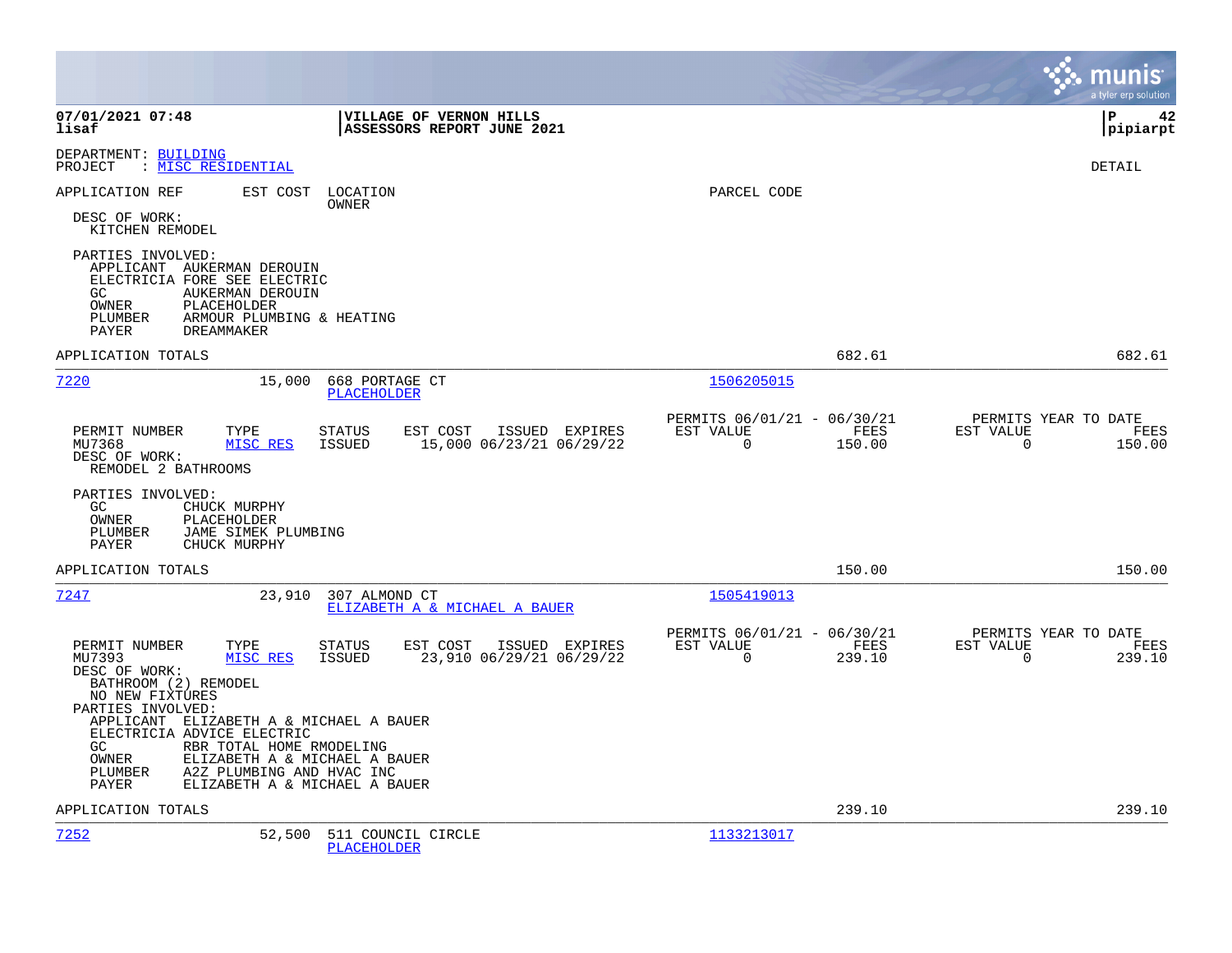|                                                                                                                                                                                                                                      |                                                                                   |                                                      |                | munis<br>a tyler erp solution                                   |
|--------------------------------------------------------------------------------------------------------------------------------------------------------------------------------------------------------------------------------------|-----------------------------------------------------------------------------------|------------------------------------------------------|----------------|-----------------------------------------------------------------|
| 07/01/2021 07:48<br>lisaf                                                                                                                                                                                                            | <b>VILLAGE OF VERNON HILLS</b><br>ASSESSORS REPORT JUNE 2021                      |                                                      |                | l P<br>42<br> pipiarpt                                          |
| DEPARTMENT: BUILDING<br>PROJECT<br>: MISC RESIDENTIAL                                                                                                                                                                                |                                                                                   |                                                      |                | DETAIL                                                          |
| APPLICATION REF<br>EST COST                                                                                                                                                                                                          | LOCATION<br>OWNER                                                                 | PARCEL CODE                                          |                |                                                                 |
| DESC OF WORK:<br>KITCHEN REMODEL                                                                                                                                                                                                     |                                                                                   |                                                      |                |                                                                 |
| PARTIES INVOLVED:<br>APPLICANT AUKERMAN DEROUIN<br>ELECTRICIA FORE SEE ELECTRIC<br>GC<br>AUKERMAN DEROUIN<br>PLACEHOLDER<br>OWNER<br>ARMOUR PLUMBING & HEATING<br>PLUMBER<br>PAYER<br><b>DREAMMAKER</b>                              |                                                                                   |                                                      |                |                                                                 |
| APPLICATION TOTALS                                                                                                                                                                                                                   |                                                                                   |                                                      | 682.61         | 682.61                                                          |
| 7220<br>15,000                                                                                                                                                                                                                       | 668 PORTAGE CT<br><b>PLACEHOLDER</b>                                              | 1506205015                                           |                |                                                                 |
| PERMIT NUMBER<br>TYPE                                                                                                                                                                                                                | <b>STATUS</b><br>EST COST<br>ISSUED EXPIRES                                       | PERMITS 06/01/21 - 06/30/21<br>EST VALUE             | FEES           | PERMITS YEAR TO DATE<br>EST VALUE<br>FEES                       |
| MU7368<br><b>MISC RES</b><br>DESC OF WORK:<br>REMODEL 2 BATHROOMS                                                                                                                                                                    | 15,000 06/23/21 06/29/22<br><b>ISSUED</b>                                         | $\Omega$                                             | 150.00         | $\Omega$<br>150.00                                              |
| PARTIES INVOLVED:<br>GC<br>CHUCK MURPHY<br>OWNER<br>PLACEHOLDER<br>PLUMBER<br>JAME SIMEK PLUMBING<br>PAYER<br>CHUCK MURPHY                                                                                                           |                                                                                   |                                                      |                |                                                                 |
| APPLICATION TOTALS                                                                                                                                                                                                                   |                                                                                   |                                                      | 150.00         | 150.00                                                          |
| 7247<br>23,910                                                                                                                                                                                                                       | 307 ALMOND CT<br>ELIZABETH A & MICHAEL A BAUER                                    | 1505419013                                           |                |                                                                 |
| PERMIT NUMBER<br>TYPE<br>MU7393<br>MISC RES<br>DESC OF WORK:<br>BATHROOM (2) REMODEL<br>NO NEW FIXTURES<br>PARTIES INVOLVED:                                                                                                         | <b>STATUS</b><br>EST COST<br>ISSUED EXPIRES<br>23,910 06/29/21 06/29/22<br>ISSUED | PERMITS 06/01/21 - 06/30/21<br>EST VALUE<br>$\Omega$ | FEES<br>239.10 | PERMITS YEAR TO DATE<br>EST VALUE<br>FEES<br>$\Omega$<br>239.10 |
| APPLICANT ELIZABETH A & MICHAEL A BAUER<br>ELECTRICIA ADVICE ELECTRIC<br>RBR TOTAL HOME RMODELING<br>GC.<br>OWNER<br>ELIZABETH A & MICHAEL A BAUER<br>A2Z PLUMBING AND HVAC INC<br>PLUMBER<br>PAYER<br>ELIZABETH A & MICHAEL A BAUER |                                                                                   |                                                      |                |                                                                 |
| APPLICATION TOTALS                                                                                                                                                                                                                   |                                                                                   |                                                      | 239.10         | 239.10                                                          |
| 7252<br>52,500                                                                                                                                                                                                                       | 511 COUNCIL CIRCLE<br>PLACEHOLDER                                                 | 1133213017                                           |                |                                                                 |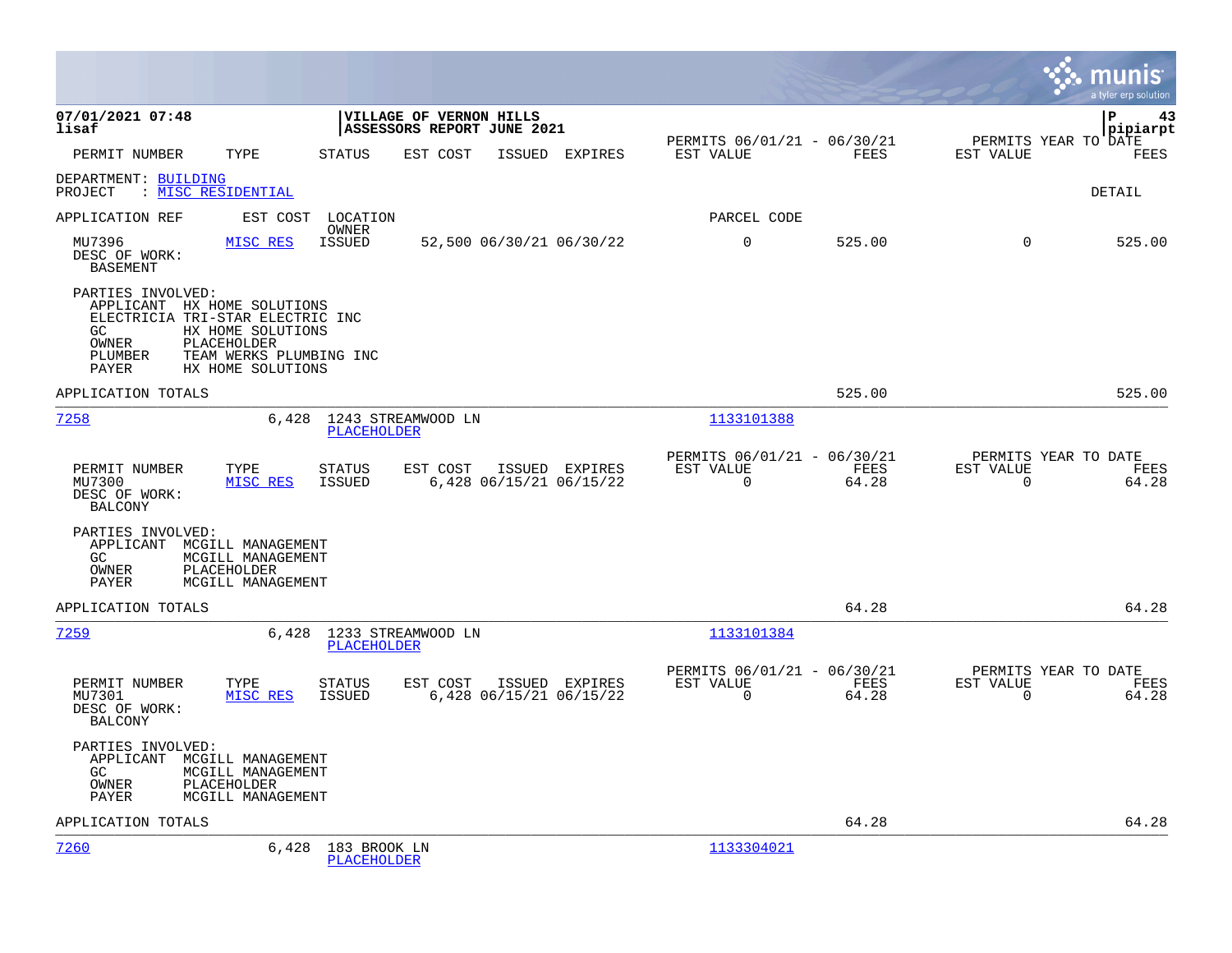|                                                                                                                                        |                                                                   |                                                       |         |                                                            |               |                                                  | a tyler erp solution  |
|----------------------------------------------------------------------------------------------------------------------------------------|-------------------------------------------------------------------|-------------------------------------------------------|---------|------------------------------------------------------------|---------------|--------------------------------------------------|-----------------------|
| 07/01/2021 07:48<br>lisaf                                                                                                              |                                                                   | VILLAGE OF VERNON HILLS<br>ASSESSORS REPORT JUNE 2021 |         |                                                            |               |                                                  | l P<br>43<br>pipiarpt |
| PERMIT NUMBER<br>TYPE                                                                                                                  | STATUS                                                            | EST COST<br>ISSUED                                    | EXPIRES | PERMITS 06/01/21 - 06/30/21<br>EST VALUE                   | FEES          | PERMITS YEAR TO DATE<br>EST VALUE                | FEES                  |
| DEPARTMENT: BUILDING<br>: MISC RESIDENTIAL<br>PROJECT                                                                                  |                                                                   |                                                       |         |                                                            |               |                                                  | DETAIL                |
| APPLICATION REF                                                                                                                        | EST COST<br>LOCATION                                              |                                                       |         | PARCEL CODE                                                |               |                                                  |                       |
| MU7396<br>DESC OF WORK:<br><b>BASEMENT</b>                                                                                             | OWNER<br>MISC RES<br><b>ISSUED</b>                                | 52,500 06/30/21 06/30/22                              |         | $\mathsf 0$                                                | 525.00        | $\mathbf 0$                                      | 525.00                |
| PARTIES INVOLVED:<br>APPLICANT HX HOME SOLUTIONS<br>ELECTRICIA TRI-STAR ELECTRIC INC<br>GC<br>PLACEHOLDER<br>OWNER<br>PLUMBER<br>PAYER | HX HOME SOLUTIONS<br>TEAM WERKS PLUMBING INC<br>HX HOME SOLUTIONS |                                                       |         |                                                            |               |                                                  |                       |
| APPLICATION TOTALS                                                                                                                     |                                                                   |                                                       |         |                                                            | 525.00        |                                                  | 525.00                |
| 7258                                                                                                                                   | 6,428<br><b>PLACEHOLDER</b>                                       | 1243 STREAMWOOD LN                                    |         | 1133101388                                                 |               |                                                  |                       |
| PERMIT NUMBER<br>TYPE<br>MU7300<br>DESC OF WORK:<br><b>BALCONY</b>                                                                     | <b>STATUS</b><br>MISC RES<br><b>ISSUED</b>                        | EST COST<br>ISSUED EXPIRES<br>6,428 06/15/21 06/15/22 |         | PERMITS 06/01/21 - 06/30/21<br>EST VALUE<br>$\overline{0}$ | FEES<br>64.28 | PERMITS YEAR TO DATE<br>EST VALUE<br>$\mathbf 0$ | FEES<br>64.28         |
| PARTIES INVOLVED:<br>APPLICANT MCGILL MANAGEMENT<br>GC.<br>PLACEHOLDER<br>OWNER<br><b>PAYER</b>                                        | MCGILL MANAGEMENT<br>MCGILL MANAGEMENT                            |                                                       |         |                                                            |               |                                                  |                       |
| APPLICATION TOTALS                                                                                                                     |                                                                   |                                                       |         |                                                            | 64.28         |                                                  | 64.28                 |
| 7259                                                                                                                                   | 6,428 1233 STREAMWOOD LN<br><b>PLACEHOLDER</b>                    |                                                       |         | 1133101384                                                 |               |                                                  |                       |
| TYPE<br>PERMIT NUMBER<br>MU7301<br>DESC OF WORK:<br>BALCONY                                                                            | STATUS<br>MISC RES<br><b>ISSUED</b>                               | EST COST<br>ISSUED EXPIRES<br>6,428 06/15/21 06/15/22 |         | PERMITS 06/01/21 - 06/30/21<br>EST VALUE<br>$\mathbf 0$    | FEES<br>64.28 | PERMITS YEAR TO DATE<br>EST VALUE<br>$\Omega$    | FEES<br>64.28         |
| PARTIES INVOLVED:<br>APPLICANT MCGILL MANAGEMENT<br>GC.<br>PLACEHOLDER<br>OWNER<br>PAYER                                               | MCGILL MANAGEMENT<br>MCGILL MANAGEMENT                            |                                                       |         |                                                            |               |                                                  |                       |
| APPLICATION TOTALS                                                                                                                     |                                                                   |                                                       |         |                                                            | 64.28         |                                                  | 64.28                 |
| 7260                                                                                                                                   | 6,428 183 BROOK LN<br><b>PLACEHOLDER</b>                          |                                                       |         | 1133304021                                                 |               |                                                  |                       |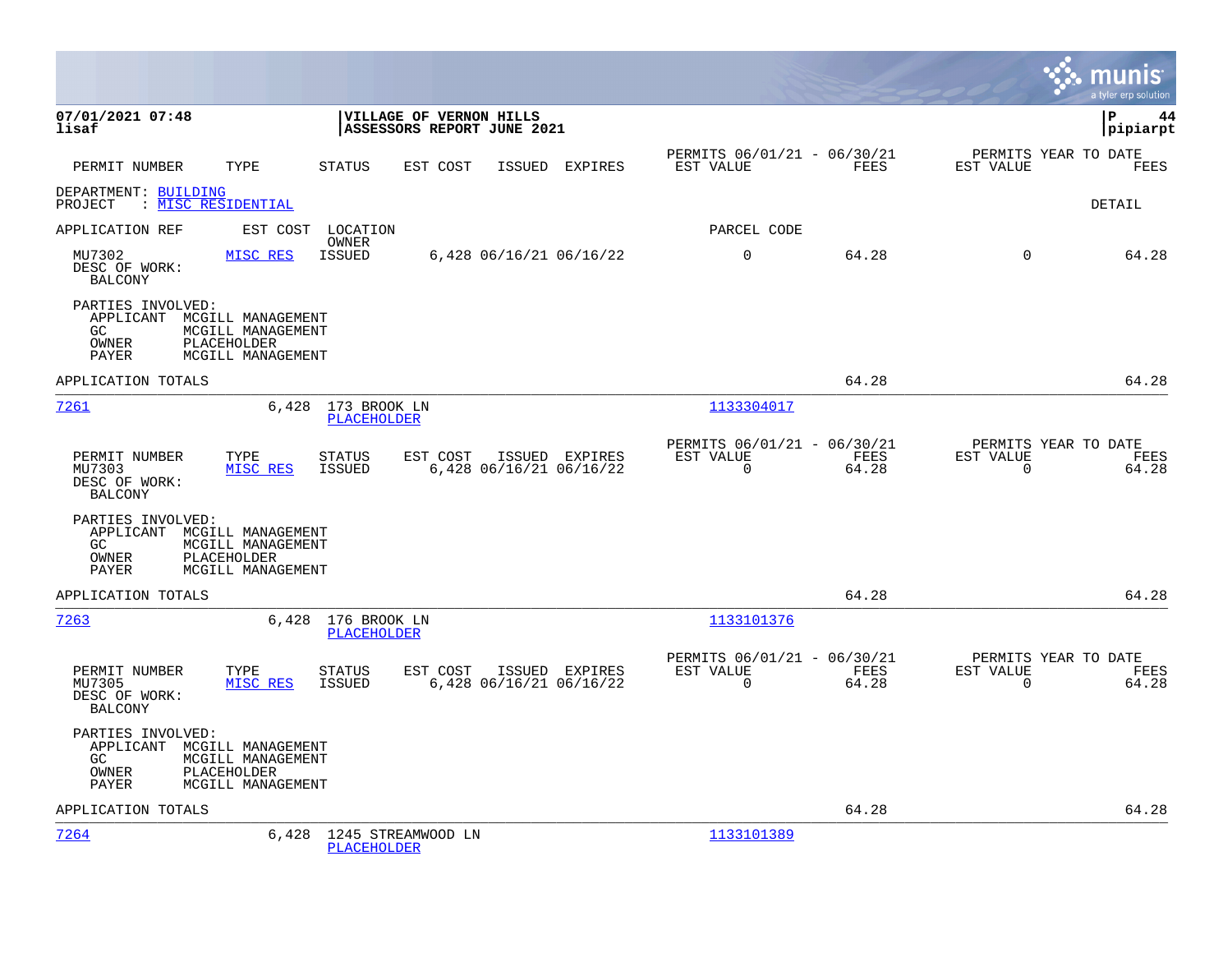|                                                                                 |                                                              |                                          |                                                       |                         |                |                                                         |               |                                                  | munis<br>a tyler erp solution |
|---------------------------------------------------------------------------------|--------------------------------------------------------------|------------------------------------------|-------------------------------------------------------|-------------------------|----------------|---------------------------------------------------------|---------------|--------------------------------------------------|-------------------------------|
| 07/01/2021 07:48<br>lisaf                                                       |                                                              |                                          | VILLAGE OF VERNON HILLS<br>ASSESSORS REPORT JUNE 2021 |                         |                |                                                         |               |                                                  | lР<br>44<br> pipiarpt         |
| PERMIT NUMBER                                                                   | TYPE                                                         | STATUS                                   | EST COST                                              |                         | ISSUED EXPIRES | PERMITS 06/01/21 - 06/30/21<br>EST VALUE                | FEES          | PERMITS YEAR TO DATE<br><b>EST VALUE</b>         | FEES                          |
| DEPARTMENT: BUILDING<br>PROJECT : MISC RESIDENTIAL                              |                                                              |                                          |                                                       |                         |                |                                                         |               |                                                  | DETAIL                        |
| APPLICATION REF                                                                 |                                                              | EST COST LOCATION                        |                                                       |                         |                | PARCEL CODE                                             |               |                                                  |                               |
| MU7302<br>DESC OF WORK:<br>BALCONY                                              | MISC RES                                                     | OWNER<br><b>ISSUED</b>                   |                                                       | 6,428 06/16/21 06/16/22 |                | 0                                                       | 64.28         | $\Omega$                                         | 64.28                         |
| PARTIES INVOLVED:<br>APPLICANT MCGILL MANAGEMENT<br>GC.<br>OWNER<br>PAYER       | MCGILL MANAGEMENT<br>PLACEHOLDER<br>MCGILL MANAGEMENT        |                                          |                                                       |                         |                |                                                         |               |                                                  |                               |
| APPLICATION TOTALS                                                              |                                                              |                                          |                                                       |                         |                |                                                         | 64.28         |                                                  | 64.28                         |
| 7261                                                                            |                                                              | 6,428 173 BROOK LN<br><b>PLACEHOLDER</b> |                                                       |                         |                | 1133304017                                              |               |                                                  |                               |
| PERMIT NUMBER<br>MU7303<br>DESC OF WORK:<br><b>BALCONY</b>                      | TYPE<br>MISC RES                                             | <b>STATUS</b><br>ISSUED                  | EST COST                                              | 6,428 06/16/21 06/16/22 | ISSUED EXPIRES | PERMITS 06/01/21 - 06/30/21<br>EST VALUE<br>$\mathbf 0$ | FEES<br>64.28 | PERMITS YEAR TO DATE<br>EST VALUE<br>$\mathbf 0$ | FEES<br>64.28                 |
| PARTIES INVOLVED:<br>APPLICANT MCGILL MANAGEMENT<br>GC<br><b>OWNER</b><br>PAYER | MCGILL MANAGEMENT<br><b>PLACEHOLDER</b><br>MCGILL MANAGEMENT |                                          |                                                       |                         |                |                                                         |               |                                                  |                               |
| APPLICATION TOTALS                                                              |                                                              |                                          |                                                       |                         |                |                                                         | 64.28         |                                                  | 64.28                         |
| 7263                                                                            |                                                              | 6,428 176 BROOK LN<br><b>PLACEHOLDER</b> |                                                       |                         |                | 1133101376                                              |               |                                                  |                               |
| PERMIT NUMBER<br>MU7305<br>DESC OF WORK:<br><b>BALCONY</b>                      | TYPE<br>MISC RES                                             | STATUS<br><b>ISSUED</b>                  | EST COST                                              | 6,428 06/16/21 06/16/22 | ISSUED EXPIRES | PERMITS 06/01/21 - 06/30/21<br>EST VALUE<br>$\Omega$    | FEES<br>64.28 | PERMITS YEAR TO DATE<br>EST VALUE<br>$\Omega$    | FEES<br>64.28                 |
| PARTIES INVOLVED:<br>APPLICANT MCGILL MANAGEMENT<br>GC<br>OWNER<br>PAYER        | MCGILL MANAGEMENT<br><b>PLACEHOLDER</b><br>MCGILL MANAGEMENT |                                          |                                                       |                         |                |                                                         |               |                                                  |                               |
| APPLICATION TOTALS                                                              |                                                              |                                          |                                                       |                         |                |                                                         | 64.28         |                                                  | 64.28                         |
| 7264                                                                            | 6,428                                                        | PLACEHOLDER                              | 1245 STREAMWOOD LN                                    |                         |                | 1133101389                                              |               |                                                  |                               |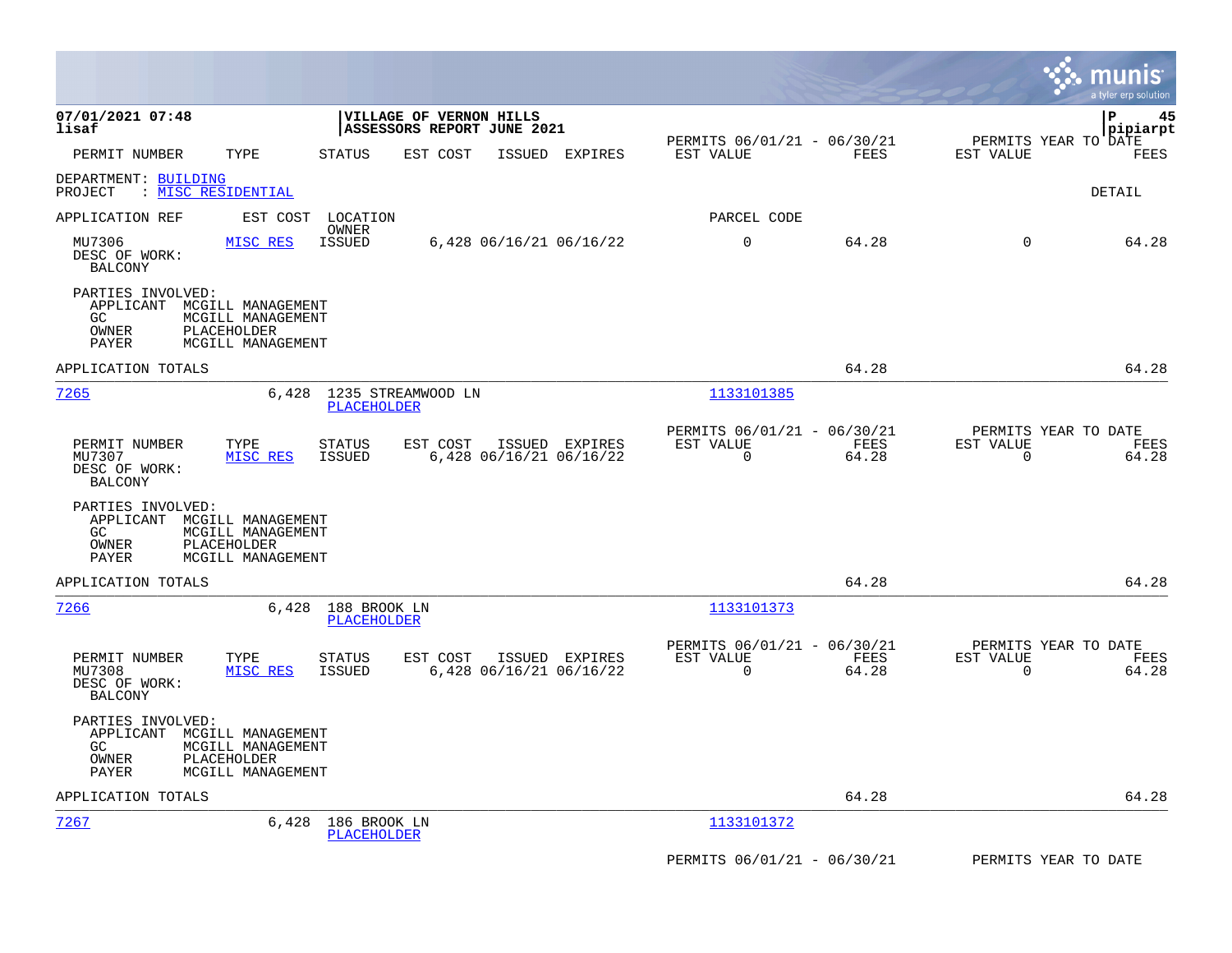|                                                                                                                                    |                                                                                  |                                                                          | munis<br>a tyler erp solution                                     |
|------------------------------------------------------------------------------------------------------------------------------------|----------------------------------------------------------------------------------|--------------------------------------------------------------------------|-------------------------------------------------------------------|
| 07/01/2021 07:48<br>lisaf                                                                                                          | VILLAGE OF VERNON HILLS<br>ASSESSORS REPORT JUNE 2021                            |                                                                          | lР<br>45<br>pipiarpt                                              |
| PERMIT NUMBER<br>TYPE                                                                                                              | <b>STATUS</b><br>EST COST<br>ISSUED<br>EXPIRES                                   | PERMITS 06/01/21 - 06/30/21<br>EST VALUE<br><b>FEES</b>                  | PERMITS YEAR TO DATE<br>EST VALUE<br>FEES                         |
| DEPARTMENT: BUILDING<br>: MISC RESIDENTIAL<br>PROJECT                                                                              |                                                                                  |                                                                          | DETAIL                                                            |
| APPLICATION REF<br>EST COST                                                                                                        | LOCATION                                                                         | PARCEL CODE                                                              |                                                                   |
| MU7306<br>MISC RES<br>DESC OF WORK:<br><b>BALCONY</b>                                                                              | OWNER<br><b>ISSUED</b><br>6,428 06/16/21 06/16/22                                | $\mathbf 0$<br>64.28                                                     | $\mathbf 0$<br>64.28                                              |
| PARTIES INVOLVED:<br>APPLICANT MCGILL MANAGEMENT<br>GC.<br>MCGILL MANAGEMENT<br>PLACEHOLDER<br>OWNER<br>MCGILL MANAGEMENT<br>PAYER |                                                                                  |                                                                          |                                                                   |
| APPLICATION TOTALS                                                                                                                 |                                                                                  | 64.28                                                                    | 64.28                                                             |
| 7265                                                                                                                               | 6,428<br>1235 STREAMWOOD LN<br><b>PLACEHOLDER</b>                                | 1133101385                                                               |                                                                   |
| PERMIT NUMBER<br>TYPE<br>MU7307<br>MISC RES<br>DESC OF WORK:<br><b>BALCONY</b>                                                     | <b>STATUS</b><br>EST COST<br>ISSUED EXPIRES<br>6,428 06/16/21 06/16/22<br>ISSUED | PERMITS 06/01/21 - 06/30/21<br>EST VALUE<br>FEES<br>$\mathbf 0$<br>64.28 | PERMITS YEAR TO DATE<br>EST VALUE<br>FEES<br>$\mathbf 0$<br>64.28 |
| PARTIES INVOLVED:<br>APPLICANT MCGILL MANAGEMENT<br>MCGILL MANAGEMENT<br>GC<br>OWNER<br>PLACEHOLDER<br>PAYER<br>MCGILL MANAGEMENT  |                                                                                  |                                                                          |                                                                   |
| APPLICATION TOTALS                                                                                                                 |                                                                                  | 64.28                                                                    | 64.28                                                             |
| 7266                                                                                                                               | 6,428 188 BROOK LN<br><b>PLACEHOLDER</b>                                         | 1133101373                                                               |                                                                   |
| TYPE<br>PERMIT NUMBER<br>MISC RES<br>MU7308<br>DESC OF WORK:<br><b>BALCONY</b>                                                     | <b>STATUS</b><br>EST COST<br>ISSUED EXPIRES<br>6,428 06/16/21 06/16/22<br>ISSUED | PERMITS 06/01/21 - 06/30/21<br>EST VALUE<br>FEES<br>0<br>64.28           | PERMITS YEAR TO DATE<br>EST VALUE<br>FEES<br>$\mathbf 0$<br>64.28 |
| PARTIES INVOLVED:<br>APPLICANT MCGILL MANAGEMENT<br>MCGILL MANAGEMENT<br>GC<br>PLACEHOLDER<br>OWNER<br>PAYER<br>MCGILL MANAGEMENT  |                                                                                  |                                                                          |                                                                   |
| APPLICATION TOTALS                                                                                                                 |                                                                                  | 64.28                                                                    | 64.28                                                             |
| 7267                                                                                                                               | 186 BROOK LN<br>6,428<br><b>PLACEHOLDER</b>                                      | 1133101372                                                               |                                                                   |
|                                                                                                                                    |                                                                                  | PERMITS 06/01/21 - 06/30/21                                              | PERMITS YEAR TO DATE                                              |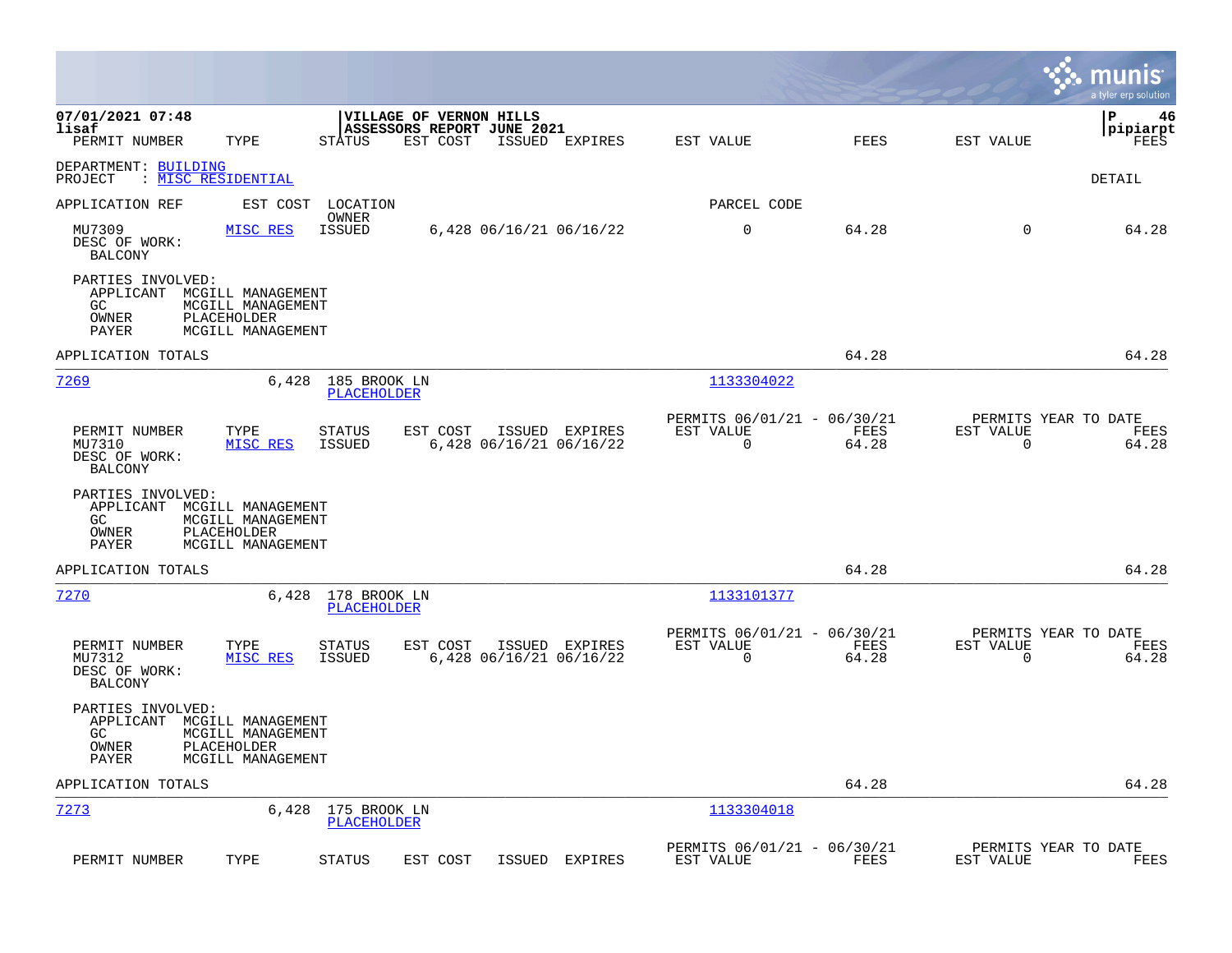|                                                                          |                                                                            |                                    |                                                                   |                                           |                                                         |               |                                               | munis<br>a tyler erp solution  |
|--------------------------------------------------------------------------|----------------------------------------------------------------------------|------------------------------------|-------------------------------------------------------------------|-------------------------------------------|---------------------------------------------------------|---------------|-----------------------------------------------|--------------------------------|
| 07/01/2021 07:48<br>lisaf<br>PERMIT NUMBER                               | TYPE                                                                       | STATUS                             | VILLAGE OF VERNON HILLS<br>ASSESSORS REPORT JUNE 2021<br>EST COST | ISSUED EXPIRES                            | EST VALUE                                               | FEES          | EST VALUE                                     | l P<br>46<br> pipiarpt<br>FEES |
| DEPARTMENT: BUILDING<br>PROJECT                                          | : MISC RESIDENTIAL                                                         |                                    |                                                                   |                                           |                                                         |               |                                               | DETAIL                         |
| APPLICATION REF                                                          | EST COST                                                                   | LOCATION                           |                                                                   |                                           | PARCEL CODE                                             |               |                                               |                                |
| MU7309<br>DESC OF WORK:<br><b>BALCONY</b>                                | MISC RES                                                                   | OWNER<br>ISSUED                    |                                                                   | 6,428 06/16/21 06/16/22                   | 0                                                       | 64.28         | 0                                             | 64.28                          |
| PARTIES INVOLVED:<br>APPLICANT<br>GC.<br>OWNER<br>PAYER                  | MCGILL MANAGEMENT<br>MCGILL MANAGEMENT<br>PLACEHOLDER<br>MCGILL MANAGEMENT |                                    |                                                                   |                                           |                                                         |               |                                               |                                |
| APPLICATION TOTALS                                                       |                                                                            |                                    |                                                                   |                                           |                                                         | 64.28         |                                               | 64.28                          |
| 7269                                                                     | 6,428                                                                      | 185 BROOK LN<br><b>PLACEHOLDER</b> |                                                                   |                                           | 1133304022                                              |               |                                               |                                |
| PERMIT NUMBER<br>MU7310<br>DESC OF WORK:<br><b>BALCONY</b>               | TYPE<br>MISC RES                                                           | <b>STATUS</b><br>ISSUED            | EST COST                                                          | ISSUED EXPIRES<br>6,428 06/16/21 06/16/22 | PERMITS 06/01/21 - 06/30/21<br>EST VALUE<br>$\mathbf 0$ | FEES<br>64.28 | PERMITS YEAR TO DATE<br>EST VALUE<br>0        | FEES<br>64.28                  |
| PARTIES INVOLVED:<br>APPLICANT<br>GC.<br>OWNER<br>PAYER                  | MCGILL MANAGEMENT<br>MCGILL MANAGEMENT<br>PLACEHOLDER<br>MCGILL MANAGEMENT |                                    |                                                                   |                                           |                                                         |               |                                               |                                |
| APPLICATION TOTALS                                                       |                                                                            |                                    |                                                                   |                                           |                                                         | 64.28         |                                               | 64.28                          |
| 7270                                                                     | 6,428                                                                      | 178 BROOK LN<br>PLACEHOLDER        |                                                                   |                                           | 1133101377                                              |               |                                               |                                |
| PERMIT NUMBER<br>MU7312<br>DESC OF WORK:<br><b>BALCONY</b>               | TYPE<br>MISC RES                                                           | <b>STATUS</b><br>ISSUED            | EST COST                                                          | ISSUED EXPIRES<br>6,428 06/16/21 06/16/22 | PERMITS 06/01/21 - 06/30/21<br>EST VALUE<br>0           | FEES<br>64.28 | PERMITS YEAR TO DATE<br>EST VALUE<br>$\Omega$ | FEES<br>64.28                  |
| PARTIES INVOLVED:<br>APPLICANT MCGILL MANAGEMENT<br>GC<br>OWNER<br>PAYER | MCGILL MANAGEMENT<br>PLACEHOLDER<br>MCGILL MANAGEMENT                      |                                    |                                                                   |                                           |                                                         |               |                                               |                                |
| APPLICATION TOTALS                                                       |                                                                            |                                    |                                                                   |                                           |                                                         | 64.28         |                                               | 64.28                          |
| 7273                                                                     |                                                                            | 6,428 175 BROOK LN<br>PLACEHOLDER  |                                                                   |                                           | 1133304018                                              |               |                                               |                                |
| PERMIT NUMBER                                                            | TYPE                                                                       | STATUS                             | EST COST                                                          | ISSUED EXPIRES                            | PERMITS 06/01/21 - 06/30/21<br>EST VALUE                | FEES          | PERMITS YEAR TO DATE<br>EST VALUE             | FEES                           |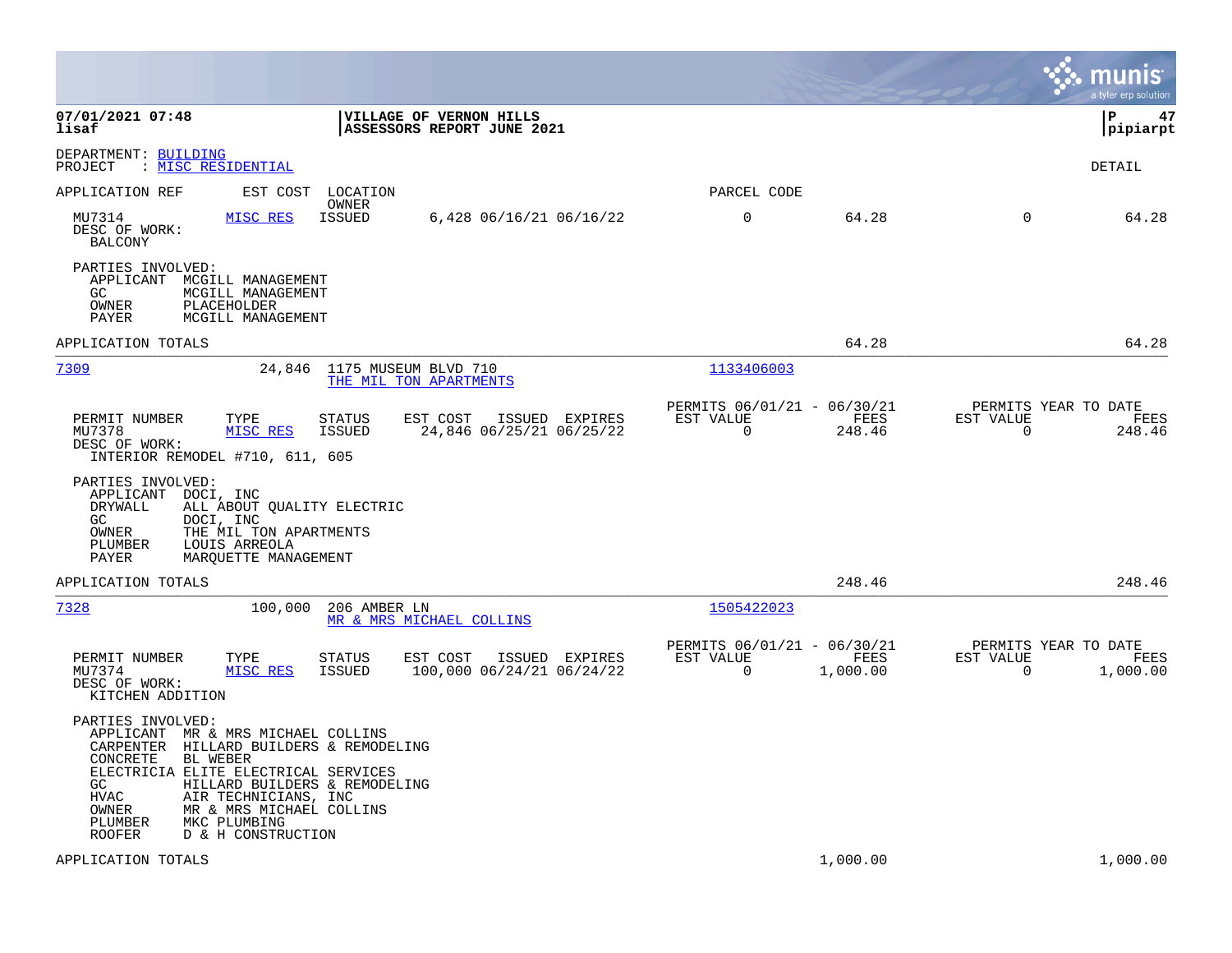|                                                                                                                                                                                                                                                                                                                                                             |                                                                             | munis<br>a tyler erp solution                                      |
|-------------------------------------------------------------------------------------------------------------------------------------------------------------------------------------------------------------------------------------------------------------------------------------------------------------------------------------------------------------|-----------------------------------------------------------------------------|--------------------------------------------------------------------|
| 07/01/2021 07:48<br>VILLAGE OF VERNON HILLS<br>ASSESSORS REPORT JUNE 2021<br>lisaf                                                                                                                                                                                                                                                                          |                                                                             | ΙP<br>47<br> pipiarpt                                              |
| DEPARTMENT: BUILDING<br>: MISC RESIDENTIAL<br>PROJECT                                                                                                                                                                                                                                                                                                       |                                                                             | DETAIL                                                             |
| APPLICATION REF<br>EST COST<br>LOCATION                                                                                                                                                                                                                                                                                                                     | PARCEL CODE                                                                 |                                                                    |
| OWNER<br>ISSUED<br>MU7314<br>MISC RES<br>6,428 06/16/21 06/16/22<br>DESC OF WORK:<br><b>BALCONY</b>                                                                                                                                                                                                                                                         | $\mathbf 0$<br>64.28                                                        | $\Omega$<br>64.28                                                  |
| PARTIES INVOLVED:<br>APPLICANT<br>MCGILL MANAGEMENT<br>GC.<br>MCGILL MANAGEMENT<br>OWNER<br>PLACEHOLDER<br>PAYER<br>MCGILL MANAGEMENT                                                                                                                                                                                                                       |                                                                             |                                                                    |
| APPLICATION TOTALS                                                                                                                                                                                                                                                                                                                                          | 64.28                                                                       | 64.28                                                              |
| 7309<br>24,846<br>1175 MUSEUM BLVD 710<br>THE MIL TON APARTMENTS                                                                                                                                                                                                                                                                                            | 1133406003                                                                  |                                                                    |
| EST COST<br>PERMIT NUMBER<br>TYPE<br>STATUS<br>ISSUED EXPIRES<br>24,846 06/25/21 06/25/22<br>MU7378<br>MISC RES<br>ISSUED<br>DESC OF WORK:<br>INTERIOR REMODEL #710, 611, 605                                                                                                                                                                               | PERMITS 06/01/21 - 06/30/21<br>EST VALUE<br>FEES<br>$\mathbf 0$<br>248.46   | PERMITS YEAR TO DATE<br>EST VALUE<br>FEES<br>$\mathbf 0$<br>248.46 |
| PARTIES INVOLVED:<br>DOCI, INC<br>APPLICANT<br>DRYWALL<br>ALL ABOUT QUALITY ELECTRIC<br>DOCI, INC<br>GC.<br>OWNER<br>THE MIL TON APARTMENTS<br>PLUMBER<br>LOUIS ARREOLA<br>PAYER<br>MARQUETTE MANAGEMENT                                                                                                                                                    |                                                                             |                                                                    |
| APPLICATION TOTALS                                                                                                                                                                                                                                                                                                                                          | 248.46                                                                      | 248.46                                                             |
| 7328<br>100,000<br>206 AMBER LN<br>MR & MRS MICHAEL COLLINS                                                                                                                                                                                                                                                                                                 | 1505422023                                                                  |                                                                    |
| PERMIT NUMBER<br>EST COST<br>ISSUED EXPIRES<br>TYPE<br>STATUS<br>MU7374<br>MISC RES<br>ISSUED<br>100,000 06/24/21 06/24/22<br>DESC OF WORK:<br>KITCHEN ADDITION                                                                                                                                                                                             | PERMITS 06/01/21 - 06/30/21<br>EST VALUE<br>FEES<br>$\mathbf 0$<br>1,000.00 | PERMITS YEAR TO DATE<br>EST VALUE<br>FEES<br>1,000.00<br>0         |
| PARTIES INVOLVED:<br>APPLICANT<br>MR & MRS MICHAEL COLLINS<br>CARPENTER HILLARD BUILDERS & REMODELING<br>CONCRETE<br><b>BL WEBER</b><br>ELECTRICIA ELITE ELECTRICAL SERVICES<br>HILLARD BUILDERS & REMODELING<br>GC.<br>HVAC<br>AIR TECHNICIANS, INC<br>OWNER<br>MR & MRS MICHAEL COLLINS<br>PLUMBER<br>MKC PLUMBING<br><b>ROOFER</b><br>D & H CONSTRUCTION |                                                                             |                                                                    |
| APPLICATION TOTALS                                                                                                                                                                                                                                                                                                                                          | 1,000.00                                                                    | 1,000.00                                                           |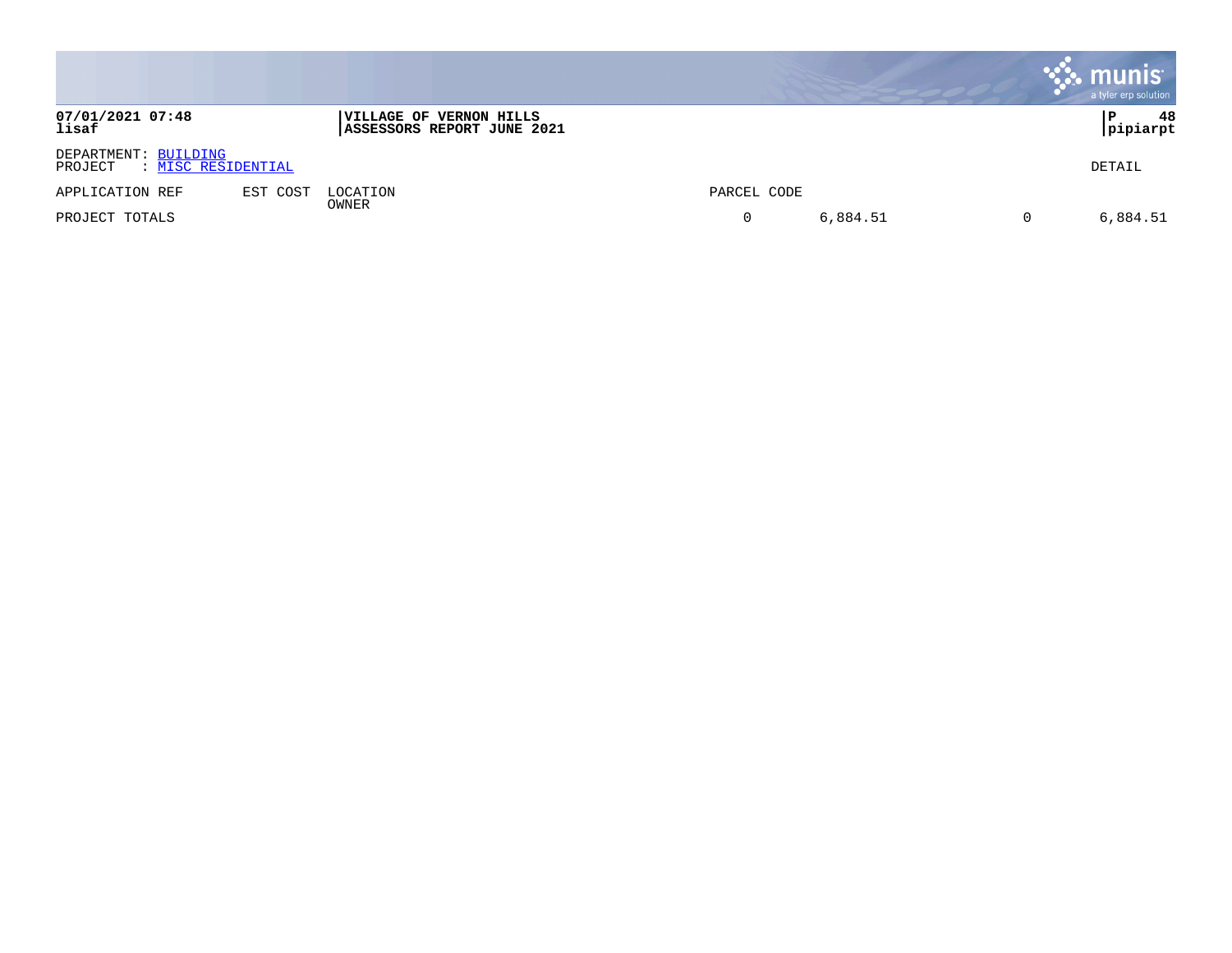|                                                       |          |                                                       |             |          | <b>munis</b><br>a tyler erp solution |
|-------------------------------------------------------|----------|-------------------------------------------------------|-------------|----------|--------------------------------------|
| 07/01/2021 07:48<br>lisaf                             |          | VILLAGE OF VERNON HILLS<br>ASSESSORS REPORT JUNE 2021 |             |          | 48<br>l P<br>pipiarpt                |
| DEPARTMENT: BUILDING<br>: MISC RESIDENTIAL<br>PROJECT |          |                                                       |             |          | DETAIL                               |
| APPLICATION REF                                       | EST COST | LOCATION                                              | PARCEL CODE |          |                                      |
| PROJECT TOTALS                                        |          | OWNER                                                 | 0           | 6,884.51 | 6,884.51                             |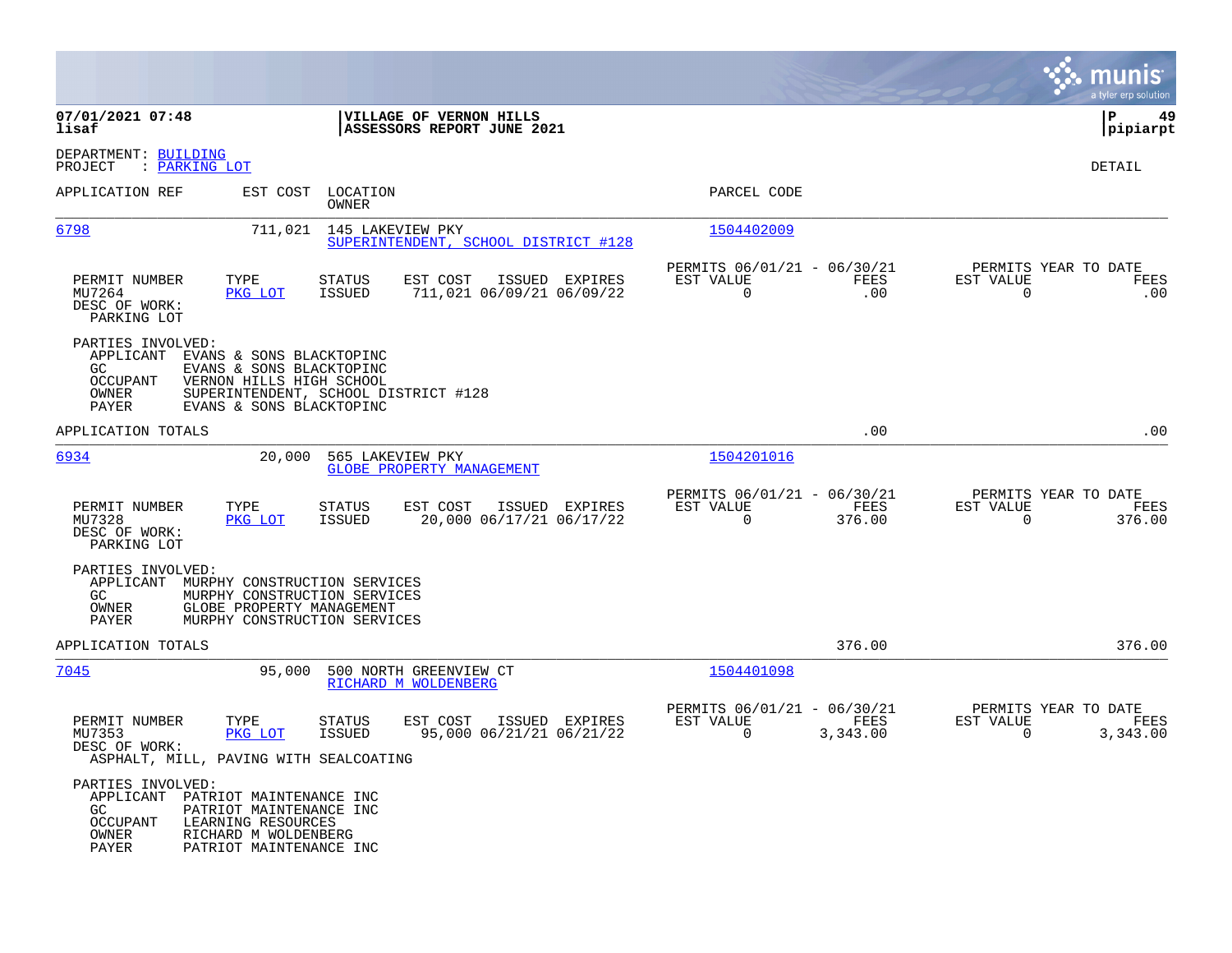|                                                                                                                                                                                                       |                                                                                    |                                                                             | munis<br>a tyler erp solution                                   |
|-------------------------------------------------------------------------------------------------------------------------------------------------------------------------------------------------------|------------------------------------------------------------------------------------|-----------------------------------------------------------------------------|-----------------------------------------------------------------|
| 07/01/2021 07:48<br>lisaf                                                                                                                                                                             | VILLAGE OF VERNON HILLS<br>ASSESSORS REPORT JUNE 2021                              |                                                                             | 49<br>l P<br> pipiarpt                                          |
| DEPARTMENT: BUILDING<br>PROJECT<br>: PARKING LOT                                                                                                                                                      |                                                                                    |                                                                             | DETAIL                                                          |
| APPLICATION REF<br>EST COST                                                                                                                                                                           | LOCATION<br>OWNER                                                                  | PARCEL CODE                                                                 |                                                                 |
| 6798<br>711,021                                                                                                                                                                                       | 145 LAKEVIEW PKY<br>SUPERINTENDENT, SCHOOL DISTRICT #128                           | 1504402009                                                                  |                                                                 |
| PERMIT NUMBER<br>TYPE<br>PKG LOT<br>MU7264<br>DESC OF WORK:<br>PARKING LOT                                                                                                                            | EST COST<br>ISSUED EXPIRES<br>STATUS<br><b>ISSUED</b><br>711,021 06/09/21 06/09/22 | PERMITS 06/01/21 - 06/30/21<br>EST VALUE<br>FEES<br>$\mathbf 0$<br>.00      | PERMITS YEAR TO DATE<br>EST VALUE<br>FEES<br>$\mathbf 0$<br>.00 |
| PARTIES INVOLVED:<br>APPLICANT<br>EVANS & SONS BLACKTOPINC<br>GC<br>EVANS & SONS BLACKTOPINC<br><b>OCCUPANT</b><br>VERNON HILLS HIGH SCHOOL<br>OWNER<br>PAYER<br>EVANS & SONS BLACKTOPINC             | SUPERINTENDENT, SCHOOL DISTRICT #128                                               |                                                                             |                                                                 |
| APPLICATION TOTALS                                                                                                                                                                                    |                                                                                    | .00                                                                         | .00                                                             |
| 6934<br>20,000                                                                                                                                                                                        | 565 LAKEVIEW PKY<br>GLOBE PROPERTY MANAGEMENT                                      | 1504201016                                                                  |                                                                 |
| PERMIT NUMBER<br>TYPE<br>MU7328<br>PKG LOT<br>DESC OF WORK:<br>PARKING LOT                                                                                                                            | ISSUED EXPIRES<br>STATUS<br>EST COST<br><b>ISSUED</b><br>20,000 06/17/21 06/17/22  | PERMITS 06/01/21 - 06/30/21<br>EST VALUE<br>FEES<br>$\Omega$<br>376.00      | PERMITS YEAR TO DATE<br>EST VALUE<br>FEES<br>376.00<br>$\Omega$ |
| PARTIES INVOLVED:<br>APPLICANT<br>MURPHY CONSTRUCTION SERVICES<br>GC.<br>OWNER<br>GLOBE PROPERTY MANAGEMENT<br>PAYER                                                                                  | MURPHY CONSTRUCTION SERVICES<br>MURPHY CONSTRUCTION SERVICES                       |                                                                             |                                                                 |
| APPLICATION TOTALS                                                                                                                                                                                    |                                                                                    | 376.00                                                                      | 376.00                                                          |
| 7045<br>95,000                                                                                                                                                                                        | 500 NORTH GREENVIEW CT<br>RICHARD M WOLDENBERG                                     | 1504401098                                                                  |                                                                 |
| PERMIT NUMBER<br>TYPE<br>MU7353<br>PKG LOT<br>DESC OF WORK:<br>ASPHALT, MILL, PAVING WITH SEALCOATING                                                                                                 | <b>STATUS</b><br>EST COST<br>ISSUED EXPIRES<br>ISSUED<br>95,000 06/21/21 06/21/22  | PERMITS 06/01/21 - 06/30/21<br>EST VALUE<br>FEES<br>$\mathbf 0$<br>3,343.00 | PERMITS YEAR TO DATE<br>EST VALUE<br>FEES<br>3,343.00<br>0      |
| PARTIES INVOLVED:<br>APPLICANT PATRIOT MAINTENANCE INC<br>GC<br>PATRIOT MAINTENANCE INC<br>OCCUPANT<br>LEARNING RESOURCES<br>OWNER<br>RICHARD M WOLDENBERG<br><b>PAYER</b><br>PATRIOT MAINTENANCE INC |                                                                                    |                                                                             |                                                                 |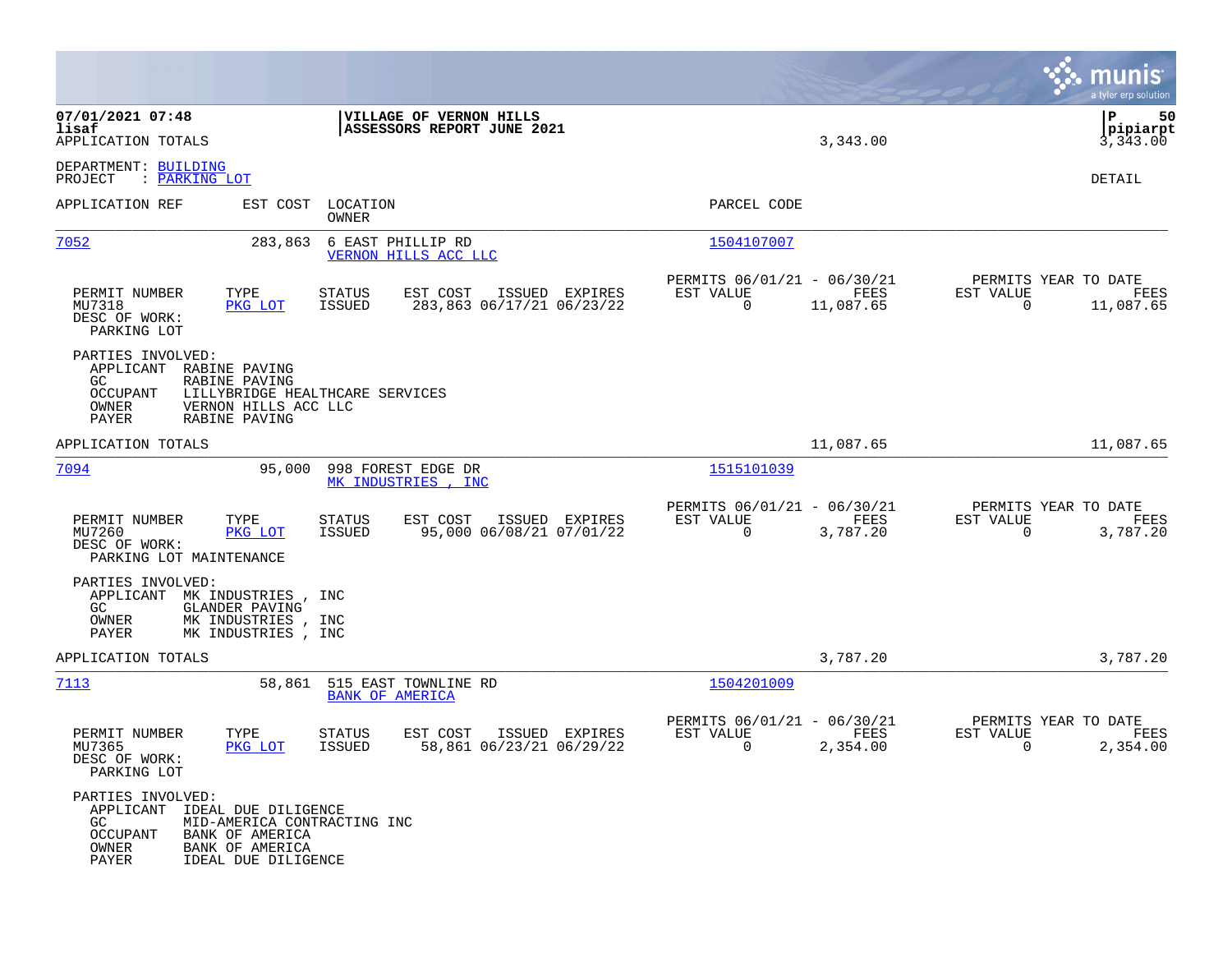|                                                                                                                                                                                           |                                                                                   |                                                                              | munis<br>a tyler erp solution                               |
|-------------------------------------------------------------------------------------------------------------------------------------------------------------------------------------------|-----------------------------------------------------------------------------------|------------------------------------------------------------------------------|-------------------------------------------------------------|
| 07/01/2021 07:48<br>lisaf<br>APPLICATION TOTALS                                                                                                                                           | VILLAGE OF VERNON HILLS<br>ASSESSORS REPORT JUNE 2021                             | 3,343.00                                                                     | P<br>50<br> pipiarpt<br>3,343.00                            |
| DEPARTMENT: BUILDING<br>PROJECT<br>: PARKING LOT                                                                                                                                          |                                                                                   |                                                                              | DETAIL                                                      |
| APPLICATION REF<br>EST COST                                                                                                                                                               | LOCATION<br>OWNER                                                                 | PARCEL CODE                                                                  |                                                             |
| 7052<br>283,863                                                                                                                                                                           | 6 EAST PHILLIP RD<br>VERNON HILLS ACC LLC                                         | 1504107007                                                                   |                                                             |
| PERMIT NUMBER<br>TYPE<br>MU7318<br>PKG LOT<br>DESC OF WORK:<br>PARKING LOT                                                                                                                | EST COST<br>STATUS<br>ISSUED EXPIRES<br>ISSUED<br>283,863 06/17/21 06/23/22       | PERMITS 06/01/21 - 06/30/21<br>EST VALUE<br>FEES<br>$\mathbf 0$<br>11,087.65 | PERMITS YEAR TO DATE<br>EST VALUE<br>FEES<br>0<br>11,087.65 |
| PARTIES INVOLVED:<br>RABINE PAVING<br>APPLICANT<br>RABINE PAVING<br>GC.<br><b>OCCUPANT</b><br>OWNER<br>VERNON HILLS ACC LLC<br>PAYER<br>RABINE PAVING                                     | LILLYBRIDGE HEALTHCARE SERVICES                                                   |                                                                              |                                                             |
| APPLICATION TOTALS                                                                                                                                                                        |                                                                                   | 11,087.65                                                                    | 11,087.65                                                   |
| 7094<br>95,000                                                                                                                                                                            | 998 FOREST EDGE DR<br>MK INDUSTRIES, INC                                          | 1515101039                                                                   |                                                             |
| PERMIT NUMBER<br>TYPE<br>MU7260<br>PKG LOT<br>DESC OF WORK:<br>PARKING LOT MAINTENANCE                                                                                                    | EST COST<br>ISSUED EXPIRES<br>STATUS<br>95,000 06/08/21 07/01/22<br>ISSUED        | PERMITS 06/01/21 - 06/30/21<br>EST VALUE<br>FEES<br>$\mathbf 0$<br>3,787.20  | PERMITS YEAR TO DATE<br>EST VALUE<br>FEES<br>3,787.20<br>0  |
| PARTIES INVOLVED:<br>APPLICANT MK INDUSTRIES, INC<br>GC.<br>GLANDER PAVING<br>OWNER<br>MK INDUSTRIES, INC<br>PAYER<br>MK INDUSTRIES, INC                                                  |                                                                                   |                                                                              |                                                             |
| APPLICATION TOTALS                                                                                                                                                                        |                                                                                   | 3,787.20                                                                     | 3,787.20                                                    |
| 7113<br>58,861                                                                                                                                                                            | 515 EAST TOWNLINE RD<br><b>BANK OF AMERICA</b>                                    | 1504201009                                                                   |                                                             |
| PERMIT NUMBER<br>TYPE<br>MU7365<br>PKG LOT<br>DESC OF WORK:<br>PARKING LOT                                                                                                                | STATUS<br>EST COST<br>ISSUED EXPIRES<br>58,861 06/23/21 06/29/22<br><b>ISSUED</b> | PERMITS 06/01/21 - 06/30/21<br>EST VALUE<br>FEES<br>0<br>2,354.00            | PERMITS YEAR TO DATE<br>EST VALUE<br>FEES<br>0<br>2,354.00  |
| PARTIES INVOLVED:<br>APPLICANT IDEAL DUE DILIGENCE<br>GC<br>MID-AMERICA CONTRACTING INC<br><b>OCCUPANT</b><br>BANK OF AMERICA<br>OWNER<br>BANK OF AMERICA<br>PAYER<br>IDEAL DUE DILIGENCE |                                                                                   |                                                                              |                                                             |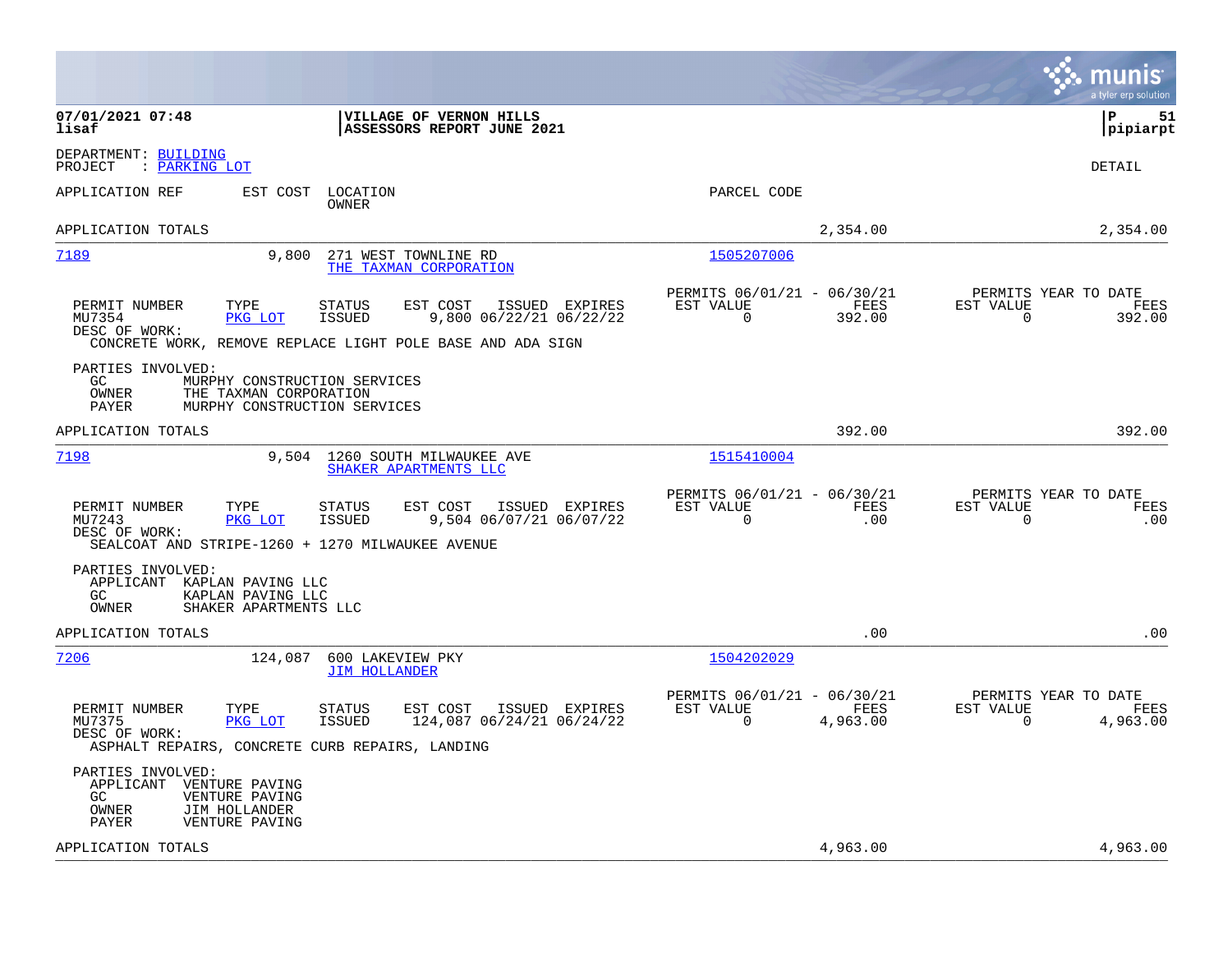|                                                                                                                                                                                                               |                                                                           | munis<br>a tyler erp solution                                     |
|---------------------------------------------------------------------------------------------------------------------------------------------------------------------------------------------------------------|---------------------------------------------------------------------------|-------------------------------------------------------------------|
| 07/01/2021 07:48<br>VILLAGE OF VERNON HILLS<br>lisaf<br>ASSESSORS REPORT JUNE 2021                                                                                                                            |                                                                           | l P<br>51<br> pipiarpt                                            |
| DEPARTMENT: BUILDING<br>: PARKING LOT<br>PROJECT                                                                                                                                                              |                                                                           | <b>DETAIL</b>                                                     |
| APPLICATION REF<br>EST COST LOCATION<br>OWNER                                                                                                                                                                 | PARCEL CODE                                                               |                                                                   |
| APPLICATION TOTALS                                                                                                                                                                                            | 2,354.00                                                                  | 2,354.00                                                          |
| 7189<br>9,800<br>271 WEST TOWNLINE RD<br>THE TAXMAN CORPORATION                                                                                                                                               | 1505207006                                                                |                                                                   |
| TYPE<br>EST COST<br>PERMIT NUMBER<br>STATUS<br>ISSUED EXPIRES<br>MU7354<br>PKG LOT<br><b>ISSUED</b><br>9,800 06/22/21 06/22/22<br>DESC OF WORK:<br>CONCRETE WORK, REMOVE REPLACE LIGHT POLE BASE AND ADA SIGN | PERMITS 06/01/21 - 06/30/21<br>EST VALUE<br>FEES<br>$\mathbf 0$<br>392.00 | PERMITS YEAR TO DATE<br>EST VALUE<br>FEES<br>0<br>392.00          |
| PARTIES INVOLVED:<br>GC<br>MURPHY CONSTRUCTION SERVICES<br>OWNER<br>THE TAXMAN CORPORATION<br>MURPHY CONSTRUCTION SERVICES<br>PAYER                                                                           |                                                                           |                                                                   |
| APPLICATION TOTALS                                                                                                                                                                                            | 392.00                                                                    | 392.00                                                            |
| 7198<br>9,504 1260 SOUTH MILWAUKEE AVE<br>SHAKER APARTMENTS LLC                                                                                                                                               | 1515410004                                                                |                                                                   |
| PERMIT NUMBER<br>TYPE<br>EST COST<br>ISSUED EXPIRES<br>STATUS<br>MU7243<br>PKG LOT<br>ISSUED<br>9,504 06/07/21 06/07/22<br>DESC OF WORK:<br>SEALCOAT AND STRIPE-1260 + 1270 MILWAUKEE AVENUE                  | PERMITS 06/01/21 - 06/30/21<br>EST VALUE<br>FEES<br>.00<br>$\Omega$       | PERMITS YEAR TO DATE<br>EST VALUE<br>FEES<br>$\Omega$<br>.00      |
| PARTIES INVOLVED:<br>APPLICANT KAPLAN PAVING LLC<br>GC.<br>KAPLAN PAVING LLC<br>OWNER<br>SHAKER APARTMENTS LLC                                                                                                |                                                                           |                                                                   |
| APPLICATION TOTALS                                                                                                                                                                                            | .00                                                                       | .00                                                               |
| 7206<br>124,087<br>600 LAKEVIEW PKY<br><b>JIM HOLLANDER</b>                                                                                                                                                   | 1504202029                                                                |                                                                   |
| PERMIT NUMBER<br>TYPE<br><b>STATUS</b><br>EST COST<br>ISSUED EXPIRES<br>MU7375<br>PKG LOT<br>ISSUED<br>124,087 06/24/21 06/24/22<br>DESC OF WORK:<br>ASPHALT REPAIRS, CONCRETE CURB REPAIRS, LANDING          | PERMITS 06/01/21 - 06/30/21<br>EST VALUE<br>FEES<br>$\Omega$<br>4,963.00  | PERMITS YEAR TO DATE<br>EST VALUE<br>FEES<br>$\Omega$<br>4,963.00 |
| PARTIES INVOLVED:<br>APPLICANT VENTURE PAVING<br>GC<br>VENTURE PAVING<br>OWNER<br>JIM HOLLANDER<br>VENTURE PAVING<br>PAYER                                                                                    |                                                                           |                                                                   |
| APPLICATION TOTALS                                                                                                                                                                                            | 4,963.00                                                                  | 4,963.00                                                          |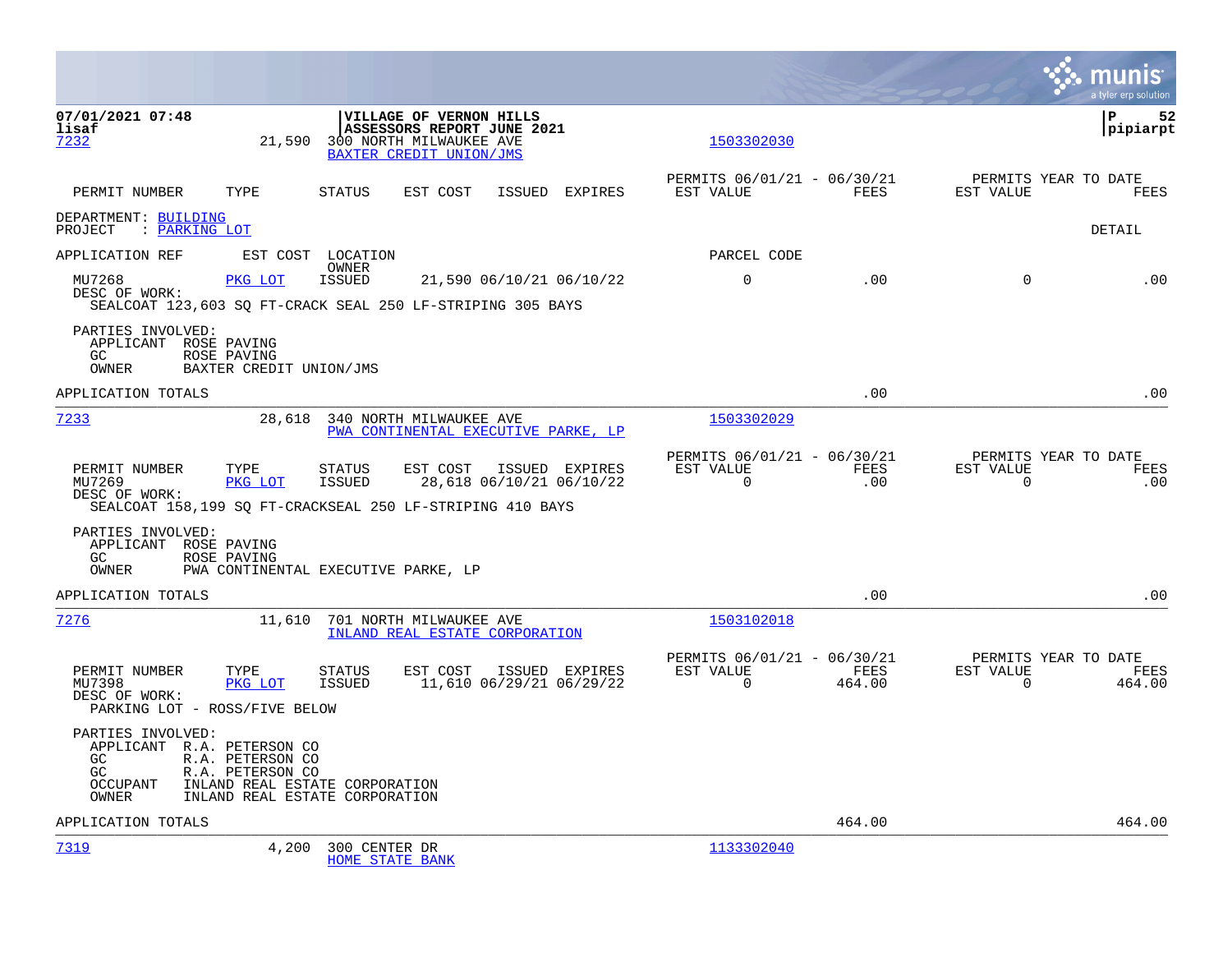|                                                                                   |                                      |                                                                                                                                                |                                                      |                | a tyler erp solution                                               |
|-----------------------------------------------------------------------------------|--------------------------------------|------------------------------------------------------------------------------------------------------------------------------------------------|------------------------------------------------------|----------------|--------------------------------------------------------------------|
| 07/01/2021 07:48<br>lisaf<br>7232                                                 | 21,590                               | VILLAGE OF VERNON HILLS<br>ASSESSORS REPORT JUNE 2021<br>300 NORTH MILWAUKEE AVE<br>BAXTER CREDIT UNION/JMS                                    | 1503302030                                           |                | l P<br>52<br> pipiarpt                                             |
| PERMIT NUMBER                                                                     | TYPE                                 | STATUS<br>EST COST<br>ISSUED<br>EXPIRES                                                                                                        | PERMITS 06/01/21 - 06/30/21<br>EST VALUE             | FEES           | PERMITS YEAR TO DATE<br>EST VALUE<br>FEES                          |
| DEPARTMENT: BUILDING<br>PROJECT : PARKING LOT                                     |                                      |                                                                                                                                                |                                                      |                | DETAIL                                                             |
| APPLICATION REF                                                                   |                                      | EST COST LOCATION                                                                                                                              | PARCEL CODE                                          |                |                                                                    |
| MU7268<br>DESC OF WORK:                                                           | PKG LOT                              | OWNER<br><b>ISSUED</b><br>21,590 06/10/21 06/10/22<br>SEALCOAT 123,603 SQ FT-CRACK SEAL 250 LF-STRIPING 305 BAYS                               | $\mathbf 0$                                          | .00            | $\Omega$<br>.00                                                    |
| PARTIES INVOLVED:<br>APPLICANT ROSE PAVING<br>GC.<br>ROSE PAVING<br>OWNER         | BAXTER CREDIT UNION/JMS              |                                                                                                                                                |                                                      |                |                                                                    |
| APPLICATION TOTALS                                                                |                                      |                                                                                                                                                |                                                      | .00            | .00                                                                |
| 7233                                                                              | 28,618                               | 340 NORTH MILWAUKEE AVE<br>PWA CONTINENTAL EXECUTIVE PARKE, LP                                                                                 | 1503302029                                           |                |                                                                    |
| PERMIT NUMBER<br>MU7269<br>DESC OF WORK:                                          | TYPE<br>PKG LOT                      | EST COST<br>STATUS<br>ISSUED EXPIRES<br>28,618 06/10/21 06/10/22<br><b>ISSUED</b><br>SEALCOAT 158,199 SQ FT-CRACKSEAL 250 LF-STRIPING 410 BAYS | PERMITS 06/01/21 - 06/30/21<br>EST VALUE<br>$\Omega$ | FEES<br>.00    | PERMITS YEAR TO DATE<br>EST VALUE<br>FEES<br>$\Omega$<br>.00       |
| PARTIES INVOLVED:<br>APPLICANT ROSE PAVING<br>GC<br>ROSE PAVING<br>OWNER          |                                      | PWA CONTINENTAL EXECUTIVE PARKE, LP                                                                                                            |                                                      |                |                                                                    |
| APPLICATION TOTALS                                                                |                                      |                                                                                                                                                |                                                      | .00            | .00                                                                |
| 7276                                                                              |                                      | 11,610 701 NORTH MILWAUKEE AVE<br>INLAND REAL ESTATE CORPORATION                                                                               | 1503102018                                           |                |                                                                    |
| PERMIT NUMBER<br>MU7398<br>DESC OF WORK:<br>PARKING LOT - ROSS/FIVE BELOW         | TYPE<br>PKG LOT                      | <b>STATUS</b><br>EST COST<br>ISSUED EXPIRES<br>11,610 06/29/21 06/29/22<br><b>ISSUED</b>                                                       | PERMITS 06/01/21 - 06/30/21<br>EST VALUE<br>$\Omega$ | FEES<br>464.00 | PERMITS YEAR TO DATE<br>EST VALUE<br>FEES<br>$\mathbf 0$<br>464.00 |
| PARTIES INVOLVED:<br>APPLICANT R.A. PETERSON CO<br>GC.<br>GC<br>OCCUPANT<br>OWNER | R.A. PETERSON CO<br>R.A. PETERSON CO | INLAND REAL ESTATE CORPORATION<br>INLAND REAL ESTATE CORPORATION                                                                               |                                                      |                |                                                                    |
| APPLICATION TOTALS                                                                |                                      |                                                                                                                                                |                                                      | 464.00         | 464.00                                                             |
| 7319                                                                              | 4,200                                | 300 CENTER DR<br><b>HOME STATE BANK</b>                                                                                                        | 1133302040                                           |                |                                                                    |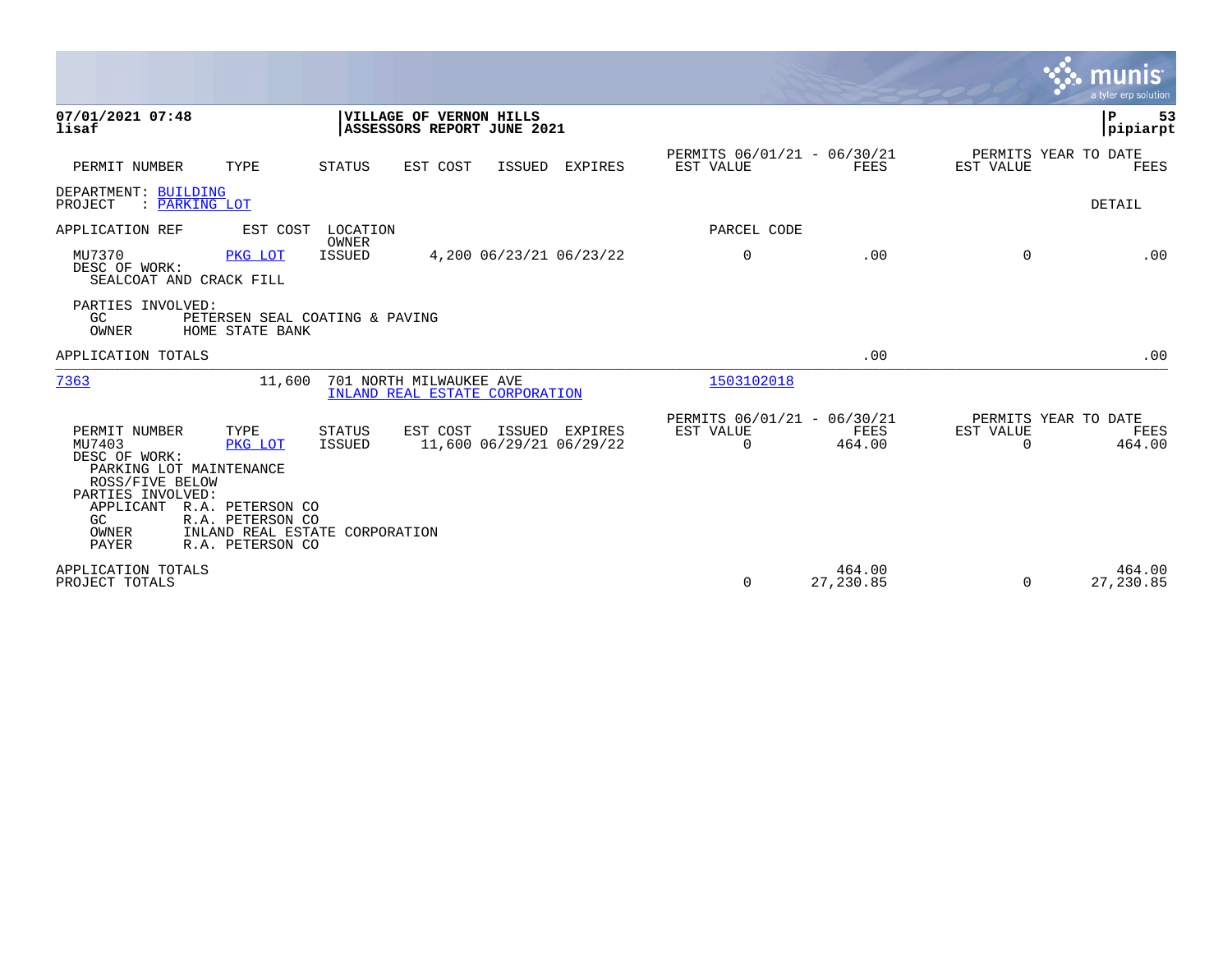|                                                                                                                                                  |                                                                                                                                   |                                                           |                |                                               |                     |                                               | <mark>ः. munis</mark><br>a tyler erp solution |
|--------------------------------------------------------------------------------------------------------------------------------------------------|-----------------------------------------------------------------------------------------------------------------------------------|-----------------------------------------------------------|----------------|-----------------------------------------------|---------------------|-----------------------------------------------|-----------------------------------------------|
| 07/01/2021 07:48<br>lisaf                                                                                                                        |                                                                                                                                   | VILLAGE OF VERNON HILLS<br>ASSESSORS REPORT JUNE 2021     |                |                                               |                     |                                               | ΙP<br>53<br> pipiarpt                         |
| PERMIT NUMBER<br>TYPE                                                                                                                            | STATUS                                                                                                                            | EST COST<br>ISSUED                                        | EXPIRES        | PERMITS 06/01/21 - 06/30/21<br>EST VALUE      | FEES                | PERMITS YEAR TO DATE<br>EST VALUE             | FEES                                          |
| DEPARTMENT: BUILDING<br>: PARKING LOT<br>PROJECT                                                                                                 |                                                                                                                                   |                                                           |                |                                               |                     |                                               | <b>DETAIL</b>                                 |
| APPLICATION REF                                                                                                                                  | EST COST<br>LOCATION                                                                                                              |                                                           |                | PARCEL CODE                                   |                     |                                               |                                               |
| MU7370<br>DESC OF WORK:<br>SEALCOAT AND CRACK FILL                                                                                               | OWNER<br>ISSUED<br>PKG LOT                                                                                                        | 4,200 06/23/21 06/23/22                                   |                | $\mathbf 0$                                   | .00                 | $\Omega$                                      | .00                                           |
| PARTIES INVOLVED:<br>GC<br>OWNER                                                                                                                 | PETERSEN SEAL COATING & PAVING<br>HOME STATE BANK                                                                                 |                                                           |                |                                               |                     |                                               |                                               |
| APPLICATION TOTALS                                                                                                                               |                                                                                                                                   |                                                           |                |                                               | .00                 |                                               | .00                                           |
| 7363                                                                                                                                             | 11,600                                                                                                                            | 701 NORTH MILWAUKEE AVE<br>INLAND REAL ESTATE CORPORATION |                | 1503102018                                    |                     |                                               |                                               |
| PERMIT NUMBER<br>MU7403<br>DESC OF WORK:<br>PARKING LOT MAINTENANCE<br>ROSS/FIVE BELOW<br>PARTIES INVOLVED:<br>APPLICANT<br>GC<br>OWNER<br>PAYER | TYPE<br>STATUS<br>PKG LOT<br>ISSUED<br>R.A. PETERSON CO<br>R.A. PETERSON CO<br>INLAND REAL ESTATE CORPORATION<br>R.A. PETERSON CO | EST COST<br>11,600 06/29/21 06/29/22                      | ISSUED EXPIRES | PERMITS 06/01/21 - 06/30/21<br>EST VALUE<br>0 | FEES<br>464.00      | PERMITS YEAR TO DATE<br>EST VALUE<br>$\Omega$ | FEES<br>464.00                                |
| APPLICATION TOTALS<br>PROJECT TOTALS                                                                                                             |                                                                                                                                   |                                                           |                | 0                                             | 464.00<br>27,230.85 | $\Omega$                                      | 464.00<br>27,230.85                           |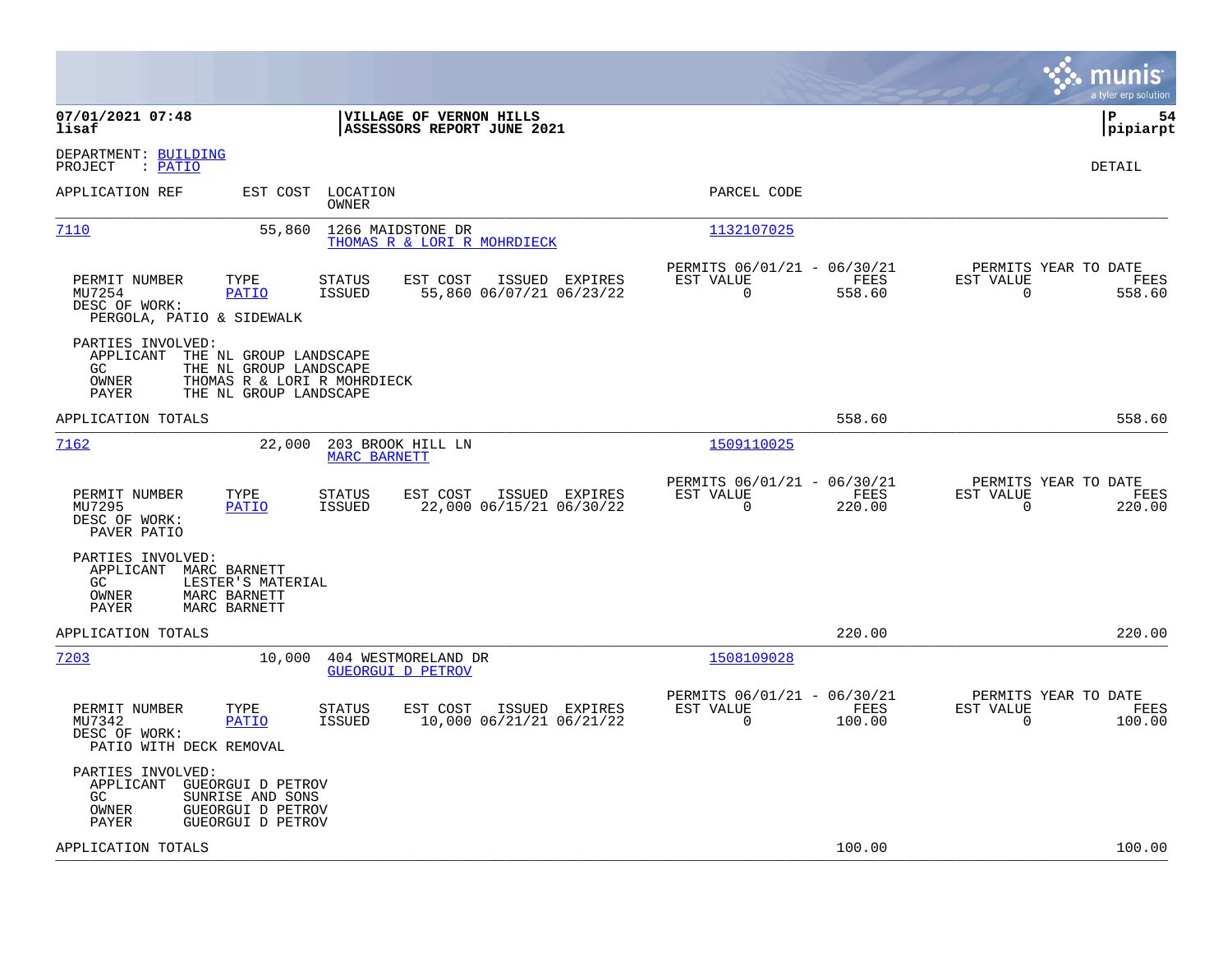|                                                                                                                                                                                           |                                                                           | munis<br>a tyler erp solution                                      |
|-------------------------------------------------------------------------------------------------------------------------------------------------------------------------------------------|---------------------------------------------------------------------------|--------------------------------------------------------------------|
| 07/01/2021 07:48<br>VILLAGE OF VERNON HILLS<br>ASSESSORS REPORT JUNE 2021<br>lisaf                                                                                                        |                                                                           | P<br>54<br> pipiarpt                                               |
| DEPARTMENT: BUILDING<br>: PATIO<br>PROJECT                                                                                                                                                |                                                                           | DETAIL                                                             |
| APPLICATION REF<br>EST COST<br>LOCATION<br><b>OWNER</b>                                                                                                                                   | PARCEL CODE                                                               |                                                                    |
| 7110<br>55,860<br>1266 MAIDSTONE DR<br>THOMAS R & LORI R MOHRDIECK                                                                                                                        | 1132107025                                                                |                                                                    |
| PERMIT NUMBER<br>TYPE<br><b>STATUS</b><br>EST COST<br>ISSUED EXPIRES<br>MU7254<br><b>PATIO</b><br><b>ISSUED</b><br>55,860 06/07/21 06/23/22<br>DESC OF WORK:<br>PERGOLA, PATIO & SIDEWALK | PERMITS 06/01/21 - 06/30/21<br>EST VALUE<br>FEES<br>$\mathbf 0$<br>558.60 | PERMITS YEAR TO DATE<br>EST VALUE<br>FEES<br>$\mathbf 0$<br>558.60 |
| PARTIES INVOLVED:<br>APPLICANT<br>THE NL GROUP LANDSCAPE<br>GC.<br>THE NL GROUP LANDSCAPE<br>THOMAS R & LORI R MOHRDIECK<br>OWNER<br>THE NL GROUP LANDSCAPE<br>PAYER                      |                                                                           |                                                                    |
| APPLICATION TOTALS                                                                                                                                                                        | 558.60                                                                    | 558.60                                                             |
| 7162<br>22,000<br>203 BROOK HILL LN<br><b>MARC BARNETT</b>                                                                                                                                | 1509110025                                                                |                                                                    |
| EST COST<br>ISSUED EXPIRES<br>PERMIT NUMBER<br>TYPE<br>STATUS<br>MU7295<br>22,000 06/15/21 06/30/22<br><b>PATIO</b><br>ISSUED<br>DESC OF WORK:<br>PAVER PATIO                             | PERMITS 06/01/21 - 06/30/21<br>EST VALUE<br>FEES<br>$\Omega$<br>220.00    | PERMITS YEAR TO DATE<br>EST VALUE<br>FEES<br>$\Omega$<br>220.00    |
| PARTIES INVOLVED:<br>APPLICANT MARC BARNETT<br>GC.<br>LESTER'S MATERIAL<br>OWNER<br>MARC BARNETT<br>PAYER<br>MARC BARNETT                                                                 |                                                                           |                                                                    |
| APPLICATION TOTALS                                                                                                                                                                        | 220.00                                                                    | 220.00                                                             |
| 7203<br>10,000<br>404 WESTMORELAND DR<br><b>GUEORGUI D PETROV</b>                                                                                                                         | 1508109028                                                                |                                                                    |
| PERMIT NUMBER<br>TYPE<br><b>STATUS</b><br>EST COST<br>ISSUED EXPIRES<br>10,000 06/21/21 06/21/22<br>MU7342<br><b>PATIO</b><br>ISSUED<br>DESC OF WORK:<br>PATIO WITH DECK REMOVAL          | PERMITS 06/01/21 - 06/30/21<br>EST VALUE<br>FEES<br>$\Omega$<br>100.00    | PERMITS YEAR TO DATE<br>EST VALUE<br>FEES<br>$\Omega$<br>100.00    |
| PARTIES INVOLVED:<br>APPLICANT<br>GUEORGUI D PETROV<br>SUNRISE AND SONS<br>GC.<br>OWNER<br>GUEORGUI D PETROV<br>PAYER<br>GUEORGUI D PETROV                                                |                                                                           |                                                                    |
| APPLICATION TOTALS                                                                                                                                                                        | 100.00                                                                    | 100.00                                                             |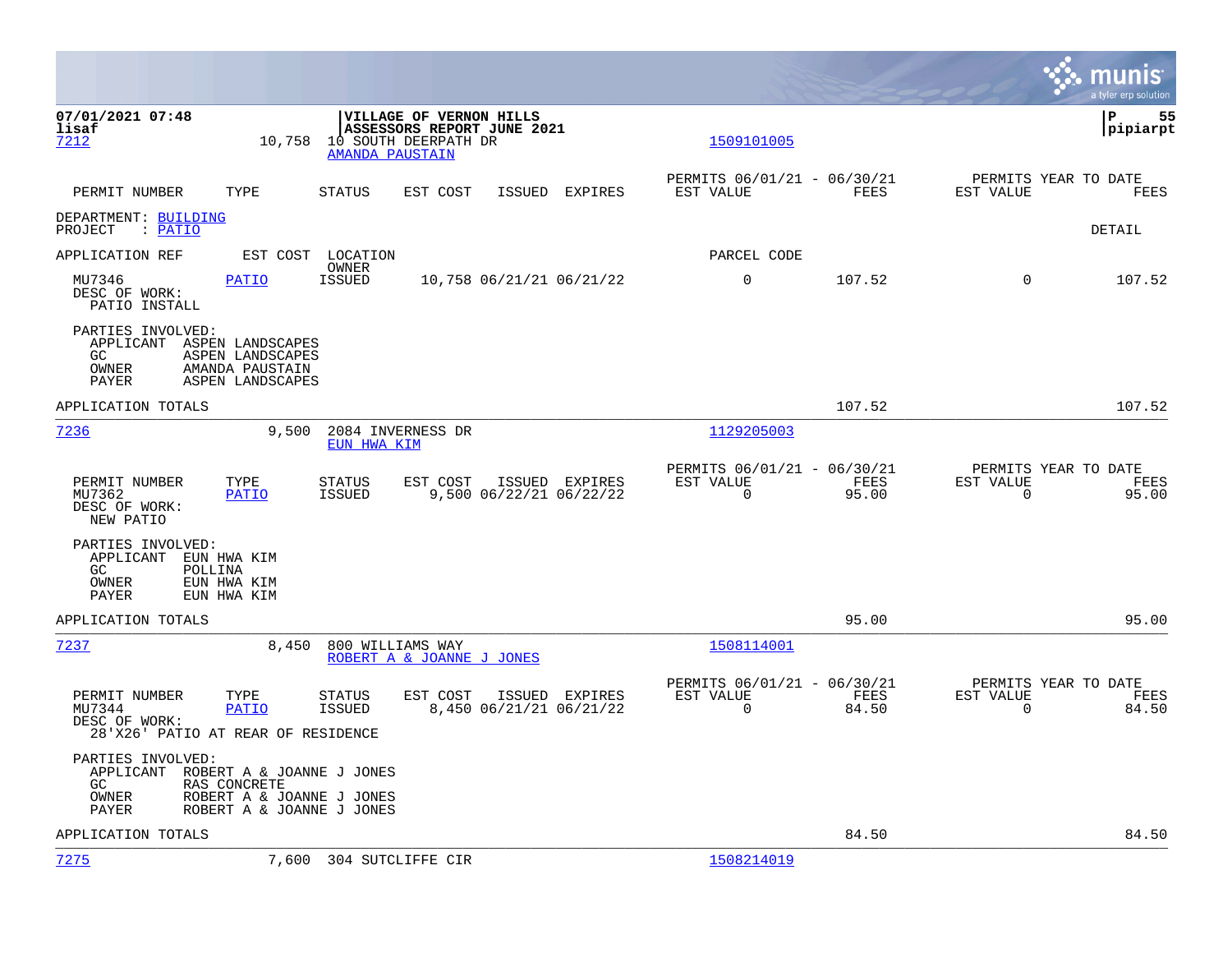|                                                                                                              |                                                         |                                                        |                                                       |                |                                                         |               |                                               | munis<br>a tyler erp solution |
|--------------------------------------------------------------------------------------------------------------|---------------------------------------------------------|--------------------------------------------------------|-------------------------------------------------------|----------------|---------------------------------------------------------|---------------|-----------------------------------------------|-------------------------------|
| 07/01/2021 07:48<br>lisaf<br>7212                                                                            | 10,758                                                  | 10 SOUTH DEERPATH DR<br><b>AMANDA PAUSTAIN</b>         | VILLAGE OF VERNON HILLS<br>ASSESSORS REPORT JUNE 2021 |                | 1509101005                                              |               |                                               | lР<br>55<br> pipiarpt         |
| PERMIT NUMBER<br>TYPE                                                                                        |                                                         | <b>STATUS</b>                                          | EST COST                                              | ISSUED EXPIRES | PERMITS 06/01/21 - 06/30/21<br>EST VALUE                | FEES          | PERMITS YEAR TO DATE<br>EST VALUE             | FEES                          |
| DEPARTMENT: BUILDING<br>PROJECT<br>: <u>PATIO</u>                                                            |                                                         |                                                        |                                                       |                |                                                         |               |                                               | DETAIL                        |
| APPLICATION REF                                                                                              |                                                         | EST COST LOCATION                                      |                                                       |                | PARCEL CODE                                             |               |                                               |                               |
| MU7346<br>DESC OF WORK:<br>PATIO INSTALL                                                                     | <b>PATIO</b>                                            | OWNER<br><b>ISSUED</b>                                 | 10,758 06/21/21 06/21/22                              |                | 0                                                       | 107.52        | 0                                             | 107.52                        |
| PARTIES INVOLVED:<br>APPLICANT ASPEN LANDSCAPES<br>GC<br>OWNER<br>PAYER                                      | ASPEN LANDSCAPES<br>AMANDA PAUSTAIN<br>ASPEN LANDSCAPES |                                                        |                                                       |                |                                                         |               |                                               |                               |
| APPLICATION TOTALS                                                                                           |                                                         |                                                        |                                                       |                |                                                         | 107.52        |                                               | 107.52                        |
| 7236                                                                                                         | 9,500                                                   | 2084 INVERNESS DR<br>EUN HWA KIM                       |                                                       |                | 1129205003                                              |               |                                               |                               |
| PERMIT NUMBER<br>TYPE<br>MU7362<br>DESC OF WORK:<br>NEW PATIO                                                | <b>PATIO</b>                                            | STATUS<br><b>ISSUED</b>                                | EST COST<br>9,500 06/22/21 06/22/22                   | ISSUED EXPIRES | PERMITS 06/01/21 - 06/30/21<br>EST VALUE<br>$\mathbf 0$ | FEES<br>95.00 | PERMITS YEAR TO DATE<br>EST VALUE<br>0        | FEES<br>95.00                 |
| PARTIES INVOLVED:<br>APPLICANT EUN HWA KIM<br>GC.<br>POLLINA<br>EUN HWA KIM<br>OWNER<br>PAYER<br>EUN HWA KIM |                                                         |                                                        |                                                       |                |                                                         |               |                                               |                               |
| APPLICATION TOTALS                                                                                           |                                                         |                                                        |                                                       |                |                                                         | 95.00         |                                               | 95.00                         |
| 7237                                                                                                         | 8,450                                                   | 800 WILLIAMS WAY<br>ROBERT A & JOANNE J JONES          |                                                       |                | 1508114001                                              |               |                                               |                               |
| PERMIT NUMBER<br>TYPE<br>MU7344<br>DESC OF WORK:<br>28'X26' PATIO AT REAR OF RESIDENCE                       | PATIO                                                   | <b>STATUS</b><br><b>ISSUED</b>                         | EST COST<br>8,450 06/21/21 06/21/22                   | ISSUED EXPIRES | PERMITS 06/01/21 - 06/30/21<br>EST VALUE<br>$\Omega$    | FEES<br>84.50 | PERMITS YEAR TO DATE<br>EST VALUE<br>$\Omega$ | FEES<br>84.50                 |
| PARTIES INVOLVED:<br>APPLICANT ROBERT A & JOANNE J JONES<br>RAS CONCRETE<br>GC.<br>OWNER<br>PAYER            |                                                         | ROBERT A & JOANNE J JONES<br>ROBERT A & JOANNE J JONES |                                                       |                |                                                         |               |                                               |                               |
| APPLICATION TOTALS                                                                                           |                                                         |                                                        |                                                       |                |                                                         | 84.50         |                                               | 84.50                         |
| 7275                                                                                                         |                                                         | 7,600 304 SUTCLIFFE CIR                                |                                                       |                | 1508214019                                              |               |                                               |                               |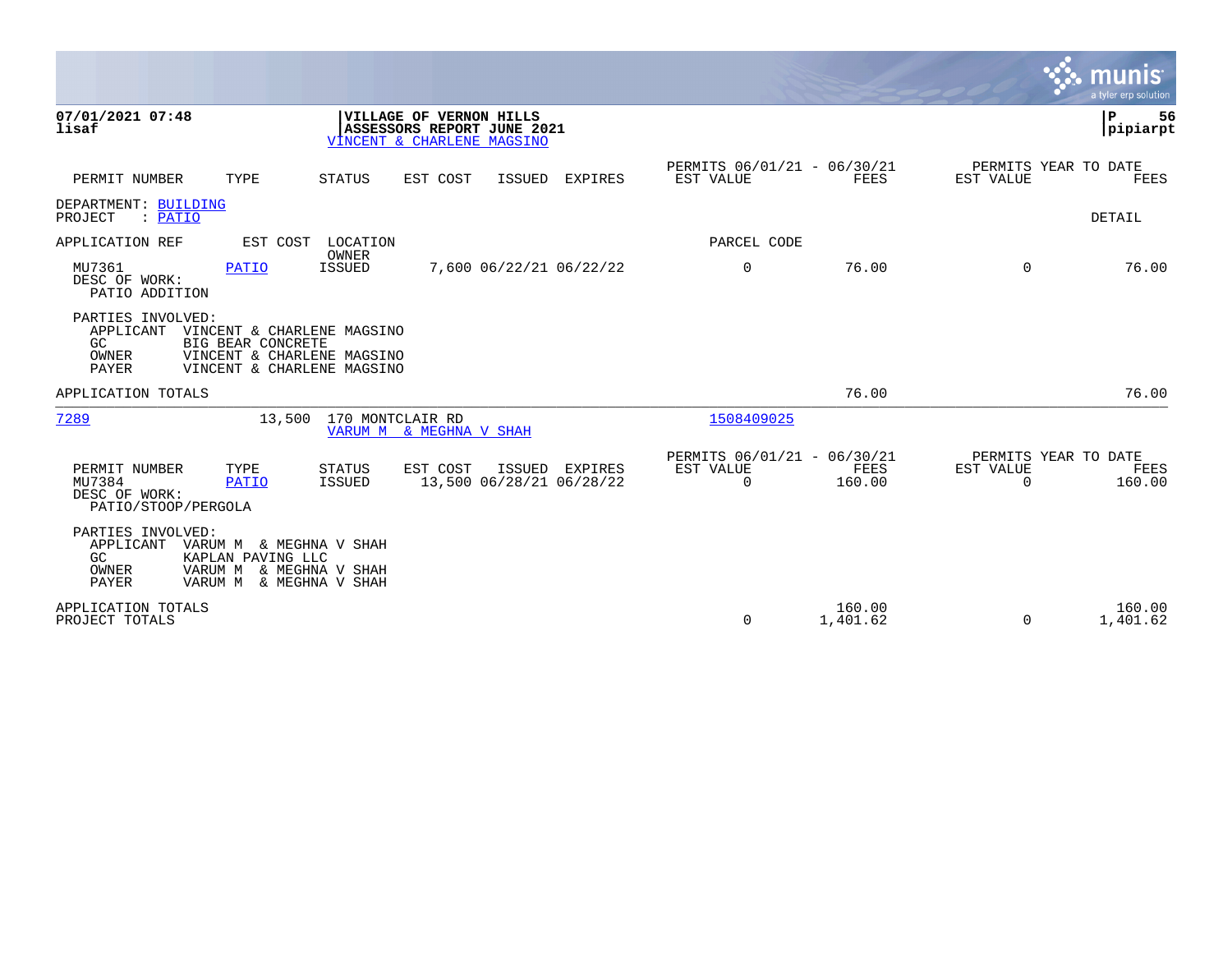|                                                                                         |                                                                                                             |                                                                                     |        |                         |                                                                |                    |                                               | munis<br>a tyler erp solution |
|-----------------------------------------------------------------------------------------|-------------------------------------------------------------------------------------------------------------|-------------------------------------------------------------------------------------|--------|-------------------------|----------------------------------------------------------------|--------------------|-----------------------------------------------|-------------------------------|
| 07/01/2021 07:48<br>lisaf                                                               |                                                                                                             | VILLAGE OF VERNON HILLS<br>ASSESSORS REPORT JUNE 2021<br>VINCENT & CHARLENE MAGSINO |        |                         |                                                                |                    |                                               | ΙP<br>56<br> pipiarpt         |
| PERMIT NUMBER<br>TYPE                                                                   | <b>STATUS</b>                                                                                               | EST COST                                                                            | ISSUED | EXPIRES                 | PERMITS 06/01/21 - 06/30/21<br>EST VALUE                       | FEES               | PERMITS YEAR TO DATE<br>EST VALUE             | FEES                          |
| DEPARTMENT: BUILDING<br>PROJECT<br>: PATIO                                              |                                                                                                             |                                                                                     |        |                         |                                                                |                    |                                               | <b>DETAIL</b>                 |
| APPLICATION REF                                                                         | EST COST LOCATION                                                                                           |                                                                                     |        |                         | PARCEL CODE                                                    |                    |                                               |                               |
| MU7361<br>PATIO<br>DESC OF WORK:<br>PATIO ADDITION                                      | OWNER<br>ISSUED                                                                                             |                                                                                     |        | 7,600 06/22/21 06/22/22 | $\mathbf 0$                                                    | 76.00              | $\Omega$                                      | 76.00                         |
| PARTIES INVOLVED:<br>APPLICANT<br>GC<br>OWNER<br>PAYER                                  | VINCENT & CHARLENE MAGSINO<br>BIG BEAR CONCRETE<br>VINCENT & CHARLENE MAGSINO<br>VINCENT & CHARLENE MAGSINO |                                                                                     |        |                         |                                                                |                    |                                               |                               |
| APPLICATION TOTALS                                                                      |                                                                                                             |                                                                                     |        |                         |                                                                | 76.00              |                                               | 76.00                         |
| 7289                                                                                    | 13,500                                                                                                      | 170 MONTCLAIR RD<br>VARUM M & MEGHNA V SHAH                                         |        |                         | 1508409025                                                     |                    |                                               |                               |
| PERMIT NUMBER<br>TYPE<br>MU7384<br><b>PATIO</b><br>DESC OF WORK:<br>PATIO/STOOP/PERGOLA | STATUS<br>ISSUED                                                                                            | EST COST<br>13,500 06/28/21 06/28/22                                                |        | ISSUED EXPIRES          | PERMITS 06/01/21 - 06/30/21<br><b>EST VALUE</b><br>$\mathbf 0$ | FEES<br>160.00     | PERMITS YEAR TO DATE<br>EST VALUE<br>$\Omega$ | FEES<br>160.00                |
| PARTIES INVOLVED:<br>APPLICANT<br>GC.<br>OWNER<br>VARUM M<br><b>PAYER</b>               | VARUM M & MEGHNA V SHAH<br>KAPLAN PAVING LLC<br>& MEGHNA V SHAH<br>VARUM M & MEGHNA V SHAH                  |                                                                                     |        |                         |                                                                |                    |                                               |                               |
| APPLICATION TOTALS<br>PROJECT TOTALS                                                    |                                                                                                             |                                                                                     |        |                         | 0                                                              | 160.00<br>1,401.62 | 0                                             | 160.00<br>1,401.62            |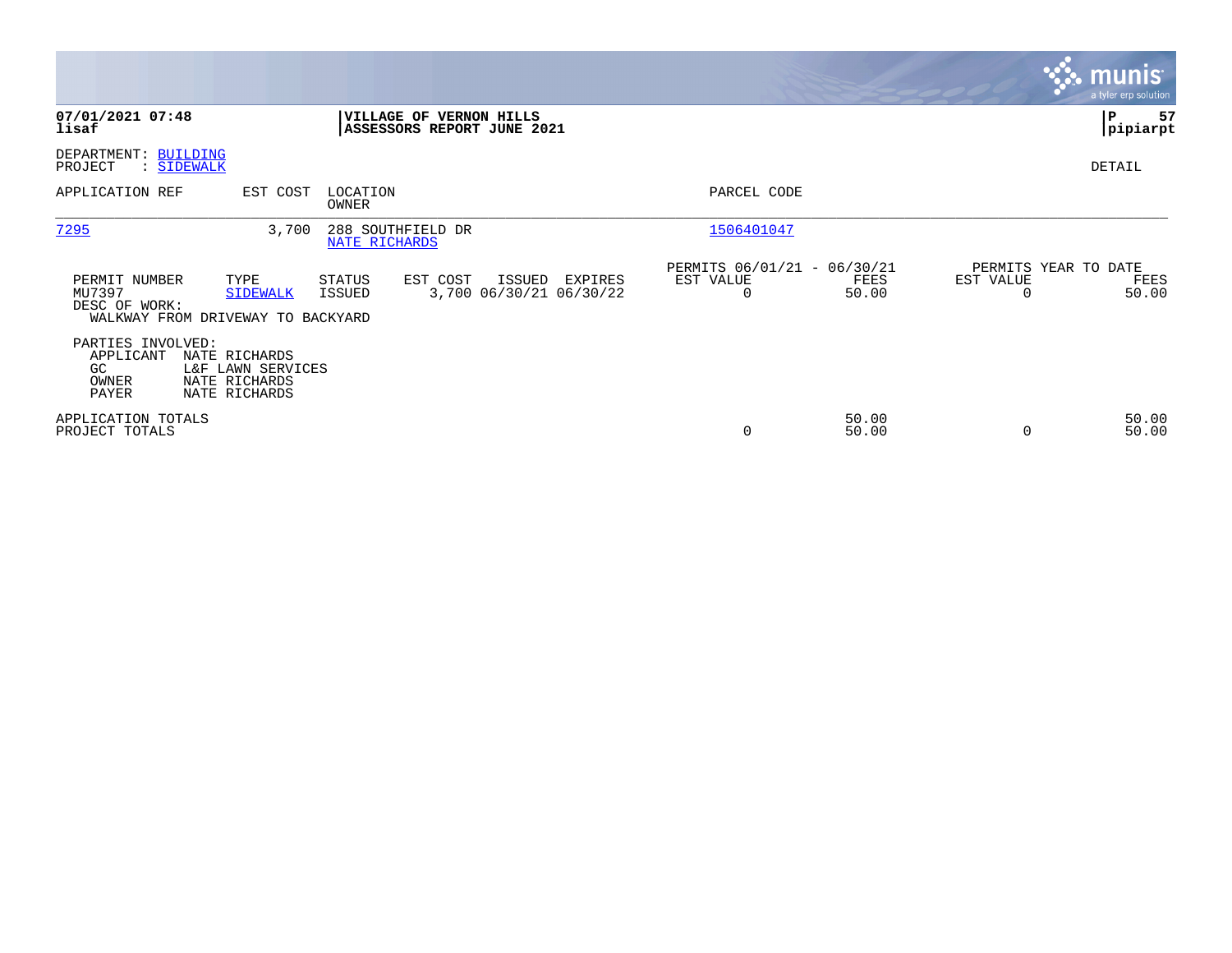|                                                        |                                                                      |                                                              |                                              |                                                      |                |           | munis <sup>®</sup><br>a tyler erp solution |
|--------------------------------------------------------|----------------------------------------------------------------------|--------------------------------------------------------------|----------------------------------------------|------------------------------------------------------|----------------|-----------|--------------------------------------------|
| 07/01/2021 07:48<br>lisaf                              |                                                                      | <b>VILLAGE OF VERNON HILLS</b><br>ASSESSORS REPORT JUNE 2021 |                                              |                                                      |                |           | ∣P<br>57<br> pipiarpt                      |
| DEPARTMENT: BUILDING<br>PROJECT<br>: SIDEWALK          |                                                                      |                                                              |                                              |                                                      |                |           | DETAIL                                     |
| APPLICATION REF                                        | EST COST                                                             | LOCATION<br>OWNER                                            |                                              | PARCEL CODE                                          |                |           |                                            |
| 7295                                                   | 3,700                                                                | 288 SOUTHFIELD DR<br>NATE RICHARDS                           |                                              | 1506401047                                           |                |           |                                            |
| PERMIT NUMBER<br>MU7397<br>DESC OF WORK:               | TYPE<br><b>SIDEWALK</b><br>WALKWAY FROM DRIVEWAY TO BACKYARD         | STATUS<br>EST COST<br>ISSUED                                 | ISSUED<br>EXPIRES<br>3,700 06/30/21 06/30/22 | PERMITS 06/01/21 - 06/30/21<br>EST VALUE<br>$\Omega$ | FEES<br>50.00  | EST VALUE | PERMITS YEAR TO DATE<br>FEES<br>50.00      |
| PARTIES INVOLVED:<br>APPLICANT<br>GC<br>OWNER<br>PAYER | NATE RICHARDS<br>L&F LAWN SERVICES<br>NATE RICHARDS<br>NATE RICHARDS |                                                              |                                              |                                                      |                |           |                                            |
| APPLICATION TOTALS<br>PROJECT TOTALS                   |                                                                      |                                                              |                                              | $\mathbf 0$                                          | 50.00<br>50.00 | $\Omega$  | 50.00<br>50.00                             |

**Contract**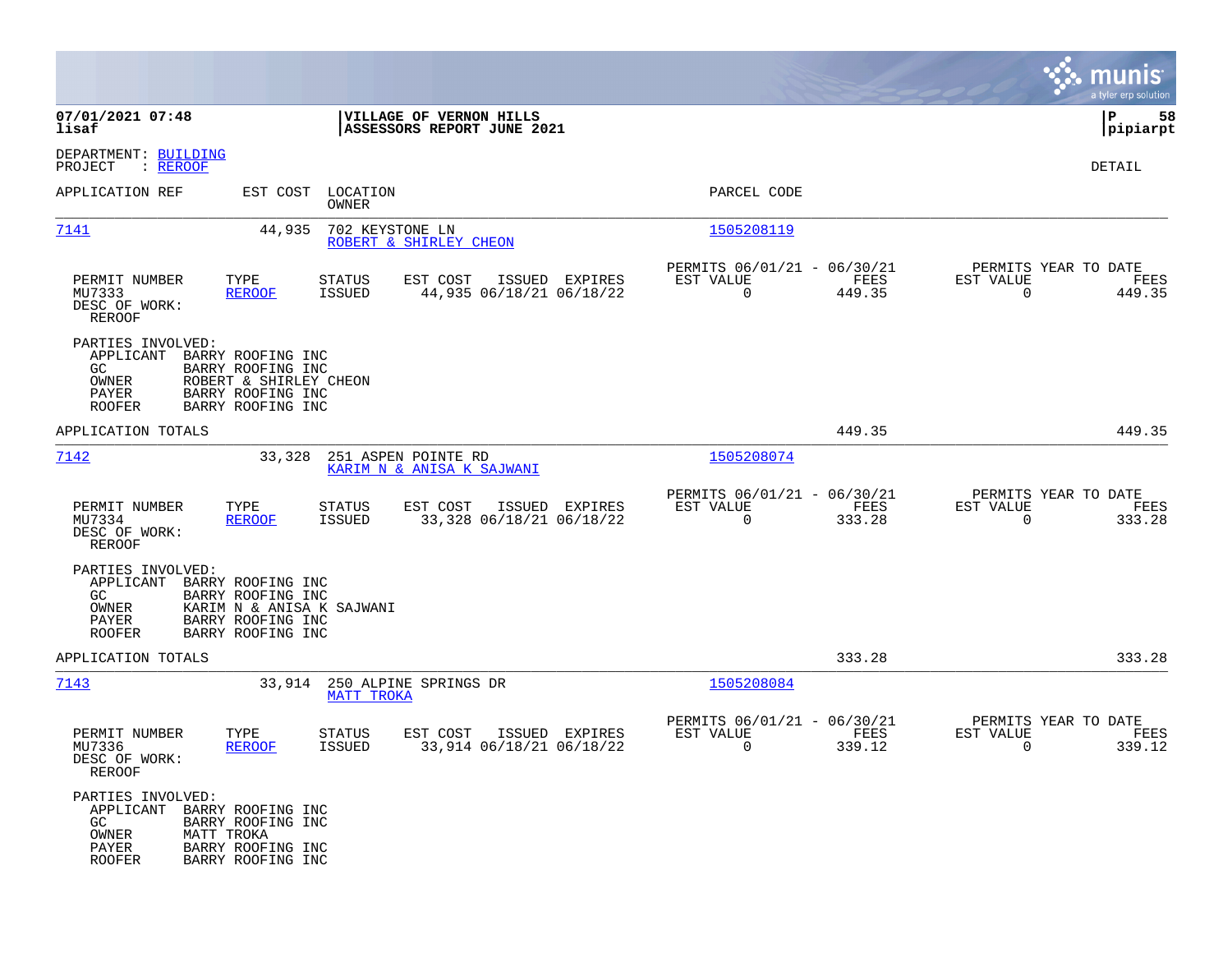|                                                                                                         |                                                                                                               |                                                        |                                                            |                                         | munis<br>a tyler erp solution          |
|---------------------------------------------------------------------------------------------------------|---------------------------------------------------------------------------------------------------------------|--------------------------------------------------------|------------------------------------------------------------|-----------------------------------------|----------------------------------------|
| 07/01/2021 07:48<br>lisaf                                                                               |                                                                                                               | VILLAGE OF VERNON HILLS<br>ASSESSORS REPORT JUNE 2021  |                                                            |                                         | ΙP<br>58<br> pipiarpt                  |
| DEPARTMENT: BUILDING<br>PROJECT<br>: <u>REROOF</u>                                                      |                                                                                                               |                                                        |                                                            |                                         | DETAIL                                 |
| APPLICATION REF                                                                                         | EST COST LOCATION<br>OWNER                                                                                    |                                                        | PARCEL CODE                                                |                                         |                                        |
| 7141                                                                                                    | 44,935<br>702 KEYSTONE LN                                                                                     | ROBERT & SHIRLEY CHEON                                 | 1505208119                                                 |                                         |                                        |
| PERMIT NUMBER<br>TYPE<br>MU7333<br>DESC OF WORK:<br>REROOF                                              | <b>STATUS</b><br><b>REROOF</b><br>ISSUED                                                                      | EST COST<br>ISSUED EXPIRES<br>44,935 06/18/21 06/18/22 | PERMITS 06/01/21 - 06/30/21<br>EST VALUE<br>$\overline{0}$ | FEES<br>EST VALUE<br>$\Omega$<br>449.35 | PERMITS YEAR TO DATE<br>FEES<br>449.35 |
| PARTIES INVOLVED:<br>APPLICANT BARRY ROOFING INC<br>GC.<br>OWNER<br>PAYER<br><b>ROOFER</b>              | BARRY ROOFING INC<br>ROBERT & SHIRLEY CHEON<br>BARRY ROOFING INC<br>BARRY ROOFING INC                         |                                                        |                                                            |                                         |                                        |
| APPLICATION TOTALS                                                                                      |                                                                                                               |                                                        |                                                            | 449.35                                  | 449.35                                 |
| 7142                                                                                                    | 33,328<br>251 ASPEN POINTE RD                                                                                 | KARIM N & ANISA K SAJWANI                              | 1505208074                                                 |                                         |                                        |
| PERMIT NUMBER<br>TYPE<br>MU7334<br>DESC OF WORK:<br>REROOF                                              | STATUS<br><b>REROOF</b><br>ISSUED                                                                             | EST COST<br>ISSUED EXPIRES<br>33,328 06/18/21 06/18/22 | PERMITS 06/01/21 - 06/30/21<br>EST VALUE<br>$\mathbf 0$    | FEES<br>EST VALUE<br>333.28<br>$\Omega$ | PERMITS YEAR TO DATE<br>FEES<br>333.28 |
| PARTIES INVOLVED:<br>APPLICANT<br>GC.<br>OWNER<br>PAYER<br>ROOFER                                       | BARRY ROOFING INC<br>BARRY ROOFING INC<br>KARIM N & ANISA K SAJWANI<br>BARRY ROOFING INC<br>BARRY ROOFING INC |                                                        |                                                            |                                         |                                        |
| APPLICATION TOTALS                                                                                      |                                                                                                               |                                                        |                                                            | 333.28                                  | 333.28                                 |
| 7143                                                                                                    | 33,914 250 ALPINE SPRINGS DR<br><b>MATT TROKA</b>                                                             |                                                        | 1505208084                                                 |                                         |                                        |
| PERMIT NUMBER<br>TYPE<br>MU7336<br>DESC OF WORK:<br>REROOF                                              | STATUS<br><b>REROOF</b><br><b>ISSUED</b>                                                                      | EST COST ISSUED EXPIRES<br>33,914 06/18/21 06/18/22    | PERMITS 06/01/21 - 06/30/21<br>EST VALUE<br>0              | EST VALUE<br>FEES<br>339.12<br>0        | PERMITS YEAR TO DATE<br>FEES<br>339.12 |
| PARTIES INVOLVED:<br>APPLICANT BARRY ROOFING INC<br>GC<br>OWNER<br>MATT TROKA<br>PAYER<br><b>ROOFER</b> | BARRY ROOFING INC<br>BARRY ROOFING INC<br>BARRY ROOFING INC                                                   |                                                        |                                                            |                                         |                                        |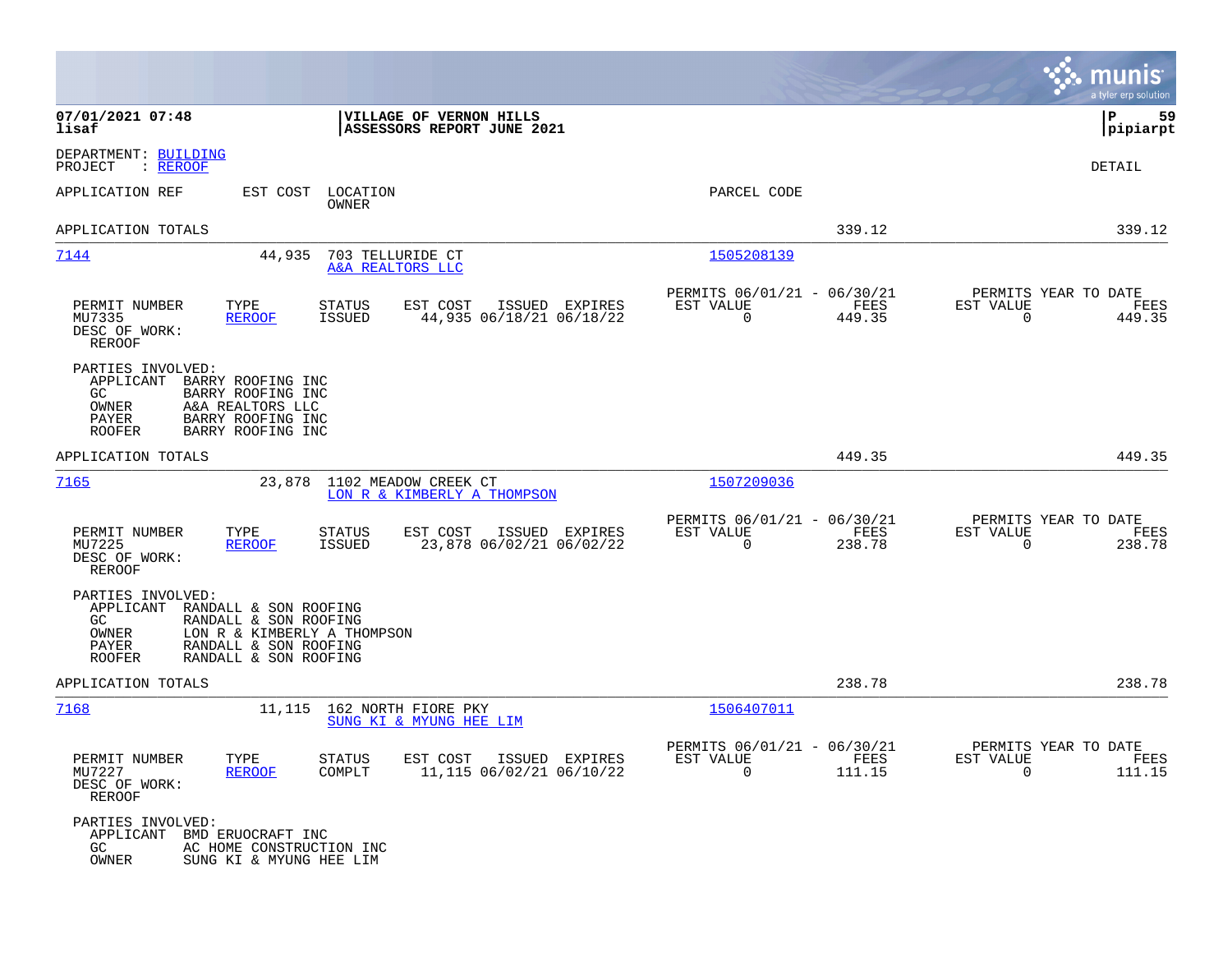|                                                                                                                                                                                                      |                                                                           | munis<br>a tyler erp solution                                      |
|------------------------------------------------------------------------------------------------------------------------------------------------------------------------------------------------------|---------------------------------------------------------------------------|--------------------------------------------------------------------|
| 07/01/2021 07:48<br>VILLAGE OF VERNON HILLS<br>lisaf<br>ASSESSORS REPORT JUNE 2021                                                                                                                   |                                                                           | ΙP<br>59<br> pipiarpt                                              |
| DEPARTMENT: BUILDING<br>PROJECT<br>: <u>REROOF</u>                                                                                                                                                   |                                                                           | DETAIL                                                             |
| APPLICATION REF<br>EST COST<br>LOCATION<br>OWNER                                                                                                                                                     | PARCEL CODE                                                               |                                                                    |
| APPLICATION TOTALS                                                                                                                                                                                   | 339.12                                                                    | 339.12                                                             |
| 7144<br>44,935<br>703 TELLURIDE CT<br>A&A REALTORS LLC                                                                                                                                               | 1505208139                                                                |                                                                    |
| PERMIT NUMBER<br>TYPE<br><b>STATUS</b><br>EST COST<br>ISSUED EXPIRES<br>MU7335<br><b>ISSUED</b><br>44,935 06/18/21 06/18/22<br><b>REROOF</b><br>DESC OF WORK:<br>REROOF                              | PERMITS 06/01/21 - 06/30/21<br>EST VALUE<br>FEES<br>$\mathbf 0$<br>449.35 | PERMITS YEAR TO DATE<br>EST VALUE<br>FEES<br>$\mathbf 0$<br>449.35 |
| PARTIES INVOLVED:<br>APPLICANT<br>BARRY ROOFING INC<br>GC.<br>BARRY ROOFING INC<br>OWNER<br>A&A REALTORS LLC<br>PAYER<br>BARRY ROOFING INC<br><b>ROOFER</b><br>BARRY ROOFING INC                     |                                                                           |                                                                    |
| APPLICATION TOTALS                                                                                                                                                                                   | 449.35                                                                    | 449.35                                                             |
| 7165<br>23,878<br>1102 MEADOW CREEK CT<br>LON R & KIMBERLY A THOMPSON                                                                                                                                | 1507209036                                                                |                                                                    |
| PERMIT NUMBER<br>TYPE<br><b>STATUS</b><br>EST COST<br>ISSUED EXPIRES<br>23,878 06/02/21 06/02/22<br>MU7225<br>ISSUED<br><b>REROOF</b><br>DESC OF WORK:<br>REROOF                                     | PERMITS 06/01/21 - 06/30/21<br>FEES<br>EST VALUE<br>238.78<br>$\mathbf 0$ | PERMITS YEAR TO DATE<br>EST VALUE<br>FEES<br>$\mathbf 0$<br>238.78 |
| PARTIES INVOLVED:<br>APPLICANT<br>RANDALL & SON ROOFING<br>GC.<br>RANDALL & SON ROOFING<br>OWNER<br>LON R & KIMBERLY A THOMPSON<br>PAYER<br>RANDALL & SON ROOFING<br>RANDALL & SON ROOFING<br>ROOFER |                                                                           |                                                                    |
| APPLICATION TOTALS                                                                                                                                                                                   | 238.78                                                                    | 238.78                                                             |
| 7168<br>162 NORTH FIORE PKY<br>11,115<br>SUNG KI & MYUNG HEE LIM                                                                                                                                     | 1506407011                                                                |                                                                    |
| PERMIT NUMBER<br>TYPE<br>STATUS<br>EST COST ISSUED EXPIRES<br>MU7227<br>11,115 06/02/21 06/10/22<br>REROOF<br>COMPLT<br>DESC OF WORK:<br>REROOF                                                      | PERMITS 06/01/21 - 06/30/21<br>EST VALUE<br>FEES<br>$\Omega$<br>111.15    | PERMITS YEAR TO DATE<br>EST VALUE<br>FEES<br>$\Omega$<br>111.15    |
| PARTIES INVOLVED:<br>APPLICANT BMD ERUOCRAFT INC<br>GC<br>AC HOME CONSTRUCTION INC<br>OWNER<br>SUNG KI & MYUNG HEE LIM                                                                               |                                                                           |                                                                    |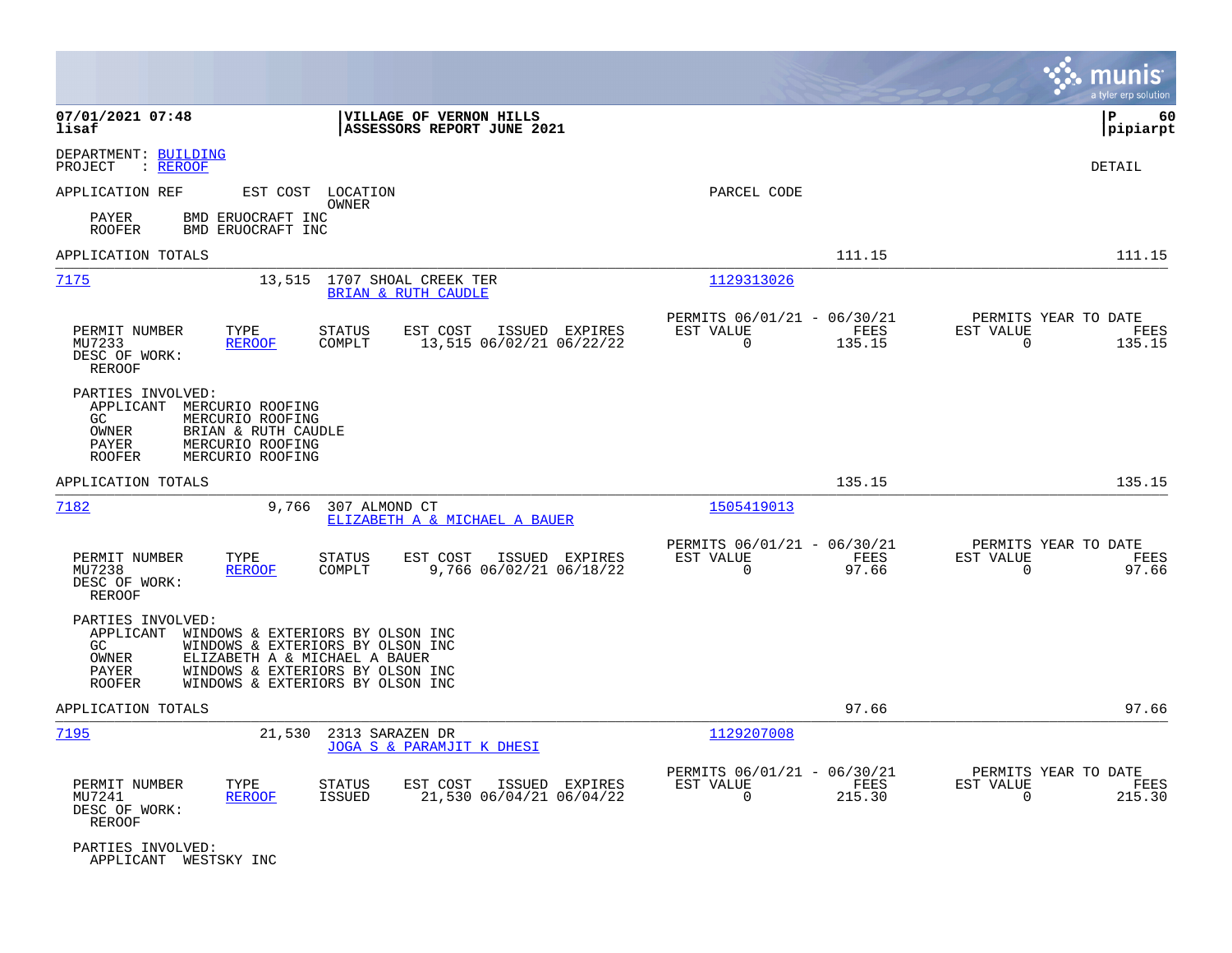|                                                                                                                                                                                                                                                           |                                                                           | munis<br>a tyler erp solution                                   |
|-----------------------------------------------------------------------------------------------------------------------------------------------------------------------------------------------------------------------------------------------------------|---------------------------------------------------------------------------|-----------------------------------------------------------------|
| 07/01/2021 07:48<br>VILLAGE OF VERNON HILLS<br>lisaf<br>ASSESSORS REPORT JUNE 2021                                                                                                                                                                        |                                                                           | ΙP<br>60<br> pipiarpt                                           |
| DEPARTMENT: BUILDING<br>PROJECT<br>: <u>REROOF</u>                                                                                                                                                                                                        |                                                                           | DETAIL                                                          |
| APPLICATION REF<br>EST COST LOCATION<br>OWNER                                                                                                                                                                                                             | PARCEL CODE                                                               |                                                                 |
| PAYER<br>BMD ERUOCRAFT INC<br><b>ROOFER</b><br>BMD ERUOCRAFT INC                                                                                                                                                                                          |                                                                           |                                                                 |
| APPLICATION TOTALS                                                                                                                                                                                                                                        | 111.15                                                                    | 111.15                                                          |
| 7175<br>13,515<br>1707 SHOAL CREEK TER<br>BRIAN & RUTH CAUDLE                                                                                                                                                                                             | 1129313026                                                                |                                                                 |
| PERMIT NUMBER<br>TYPE<br><b>STATUS</b><br>EST COST<br>ISSUED EXPIRES<br>MU7233<br><b>REROOF</b><br>COMPLT<br>13,515 06/02/21 06/22/22<br>DESC OF WORK:<br>REROOF                                                                                          | PERMITS 06/01/21 - 06/30/21<br>EST VALUE<br>FEES<br>$\mathbf 0$<br>135.15 | PERMITS YEAR TO DATE<br>EST VALUE<br>FEES<br>$\Omega$<br>135.15 |
| PARTIES INVOLVED:<br>APPLICANT<br>MERCURIO ROOFING<br>GC.<br>MERCURIO ROOFING<br>OWNER<br>BRIAN & RUTH CAUDLE<br>PAYER<br>MERCURIO ROOFING<br><b>ROOFER</b><br>MERCURIO ROOFING                                                                           |                                                                           |                                                                 |
| APPLICATION TOTALS                                                                                                                                                                                                                                        | 135.15                                                                    | 135.15                                                          |
| 7182<br>9,766<br>307 ALMOND CT<br>ELIZABETH A & MICHAEL A BAUER                                                                                                                                                                                           | 1505419013                                                                |                                                                 |
| TYPE<br>PERMIT NUMBER<br><b>STATUS</b><br>EST COST<br>ISSUED EXPIRES<br>9,766 06/02/21 06/18/22<br>MU7238<br><b>REROOF</b><br>COMPLT<br>DESC OF WORK:<br>REROOF                                                                                           | PERMITS 06/01/21 - 06/30/21<br>EST VALUE<br>FEES<br>$\Omega$<br>97.66     | PERMITS YEAR TO DATE<br>EST VALUE<br>FEES<br>$\Omega$<br>97.66  |
| PARTIES INVOLVED:<br>APPLICANT<br>WINDOWS & EXTERIORS BY OLSON INC<br>GC.<br>WINDOWS & EXTERIORS BY OLSON INC<br>OWNER<br>ELIZABETH A & MICHAEL A BAUER<br>PAYER<br>WINDOWS & EXTERIORS BY OLSON INC<br><b>ROOFER</b><br>WINDOWS & EXTERIORS BY OLSON INC |                                                                           |                                                                 |
| APPLICATION TOTALS                                                                                                                                                                                                                                        | 97.66                                                                     | 97.66                                                           |
| 7195<br>2313 SARAZEN DR<br>21,530<br>JOGA S & PARAMJIT K DHESI                                                                                                                                                                                            | 1129207008                                                                |                                                                 |
| PERMIT NUMBER<br>TYPE<br><b>STATUS</b><br>EST COST<br>ISSUED EXPIRES<br>21,530 06/04/21 06/04/22<br>MU7241<br><b>REROOF</b><br>ISSUED<br>DESC OF WORK:<br>REROOF                                                                                          | PERMITS 06/01/21 - 06/30/21<br>EST VALUE<br>FEES<br>$\Omega$<br>215.30    | PERMITS YEAR TO DATE<br>EST VALUE<br>FEES<br>$\Omega$<br>215.30 |
| PARTIES INVOLVED:<br>APPLICANT WESTSKY INC                                                                                                                                                                                                                |                                                                           |                                                                 |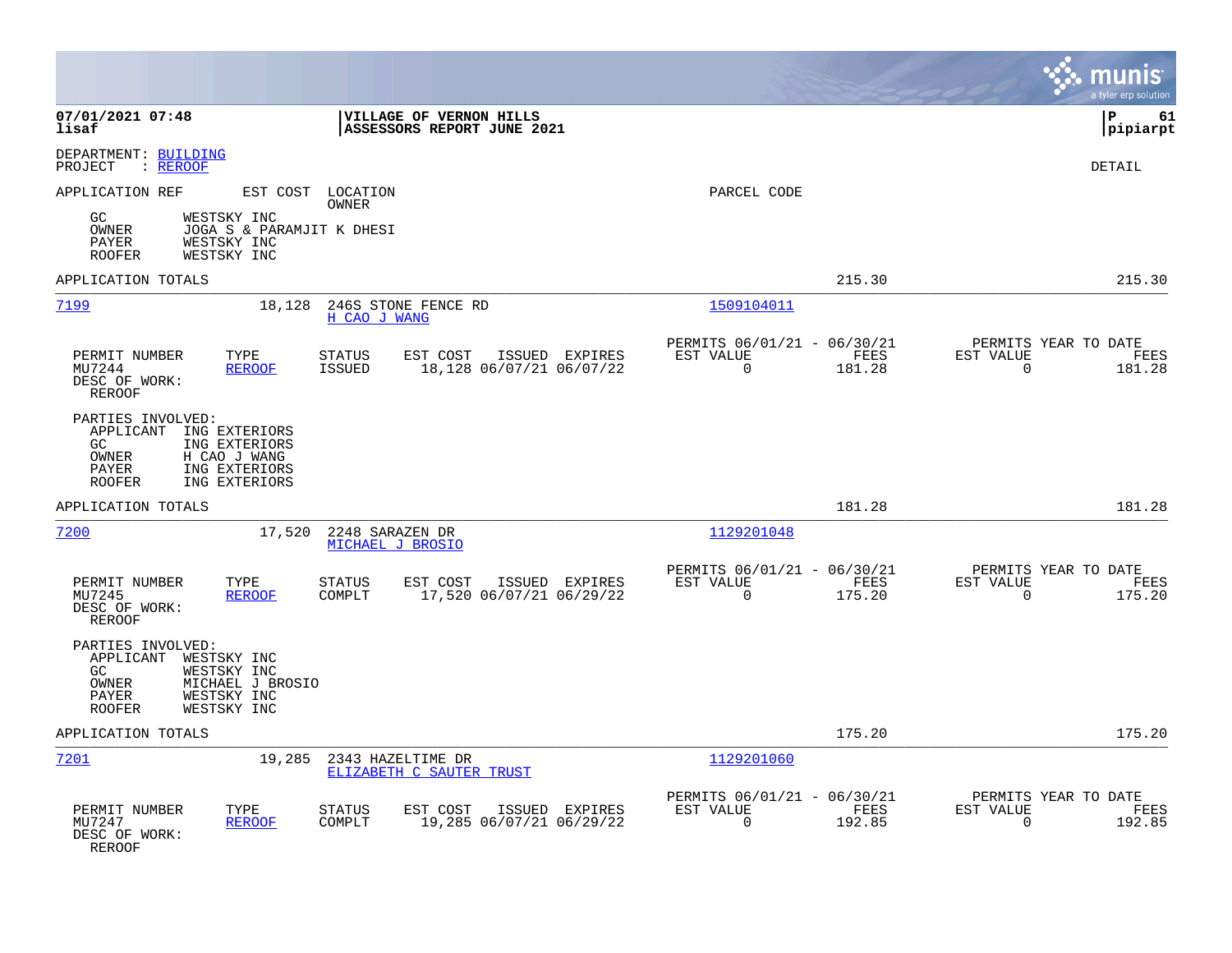|                                                                                                                                                           |                                                                                   |                                                                        | munis<br>a tyler erp solution                                      |
|-----------------------------------------------------------------------------------------------------------------------------------------------------------|-----------------------------------------------------------------------------------|------------------------------------------------------------------------|--------------------------------------------------------------------|
| 07/01/2021 07:48<br>lisaf                                                                                                                                 | VILLAGE OF VERNON HILLS<br>ASSESSORS REPORT JUNE 2021                             |                                                                        | lР<br>61<br> pipiarpt                                              |
| DEPARTMENT: BUILDING<br>PROJECT<br>: <u>REROOF</u>                                                                                                        |                                                                                   |                                                                        | <b>DETAIL</b>                                                      |
| APPLICATION REF<br>GC.<br>WESTSKY INC<br>OWNER<br>JOGA S & PARAMJIT K DHESI<br>WESTSKY INC<br>PAYER                                                       | EST COST LOCATION<br>OWNER                                                        | PARCEL CODE                                                            |                                                                    |
| WESTSKY INC<br><b>ROOFER</b><br>APPLICATION TOTALS                                                                                                        |                                                                                   | 215.30                                                                 | 215.30                                                             |
| 7199<br>18,128                                                                                                                                            | 246S STONE FENCE RD<br>H CAO J WANG                                               | 1509104011                                                             |                                                                    |
| PERMIT NUMBER<br>TYPE<br>MU7244<br><b>REROOF</b><br>DESC OF WORK:<br><b>REROOF</b>                                                                        | <b>STATUS</b><br>EST COST<br>ISSUED EXPIRES<br>18,128 06/07/21 06/07/22<br>ISSUED | PERMITS 06/01/21 - 06/30/21<br>EST VALUE<br>FEES<br>0<br>181.28        | PERMITS YEAR TO DATE<br>EST VALUE<br>FEES<br>$\mathbf 0$<br>181.28 |
| PARTIES INVOLVED:<br>APPLICANT ING EXTERIORS<br>GC.<br>ING EXTERIORS<br>OWNER<br>H CAO J WANG<br>PAYER<br>ING EXTERIORS<br>ING EXTERIORS<br><b>ROOFER</b> |                                                                                   |                                                                        |                                                                    |
| APPLICATION TOTALS                                                                                                                                        |                                                                                   | 181.28                                                                 | 181.28                                                             |
| 7200<br>17,520                                                                                                                                            | 2248 SARAZEN DR<br>MICHAEL J BROSIO                                               | 1129201048                                                             |                                                                    |
| PERMIT NUMBER<br>TYPE<br>MU7245<br><b>REROOF</b><br>DESC OF WORK:<br><b>REROOF</b>                                                                        | EST COST<br><b>STATUS</b><br>ISSUED EXPIRES<br>17,520 06/07/21 06/29/22<br>COMPLT | PERMITS 06/01/21 - 06/30/21<br>EST VALUE<br>FEES<br>$\Omega$<br>175.20 | PERMITS YEAR TO DATE<br>EST VALUE<br>FEES<br>$\Omega$<br>175.20    |
| PARTIES INVOLVED:<br>APPLICANT WESTSKY INC<br>GC.<br>WESTSKY INC<br>OWNER<br>MICHAEL J BROSIO<br>WESTSKY INC<br>PAYER<br>WESTSKY INC<br><b>ROOFER</b>     |                                                                                   |                                                                        |                                                                    |
| APPLICATION TOTALS                                                                                                                                        |                                                                                   | 175.20                                                                 | 175.20                                                             |
| 7201                                                                                                                                                      | 19,285 2343 HAZELTIME DR<br>ELIZABETH C SAUTER TRUST                              | 1129201060                                                             |                                                                    |
| PERMIT NUMBER<br>TYPE<br>MU7247<br><b>REROOF</b><br>DESC OF WORK:<br><b>REROOF</b>                                                                        | <b>STATUS</b><br>EST COST<br>ISSUED EXPIRES<br>19,285 06/07/21 06/29/22<br>COMPLT | PERMITS 06/01/21 - 06/30/21<br>EST VALUE<br>FEES<br>0<br>192.85        | PERMITS YEAR TO DATE<br>EST VALUE<br>FEES<br>$\mathbf 0$<br>192.85 |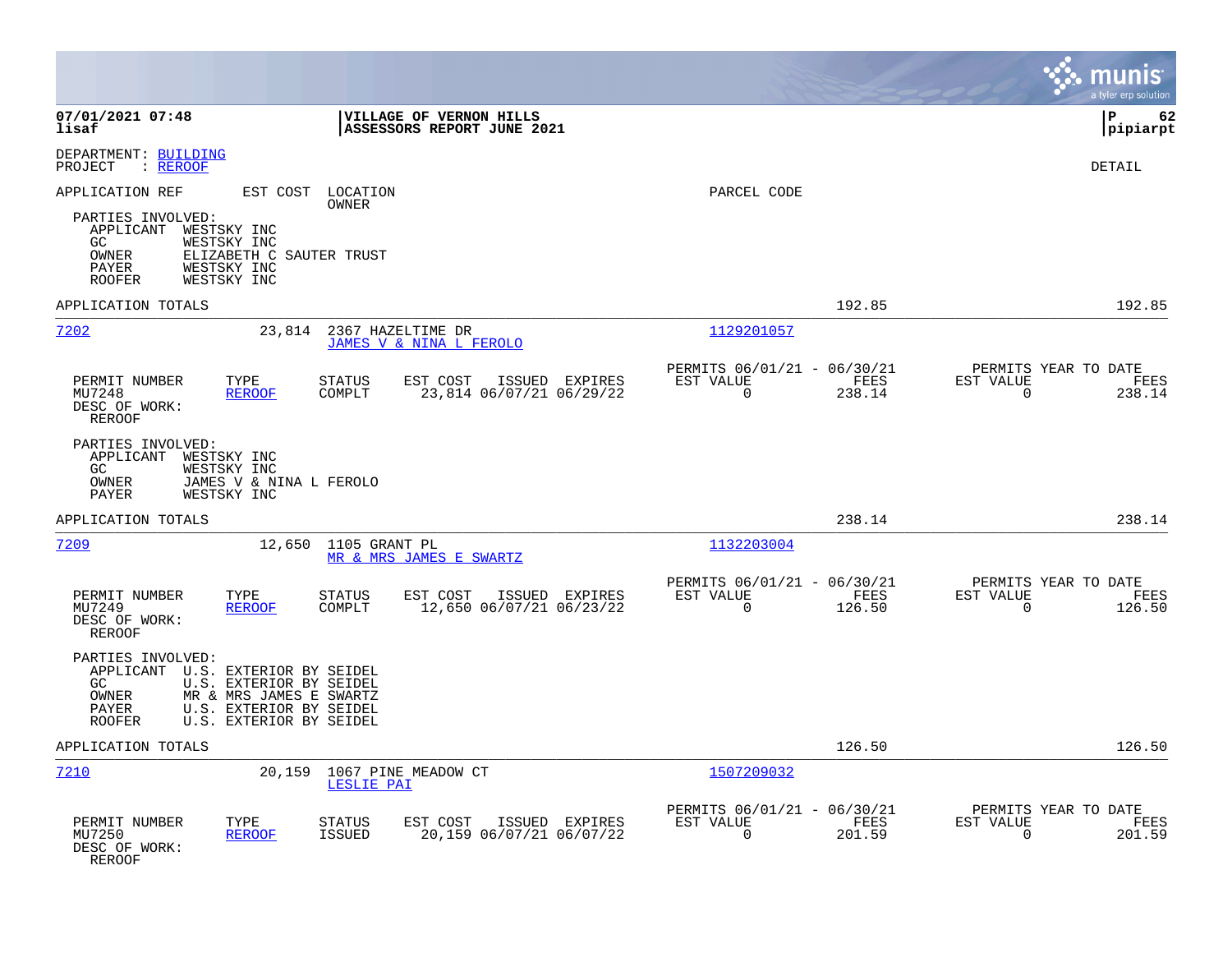|                                                                                           |                                                                                                          |                                          |                                                       |                |                                                         |                | munis<br>a tyler erp solution                    |                 |
|-------------------------------------------------------------------------------------------|----------------------------------------------------------------------------------------------------------|------------------------------------------|-------------------------------------------------------|----------------|---------------------------------------------------------|----------------|--------------------------------------------------|-----------------|
| 07/01/2021 07:48<br>lisaf                                                                 |                                                                                                          |                                          | VILLAGE OF VERNON HILLS<br>ASSESSORS REPORT JUNE 2021 |                |                                                         |                | lР                                               | 62<br> pipiarpt |
| DEPARTMENT: BUILDING<br>: REROOF<br>PROJECT                                               |                                                                                                          |                                          |                                                       |                |                                                         |                | DETAIL                                           |                 |
| APPLICATION REF                                                                           |                                                                                                          | EST COST LOCATION                        |                                                       |                | PARCEL CODE                                             |                |                                                  |                 |
| PARTIES INVOLVED:<br>APPLICANT WESTSKY INC<br>GC.<br>OWNER<br>PAYER<br><b>ROOFER</b>      | WESTSKY INC<br>ELIZABETH C SAUTER TRUST<br>WESTSKY INC<br>WESTSKY INC                                    | OWNER                                    |                                                       |                |                                                         |                |                                                  |                 |
| APPLICATION TOTALS                                                                        |                                                                                                          |                                          |                                                       |                |                                                         | 192.85         |                                                  | 192.85          |
| 7202                                                                                      | 23,814                                                                                                   | 2367 HAZELTIME DR                        | JAMES V & NINA L FEROLO                               |                | 1129201057                                              |                |                                                  |                 |
| PERMIT NUMBER<br>MU7248<br>DESC OF WORK:<br><b>REROOF</b>                                 | TYPE<br><b>REROOF</b>                                                                                    | <b>STATUS</b><br>COMPLT                  | EST COST<br>23,814 06/07/21 06/29/22                  | ISSUED EXPIRES | PERMITS 06/01/21 - 06/30/21<br>EST VALUE<br>$\mathbf 0$ | FEES<br>238.14 | PERMITS YEAR TO DATE<br>EST VALUE<br>$\mathbf 0$ | FEES<br>238.14  |
| PARTIES INVOLVED:<br>APPLICANT<br>GC.<br>OWNER<br>PAYER                                   | WESTSKY INC<br>WESTSKY INC<br>JAMES V & NINA L FEROLO<br>WESTSKY INC                                     |                                          |                                                       |                |                                                         |                |                                                  |                 |
| APPLICATION TOTALS                                                                        |                                                                                                          |                                          |                                                       |                |                                                         | 238.14         |                                                  | 238.14          |
| 7209                                                                                      |                                                                                                          | 12,650 1105 GRANT PL                     | MR & MRS JAMES E SWARTZ                               |                | 1132203004                                              |                |                                                  |                 |
| PERMIT NUMBER<br>MU7249<br>DESC OF WORK:<br><b>REROOF</b>                                 | TYPE<br><b>REROOF</b>                                                                                    | <b>STATUS</b><br>COMPLT                  | EST COST<br>12,650 06/07/21 06/23/22                  | ISSUED EXPIRES | PERMITS 06/01/21 - 06/30/21<br>EST VALUE<br>$\Omega$    | FEES<br>126.50 | PERMITS YEAR TO DATE<br>EST VALUE<br>$\Omega$    | FEES<br>126.50  |
| PARTIES INVOLVED:<br>APPLICANT U.S. EXTERIOR BY SEIDEL<br>GC.<br>OWNER<br>PAYER<br>ROOFER | U.S. EXTERIOR BY SEIDEL<br>MR & MRS JAMES E SWARTZ<br>U.S. EXTERIOR BY SEIDEL<br>U.S. EXTERIOR BY SEIDEL |                                          |                                                       |                |                                                         |                |                                                  |                 |
| APPLICATION TOTALS                                                                        |                                                                                                          |                                          |                                                       |                |                                                         | 126.50         |                                                  | 126.50          |
| 7210                                                                                      |                                                                                                          | 20,159 1067 PINE MEADOW CT<br>LESLIE PAI |                                                       |                | 1507209032                                              |                |                                                  |                 |
| PERMIT NUMBER<br>MU7250<br>DESC OF WORK:<br>REROOF                                        | TYPE<br><b>REROOF</b>                                                                                    | <b>STATUS</b><br><b>ISSUED</b>           | EST COST<br>20,159 06/07/21 06/07/22                  | ISSUED EXPIRES | PERMITS 06/01/21 - 06/30/21<br>EST VALUE<br>$\mathbf 0$ | FEES<br>201.59 | PERMITS YEAR TO DATE<br>EST VALUE<br>0           | FEES<br>201.59  |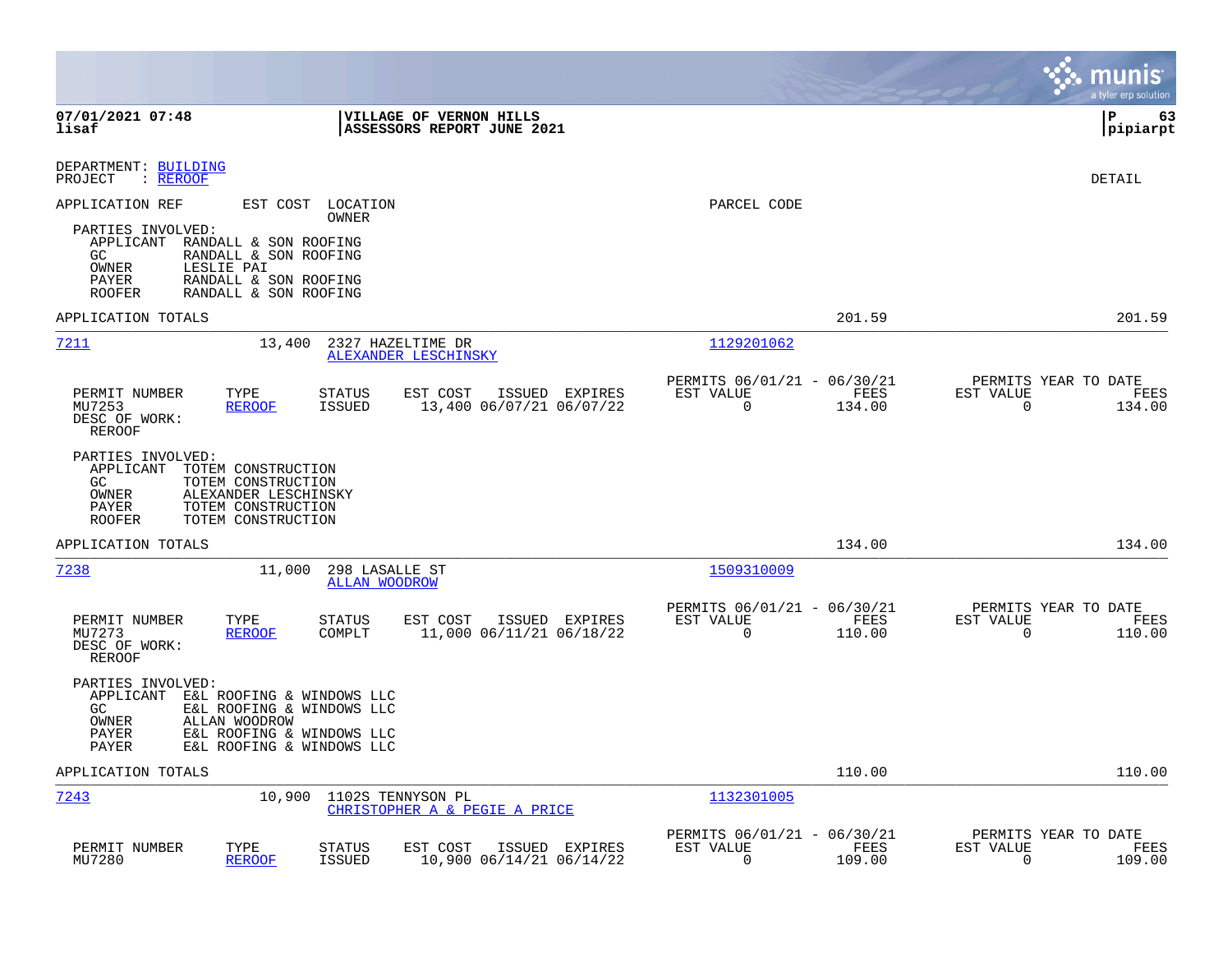|                                                                                                                                                                                                      |                                                                        | munis<br>a tyler erp solution                                   |
|------------------------------------------------------------------------------------------------------------------------------------------------------------------------------------------------------|------------------------------------------------------------------------|-----------------------------------------------------------------|
| 07/01/2021 07:48<br><b>VILLAGE OF VERNON HILLS</b><br>lisaf<br><b>ASSESSORS REPORT JUNE 2021</b>                                                                                                     |                                                                        | l P<br>63<br> pipiarpt                                          |
| DEPARTMENT: BUILDING<br>PROJECT<br>: REROOF                                                                                                                                                          |                                                                        | DETAIL                                                          |
| APPLICATION REF<br>EST COST<br>LOCATION                                                                                                                                                              | PARCEL CODE                                                            |                                                                 |
| OWNER<br>PARTIES INVOLVED:<br>APPLICANT RANDALL & SON ROOFING<br>RANDALL & SON ROOFING<br>GC.<br>OWNER<br>LESLIE PAI<br>RANDALL & SON ROOFING<br>PAYER<br>RANDALL & SON ROOFING<br><b>ROOFER</b>     |                                                                        |                                                                 |
| APPLICATION TOTALS                                                                                                                                                                                   | 201.59                                                                 | 201.59                                                          |
| 7211<br>13,400<br>2327 HAZELTIME DR<br>ALEXANDER LESCHINSKY                                                                                                                                          | 1129201062                                                             |                                                                 |
| PERMIT NUMBER<br>TYPE<br><b>STATUS</b><br>EST COST<br>ISSUED EXPIRES<br><b>ISSUED</b><br>13,400 06/07/21 06/07/22<br>MU7253<br><b>REROOF</b><br>DESC OF WORK:<br><b>REROOF</b>                       | PERMITS 06/01/21 - 06/30/21<br>EST VALUE<br>FEES<br>$\Omega$<br>134.00 | PERMITS YEAR TO DATE<br>EST VALUE<br>FEES<br>$\Omega$<br>134.00 |
| PARTIES INVOLVED:<br>APPLICANT<br>TOTEM CONSTRUCTION<br>GC.<br>TOTEM CONSTRUCTION<br>OWNER<br>ALEXANDER LESCHINSKY<br>PAYER<br>TOTEM CONSTRUCTION<br>TOTEM CONSTRUCTION<br><b>ROOFER</b>             |                                                                        |                                                                 |
| APPLICATION TOTALS                                                                                                                                                                                   | 134.00                                                                 | 134.00                                                          |
| 7238<br>11,000<br>298 LASALLE ST<br><b>ALLAN WOODROW</b>                                                                                                                                             | 1509310009                                                             |                                                                 |
| PERMIT NUMBER<br>TYPE<br><b>STATUS</b><br>EST COST<br>ISSUED EXPIRES<br><b>REROOF</b><br>COMPLT<br>11,000 06/11/21 06/18/22<br>MU7273<br>DESC OF WORK:<br>REROOF                                     | PERMITS 06/01/21 - 06/30/21<br>EST VALUE<br>FEES<br>0<br>110.00        | PERMITS YEAR TO DATE<br>EST VALUE<br>FEES<br>0<br>110.00        |
| PARTIES INVOLVED:<br>APPLICANT<br>E&L ROOFING & WINDOWS LLC<br>GC<br>E&L ROOFING & WINDOWS LLC<br>OWNER<br>ALLAN WOODROW<br>PAYER<br>E&L ROOFING & WINDOWS LLC<br>E&L ROOFING & WINDOWS LLC<br>PAYER |                                                                        |                                                                 |
| APPLICATION TOTALS                                                                                                                                                                                   | 110.00                                                                 | 110.00                                                          |
| 7243<br>10,900<br>1102S TENNYSON PL<br>CHRISTOPHER A & PEGIE A PRICE                                                                                                                                 | 1132301005                                                             |                                                                 |
| TYPE<br>EST COST<br>PERMIT NUMBER<br><b>STATUS</b><br>ISSUED EXPIRES<br>MU7280<br><b>REROOF</b><br><b>ISSUED</b><br>10,900 06/14/21 06/14/22                                                         | PERMITS 06/01/21 - 06/30/21<br>EST VALUE<br>FEES<br>0<br>109.00        | PERMITS YEAR TO DATE<br>EST VALUE<br>FEES<br>0<br>109.00        |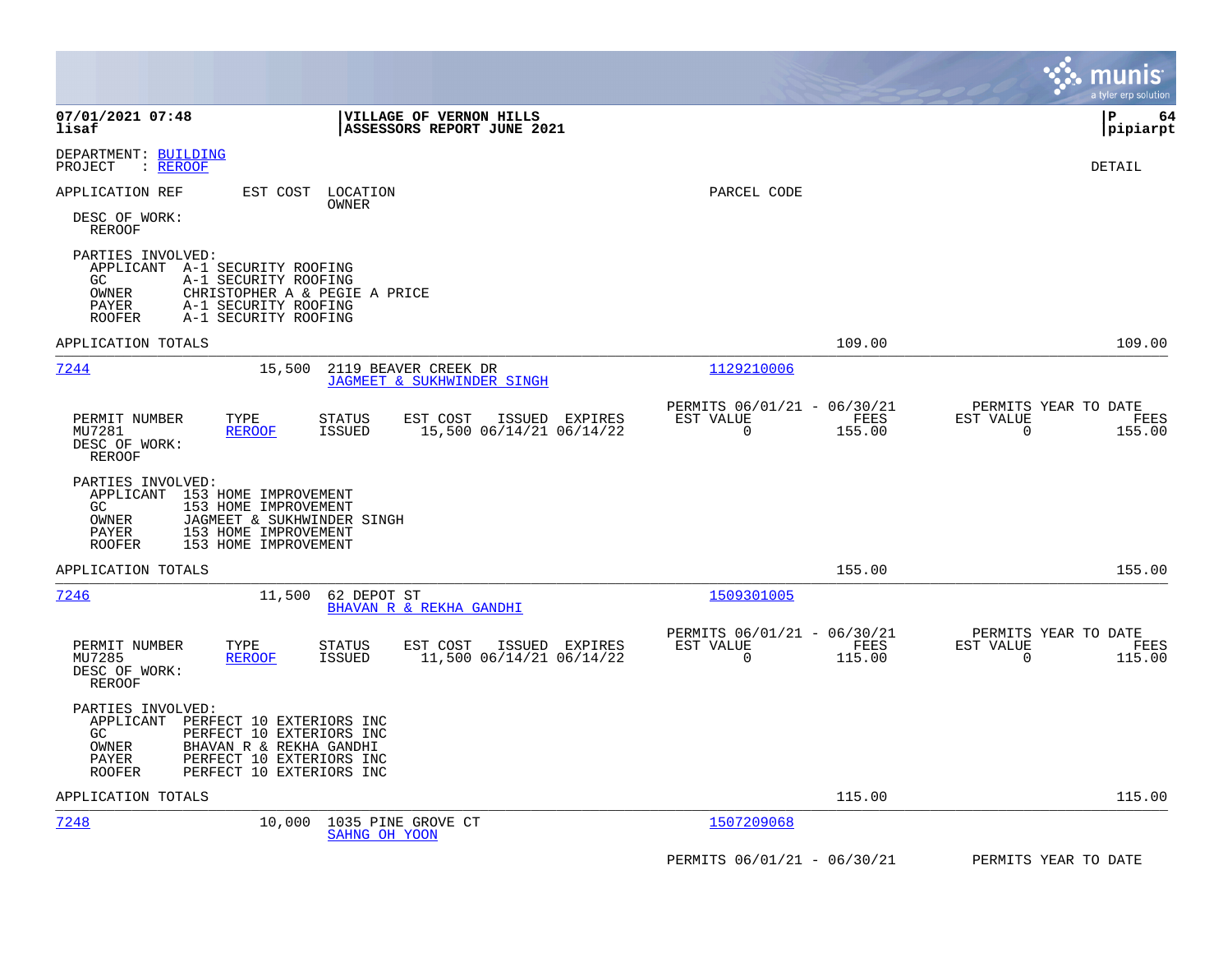|                                                                                                                                                                                                                    |                                                                        | a tyler erp solution                                               |
|--------------------------------------------------------------------------------------------------------------------------------------------------------------------------------------------------------------------|------------------------------------------------------------------------|--------------------------------------------------------------------|
| 07/01/2021 07:48<br>VILLAGE OF VERNON HILLS<br>ASSESSORS REPORT JUNE 2021<br>lisaf                                                                                                                                 |                                                                        | l P<br>64<br> pipiarpt                                             |
| DEPARTMENT: BUILDING<br>PROJECT<br>: REROOF                                                                                                                                                                        |                                                                        | DETAIL                                                             |
| APPLICATION REF<br>EST COST LOCATION<br>OWNER                                                                                                                                                                      | PARCEL CODE                                                            |                                                                    |
| DESC OF WORK:<br><b>REROOF</b>                                                                                                                                                                                     |                                                                        |                                                                    |
| PARTIES INVOLVED:<br>APPLICANT A-1 SECURITY ROOFING<br>GC.<br>A-1 SECURITY ROOFING<br>OWNER<br>CHRISTOPHER A & PEGIE A PRICE<br>PAYER<br>A-1 SECURITY ROOFING<br>A-1 SECURITY ROOFING<br><b>ROOFER</b>             |                                                                        |                                                                    |
| APPLICATION TOTALS                                                                                                                                                                                                 | 109.00                                                                 | 109.00                                                             |
| 7244<br>15,500<br>2119 BEAVER CREEK DR<br>JAGMEET & SUKHWINDER SINGH                                                                                                                                               | 1129210006                                                             |                                                                    |
| PERMIT NUMBER<br>TYPE<br>EST COST<br>ISSUED EXPIRES<br>STATUS<br>15,500 06/14/21 06/14/22<br>MU7281<br>ISSUED<br><b>REROOF</b><br>DESC OF WORK:<br>REROOF                                                          | PERMITS 06/01/21 - 06/30/21<br>EST VALUE<br>FEES<br>$\Omega$<br>155.00 | PERMITS YEAR TO DATE<br>EST VALUE<br>FEES<br>$\mathbf 0$<br>155.00 |
| PARTIES INVOLVED:<br>APPLICANT 153 HOME IMPROVEMENT<br>GC<br>153 HOME IMPROVEMENT<br>OWNER<br>JAGMEET & SUKHWINDER SINGH<br>153 HOME IMPROVEMENT<br>PAYER<br>ROOFER<br>153 HOME IMPROVEMENT                        |                                                                        |                                                                    |
| APPLICATION TOTALS                                                                                                                                                                                                 | 155.00                                                                 | 155.00                                                             |
| 7246<br>11,500<br>62 DEPOT ST<br>BHAVAN R & REKHA GANDHI                                                                                                                                                           | 1509301005                                                             |                                                                    |
| PERMIT NUMBER<br>TYPE<br>EST COST<br>STATUS<br>ISSUED EXPIRES<br>11,500 06/14/21 06/14/22<br>MU7285<br><b>REROOF</b><br>ISSUED<br>DESC OF WORK:<br>REROOF                                                          | PERMITS 06/01/21 - 06/30/21<br>EST VALUE<br>FEES<br>115.00<br>0        | PERMITS YEAR TO DATE<br>EST VALUE<br>FEES<br>115.00<br>$\Omega$    |
| PARTIES INVOLVED:<br>PERFECT 10 EXTERIORS INC<br>APPLICANT<br>GC<br>PERFECT 10 EXTERIORS INC<br>OWNER<br>BHAVAN R & REKHA GANDHI<br>PAYER<br>PERFECT 10 EXTERIORS INC<br><b>ROOFER</b><br>PERFECT 10 EXTERIORS INC |                                                                        |                                                                    |
| APPLICATION TOTALS                                                                                                                                                                                                 | 115.00                                                                 | 115.00                                                             |
| 7248<br>1035 PINE GROVE CT<br>10,000<br>SAHNG OH YOON                                                                                                                                                              | 1507209068                                                             |                                                                    |
|                                                                                                                                                                                                                    | PERMITS 06/01/21 - 06/30/21                                            | PERMITS YEAR TO DATE                                               |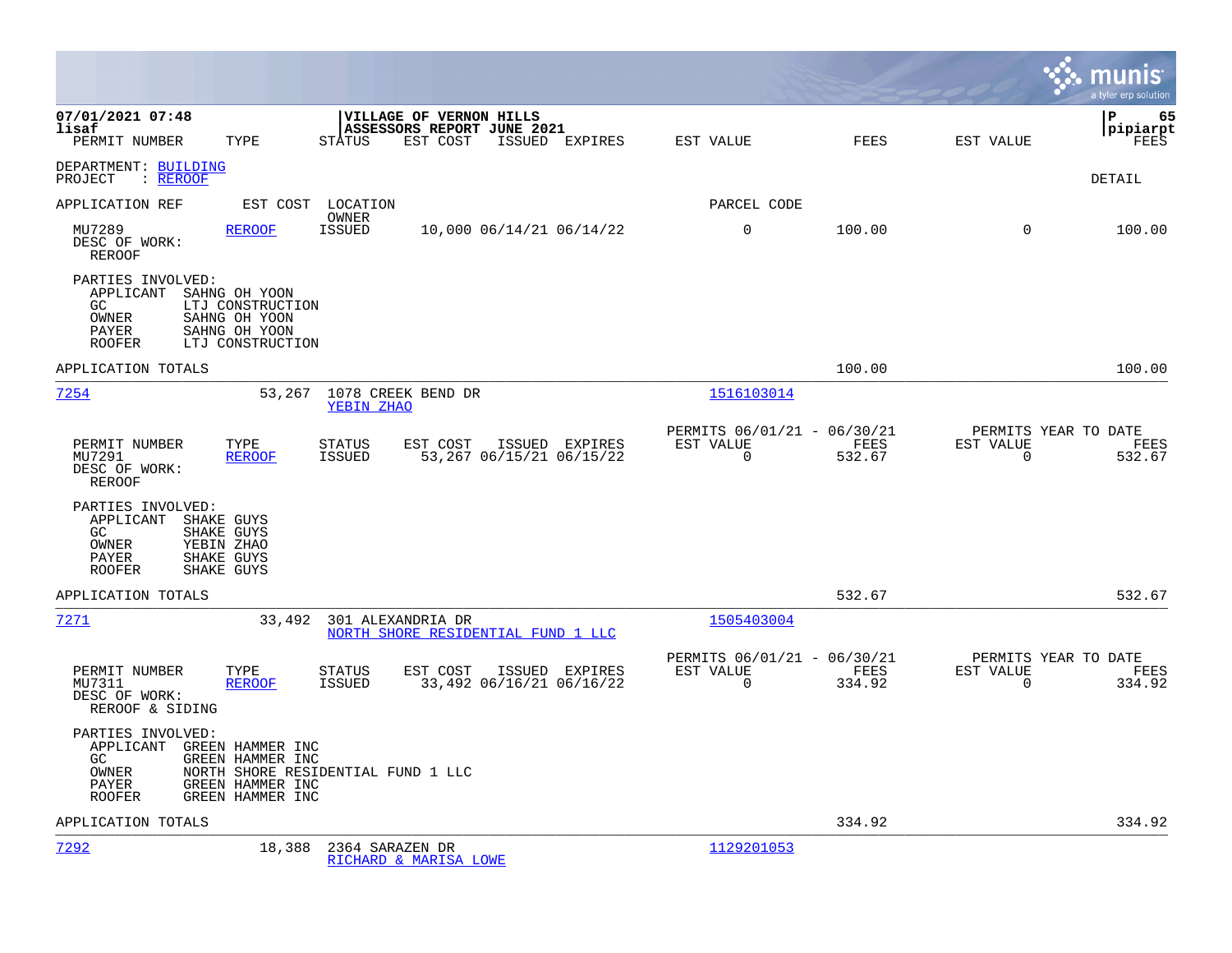|                                                                                                                                                                    |                                                                                               |                                                         |                |                                                     | munis<br>a tyler erp solution  |
|--------------------------------------------------------------------------------------------------------------------------------------------------------------------|-----------------------------------------------------------------------------------------------|---------------------------------------------------------|----------------|-----------------------------------------------------|--------------------------------|
| 07/01/2021 07:48<br>lisaf<br>PERMIT NUMBER<br>TYPE                                                                                                                 | VILLAGE OF VERNON HILLS<br>ASSESSORS REPORT JUNE 2021<br>STATUS<br>EST COST<br>ISSUED EXPIRES | EST VALUE                                               | FEES           | EST VALUE                                           | l P<br>65<br> pipiarpt<br>FEES |
| DEPARTMENT: BUILDING<br>PROJECT : REROOF                                                                                                                           |                                                                                               |                                                         |                |                                                     | DETAIL                         |
| APPLICATION REF                                                                                                                                                    | EST COST LOCATION                                                                             | PARCEL CODE                                             |                |                                                     |                                |
| MU7289<br><b>REROOF</b><br>DESC OF WORK:<br><b>REROOF</b>                                                                                                          | OWNER<br><b>ISSUED</b><br>10,000 06/14/21 06/14/22                                            | $\Omega$                                                | 100.00         | $\Omega$                                            | 100.00                         |
| PARTIES INVOLVED:<br>APPLICANT<br>SAHNG OH YOON<br>GC<br>LTJ CONSTRUCTION<br>OWNER<br>SAHNG OH YOON<br>SAHNG OH YOON<br>PAYER<br>LTJ CONSTRUCTION<br><b>ROOFER</b> |                                                                                               |                                                         |                |                                                     |                                |
| APPLICATION TOTALS                                                                                                                                                 |                                                                                               |                                                         | 100.00         |                                                     | 100.00                         |
| 7254<br>53,267                                                                                                                                                     | 1078 CREEK BEND DR<br>YEBIN ZHAO                                                              | 1516103014                                              |                |                                                     |                                |
| PERMIT NUMBER<br>TYPE<br>MU7291<br><b>REROOF</b><br>DESC OF WORK:<br><b>REROOF</b>                                                                                 | EST COST<br>STATUS<br>ISSUED EXPIRES<br>ISSUED<br>53,267 06/15/21 06/15/22                    | PERMITS 06/01/21 - 06/30/21<br>EST VALUE<br>$\mathbf 0$ | FEES<br>532.67 | PERMITS YEAR TO DATE<br>EST VALUE<br>$\mathsf{O}$   | FEES<br>532.67                 |
| PARTIES INVOLVED:<br>APPLICANT<br>SHAKE GUYS<br>SHAKE GUYS<br>GC<br>OWNER<br>YEBIN ZHAO<br>PAYER<br>SHAKE GUYS<br>SHAKE GUYS<br><b>ROOFER</b>                      |                                                                                               |                                                         |                |                                                     |                                |
| APPLICATION TOTALS                                                                                                                                                 |                                                                                               |                                                         | 532.67         |                                                     | 532.67                         |
| 7271<br>33,492                                                                                                                                                     | 301 ALEXANDRIA DR<br>NORTH SHORE RESIDENTIAL FUND 1 LLC                                       | 1505403004                                              |                |                                                     |                                |
| PERMIT NUMBER<br>TYPE<br>MU7311<br><b>REROOF</b><br>DESC OF WORK:<br>REROOF & SIDING                                                                               | <b>STATUS</b><br>EST COST<br>ISSUED EXPIRES<br>ISSUED<br>33,492 06/16/21 06/16/22             | PERMITS 06/01/21 - 06/30/21<br>EST VALUE<br>$\mathbf 0$ | FEES<br>334.92 | PERMITS YEAR TO DATE<br>EST VALUE<br>$\overline{0}$ | FEES<br>334.92                 |
| PARTIES INVOLVED:<br>APPLICANT<br>GREEN HAMMER INC<br>GC<br>GREEN HAMMER INC<br>OWNER<br>GREEN HAMMER INC<br>PAYER<br><b>ROOFER</b><br>GREEN HAMMER INC            | NORTH SHORE RESIDENTIAL FUND 1 LLC                                                            |                                                         |                |                                                     |                                |
| APPLICATION TOTALS                                                                                                                                                 |                                                                                               |                                                         | 334.92         |                                                     | 334.92                         |
| 7292                                                                                                                                                               | 18,388 2364 SARAZEN DR<br>RICHARD & MARISA LOWE                                               | 1129201053                                              |                |                                                     |                                |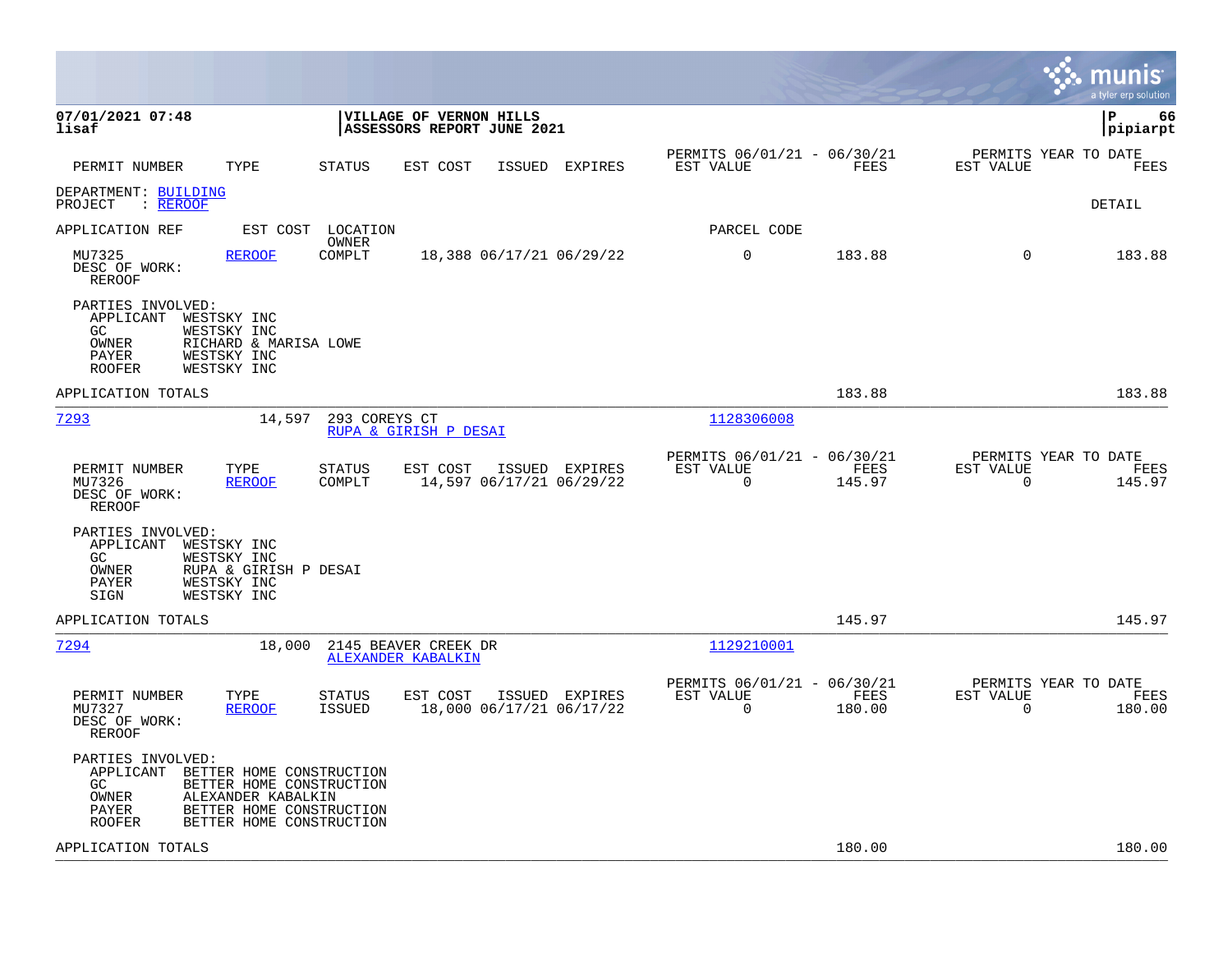|                                                                                                                                                               |                                                                                  |                                                              |                |                                                         |                | munis<br>a tyler erp solution                                      |    |
|---------------------------------------------------------------------------------------------------------------------------------------------------------------|----------------------------------------------------------------------------------|--------------------------------------------------------------|----------------|---------------------------------------------------------|----------------|--------------------------------------------------------------------|----|
| 07/01/2021 07:48<br>lisaf                                                                                                                                     |                                                                                  | <b>VILLAGE OF VERNON HILLS</b><br>ASSESSORS REPORT JUNE 2021 |                |                                                         |                | lР<br>pipiarpt                                                     | 66 |
| PERMIT NUMBER<br>TYPE                                                                                                                                         | STATUS                                                                           | EST COST                                                     | ISSUED EXPIRES | PERMITS 06/01/21 - 06/30/21<br>EST VALUE                | FEES           | PERMITS YEAR TO DATE<br>EST VALUE<br>FEES                          |    |
| DEPARTMENT: BUILDING<br>: <u>REROOF</u><br>PROJECT                                                                                                            |                                                                                  |                                                              |                |                                                         |                | DETAIL                                                             |    |
| APPLICATION REF<br>EST COST                                                                                                                                   | LOCATION                                                                         |                                                              |                | PARCEL CODE                                             |                |                                                                    |    |
| MU7325<br><b>REROOF</b><br>DESC OF WORK:<br><b>REROOF</b>                                                                                                     | OWNER<br>COMPLT                                                                  | 18,388 06/17/21 06/29/22                                     |                | $\mathbf 0$                                             | 183.88         | $\Omega$<br>183.88                                                 |    |
| PARTIES INVOLVED:<br>APPLICANT<br>WESTSKY INC<br>GC.<br>WESTSKY INC<br>OWNER<br>RICHARD & MARISA LOWE<br>PAYER<br>WESTSKY INC<br><b>ROOFER</b><br>WESTSKY INC |                                                                                  |                                                              |                |                                                         |                |                                                                    |    |
| APPLICATION TOTALS                                                                                                                                            |                                                                                  |                                                              |                |                                                         | 183.88         | 183.88                                                             |    |
| 7293                                                                                                                                                          | 14,597<br>293 COREYS CT                                                          | RUPA & GIRISH P DESAI                                        |                | 1128306008                                              |                |                                                                    |    |
| PERMIT NUMBER<br>TYPE<br>MU7326<br><b>REROOF</b><br>DESC OF WORK:<br><b>REROOF</b>                                                                            | STATUS<br>COMPLT                                                                 | EST COST<br>14,597 06/17/21 06/29/22                         | ISSUED EXPIRES | PERMITS 06/01/21 - 06/30/21<br>EST VALUE<br>$\Omega$    | FEES<br>145.97 | PERMITS YEAR TO DATE<br>EST VALUE<br>FEES<br>$\Omega$<br>145.97    |    |
| PARTIES INVOLVED:<br>APPLICANT<br>WESTSKY INC<br>GC<br>WESTSKY INC<br>OWNER<br>RUPA & GIRISH P DESAI<br><b>PAYER</b><br>WESTSKY INC<br>SIGN<br>WESTSKY INC    |                                                                                  |                                                              |                |                                                         |                |                                                                    |    |
| APPLICATION TOTALS                                                                                                                                            |                                                                                  |                                                              |                |                                                         | 145.97         | 145.97                                                             |    |
| 7294                                                                                                                                                          | 18,000                                                                           | 2145 BEAVER CREEK DR<br>ALEXANDER KABALKIN                   |                | 1129210001                                              |                |                                                                    |    |
| PERMIT NUMBER<br>TYPE<br>MU7327<br><b>REROOF</b><br>DESC OF WORK:<br><b>REROOF</b>                                                                            | STATUS<br>ISSUED                                                                 | EST COST<br>18,000 06/17/21 06/17/22                         | ISSUED EXPIRES | PERMITS 06/01/21 - 06/30/21<br>EST VALUE<br>$\mathbf 0$ | FEES<br>180.00 | PERMITS YEAR TO DATE<br>EST VALUE<br>FEES<br>$\mathbf 0$<br>180.00 |    |
| PARTIES INVOLVED:<br>APPLICANT<br>BETTER HOME CONSTRUCTION<br>GC.<br>ALEXANDER KABALKIN<br>OWNER<br>PAYER<br><b>ROOFER</b>                                    | BETTER HOME CONSTRUCTION<br>BETTER HOME CONSTRUCTION<br>BETTER HOME CONSTRUCTION |                                                              |                |                                                         |                |                                                                    |    |
| APPLICATION TOTALS                                                                                                                                            |                                                                                  |                                                              |                |                                                         | 180.00         | 180.00                                                             |    |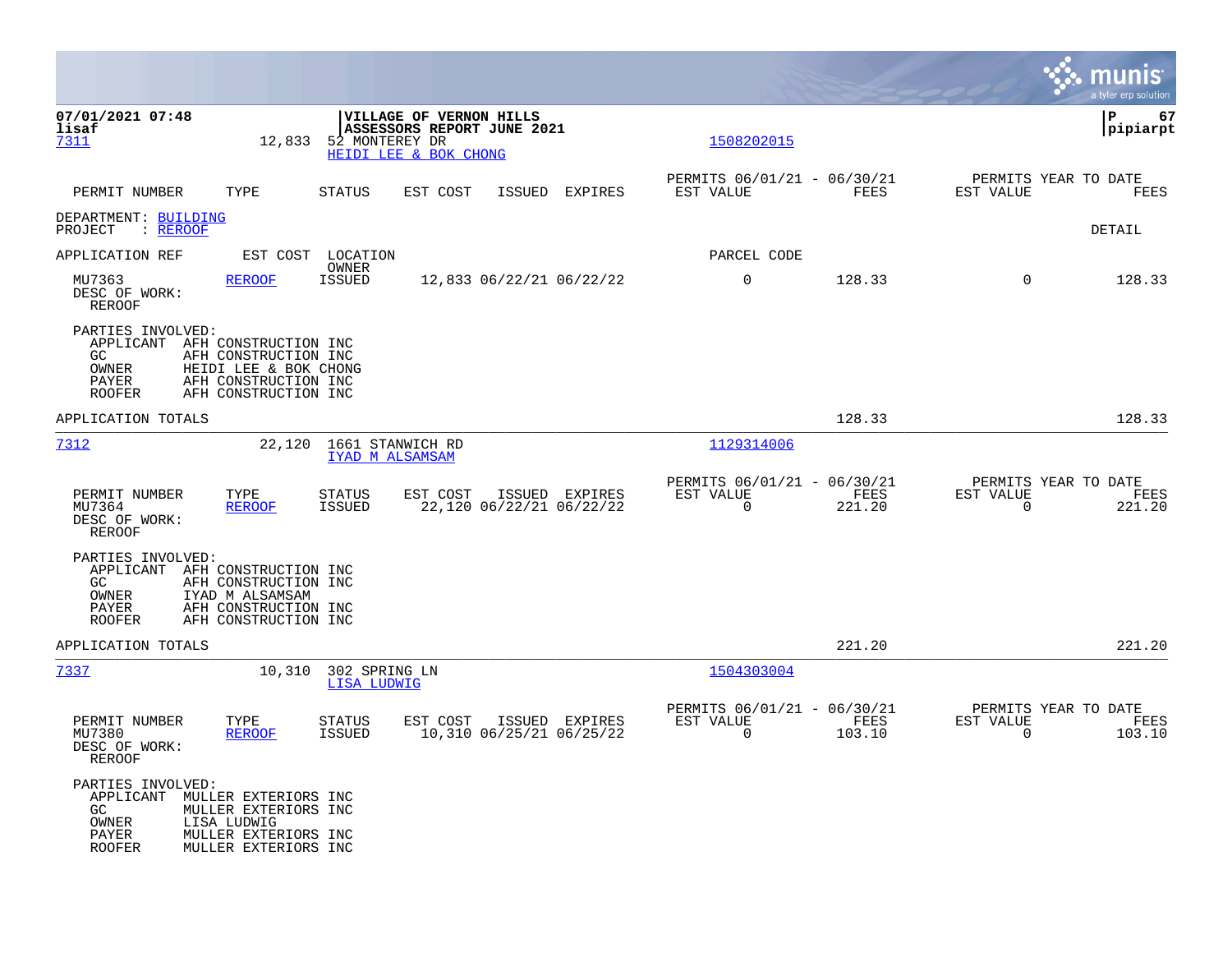|                                                                                              |                                                                                                             |                                     |                                                                                |                                            |           |                                            |                                               |                                                  | munis<br>a tyler erp solution |
|----------------------------------------------------------------------------------------------|-------------------------------------------------------------------------------------------------------------|-------------------------------------|--------------------------------------------------------------------------------|--------------------------------------------|-----------|--------------------------------------------|-----------------------------------------------|--------------------------------------------------|-------------------------------|
| 07/01/2021 07:48<br>lisaf<br>7311                                                            | 12,833                                                                                                      | 52 MONTEREY DR                      | VILLAGE OF VERNON HILLS<br>ASSESSORS REPORT JUNE 2021<br>HEIDI LEE & BOK CHONG |                                            |           | 1508202015                                 |                                               |                                                  | lР<br>67<br> pipiarpt         |
| PERMIT NUMBER                                                                                | TYPE                                                                                                        | <b>STATUS</b>                       | EST COST                                                                       | ISSUED EXPIRES                             | EST VALUE |                                            | PERMITS 06/01/21 - 06/30/21<br>FEES           | PERMITS YEAR TO DATE<br>EST VALUE                | FEES                          |
| DEPARTMENT: BUILDING<br>PROJECT<br>: <u>REROOF</u>                                           |                                                                                                             |                                     |                                                                                |                                            |           |                                            |                                               |                                                  | DETAIL                        |
| APPLICATION REF                                                                              |                                                                                                             | EST COST LOCATION                   |                                                                                |                                            |           | PARCEL CODE                                |                                               |                                                  |                               |
| MU7363<br>DESC OF WORK:<br>REROOF                                                            | <b>REROOF</b>                                                                                               | OWNER<br>ISSUED                     |                                                                                | 12,833 06/22/21 06/22/22                   |           | $\mathbf 0$                                | 128.33                                        | $\Omega$                                         | 128.33                        |
| PARTIES INVOLVED:<br>APPLICANT AFH CONSTRUCTION INC<br>GC<br>OWNER<br>PAYER<br><b>ROOFER</b> | AFH CONSTRUCTION INC<br>HEIDI LEE & BOK CHONG<br>AFH CONSTRUCTION INC<br>AFH CONSTRUCTION INC               |                                     |                                                                                |                                            |           |                                            |                                               |                                                  |                               |
| APPLICATION TOTALS                                                                           |                                                                                                             |                                     |                                                                                |                                            |           |                                            | 128.33                                        |                                                  | 128.33                        |
| 7312                                                                                         | 22,120                                                                                                      | 1661 STANWICH RD<br>IYAD M ALSAMSAM |                                                                                |                                            |           | 1129314006                                 |                                               |                                                  |                               |
| PERMIT NUMBER<br>MU7364<br>DESC OF WORK:<br>REROOF                                           | TYPE<br><b>REROOF</b>                                                                                       | STATUS<br>ISSUED                    | EST COST                                                                       | ISSUED EXPIRES<br>22,120 06/22/21 06/22/22 | EST VALUE | PERMITS 06/01/21 - 06/30/21<br>$\mathbf 0$ | FEES<br>221.20                                | PERMITS YEAR TO DATE<br>EST VALUE<br>$\mathbf 0$ | FEES<br>221.20                |
| PARTIES INVOLVED:<br>APPLICANT AFH CONSTRUCTION INC<br>GC<br>OWNER<br>PAYER<br><b>ROOFER</b> | AFH CONSTRUCTION INC<br>IYAD M ALSAMSAM<br>AFH CONSTRUCTION INC<br>AFH CONSTRUCTION INC                     |                                     |                                                                                |                                            |           |                                            |                                               |                                                  |                               |
| APPLICATION TOTALS                                                                           |                                                                                                             |                                     |                                                                                |                                            |           |                                            | 221.20                                        |                                                  | 221.20                        |
| 7337                                                                                         | 10,310                                                                                                      | 302 SPRING LN<br>LISA LUDWIG        |                                                                                |                                            |           | 1504303004                                 |                                               |                                                  |                               |
| PERMIT NUMBER<br>MU7380<br>DESC OF WORK:<br><b>REROOF</b>                                    | TYPE<br><b>REROOF</b>                                                                                       | STATUS<br><b>ISSUED</b>             | EST COST                                                                       | ISSUED EXPIRES<br>10,310 06/25/21 06/25/22 | EST VALUE | $\mathbf 0$                                | PERMITS 06/01/21 - 06/30/21<br>FEES<br>103.10 | PERMITS YEAR TO DATE<br>EST VALUE<br>$\mathbf 0$ | FEES<br>103.10                |
| PARTIES INVOLVED:<br>APPLICANT<br>GC.<br>OWNER<br>PAYER<br><b>ROOFER</b>                     | MULLER EXTERIORS INC<br>MULLER EXTERIORS INC<br>LISA LUDWIG<br>MULLER EXTERIORS INC<br>MULLER EXTERIORS INC |                                     |                                                                                |                                            |           |                                            |                                               |                                                  |                               |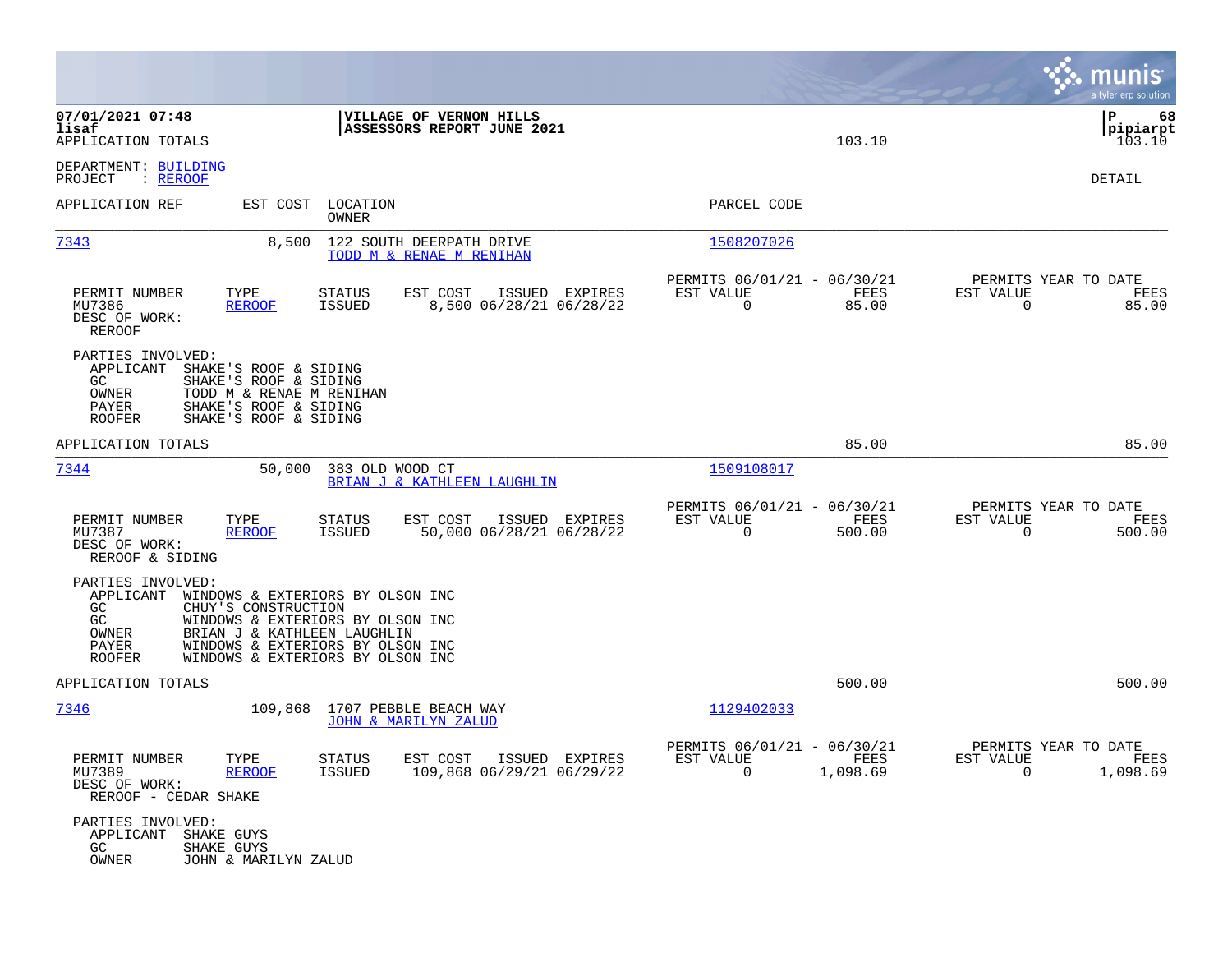|                                                                                                                                                                                                                                                                                     |                                                                             | munıs<br>a tyler erp solution                                     |
|-------------------------------------------------------------------------------------------------------------------------------------------------------------------------------------------------------------------------------------------------------------------------------------|-----------------------------------------------------------------------------|-------------------------------------------------------------------|
| 07/01/2021 07:48<br>VILLAGE OF VERNON HILLS<br>lisaf<br>ASSESSORS REPORT JUNE 2021<br>APPLICATION TOTALS                                                                                                                                                                            | 103.10                                                                      | l P<br>68<br> pipiarpt<br>103.10                                  |
| DEPARTMENT: BUILDING<br>PROJECT<br>: REROOF                                                                                                                                                                                                                                         |                                                                             | DETAIL                                                            |
| APPLICATION REF<br>EST COST LOCATION<br>OWNER                                                                                                                                                                                                                                       | PARCEL CODE                                                                 |                                                                   |
| 7343<br>8,500<br>122 SOUTH DEERPATH DRIVE<br>TODD M & RENAE M RENIHAN                                                                                                                                                                                                               | 1508207026                                                                  |                                                                   |
| EST COST<br>PERMIT NUMBER<br>TYPE<br>STATUS<br>ISSUED EXPIRES<br>MU7386<br>ISSUED<br>8,500 06/28/21 06/28/22<br><b>REROOF</b><br>DESC OF WORK:<br><b>REROOF</b>                                                                                                                     | PERMITS 06/01/21 - 06/30/21<br>EST VALUE<br>FEES<br>$\overline{0}$<br>85.00 | PERMITS YEAR TO DATE<br>EST VALUE<br>FEES<br>$\mathbf 0$<br>85.00 |
| PARTIES INVOLVED:<br>SHAKE'S ROOF & SIDING<br>APPLICANT<br>GC<br>SHAKE'S ROOF & SIDING<br>OWNER<br>TODD M & RENAE M RENIHAN<br>PAYER<br>SHAKE'S ROOF & SIDING<br><b>ROOFER</b><br>SHAKE'S ROOF & SIDING                                                                             |                                                                             |                                                                   |
| APPLICATION TOTALS                                                                                                                                                                                                                                                                  | 85.00                                                                       | 85.00                                                             |
| 7344<br>50,000<br>383 OLD WOOD CT<br>BRIAN J & KATHLEEN LAUGHLIN                                                                                                                                                                                                                    | 1509108017                                                                  |                                                                   |
| EST COST<br>PERMIT NUMBER<br>TYPE<br><b>STATUS</b><br>ISSUED EXPIRES<br>50,000 06/28/21 06/28/22<br>MU7387<br><b>REROOF</b><br>ISSUED<br>DESC OF WORK:<br>REROOF & SIDING                                                                                                           | PERMITS 06/01/21 - 06/30/21<br>EST VALUE<br>FEES<br>500.00<br>0             | PERMITS YEAR TO DATE<br>EST VALUE<br>FEES<br>$\Omega$<br>500.00   |
| PARTIES INVOLVED:<br>APPLICANT<br>WINDOWS & EXTERIORS BY OLSON INC<br>GC<br>CHUY'S CONSTRUCTION<br>GC<br>WINDOWS & EXTERIORS BY OLSON INC<br>OWNER<br>BRIAN J & KATHLEEN LAUGHLIN<br>PAYER<br>WINDOWS & EXTERIORS BY OLSON INC<br>WINDOWS & EXTERIORS BY OLSON INC<br><b>ROOFER</b> |                                                                             |                                                                   |
| APPLICATION TOTALS                                                                                                                                                                                                                                                                  | 500.00                                                                      | 500.00                                                            |
| 7346<br>109,868<br>1707 PEBBLE BEACH WAY<br><b>JOHN &amp; MARILYN ZALUD</b>                                                                                                                                                                                                         | 1129402033                                                                  |                                                                   |
| PERMIT NUMBER<br>TYPE<br><b>STATUS</b><br>EST COST ISSUED EXPIRES<br>MU7389<br>109,868 06/29/21 06/29/22<br><b>REROOF</b><br>ISSUED<br>DESC OF WORK:<br>REROOF - CEDAR SHAKE                                                                                                        | PERMITS 06/01/21 - 06/30/21<br>EST VALUE<br>FEES<br>$\Omega$<br>1,098.69    | PERMITS YEAR TO DATE<br>EST VALUE<br>FEES<br>$\Omega$<br>1,098.69 |
| PARTIES INVOLVED:<br>APPLICANT<br>SHAKE GUYS<br>GC.<br>SHAKE GUYS<br>OWNER<br>JOHN & MARILYN ZALUD                                                                                                                                                                                  |                                                                             |                                                                   |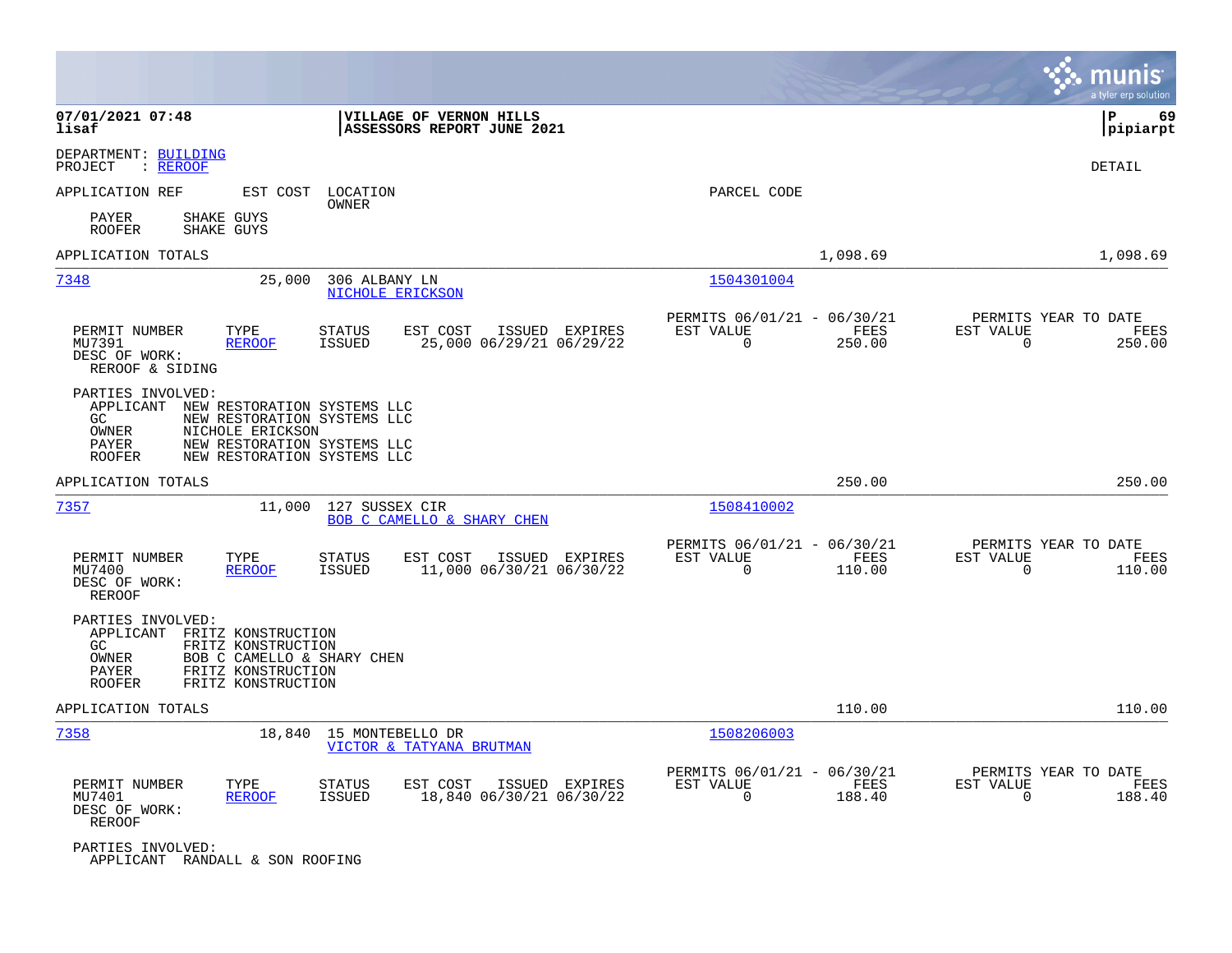|                                                                                                                                                                                                                          |                                                         |                                                                           | munis<br>a tyler erp solution                                      |
|--------------------------------------------------------------------------------------------------------------------------------------------------------------------------------------------------------------------------|---------------------------------------------------------|---------------------------------------------------------------------------|--------------------------------------------------------------------|
| 07/01/2021 07:48<br>lisaf                                                                                                                                                                                                | VILLAGE OF VERNON HILLS<br>ASSESSORS REPORT JUNE 2021   |                                                                           | P<br>69<br> pipiarpt                                               |
| DEPARTMENT: BUILDING<br>PROJECT<br>: <u>REROOF</u>                                                                                                                                                                       |                                                         |                                                                           | DETAIL                                                             |
| APPLICATION REF<br>EST COST<br>OWNER                                                                                                                                                                                     | LOCATION                                                | PARCEL CODE                                                               |                                                                    |
| PAYER<br>SHAKE GUYS<br><b>ROOFER</b><br>SHAKE GUYS                                                                                                                                                                       |                                                         |                                                                           |                                                                    |
| APPLICATION TOTALS                                                                                                                                                                                                       |                                                         | 1,098.69                                                                  | 1,098.69                                                           |
| 7348<br>25,000                                                                                                                                                                                                           | 306 ALBANY LN<br>NICHOLE ERICKSON                       | 1504301004                                                                |                                                                    |
| PERMIT NUMBER<br>TYPE<br><b>STATUS</b><br>MU7391<br><b>REROOF</b><br><b>ISSUED</b><br>DESC OF WORK:<br>REROOF & SIDING                                                                                                   | EST COST<br>ISSUED EXPIRES<br>25,000 06/29/21 06/29/22  | PERMITS 06/01/21 - 06/30/21<br>EST VALUE<br>FEES<br>$\mathbf 0$<br>250.00 | PERMITS YEAR TO DATE<br>EST VALUE<br>FEES<br>$\mathbf 0$<br>250.00 |
| PARTIES INVOLVED:<br>APPLICANT<br>NEW RESTORATION SYSTEMS LLC<br>GC.<br>NEW RESTORATION SYSTEMS LLC<br>OWNER<br>NICHOLE ERICKSON<br>PAYER<br>NEW RESTORATION SYSTEMS LLC<br><b>ROOFER</b><br>NEW RESTORATION SYSTEMS LLC |                                                         |                                                                           |                                                                    |
| APPLICATION TOTALS                                                                                                                                                                                                       |                                                         | 250.00                                                                    | 250.00                                                             |
| 7357<br>11,000                                                                                                                                                                                                           | 127 SUSSEX CIR<br><b>BOB C CAMELLO &amp; SHARY CHEN</b> | 1508410002                                                                |                                                                    |
| PERMIT NUMBER<br>TYPE<br><b>STATUS</b><br>MU7400<br><b>REROOF</b><br><b>ISSUED</b><br>DESC OF WORK:<br>REROOF                                                                                                            | EST COST<br>ISSUED EXPIRES<br>11,000 06/30/21 06/30/22  | PERMITS 06/01/21 - 06/30/21<br>EST VALUE<br>FEES<br>0<br>110.00           | PERMITS YEAR TO DATE<br>EST VALUE<br>FEES<br>$\Omega$<br>110.00    |
| PARTIES INVOLVED:<br>APPLICANT<br>FRITZ KONSTRUCTION<br>GC.<br>FRITZ KONSTRUCTION<br>OWNER<br>BOB C CAMELLO & SHARY CHEN<br>PAYER<br>FRITZ KONSTRUCTION<br><b>ROOFER</b><br>FRITZ KONSTRUCTION                           |                                                         |                                                                           |                                                                    |
| APPLICATION TOTALS                                                                                                                                                                                                       |                                                         | 110.00                                                                    | 110.00                                                             |
| 7358<br>18,840                                                                                                                                                                                                           | 15 MONTEBELLO DR<br>VICTOR & TATYANA BRUTMAN            | 1508206003                                                                |                                                                    |
| TYPE<br>PERMIT NUMBER<br><b>STATUS</b><br><b>ISSUED</b><br>MU7401<br><b>REROOF</b><br>DESC OF WORK:<br>REROOF                                                                                                            | EST COST<br>ISSUED EXPIRES<br>18,840 06/30/21 06/30/22  | PERMITS 06/01/21 - 06/30/21<br>EST VALUE<br>FEES<br>$\Omega$<br>188.40    | PERMITS YEAR TO DATE<br>EST VALUE<br>FEES<br>$\Omega$<br>188.40    |
| PARTIES INVOLVED:<br>APPLICANT RANDALL & SON ROOFING                                                                                                                                                                     |                                                         |                                                                           |                                                                    |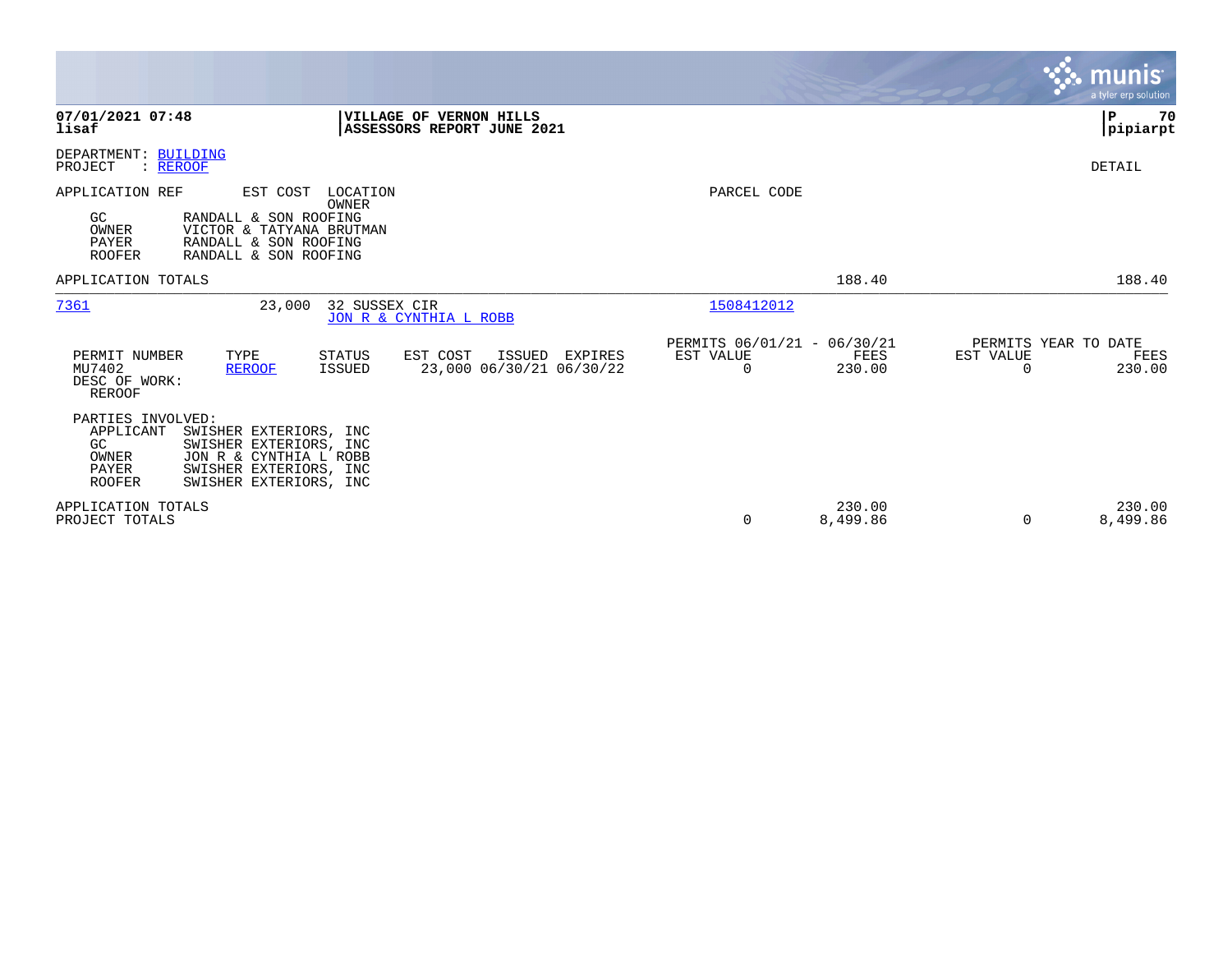|                                                                                                                                                                                                           |                                                           |                                               |                    |           | munis <sup>®</sup><br>a tyler erp solution |
|-----------------------------------------------------------------------------------------------------------------------------------------------------------------------------------------------------------|-----------------------------------------------------------|-----------------------------------------------|--------------------|-----------|--------------------------------------------|
| 07/01/2021 07:48<br>lisaf                                                                                                                                                                                 | VILLAGE OF VERNON HILLS<br>ASSESSORS REPORT JUNE 2021     |                                               |                    |           | l P<br>70<br> pipiarpt                     |
| DEPARTMENT: BUILDING<br>PROJECT<br>: REROOF                                                                                                                                                               |                                                           |                                               |                    |           | DETAIL                                     |
| APPLICATION REF<br>EST COST<br>LOCATION<br>OWNER<br>GC<br>RANDALL & SON ROOFING<br>OWNER<br>VICTOR & TATYANA BRUTMAN<br>PAYER<br>RANDALL & SON ROOFING<br><b>ROOFER</b><br>RANDALL & SON ROOFING          |                                                           | PARCEL CODE                                   |                    |           |                                            |
| APPLICATION TOTALS                                                                                                                                                                                        |                                                           |                                               | 188.40             |           | 188.40                                     |
| 7361<br>23,000                                                                                                                                                                                            | 32 SUSSEX CIR<br>JON R & CYNTHIA L ROBB                   | 1508412012                                    |                    |           |                                            |
| PERMIT NUMBER<br>TYPE<br><b>STATUS</b><br>MU7402<br><b>REROOF</b><br>ISSUED<br>DESC OF WORK:<br><b>REROOF</b>                                                                                             | EST COST<br>ISSUED<br>EXPIRES<br>23,000 06/30/21 06/30/22 | PERMITS 06/01/21 - 06/30/21<br>EST VALUE<br>0 | FEES<br>230.00     | EST VALUE | PERMITS YEAR TO DATE<br>FEES<br>230.00     |
| PARTIES INVOLVED:<br>SWISHER EXTERIORS, INC<br>APPLICANT<br>GC<br>SWISHER EXTERIORS, INC<br>JON R & CYNTHIA L ROBB<br>OWNER<br>PAYER<br>SWISHER EXTERIORS, INC<br><b>ROOFER</b><br>SWISHER EXTERIORS, INC |                                                           |                                               |                    |           |                                            |
| APPLICATION TOTALS<br>PROJECT TOTALS                                                                                                                                                                      |                                                           | 0                                             | 230.00<br>8,499.86 | $\Omega$  | 230.00<br>8,499.86                         |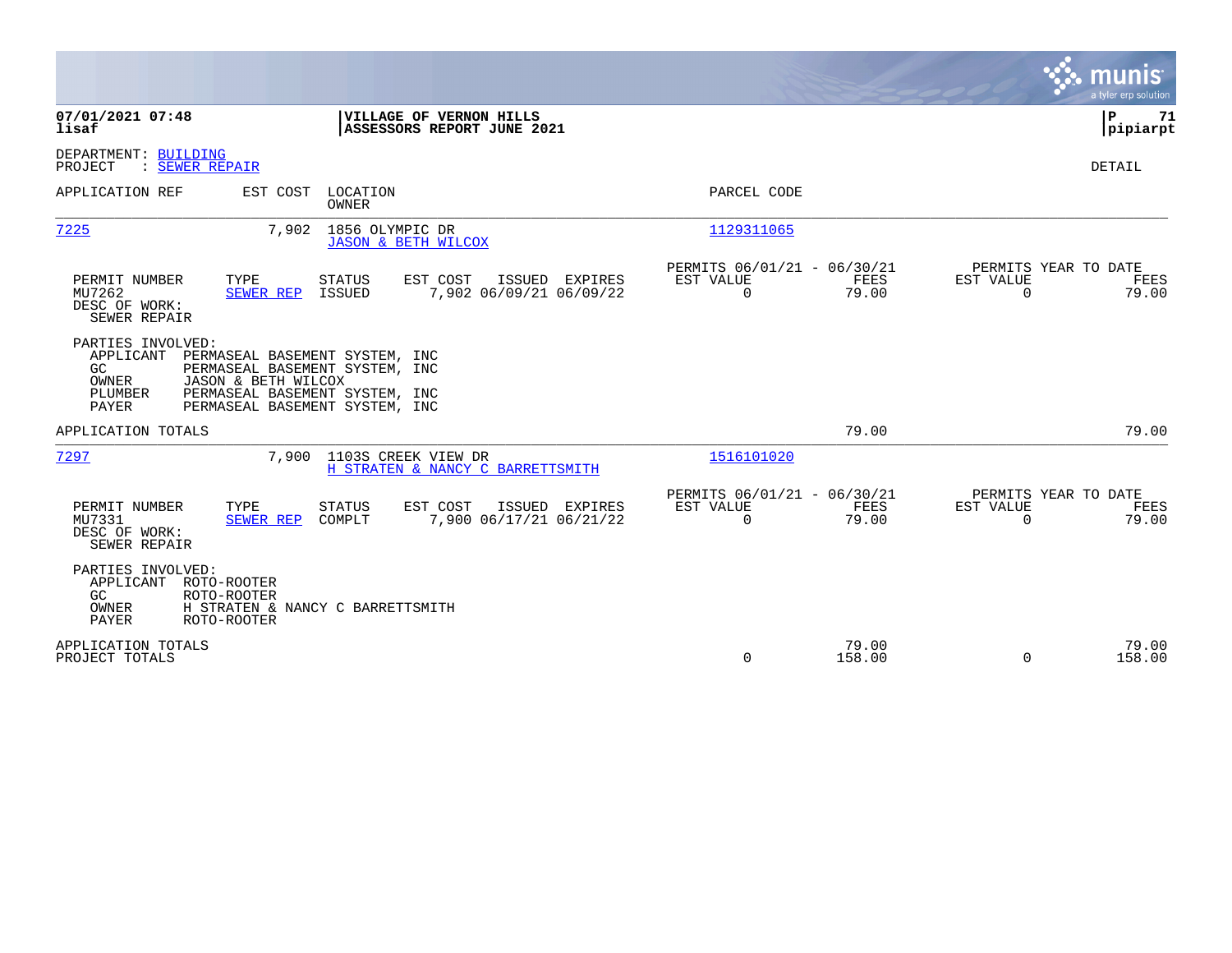|                                                                                                                                                                                                                                         |                                                                          | munis<br>a tyler erp solution                                     |
|-----------------------------------------------------------------------------------------------------------------------------------------------------------------------------------------------------------------------------------------|--------------------------------------------------------------------------|-------------------------------------------------------------------|
| 07/01/2021 07:48<br><b>VILLAGE OF VERNON HILLS</b><br>lisaf<br>ASSESSORS REPORT JUNE 2021                                                                                                                                               |                                                                          | P<br>71<br> pipiarpt                                              |
| DEPARTMENT: BUILDING<br>PROJECT<br>: SEWER REPAIR                                                                                                                                                                                       |                                                                          | <b>DETAIL</b>                                                     |
| APPLICATION REF<br>EST COST LOCATION<br>OWNER                                                                                                                                                                                           | PARCEL CODE                                                              |                                                                   |
| 7225<br>7,902 1856 OLYMPIC DR<br><b>JASON &amp; BETH WILCOX</b>                                                                                                                                                                         | 1129311065                                                               |                                                                   |
| EST COST<br>PERMIT NUMBER<br>TYPE<br>STATUS<br>ISSUED EXPIRES<br>MU7262<br><b>SEWER REP</b><br>ISSUED<br>7,902 06/09/21 06/09/22<br>DESC OF WORK:<br>SEWER REPAIR                                                                       | PERMITS 06/01/21 - 06/30/21<br>FEES<br>EST VALUE<br>$\mathbf 0$<br>79.00 | PERMITS YEAR TO DATE<br>EST VALUE<br>FEES<br>$\mathbf 0$<br>79.00 |
| PARTIES INVOLVED:<br>APPLICANT<br>PERMASEAL BASEMENT SYSTEM, INC<br>GC<br>PERMASEAL BASEMENT SYSTEM, INC<br><b>OWNER</b><br>JASON & BETH WILCOX<br>PERMASEAL BASEMENT SYSTEM, INC<br>PLUMBER<br>PAYER<br>PERMASEAL BASEMENT SYSTEM, INC |                                                                          |                                                                   |
| APPLICATION TOTALS                                                                                                                                                                                                                      | 79.00                                                                    | 79.00                                                             |
| 7297<br>7,900<br>1103S CREEK VIEW DR<br>H STRATEN & NANCY C BARRETTSMITH                                                                                                                                                                | 1516101020                                                               |                                                                   |
| EST COST<br>PERMIT NUMBER<br>TYPE<br><b>STATUS</b><br>ISSUED EXPIRES<br>MU7331<br>SEWER REP<br>COMPLT<br>7,900 06/17/21 06/21/22<br>DESC OF WORK:<br>SEWER REPAIR                                                                       | PERMITS 06/01/21 - 06/30/21<br>FEES<br>EST VALUE<br>$\Omega$<br>79.00    | PERMITS YEAR TO DATE<br>EST VALUE<br>FEES<br>$\Omega$<br>79.00    |
| PARTIES INVOLVED:<br>APPLICANT ROTO-ROOTER<br>GC<br>ROTO-ROOTER<br>OWNER<br>H STRATEN & NANCY C BARRETTSMITH<br>PAYER<br>ROTO-ROOTER                                                                                                    |                                                                          |                                                                   |
| APPLICATION TOTALS<br>PROJECT TOTALS                                                                                                                                                                                                    | 79.00<br>0<br>158.00                                                     | 79.00<br>$\Omega$<br>158.00                                       |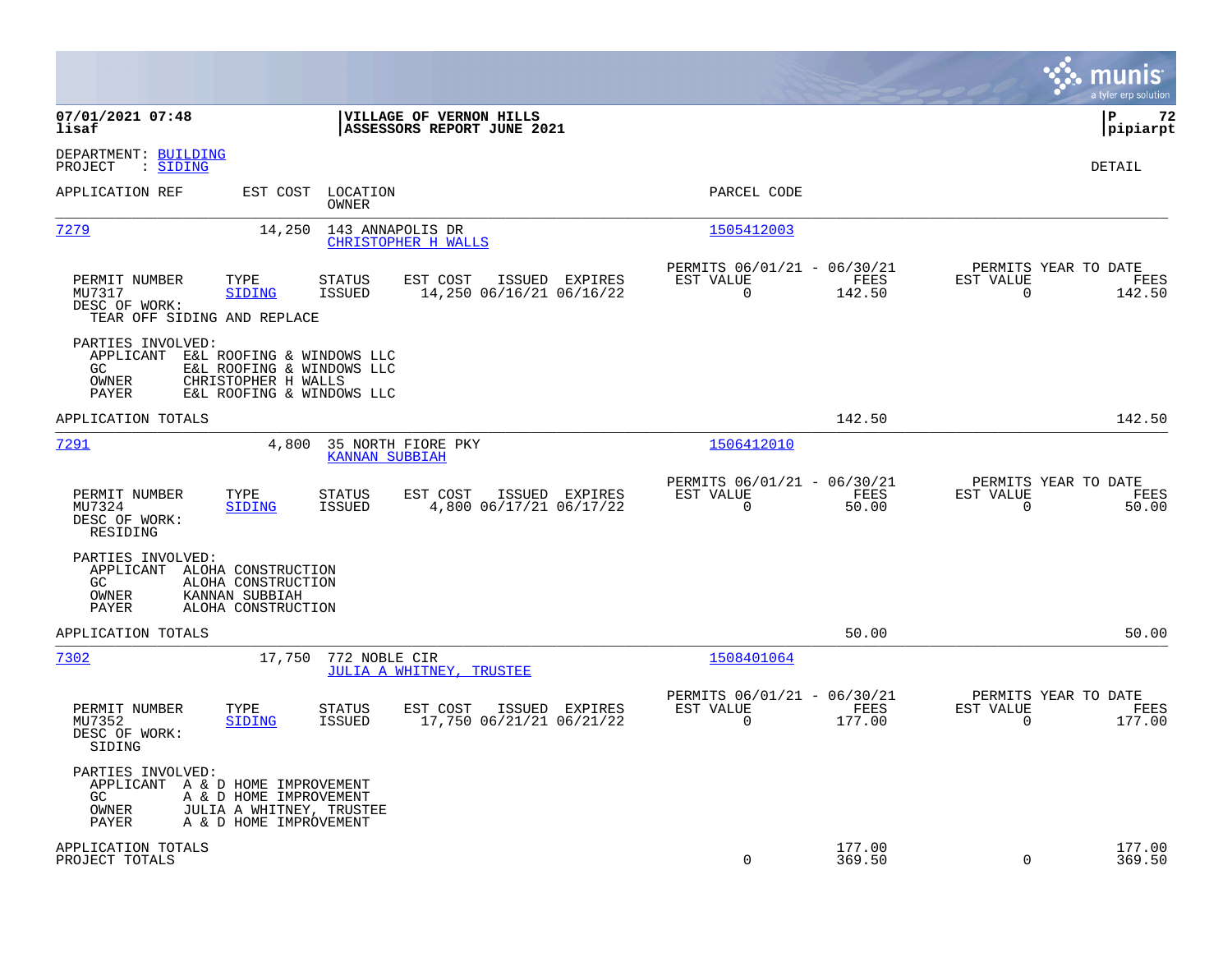|                                                                                              |                                                                                                            |                                                       |                |                                                            |                  |                          | munis<br>a tyler erp solution          |
|----------------------------------------------------------------------------------------------|------------------------------------------------------------------------------------------------------------|-------------------------------------------------------|----------------|------------------------------------------------------------|------------------|--------------------------|----------------------------------------|
| 07/01/2021 07:48<br>lisaf                                                                    |                                                                                                            | VILLAGE OF VERNON HILLS<br>ASSESSORS REPORT JUNE 2021 |                |                                                            |                  |                          | l P<br>72<br> pipiarpt                 |
| DEPARTMENT: BUILDING<br>PROJECT<br>: <u>SIDING</u>                                           |                                                                                                            |                                                       |                |                                                            |                  |                          | DETAIL                                 |
| APPLICATION REF                                                                              | EST COST<br>LOCATION<br>OWNER                                                                              |                                                       |                | PARCEL CODE                                                |                  |                          |                                        |
| 7279                                                                                         | 14,250<br>143 ANNAPOLIS DR                                                                                 | CHRISTOPHER H WALLS                                   |                | 1505412003                                                 |                  |                          |                                        |
| PERMIT NUMBER<br>TYPE<br>MU7317<br>DESC OF WORK:<br>TEAR OFF SIDING AND REPLACE              | <b>STATUS</b><br>ISSUED<br>SIDING                                                                          | EST COST<br>14,250 06/16/21 06/16/22                  | ISSUED EXPIRES | PERMITS 06/01/21 - 06/30/21<br>EST VALUE<br>$\overline{0}$ | FEES<br>142.50   | EST VALUE<br>$\mathbf 0$ | PERMITS YEAR TO DATE<br>FEES<br>142.50 |
| PARTIES INVOLVED:<br>APPLICANT<br>GC.<br>OWNER<br>PAYER                                      | E&L ROOFING & WINDOWS LLC<br>E&L ROOFING & WINDOWS LLC<br>CHRISTOPHER H WALLS<br>E&L ROOFING & WINDOWS LLC |                                                       |                |                                                            |                  |                          |                                        |
| APPLICATION TOTALS                                                                           |                                                                                                            |                                                       |                |                                                            | 142.50           |                          | 142.50                                 |
| 7291                                                                                         | 4,800<br><b>KANNAN SUBBIAH</b>                                                                             | 35 NORTH FIORE PKY                                    |                | 1506412010                                                 |                  |                          |                                        |
| PERMIT NUMBER<br>TYPE<br>MU7324<br>DESC OF WORK:<br>RESIDING                                 | <b>STATUS</b><br><b>ISSUED</b><br>SIDING                                                                   | EST COST<br>4,800 06/17/21 06/17/22                   | ISSUED EXPIRES | PERMITS 06/01/21 - 06/30/21<br>EST VALUE<br>$\mathbf 0$    | FEES<br>50.00    | EST VALUE<br>$\mathbf 0$ | PERMITS YEAR TO DATE<br>FEES<br>50.00  |
| PARTIES INVOLVED:<br>APPLICANT ALOHA CONSTRUCTION<br>GC.<br>OWNER<br>KANNAN SUBBIAH<br>PAYER | ALOHA CONSTRUCTION<br>ALOHA CONSTRUCTION                                                                   |                                                       |                |                                                            |                  |                          |                                        |
| APPLICATION TOTALS                                                                           |                                                                                                            |                                                       |                |                                                            | 50.00            |                          | 50.00                                  |
| 7302                                                                                         | 17,750 772 NOBLE CIR                                                                                       | JULIA A WHITNEY, TRUSTEE                              |                | 1508401064                                                 |                  |                          |                                        |
| PERMIT NUMBER<br>TYPE<br>MU7352<br>DESC OF WORK:<br>SIDING                                   | STATUS<br><b>ISSUED</b><br>SIDING                                                                          | EST COST<br>17,750 06/21/21 06/21/22                  | ISSUED EXPIRES | PERMITS 06/01/21 - 06/30/21<br>EST VALUE<br>$\mathbf 0$    | FEES<br>177.00   | EST VALUE<br>$\Omega$    | PERMITS YEAR TO DATE<br>FEES<br>177.00 |
| PARTIES INVOLVED:<br>APPLICANT A & D HOME IMPROVEMENT<br>GC<br>OWNER<br>PAYER                | A & D HOME IMPROVEMENT<br>JULIA A WHITNEY, TRUSTEE<br>A & D HOME IMPROVEMENT                               |                                                       |                |                                                            |                  |                          |                                        |
| APPLICATION TOTALS<br>PROJECT TOTALS                                                         |                                                                                                            |                                                       |                | $\mathbf 0$                                                | 177.00<br>369.50 | $\mathsf{O}$             | 177.00<br>369.50                       |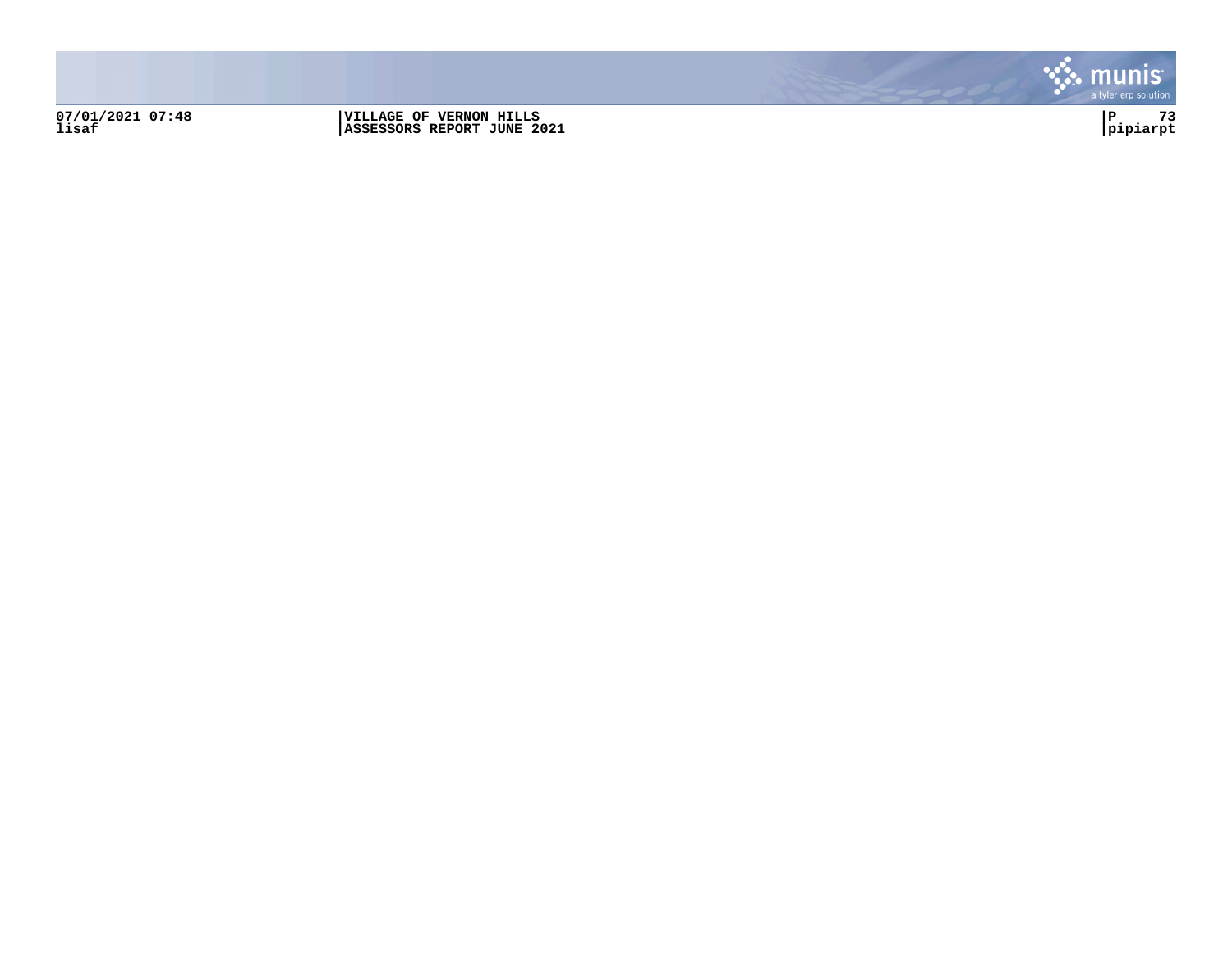**07/01/2021 07:48 |VILLAGE OF VERNON HILLS |P 73 lisaf |ASSESSORS REPORT JUNE 2021 |pipiarpt**

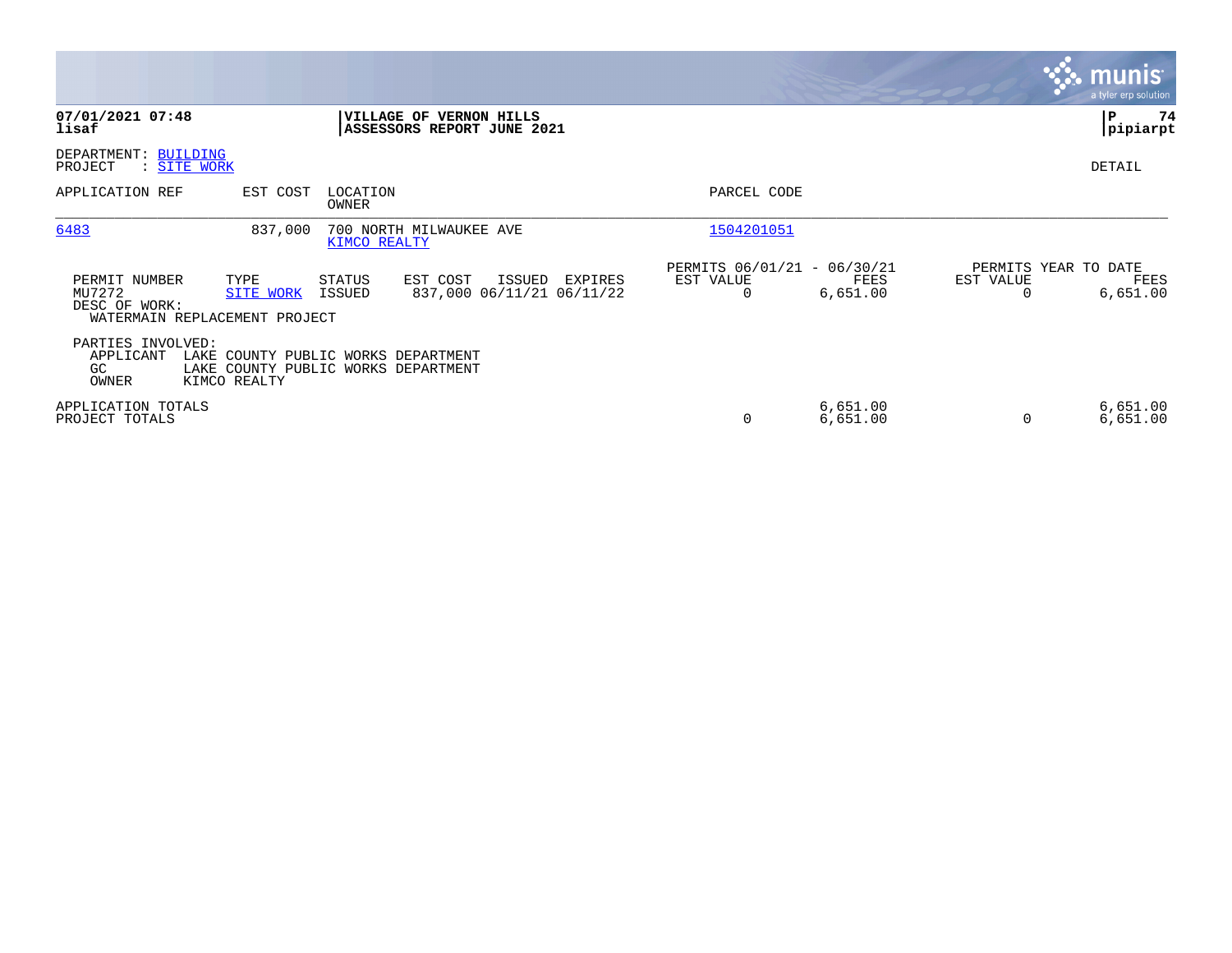|                                                |                                                                                            |                                         |                                                            |                                                      |                      |                                   | <b>munis</b><br>a tyler erp solution |
|------------------------------------------------|--------------------------------------------------------------------------------------------|-----------------------------------------|------------------------------------------------------------|------------------------------------------------------|----------------------|-----------------------------------|--------------------------------------|
| 07/01/2021 07:48<br>lisaf                      |                                                                                            |                                         | VILLAGE OF VERNON HILLS<br>ASSESSORS REPORT JUNE 2021      |                                                      |                      |                                   | P<br>74<br> pipiarpt                 |
| DEPARTMENT: BUILDING<br>PROJECT                | : SITE WORK                                                                                |                                         |                                                            |                                                      |                      |                                   | DETAIL                               |
| APPLICATION REF                                | EST COST                                                                                   | LOCATION<br>OWNER                       |                                                            | PARCEL CODE                                          |                      |                                   |                                      |
| 6483                                           | 837,000                                                                                    | 700 NORTH MILWAUKEE AVE<br>KIMCO REALTY |                                                            | 1504201051                                           |                      |                                   |                                      |
| PERMIT NUMBER<br>MU7272<br>DESC OF WORK:       | TYPE<br><b>SITE WORK</b><br>WATERMAIN REPLACEMENT PROJECT                                  | STATUS<br>ISSUED                        | EST COST<br>ISSUED<br>EXPIRES<br>837,000 06/11/21 06/11/22 | PERMITS 06/01/21 - 06/30/21<br>EST VALUE<br>$\Omega$ | FEES<br>6,651.00     | PERMITS YEAR TO DATE<br>EST VALUE | FEES<br>6,651.00                     |
| PARTIES INVOLVED:<br>APPLICANT<br>GC.<br>OWNER | LAKE COUNTY PUBLIC WORKS DEPARTMENT<br>LAKE COUNTY PUBLIC WORKS DEPARTMENT<br>KIMCO REALTY |                                         |                                                            |                                                      |                      |                                   |                                      |
| APPLICATION TOTALS<br>PROJECT TOTALS           |                                                                                            |                                         |                                                            | 0                                                    | 6,651.00<br>6,651.00 | 0                                 | 6,651.00<br>6,651.00                 |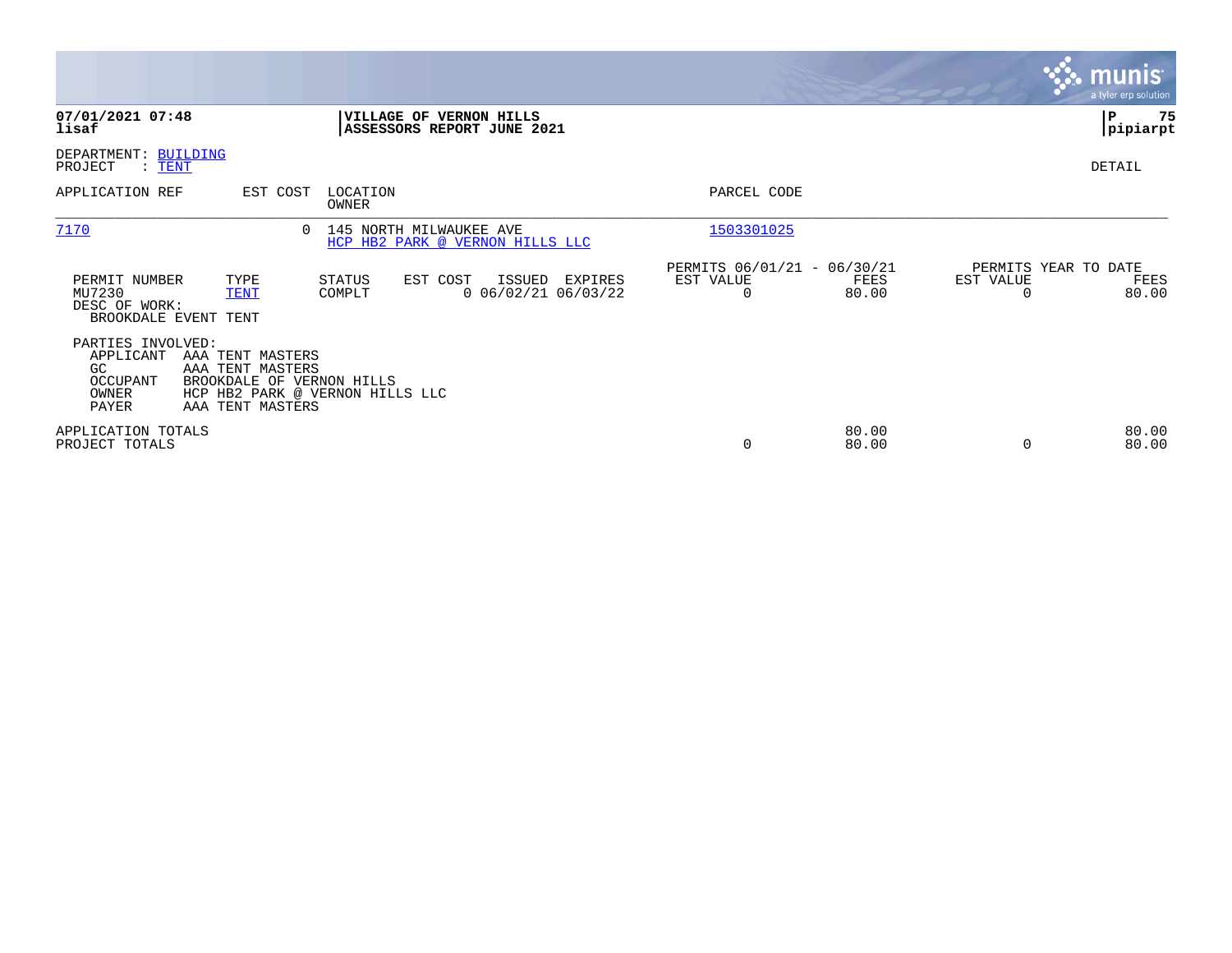|                                                                     |                                                                                                                          |                                                            |                                            |                                                      |                |                                               | <b>munis</b><br>a tyler erp solution |
|---------------------------------------------------------------------|--------------------------------------------------------------------------------------------------------------------------|------------------------------------------------------------|--------------------------------------------|------------------------------------------------------|----------------|-----------------------------------------------|--------------------------------------|
| 07/01/2021 07:48<br>lisaf                                           |                                                                                                                          | VILLAGE OF VERNON HILLS<br>ASSESSORS REPORT JUNE 2021      |                                            |                                                      |                |                                               | l P<br>75<br> pipiarpt               |
| DEPARTMENT: BUILDING<br>PROJECT<br>$:$ TENT                         |                                                                                                                          |                                                            |                                            |                                                      |                |                                               | DETAIL                               |
| APPLICATION REF                                                     | EST COST                                                                                                                 | LOCATION<br>OWNER                                          |                                            | PARCEL CODE                                          |                |                                               |                                      |
| 7170                                                                | $\Omega$                                                                                                                 | 145 NORTH MILWAUKEE AVE<br>HCP HB2 PARK @ VERNON HILLS LLC |                                            | 1503301025                                           |                |                                               |                                      |
| PERMIT NUMBER<br>MU7230<br>DESC OF WORK:<br>BROOKDALE EVENT TENT    | TYPE<br><b>TENT</b>                                                                                                      | STATUS<br>EST COST<br>COMPLT                               | ISSUED<br>EXPIRES<br>$0$ 06/02/21 06/03/22 | PERMITS 06/01/21 - 06/30/21<br>EST VALUE<br>$\Omega$ | FEES<br>80.00  | PERMITS YEAR TO DATE<br>EST VALUE<br>$\Omega$ | FEES<br>80.00                        |
| PARTIES INVOLVED:<br>APPLICANT<br>GC.<br>OCCUPANT<br>OWNER<br>PAYER | AAA TENT MASTERS<br>AAA TENT MASTERS<br>BROOKDALE OF VERNON HILLS<br>HCP HB2 PARK @ VERNON HILLS LLC<br>AAA TENT MASTERS |                                                            |                                            |                                                      |                |                                               |                                      |
| APPLICATION TOTALS<br>PROJECT TOTALS                                |                                                                                                                          |                                                            |                                            | $\mathbf 0$                                          | 80.00<br>80.00 | $\Omega$                                      | 80.00<br>80.00                       |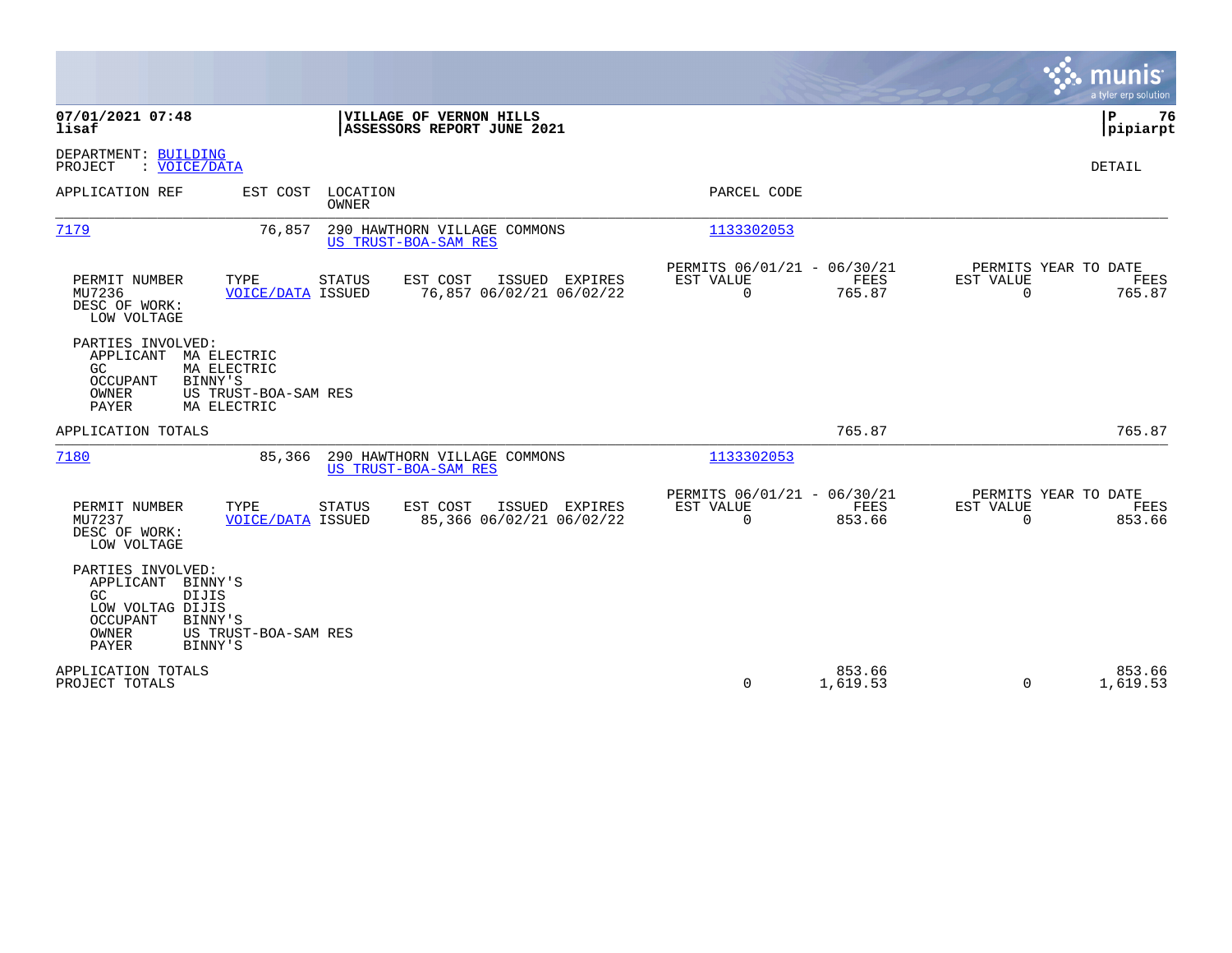|                                                                                                                               |                                                                   |                             |                                                       |                |                                                         |                       |                              | munis<br>a tyler erp solution          |
|-------------------------------------------------------------------------------------------------------------------------------|-------------------------------------------------------------------|-----------------------------|-------------------------------------------------------|----------------|---------------------------------------------------------|-----------------------|------------------------------|----------------------------------------|
| 07/01/2021 07:48<br>lisaf                                                                                                     |                                                                   |                             | VILLAGE OF VERNON HILLS<br>ASSESSORS REPORT JUNE 2021 |                |                                                         |                       |                              | l P<br>76<br> pipiarpt                 |
| DEPARTMENT: BUILDING<br>PROJECT<br>: VOICE/DATA                                                                               |                                                                   |                             |                                                       |                |                                                         |                       |                              | <b>DETAIL</b>                          |
| APPLICATION REF                                                                                                               | EST COST LOCATION                                                 | <b>OWNER</b>                |                                                       |                | PARCEL CODE                                             |                       |                              |                                        |
| 7179                                                                                                                          | 76,857                                                            | US TRUST-BOA-SAM RES        | 290 HAWTHORN VILLAGE COMMONS                          |                | 1133302053                                              |                       |                              |                                        |
| PERMIT NUMBER<br>MU7236<br>DESC OF WORK:<br>LOW VOLTAGE                                                                       | TYPE<br><b>VOICE/DATA ISSUED</b>                                  | STATUS                      | EST COST<br>76,857 06/02/21 06/02/22                  | ISSUED EXPIRES | PERMITS 06/01/21 - 06/30/21<br>EST VALUE<br>$\Omega$    | FEES<br>765.87        | EST VALUE<br>$\Omega$        | PERMITS YEAR TO DATE<br>FEES<br>765.87 |
| PARTIES INVOLVED:<br>APPLICANT<br>GC<br><b>OCCUPANT</b><br>BINNY'S<br>OWNER<br>PAYER                                          | MA ELECTRIC<br>MA ELECTRIC<br>US TRUST-BOA-SAM RES<br>MA ELECTRIC |                             |                                                       |                |                                                         |                       |                              |                                        |
| APPLICATION TOTALS                                                                                                            |                                                                   |                             |                                                       |                |                                                         | 765.87                |                              | 765.87                                 |
| 7180                                                                                                                          | 85,366                                                            | <b>US TRUST-BOA-SAM RES</b> | 290 HAWTHORN VILLAGE COMMONS                          |                | 1133302053                                              |                       |                              |                                        |
| PERMIT NUMBER<br>MU7237<br>DESC OF WORK:<br>LOW VOLTAGE                                                                       | TYPE<br><b>VOICE/DATA ISSUED</b>                                  | STATUS                      | EST COST<br>85,366 06/02/21 06/02/22                  | ISSUED EXPIRES | PERMITS 06/01/21 - 06/30/21<br>EST VALUE<br>$\mathbf 0$ | <b>FEES</b><br>853.66 | <b>EST VALUE</b><br>$\Omega$ | PERMITS YEAR TO DATE<br>FEES<br>853.66 |
| PARTIES INVOLVED:<br>APPLICANT BINNY'S<br>GC<br>DIJIS<br>LOW VOLTAG DIJIS<br>OCCUPANT<br>BINNY'S<br>OWNER<br>PAYER<br>BINNY'S | US TRUST-BOA-SAM RES                                              |                             |                                                       |                |                                                         |                       |                              |                                        |
| APPLICATION TOTALS<br>PROJECT TOTALS                                                                                          |                                                                   |                             |                                                       |                | 0                                                       | 853.66<br>1,619.53    | $\Omega$                     | 853.66<br>1,619.53                     |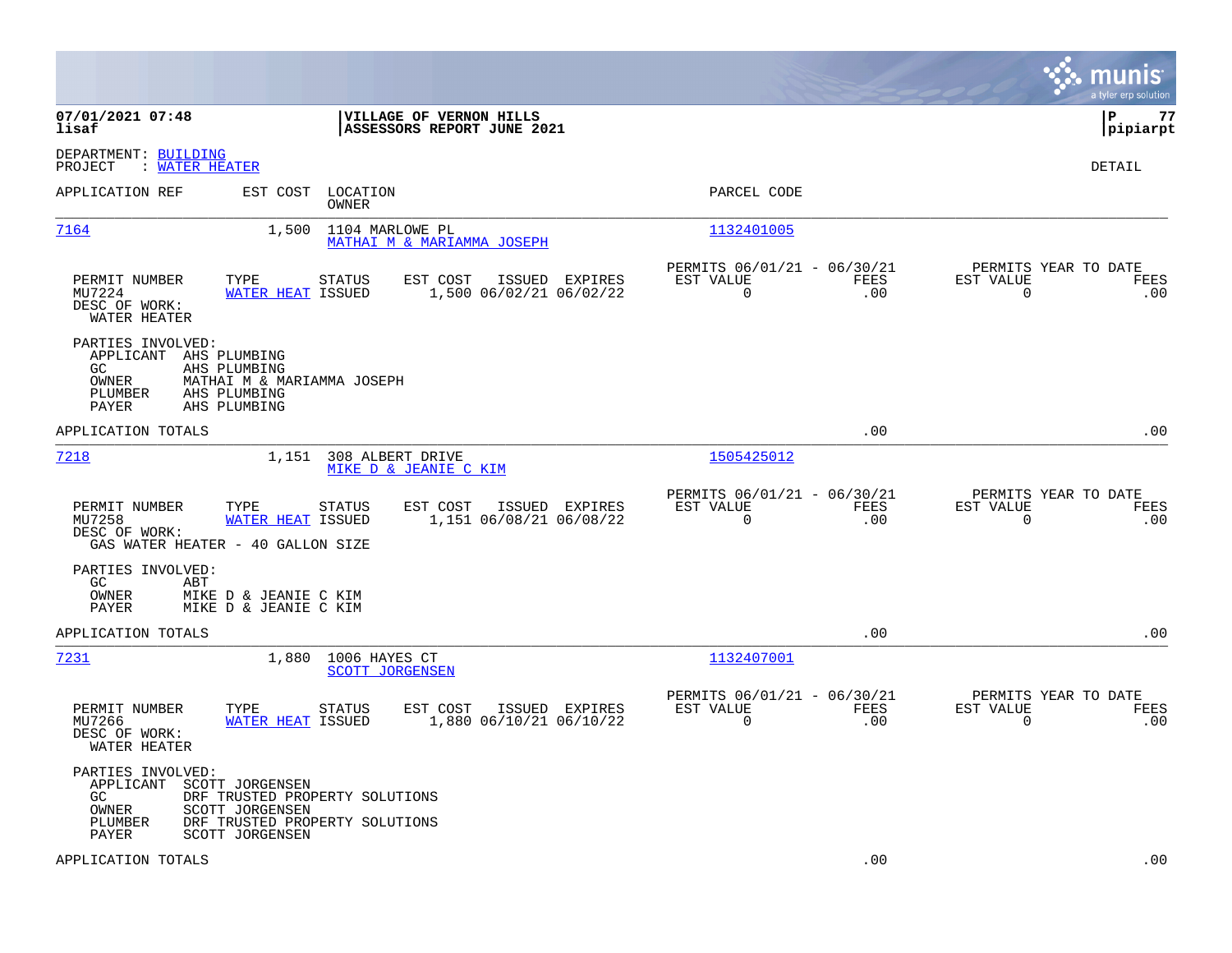|                                                                                |                                                                                                                           |                                                       |                                                         |                    |                                                  | munis<br>a tyler erp solution |
|--------------------------------------------------------------------------------|---------------------------------------------------------------------------------------------------------------------------|-------------------------------------------------------|---------------------------------------------------------|--------------------|--------------------------------------------------|-------------------------------|
| 07/01/2021 07:48<br>lisaf                                                      |                                                                                                                           | VILLAGE OF VERNON HILLS<br>ASSESSORS REPORT JUNE 2021 |                                                         |                    |                                                  | 77<br>l P<br> pipiarpt        |
| DEPARTMENT: BUILDING<br>: WATER HEATER<br>PROJECT                              |                                                                                                                           |                                                       |                                                         |                    |                                                  | DETAIL                        |
| APPLICATION REF                                                                | EST COST LOCATION<br>OWNER                                                                                                |                                                       | PARCEL CODE                                             |                    |                                                  |                               |
| 7164                                                                           | 1,500<br>1104 MARLOWE PL                                                                                                  | MATHAI M & MARIAMMA JOSEPH                            | 1132401005                                              |                    |                                                  |                               |
| PERMIT NUMBER<br>MU7224<br>DESC OF WORK:<br>WATER HEATER                       | TYPE<br>STATUS<br>WATER HEAT ISSUED                                                                                       | EST COST<br>ISSUED EXPIRES<br>1,500 06/02/21 06/02/22 | PERMITS 06/01/21 - 06/30/21<br>EST VALUE<br>0           | FEES<br>.00        | PERMITS YEAR TO DATE<br>EST VALUE<br>$\mathbf 0$ | FEES<br>.00                   |
| PARTIES INVOLVED:<br>APPLICANT AHS PLUMBING<br>GC<br>OWNER<br>PLUMBER<br>PAYER | AHS PLUMBING<br>MATHAI M & MARIAMMA JOSEPH<br>AHS PLUMBING<br>AHS PLUMBING                                                |                                                       |                                                         |                    |                                                  |                               |
| APPLICATION TOTALS                                                             |                                                                                                                           |                                                       |                                                         | .00                |                                                  | .00                           |
| 7218                                                                           | 1,151                                                                                                                     | 308 ALBERT DRIVE<br>MIKE D & JEANIE C KIM             | 1505425012                                              |                    |                                                  |                               |
| PERMIT NUMBER<br>MU7258<br>DESC OF WORK:                                       | TYPE<br>STATUS<br><b>WATER HEAT ISSUED</b><br>GAS WATER HEATER - 40 GALLON SIZE                                           | EST COST<br>ISSUED EXPIRES<br>1,151 06/08/21 06/08/22 | PERMITS 06/01/21 - 06/30/21<br>EST VALUE<br>$\mathbf 0$ | FEES<br>.00        | PERMITS YEAR TO DATE<br>EST VALUE<br>$\mathbf 0$ | FEES<br>.00                   |
| PARTIES INVOLVED:<br>GC.<br>ABT<br>OWNER<br>PAYER                              | MIKE D & JEANIE C KIM<br>MIKE D & JEANIE C KIM                                                                            |                                                       |                                                         |                    |                                                  |                               |
| APPLICATION TOTALS                                                             |                                                                                                                           |                                                       |                                                         | .00                |                                                  | .00                           |
| 7231                                                                           | 1,880<br>1006 HAYES CT<br><b>SCOTT JORGENSEN</b>                                                                          |                                                       | 1132407001                                              |                    |                                                  |                               |
| PERMIT NUMBER<br>MU7266<br>DESC OF WORK:<br>WATER HEATER                       | TYPE<br>STATUS<br>WATER HEAT ISSUED                                                                                       | EST COST<br>ISSUED EXPIRES<br>1,880 06/10/21 06/10/22 | PERMITS 06/01/21 - 06/30/21<br>EST VALUE<br>$\Omega$    | <b>FEES</b><br>.00 | PERMITS YEAR TO DATE<br>EST VALUE<br>$\Omega$    | FEES<br>.00                   |
| PARTIES INVOLVED:<br>APPLICANT<br>GC.<br>OWNER<br>PLUMBER<br>PAYER             | SCOTT JORGENSEN<br>DRF TRUSTED PROPERTY SOLUTIONS<br>SCOTT JORGENSEN<br>DRF TRUSTED PROPERTY SOLUTIONS<br>SCOTT JORGENSEN |                                                       |                                                         |                    |                                                  |                               |
| APPLICATION TOTALS                                                             |                                                                                                                           |                                                       |                                                         | .00                |                                                  | .00                           |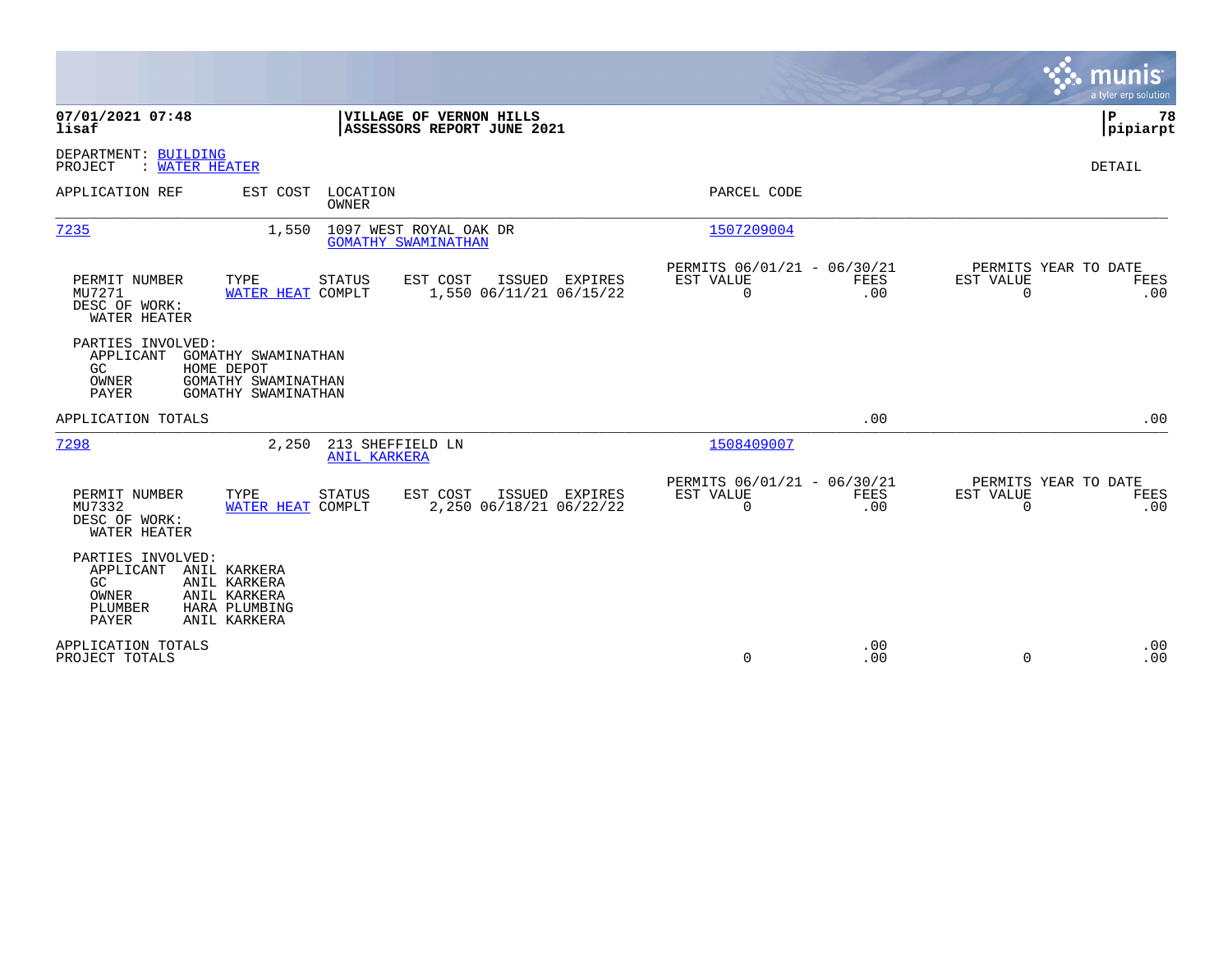|                                                                                                                                                                 |                                                                                     | munis<br>a tyler erp solution                   |
|-----------------------------------------------------------------------------------------------------------------------------------------------------------------|-------------------------------------------------------------------------------------|-------------------------------------------------|
| 07/01/2021 07:48<br><b>VILLAGE OF VERNON HILLS</b><br>ASSESSORS REPORT JUNE 2021<br>lisaf                                                                       |                                                                                     | ΙP<br>78<br> pipiarpt                           |
| DEPARTMENT: BUILDING<br>PROJECT<br>: WATER HEATER                                                                                                               |                                                                                     | <b>DETAIL</b>                                   |
| APPLICATION REF<br>EST COST<br>LOCATION<br>OWNER                                                                                                                | PARCEL CODE                                                                         |                                                 |
| 7235<br>1097 WEST ROYAL OAK DR<br>1,550<br><b>GOMATHY SWAMINATHAN</b>                                                                                           | 1507209004                                                                          |                                                 |
| PERMIT NUMBER<br><b>STATUS</b><br>EST COST<br>ISSUED EXPIRES<br>TYPE<br>WATER HEAT COMPLT<br>1,550 06/11/21 06/15/22<br>MU7271<br>DESC OF WORK:<br>WATER HEATER | PERMITS 06/01/21 - 06/30/21<br>EST VALUE<br>EST VALUE<br>FEES<br>$\Omega$<br>.00    | PERMITS YEAR TO DATE<br>FEES<br>$\Omega$<br>.00 |
| PARTIES INVOLVED:<br>APPLICANT<br>GOMATHY SWAMINATHAN<br>GC<br>HOME DEPOT<br>OWNER<br>GOMATHY SWAMINATHAN<br><b>PAYER</b><br>GOMATHY SWAMINATHAN                |                                                                                     |                                                 |
| APPLICATION TOTALS                                                                                                                                              | .00                                                                                 | .00                                             |
| 7298<br>2,250<br>213 SHEFFIELD LN<br><b>ANIL KARKERA</b>                                                                                                        | 1508409007                                                                          |                                                 |
| PERMIT NUMBER<br>TYPE<br><b>STATUS</b><br>EST COST<br>ISSUED EXPIRES<br>MU7332<br>WATER HEAT COMPLT<br>2,250 06/18/21 06/22/22<br>DESC OF WORK:<br>WATER HEATER | PERMITS 06/01/21 - 06/30/21<br>EST VALUE<br>FEES<br>EST VALUE<br>$\mathbf 0$<br>.00 | PERMITS YEAR TO DATE<br>FEES<br>$\Omega$<br>.00 |
| PARTIES INVOLVED:<br>APPLICANT ANIL KARKERA<br>GC<br>ANIL KARKERA<br>OWNER<br>ANIL KARKERA<br>PLUMBER<br>HARA PLUMBING<br>ANIL KARKERA<br><b>PAYER</b>          |                                                                                     |                                                 |
| APPLICATION TOTALS<br>PROJECT TOTALS                                                                                                                            | .00<br>0<br>.00                                                                     | .00<br>$\mathbf 0$<br>.00                       |